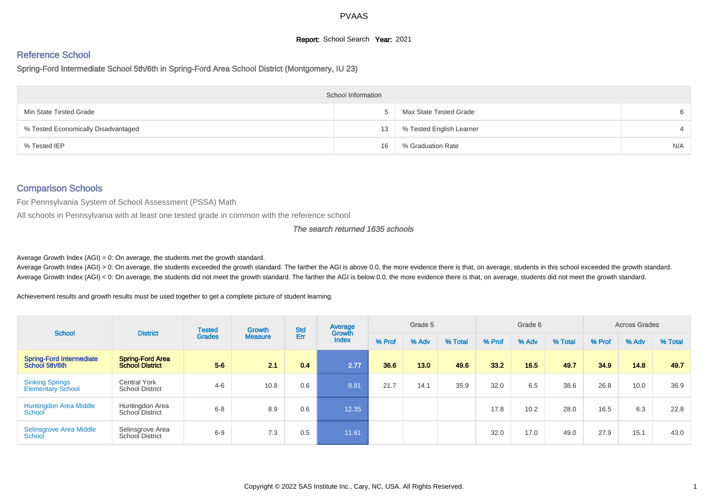# **Report:** School Search **Year:** 2021

# Reference School

Spring-Ford Intermediate School 5th/6th in Spring-Ford Area School District (Montgomery, IU 23)

|                                     | <b>School Information</b> |                          |     |
|-------------------------------------|---------------------------|--------------------------|-----|
| Min State Tested Grade              |                           | Max State Tested Grade   |     |
| % Tested Economically Disadvantaged | 13                        | % Tested English Learner |     |
| % Tested IEP                        | 16                        | % Graduation Rate        | N/A |

# Comparison Schools

For Pennsylvania System of School Assessment (PSSA) Math

All schools in Pennsylvania with at least one tested grade in common with the reference school

#### The search returned 1635 schools

Average Growth Index  $(AGI) = 0$ : On average, the students met the growth standard.

Average Growth Index (AGI) > 0: On average, the students exceeded the growth standard. The farther the AGI is above 0.0, the more evidence there is that, on average, students in this school exceeded the growth standard. Average Growth Index (AGI) < 0: On average, the students did not meet the growth standard. The farther the AGI is below 0.0, the more evidence there is that, on average, students did not meet the growth standard.

Achievement results and growth results must be used together to get a complete picture of student learning.

| <b>School</b>                                      | <b>District</b>                               | <b>Tested</b> | <b>Growth</b>  | <b>Std</b> | Average<br>Growth |        | Grade 5 |         |        | Grade 6 |         |        | <b>Across Grades</b> |         |
|----------------------------------------------------|-----------------------------------------------|---------------|----------------|------------|-------------------|--------|---------|---------|--------|---------|---------|--------|----------------------|---------|
|                                                    |                                               | <b>Grades</b> | <b>Measure</b> | Err        | <b>Index</b>      | % Prof | % Adv   | % Total | % Prof | % Adv   | % Total | % Prof | % Adv                | % Total |
| <b>Spring-Ford Intermediate</b><br>School 5th/6th  | Spring-Ford Area<br>School District           | $5-6$         | 2.1            | 0.4        | 2.77              | 36.6   | 13.0    | 49.6    | 33.2   | 16.5    | 49.7    | 34.9   | 14.8                 | 49.7    |
| <b>Sinking Springs</b><br><b>Elementary School</b> | <b>Central York</b><br><b>School District</b> | $4 - 6$       | 10.8           | 0.6        | 8.81              | 21.7   | 14.1    | 35.9    | 32.0   | 6.5     | 38.6    | 26.8   | 10.0                 | 36.9    |
| <b>Huntingdon Area Middle</b><br>School            | Huntingdon Area<br>School District            | $6 - 8$       | 8.9            | 0.6        | 12.35             |        |         |         | 17.8   | 10.2    | 28.0    | 16.5   | 6.3                  | 22.8    |
| Selinsgrove Area Middle<br>School                  | Selinsgrove Area<br>School District           | $6-9$         | 7.3            | 0.5        | 11.61             |        |         |         | 32.0   | 17.0    | 49.0    | 27.9   | 15.1                 | 43.0    |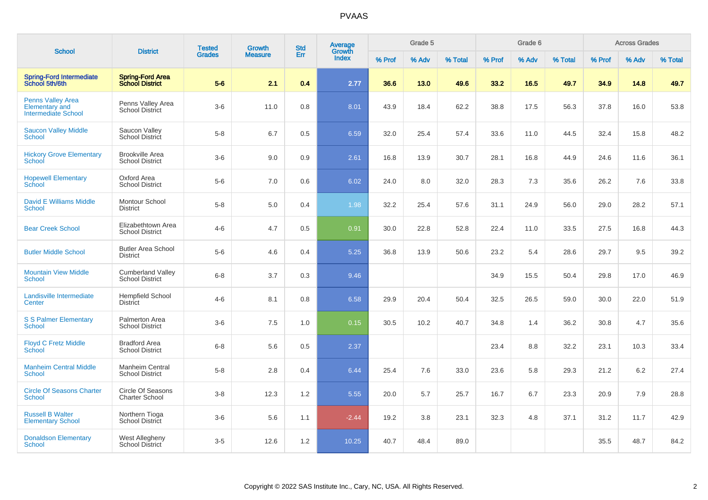| <b>School</b>                                                                   | <b>District</b>                                    | <b>Tested</b> | Growth         | <b>Std</b> | Average<br>Growth |        | Grade 5 |         |        | Grade 6 |         |        | <b>Across Grades</b> |         |
|---------------------------------------------------------------------------------|----------------------------------------------------|---------------|----------------|------------|-------------------|--------|---------|---------|--------|---------|---------|--------|----------------------|---------|
|                                                                                 |                                                    | <b>Grades</b> | <b>Measure</b> | Err        | <b>Index</b>      | % Prof | % Adv   | % Total | % Prof | % Adv   | % Total | % Prof | % Adv                | % Total |
| Spring-Ford Intermediate<br>School 5th/6th                                      | <b>Spring-Ford Area</b><br><b>School District</b>  | $5-6$         | 2.1            | 0.4        | 2.77              | 36.6   | 13.0    | 49.6    | 33.2   | 16.5    | 49.7    | 34.9   | 14.8                 | 49.7    |
| <b>Penns Valley Area</b><br><b>Elementary and</b><br><b>Intermediate School</b> | Penns Valley Area<br>School District               | $3-6$         | 11.0           | 0.8        | 8.01              | 43.9   | 18.4    | 62.2    | 38.8   | 17.5    | 56.3    | 37.8   | 16.0                 | 53.8    |
| <b>Saucon Valley Middle</b><br><b>School</b>                                    | Saucon Valley<br><b>School District</b>            | $5 - 8$       | 6.7            | 0.5        | 6.59              | 32.0   | 25.4    | 57.4    | 33.6   | 11.0    | 44.5    | 32.4   | 15.8                 | 48.2    |
| <b>Hickory Grove Elementary</b><br>School                                       | <b>Brookville Area</b><br><b>School District</b>   | $3-6$         | 9.0            | 0.9        | 2.61              | 16.8   | 13.9    | 30.7    | 28.1   | 16.8    | 44.9    | 24.6   | 11.6                 | 36.1    |
| <b>Hopewell Elementary</b><br>School                                            | Oxford Area<br><b>School District</b>              | $5-6$         | 7.0            | 0.6        | 6.02              | 24.0   | 8.0     | 32.0    | 28.3   | 7.3     | 35.6    | 26.2   | 7.6                  | 33.8    |
| David E Williams Middle<br><b>School</b>                                        | Montour School<br><b>District</b>                  | $5-8$         | 5.0            | 0.4        | 1.98              | 32.2   | 25.4    | 57.6    | 31.1   | 24.9    | 56.0    | 29.0   | 28.2                 | 57.1    |
| <b>Bear Creek School</b>                                                        | Elizabethtown Area<br><b>School District</b>       | $4 - 6$       | 4.7            | 0.5        | 0.91              | 30.0   | 22.8    | 52.8    | 22.4   | 11.0    | 33.5    | 27.5   | 16.8                 | 44.3    |
| <b>Butler Middle School</b>                                                     | <b>Butler Area School</b><br><b>District</b>       | $5-6$         | 4.6            | 0.4        | 5.25              | 36.8   | 13.9    | 50.6    | 23.2   | 5.4     | 28.6    | 29.7   | 9.5                  | 39.2    |
| <b>Mountain View Middle</b><br><b>School</b>                                    | <b>Cumberland Valley</b><br><b>School District</b> | $6 - 8$       | 3.7            | 0.3        | 9.46              |        |         |         | 34.9   | 15.5    | 50.4    | 29.8   | 17.0                 | 46.9    |
| Landisville Intermediate<br>Center                                              | <b>Hempfield School</b><br><b>District</b>         | $4-6$         | 8.1            | 0.8        | 6.58              | 29.9   | 20.4    | 50.4    | 32.5   | 26.5    | 59.0    | 30.0   | 22.0                 | 51.9    |
| <b>S S Palmer Elementary</b><br><b>School</b>                                   | Palmerton Area<br><b>School District</b>           | $3-6$         | 7.5            | 1.0        | 0.15              | 30.5   | 10.2    | 40.7    | 34.8   | 1.4     | 36.2    | 30.8   | 4.7                  | 35.6    |
| <b>Floyd C Fretz Middle</b><br><b>School</b>                                    | <b>Bradford Area</b><br><b>School District</b>     | $6 - 8$       | 5.6            | 0.5        | 2.37              |        |         |         | 23.4   | 8.8     | 32.2    | 23.1   | 10.3                 | 33.4    |
| <b>Manheim Central Middle</b><br><b>School</b>                                  | Manheim Central<br><b>School District</b>          | $5-8$         | 2.8            | 0.4        | 6.44              | 25.4   | 7.6     | 33.0    | 23.6   | 5.8     | 29.3    | 21.2   | 6.2                  | 27.4    |
| <b>Circle Of Seasons Charter</b><br>School                                      | Circle Of Seasons<br><b>Charter School</b>         | $3 - 8$       | 12.3           | 1.2        | 5.55              | 20.0   | 5.7     | 25.7    | 16.7   | 6.7     | 23.3    | 20.9   | 7.9                  | 28.8    |
| <b>Russell B Walter</b><br><b>Elementary School</b>                             | Northern Tioga<br><b>School District</b>           | $3-6$         | 5.6            | 1.1        | $-2.44$           | 19.2   | 3.8     | 23.1    | 32.3   | 4.8     | 37.1    | 31.2   | 11.7                 | 42.9    |
| <b>Donaldson Elementary</b><br>School                                           | West Allegheny<br>School District                  | $3-5$         | 12.6           | 1.2        | 10.25             | 40.7   | 48.4    | 89.0    |        |         |         | 35.5   | 48.7                 | 84.2    |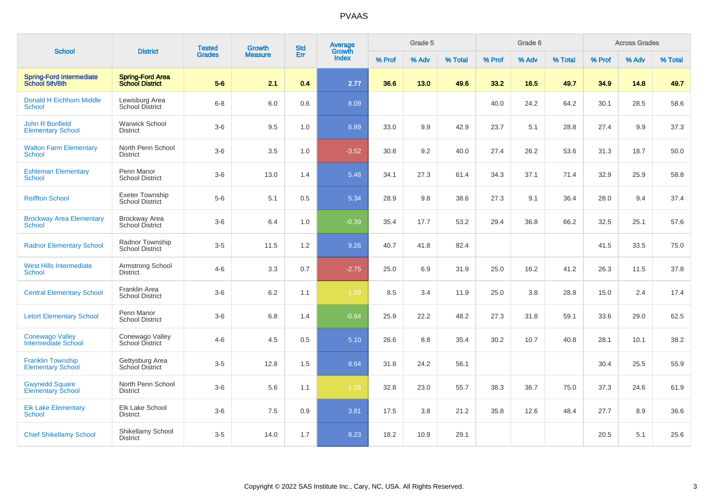| <b>School</b>                                        | <b>District</b>                                   | <b>Tested</b> | <b>Growth</b>  | <b>Std</b> | Average<br>Growth |        | Grade 5 |         |        | Grade 6 |         |        | <b>Across Grades</b> |         |
|------------------------------------------------------|---------------------------------------------------|---------------|----------------|------------|-------------------|--------|---------|---------|--------|---------|---------|--------|----------------------|---------|
|                                                      |                                                   | <b>Grades</b> | <b>Measure</b> | Err        | <b>Index</b>      | % Prof | % Adv   | % Total | % Prof | % Adv   | % Total | % Prof | % Adv                | % Total |
| <b>Spring-Ford Intermediate</b><br>School 5th/6th    | <b>Spring-Ford Area</b><br><b>School District</b> | $5-6$         | 2.1            | 0.4        | 2.77              | 36.6   | 13.0    | 49.6    | 33.2   | 16.5    | 49.7    | 34.9   | 14.8                 | 49.7    |
| <b>Donald H Eichhorn Middle</b><br><b>School</b>     | Lewisburg Area<br>School District                 | $6 - 8$       | $6.0\,$        | 0.6        | 8.09              |        |         |         | 40.0   | 24.2    | 64.2    | 30.1   | 28.5                 | 58.6    |
| John R Bonfield<br><b>Elementary School</b>          | <b>Warwick School</b><br><b>District</b>          | $3-6$         | 9.5            | 1.0        | 6.89              | 33.0   | 9.9     | 42.9    | 23.7   | 5.1     | 28.8    | 27.4   | 9.9                  | 37.3    |
| <b>Walton Farm Elementary</b><br><b>School</b>       | North Penn School<br><b>District</b>              | $3-6$         | 3.5            | 1.0        | $-3.52$           | 30.8   | 9.2     | 40.0    | 27.4   | 26.2    | 53.6    | 31.3   | 18.7                 | 50.0    |
| <b>Eshleman Elementary</b><br>School                 | Penn Manor<br><b>School District</b>              | $3-6$         | 13.0           | 1.4        | 5.48              | 34.1   | 27.3    | 61.4    | 34.3   | 37.1    | 71.4    | 32.9   | 25.9                 | 58.8    |
| <b>Reiffton School</b>                               | Exeter Township<br><b>School District</b>         | $5-6$         | 5.1            | 0.5        | 5.34              | 28.9   | 9.8     | 38.6    | 27.3   | 9.1     | 36.4    | 28.0   | 9.4                  | 37.4    |
| <b>Brockway Area Elementary</b><br>School            | <b>Brockway Area</b><br><b>School District</b>    | $3-6$         | 6.4            | 1.0        | $-0.39$           | 35.4   | 17.7    | 53.2    | 29.4   | 36.8    | 66.2    | 32.5   | 25.1                 | 57.6    |
| <b>Radnor Elementary School</b>                      | Radnor Township<br><b>School District</b>         | $3-5$         | 11.5           | 1.2        | 9.26              | 40.7   | 41.8    | 82.4    |        |         |         | 41.5   | 33.5                 | 75.0    |
| <b>West Hills Intermediate</b><br><b>School</b>      | Armstrong School<br><b>District</b>               | $4 - 6$       | 3.3            | 0.7        | $-2.75$           | 25.0   | 6.9     | 31.9    | 25.0   | 16.2    | 41.2    | 26.3   | 11.5                 | 37.8    |
| <b>Central Elementary School</b>                     | Franklin Area<br><b>School District</b>           | $3-6$         | $6.2\,$        | 1.1        | $-1.59$           | 8.5    | 3.4     | 11.9    | 25.0   | 3.8     | 28.8    | 15.0   | 2.4                  | 17.4    |
| <b>Letort Elementary School</b>                      | Penn Manor<br><b>School District</b>              | $3-6$         | 6.8            | 1.4        | $-0.84$           | 25.9   | 22.2    | 48.2    | 27.3   | 31.8    | 59.1    | 33.6   | 29.0                 | 62.5    |
| <b>Conewago Valley</b><br>Intermediate School        | Conewago Valley<br>School District                | $4 - 6$       | 4.5            | 0.5        | 5.10              | 26.6   | 8.8     | 35.4    | 30.2   | 10.7    | 40.8    | 28.1   | 10.1                 | 38.2    |
| <b>Franklin Township</b><br><b>Elementary School</b> | Gettysburg Area<br>School District                | $3-5$         | 12.8           | 1.5        | 8.64              | 31.8   | 24.2    | 56.1    |        |         |         | 30.4   | 25.5                 | 55.9    |
| <b>Gwynedd Square</b><br><b>Elementary School</b>    | North Penn School<br><b>District</b>              | $3-6$         | 5.6            | 1.1        | $-1.16$           | 32.8   | 23.0    | 55.7    | 38.3   | 36.7    | 75.0    | 37.3   | 24.6                 | 61.9    |
| <b>Elk Lake Elementary</b><br>School                 | Elk Lake School<br><b>District</b>                | $3-6$         | 7.5            | 0.9        | 3.81              | 17.5   | 3.8     | 21.2    | 35.8   | 12.6    | 48.4    | 27.7   | 8.9                  | 36.6    |
| <b>Chief Shikellamy School</b>                       | Shikellamy School<br><b>District</b>              | $3-5$         | 14.0           | 1.7        | 8.23              | 18.2   | 10.9    | 29.1    |        |         |         | 20.5   | 5.1                  | 25.6    |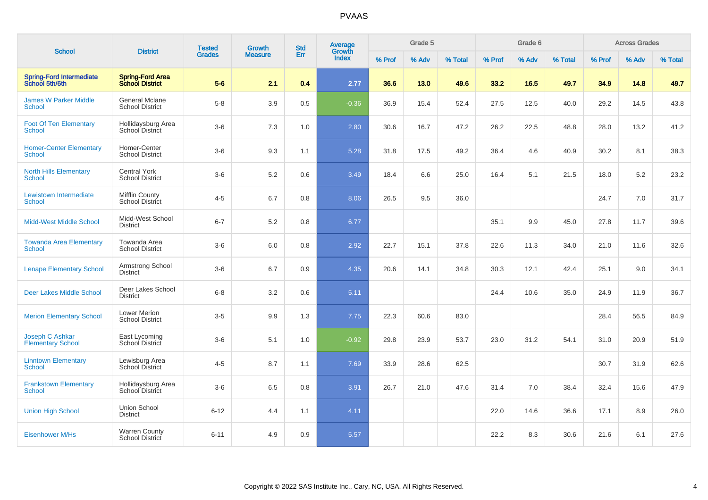|                                                   |                                                   | <b>Tested</b> | <b>Growth</b>  | <b>Std</b> | Average         |        | Grade 5 |         |        | Grade 6 |         |        | <b>Across Grades</b> |         |
|---------------------------------------------------|---------------------------------------------------|---------------|----------------|------------|-----------------|--------|---------|---------|--------|---------|---------|--------|----------------------|---------|
| <b>School</b>                                     | <b>District</b>                                   | <b>Grades</b> | <b>Measure</b> | Err        | Growth<br>Index | % Prof | % Adv   | % Total | % Prof | % Adv   | % Total | % Prof | % Adv                | % Total |
| <b>Spring-Ford Intermediate</b><br>School 5th/6th | <b>Spring-Ford Area</b><br><b>School District</b> | $5-6$         | 2.1            | 0.4        | 2.77            | 36.6   | 13.0    | 49.6    | 33.2   | 16.5    | 49.7    | 34.9   | 14.8                 | 49.7    |
| <b>James W Parker Middle</b><br><b>School</b>     | <b>General Mclane</b><br><b>School District</b>   | $5-8$         | 3.9            | 0.5        | $-0.36$         | 36.9   | 15.4    | 52.4    | 27.5   | 12.5    | 40.0    | 29.2   | 14.5                 | 43.8    |
| <b>Foot Of Ten Elementary</b><br><b>School</b>    | Hollidaysburg Area<br>School District             | $3-6$         | 7.3            | 1.0        | 2.80            | 30.6   | 16.7    | 47.2    | 26.2   | 22.5    | 48.8    | 28.0   | 13.2                 | 41.2    |
| <b>Homer-Center Elementary</b><br>School          | Homer-Center<br><b>School District</b>            | $3-6$         | 9.3            | 1.1        | 5.28            | 31.8   | 17.5    | 49.2    | 36.4   | 4.6     | 40.9    | 30.2   | 8.1                  | 38.3    |
| <b>North Hills Elementary</b><br><b>School</b>    | <b>Central York</b><br><b>School District</b>     | $3-6$         | $5.2\,$        | 0.6        | 3.49            | 18.4   | 6.6     | 25.0    | 16.4   | 5.1     | 21.5    | 18.0   | 5.2                  | 23.2    |
| Lewistown Intermediate<br>School                  | <b>Mifflin County</b><br>School District          | $4 - 5$       | 6.7            | 0.8        | 8.06            | 26.5   | 9.5     | 36.0    |        |         |         | 24.7   | 7.0                  | 31.7    |
| <b>Midd-West Middle School</b>                    | Midd-West School<br><b>District</b>               | $6 - 7$       | 5.2            | 0.8        | 6.77            |        |         |         | 35.1   | 9.9     | 45.0    | 27.8   | 11.7                 | 39.6    |
| <b>Towanda Area Elementary</b><br>School          | Towanda Area<br><b>School District</b>            | $3-6$         | 6.0            | 0.8        | 2.92            | 22.7   | 15.1    | 37.8    | 22.6   | 11.3    | 34.0    | 21.0   | 11.6                 | 32.6    |
| <b>Lenape Elementary School</b>                   | Armstrong School<br><b>District</b>               | $3-6$         | 6.7            | 0.9        | 4.35            | 20.6   | 14.1    | 34.8    | 30.3   | 12.1    | 42.4    | 25.1   | 9.0                  | 34.1    |
| <b>Deer Lakes Middle School</b>                   | Deer Lakes School<br><b>District</b>              | $6 - 8$       | 3.2            | 0.6        | 5.11            |        |         |         | 24.4   | 10.6    | 35.0    | 24.9   | 11.9                 | 36.7    |
| <b>Merion Elementary School</b>                   | <b>Lower Merion</b><br><b>School District</b>     | $3-5$         | 9.9            | 1.3        | 7.75            | 22.3   | 60.6    | 83.0    |        |         |         | 28.4   | 56.5                 | 84.9    |
| Joseph C Ashkar<br><b>Elementary School</b>       | East Lycoming<br>School District                  | $3-6$         | 5.1            | 1.0        | $-0.92$         | 29.8   | 23.9    | 53.7    | 23.0   | 31.2    | 54.1    | 31.0   | 20.9                 | 51.9    |
| <b>Linntown Elementary</b><br><b>School</b>       | Lewisburg Area<br>School District                 | $4 - 5$       | 8.7            | 1.1        | 7.69            | 33.9   | 28.6    | 62.5    |        |         |         | 30.7   | 31.9                 | 62.6    |
| <b>Frankstown Elementary</b><br><b>School</b>     | Hollidaysburg Area<br>School District             | $3-6$         | 6.5            | 0.8        | 3.91            | 26.7   | 21.0    | 47.6    | 31.4   | 7.0     | 38.4    | 32.4   | 15.6                 | 47.9    |
| <b>Union High School</b>                          | Union School<br><b>District</b>                   | $6 - 12$      | 4.4            | 1.1        | 4.11            |        |         |         | 22.0   | 14.6    | 36.6    | 17.1   | 8.9                  | 26.0    |
| <b>Eisenhower M/Hs</b>                            | <b>Warren County</b><br><b>School District</b>    | $6 - 11$      | 4.9            | 0.9        | 5.57            |        |         |         | 22.2   | 8.3     | 30.6    | 21.6   | 6.1                  | 27.6    |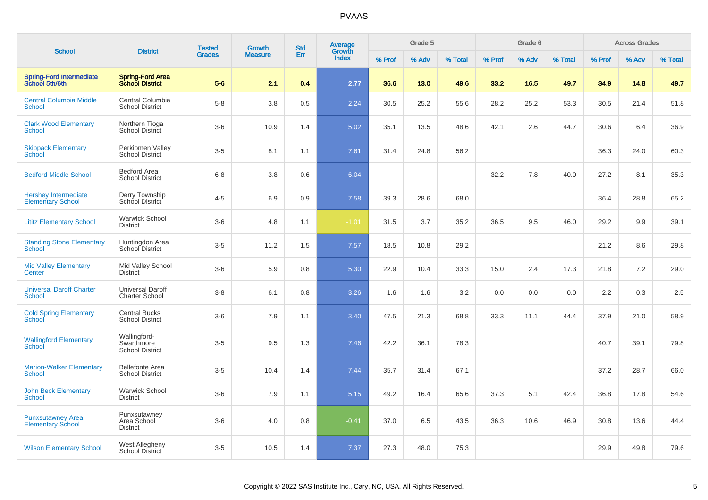|                                                         |                                                      | <b>Tested</b> | <b>Growth</b>  | <b>Std</b> | Average<br>Growth |        | Grade 5 |         |        | Grade 6 |         |        | <b>Across Grades</b> |         |
|---------------------------------------------------------|------------------------------------------------------|---------------|----------------|------------|-------------------|--------|---------|---------|--------|---------|---------|--------|----------------------|---------|
| <b>School</b>                                           | <b>District</b>                                      | <b>Grades</b> | <b>Measure</b> | Err        | <b>Index</b>      | % Prof | % Adv   | % Total | % Prof | % Adv   | % Total | % Prof | % Adv                | % Total |
| <b>Spring-Ford Intermediate</b><br>School 5th/6th       | <b>Spring-Ford Area</b><br><b>School District</b>    | $5-6$         | 2.1            | 0.4        | 2.77              | 36.6   | 13.0    | 49.6    | 33.2   | 16.5    | 49.7    | 34.9   | 14.8                 | 49.7    |
| <b>Central Columbia Middle</b><br>School                | Central Columbia<br><b>School District</b>           | $5-8$         | 3.8            | 0.5        | 2.24              | 30.5   | 25.2    | 55.6    | 28.2   | 25.2    | 53.3    | 30.5   | 21.4                 | 51.8    |
| <b>Clark Wood Elementary</b><br>School                  | Northern Tioga<br><b>School District</b>             | $3-6$         | 10.9           | 1.4        | 5.02              | 35.1   | 13.5    | 48.6    | 42.1   | 2.6     | 44.7    | 30.6   | 6.4                  | 36.9    |
| <b>Skippack Elementary</b><br>School                    | Perkiomen Valley<br><b>School District</b>           | $3-5$         | 8.1            | 1.1        | 7.61              | 31.4   | 24.8    | 56.2    |        |         |         | 36.3   | 24.0                 | 60.3    |
| <b>Bedford Middle School</b>                            | <b>Bedford Area</b><br><b>School District</b>        | $6 - 8$       | $3.8\,$        | 0.6        | 6.04              |        |         |         | 32.2   | 7.8     | 40.0    | 27.2   | 8.1                  | 35.3    |
| <b>Hershey Intermediate</b><br><b>Elementary School</b> | Derry Township<br>School District                    | $4 - 5$       | 6.9            | 0.9        | 7.58              | 39.3   | 28.6    | 68.0    |        |         |         | 36.4   | 28.8                 | 65.2    |
| <b>Lititz Elementary School</b>                         | <b>Warwick School</b><br><b>District</b>             | $3-6$         | 4.8            | 1.1        | $-1.01$           | 31.5   | 3.7     | 35.2    | 36.5   | 9.5     | 46.0    | 29.2   | 9.9                  | 39.1    |
| <b>Standing Stone Elementary</b><br><b>School</b>       | Huntingdon Area<br>School District                   | $3-5$         | 11.2           | 1.5        | 7.57              | 18.5   | 10.8    | 29.2    |        |         |         | 21.2   | 8.6                  | 29.8    |
| <b>Mid Valley Elementary</b><br>Center                  | Mid Valley School<br><b>District</b>                 | $3-6$         | 5.9            | 0.8        | 5.30              | 22.9   | 10.4    | 33.3    | 15.0   | 2.4     | 17.3    | 21.8   | 7.2                  | 29.0    |
| <b>Universal Daroff Charter</b><br>School               | <b>Universal Daroff</b><br><b>Charter School</b>     | $3 - 8$       | 6.1            | 0.8        | 3.26              | 1.6    | 1.6     | 3.2     | 0.0    | 0.0     | 0.0     | 2.2    | 0.3                  | 2.5     |
| <b>Cold Spring Elementary</b><br>School                 | <b>Central Bucks</b><br><b>School District</b>       | $3-6$         | 7.9            | 1.1        | 3.40              | 47.5   | 21.3    | 68.8    | 33.3   | 11.1    | 44.4    | 37.9   | 21.0                 | 58.9    |
| <b>Wallingford Elementary</b><br>School                 | Wallingford-<br>Swarthmore<br><b>School District</b> | $3-5$         | 9.5            | 1.3        | 7.46              | 42.2   | 36.1    | 78.3    |        |         |         | 40.7   | 39.1                 | 79.8    |
| <b>Marion-Walker Elementary</b><br><b>School</b>        | <b>Bellefonte Area</b><br><b>School District</b>     | $3-5$         | 10.4           | 1.4        | 7.44              | 35.7   | 31.4    | 67.1    |        |         |         | 37.2   | 28.7                 | 66.0    |
| <b>John Beck Elementary</b><br>School                   | <b>Warwick School</b><br><b>District</b>             | $3-6$         | 7.9            | 1.1        | 5.15              | 49.2   | 16.4    | 65.6    | 37.3   | 5.1     | 42.4    | 36.8   | 17.8                 | 54.6    |
| <b>Punxsutawney Area</b><br><b>Elementary School</b>    | Punxsutawney<br>Area School<br><b>District</b>       | $3-6$         | 4.0            | 0.8        | $-0.41$           | 37.0   | 6.5     | 43.5    | 36.3   | 10.6    | 46.9    | 30.8   | 13.6                 | 44.4    |
| <b>Wilson Elementary School</b>                         | West Allegheny<br>School District                    | $3-5$         | 10.5           | 1.4        | 7.37              | 27.3   | 48.0    | 75.3    |        |         |         | 29.9   | 49.8                 | 79.6    |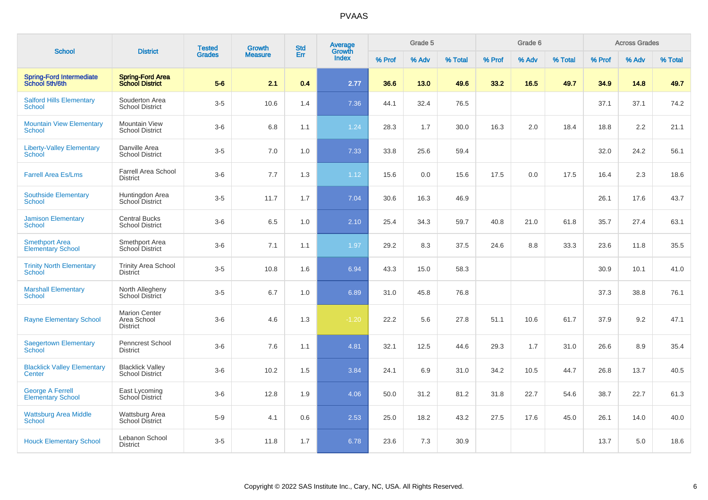| <b>School</b>                                       | <b>District</b>                                        | <b>Tested</b> | <b>Growth</b>  | <b>Std</b> | Average<br>Growth |        | Grade 5 |         |        | Grade 6 |         |        | <b>Across Grades</b> |         |
|-----------------------------------------------------|--------------------------------------------------------|---------------|----------------|------------|-------------------|--------|---------|---------|--------|---------|---------|--------|----------------------|---------|
|                                                     |                                                        | <b>Grades</b> | <b>Measure</b> | Err        | <b>Index</b>      | % Prof | % Adv   | % Total | % Prof | % Adv   | % Total | % Prof | % Adv                | % Total |
| <b>Spring-Ford Intermediate</b><br>School 5th/6th   | <b>Spring-Ford Area</b><br><b>School District</b>      | $5-6$         | 2.1            | 0.4        | 2.77              | 36.6   | 13.0    | 49.6    | 33.2   | 16.5    | 49.7    | 34.9   | 14.8                 | 49.7    |
| <b>Salford Hills Elementary</b><br><b>School</b>    | Souderton Area<br><b>School District</b>               | $3-5$         | 10.6           | 1.4        | 7.36              | 44.1   | 32.4    | 76.5    |        |         |         | 37.1   | 37.1                 | 74.2    |
| <b>Mountain View Elementary</b><br><b>School</b>    | <b>Mountain View</b><br><b>School District</b>         | $3-6$         | 6.8            | 1.1        | 1.24              | 28.3   | 1.7     | 30.0    | 16.3   | 2.0     | 18.4    | 18.8   | 2.2                  | 21.1    |
| <b>Liberty-Valley Elementary</b><br>School          | Danville Area<br><b>School District</b>                | $3-5$         | 7.0            | 1.0        | 7.33              | 33.8   | 25.6    | 59.4    |        |         |         | 32.0   | 24.2                 | 56.1    |
| <b>Farrell Area Es/Lms</b>                          | <b>Farrell Area School</b><br><b>District</b>          | $3-6$         | 7.7            | 1.3        | 1.12              | 15.6   | 0.0     | 15.6    | 17.5   | 0.0     | 17.5    | 16.4   | 2.3                  | 18.6    |
| <b>Southside Elementary</b><br><b>School</b>        | Huntingdon Area<br>School District                     | $3-5$         | 11.7           | 1.7        | 7.04              | 30.6   | 16.3    | 46.9    |        |         |         | 26.1   | 17.6                 | 43.7    |
| <b>Jamison Elementary</b><br>School                 | <b>Central Bucks</b><br><b>School District</b>         | $3-6$         | 6.5            | 1.0        | 2.10              | 25.4   | 34.3    | 59.7    | 40.8   | 21.0    | 61.8    | 35.7   | 27.4                 | 63.1    |
| <b>Smethport Area</b><br><b>Elementary School</b>   | Smethport Area<br>School District                      | $3-6$         | 7.1            | 1.1        | 1.97              | 29.2   | 8.3     | 37.5    | 24.6   | 8.8     | 33.3    | 23.6   | 11.8                 | 35.5    |
| <b>Trinity North Elementary</b><br>School           | <b>Trinity Area School</b><br><b>District</b>          | $3-5$         | 10.8           | 1.6        | 6.94              | 43.3   | 15.0    | 58.3    |        |         |         | 30.9   | 10.1                 | 41.0    |
| <b>Marshall Elementary</b><br>School                | North Allegheny<br><b>School District</b>              | $3-5$         | 6.7            | 1.0        | 6.89              | 31.0   | 45.8    | 76.8    |        |         |         | 37.3   | 38.8                 | 76.1    |
| <b>Rayne Elementary School</b>                      | <b>Marion Center</b><br>Area School<br><b>District</b> | $3-6$         | 4.6            | 1.3        | $-1.20$           | 22.2   | 5.6     | 27.8    | 51.1   | 10.6    | 61.7    | 37.9   | 9.2                  | 47.1    |
| <b>Saegertown Elementary</b><br>School              | <b>Penncrest School</b><br><b>District</b>             | $3-6$         | 7.6            | 1.1        | 4.81              | 32.1   | 12.5    | 44.6    | 29.3   | 1.7     | 31.0    | 26.6   | 8.9                  | 35.4    |
| <b>Blacklick Valley Elementary</b><br>Center        | <b>Blacklick Valley</b><br>School District             | $3-6$         | 10.2           | 1.5        | 3.84              | 24.1   | 6.9     | 31.0    | 34.2   | 10.5    | 44.7    | 26.8   | 13.7                 | 40.5    |
| <b>George A Ferrell</b><br><b>Elementary School</b> | East Lycoming<br>School District                       | $3-6$         | 12.8           | 1.9        | 4.06              | 50.0   | 31.2    | 81.2    | 31.8   | 22.7    | 54.6    | 38.7   | 22.7                 | 61.3    |
| <b>Wattsburg Area Middle</b><br><b>School</b>       | <b>Wattsburg Area</b><br><b>School District</b>        | $5-9$         | 4.1            | 0.6        | 2.53              | 25.0   | 18.2    | 43.2    | 27.5   | 17.6    | 45.0    | 26.1   | 14.0                 | 40.0    |
| <b>Houck Elementary School</b>                      | Lebanon School<br><b>District</b>                      | $3-5$         | 11.8           | 1.7        | 6.78              | 23.6   | 7.3     | 30.9    |        |         |         | 13.7   | 5.0                  | 18.6    |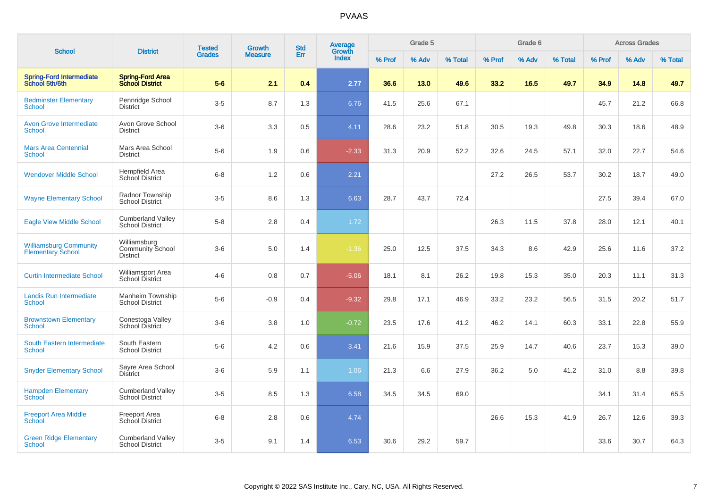| <b>School</b>                                             | <b>District</b>                                            | <b>Tested</b> | Growth         | <b>Std</b> | Average<br>Growth |        | Grade 5 |         |        | Grade 6 |         |        | <b>Across Grades</b> |         |
|-----------------------------------------------------------|------------------------------------------------------------|---------------|----------------|------------|-------------------|--------|---------|---------|--------|---------|---------|--------|----------------------|---------|
|                                                           |                                                            | <b>Grades</b> | <b>Measure</b> | Err        | <b>Index</b>      | % Prof | % Adv   | % Total | % Prof | % Adv   | % Total | % Prof | % Adv                | % Total |
| <b>Spring-Ford Intermediate</b><br>School 5th/6th         | <b>Spring-Ford Area</b><br><b>School District</b>          | $5-6$         | 2.1            | 0.4        | 2.77              | 36.6   | 13.0    | 49.6    | 33.2   | 16.5    | 49.7    | 34.9   | 14.8                 | 49.7    |
| <b>Bedminster Elementary</b><br><b>School</b>             | Pennridge School<br><b>District</b>                        | $3-5$         | 8.7            | 1.3        | 6.76              | 41.5   | 25.6    | 67.1    |        |         |         | 45.7   | 21.2                 | 66.8    |
| <b>Avon Grove Intermediate</b><br><b>School</b>           | Avon Grove School<br><b>District</b>                       | $3-6$         | 3.3            | 0.5        | 4.11              | 28.6   | 23.2    | 51.8    | 30.5   | 19.3    | 49.8    | 30.3   | 18.6                 | 48.9    |
| <b>Mars Area Centennial</b><br><b>School</b>              | Mars Area School<br><b>District</b>                        | $5-6$         | 1.9            | 0.6        | $-2.33$           | 31.3   | 20.9    | 52.2    | 32.6   | 24.5    | 57.1    | 32.0   | 22.7                 | 54.6    |
| <b>Wendover Middle School</b>                             | Hempfield Area<br><b>School District</b>                   | $6 - 8$       | 1.2            | 0.6        | 2.21              |        |         |         | 27.2   | 26.5    | 53.7    | 30.2   | 18.7                 | 49.0    |
| <b>Wayne Elementary School</b>                            | Radnor Township<br><b>School District</b>                  | $3-5$         | 8.6            | 1.3        | 6.63              | 28.7   | 43.7    | 72.4    |        |         |         | 27.5   | 39.4                 | 67.0    |
| <b>Eagle View Middle School</b>                           | <b>Cumberland Valley</b><br><b>School District</b>         | $5-8$         | 2.8            | 0.4        | 1.72              |        |         |         | 26.3   | 11.5    | 37.8    | 28.0   | 12.1                 | 40.1    |
| <b>Williamsburg Community</b><br><b>Elementary School</b> | Williamsburg<br><b>Community School</b><br><b>District</b> | $3-6$         | 5.0            | 1.4        | $-1.36$           | 25.0   | 12.5    | 37.5    | 34.3   | 8.6     | 42.9    | 25.6   | 11.6                 | 37.2    |
| <b>Curtin Intermediate School</b>                         | <b>Williamsport Area</b><br>School District                | $4 - 6$       | 0.8            | 0.7        | $-5.06$           | 18.1   | 8.1     | 26.2    | 19.8   | 15.3    | 35.0    | 20.3   | 11.1                 | 31.3    |
| <b>Landis Run Intermediate</b><br><b>School</b>           | <b>Manheim Township</b><br><b>School District</b>          | $5-6$         | $-0.9$         | 0.4        | $-9.32$           | 29.8   | 17.1    | 46.9    | 33.2   | 23.2    | 56.5    | 31.5   | 20.2                 | 51.7    |
| <b>Brownstown Elementary</b><br><b>School</b>             | Conestoga Valley<br>School District                        | $3-6$         | 3.8            | 1.0        | $-0.72$           | 23.5   | 17.6    | 41.2    | 46.2   | 14.1    | 60.3    | 33.1   | 22.8                 | 55.9    |
| South Eastern Intermediate<br><b>School</b>               | South Eastern<br><b>School District</b>                    | $5-6$         | 4.2            | 0.6        | 3.41              | 21.6   | 15.9    | 37.5    | 25.9   | 14.7    | 40.6    | 23.7   | 15.3                 | 39.0    |
| <b>Snyder Elementary School</b>                           | Sayre Area School<br><b>District</b>                       | $3-6$         | 5.9            | 1.1        | 1.06              | 21.3   | 6.6     | 27.9    | 36.2   | 5.0     | 41.2    | 31.0   | 8.8                  | 39.8    |
| <b>Hampden Elementary</b><br><b>School</b>                | <b>Cumberland Valley</b><br><b>School District</b>         | $3-5$         | 8.5            | 1.3        | 6.58              | 34.5   | 34.5    | 69.0    |        |         |         | 34.1   | 31.4                 | 65.5    |
| <b>Freeport Area Middle</b><br><b>School</b>              | <b>Freeport Area</b><br><b>School District</b>             | $6 - 8$       | $2.8\,$        | 0.6        | 4.74              |        |         |         | 26.6   | 15.3    | 41.9    | 26.7   | 12.6                 | 39.3    |
| <b>Green Ridge Elementary</b><br><b>School</b>            | <b>Cumberland Valley</b><br><b>School District</b>         | $3-5$         | 9.1            | 1.4        | 6.53              | 30.6   | 29.2    | 59.7    |        |         |         | 33.6   | 30.7                 | 64.3    |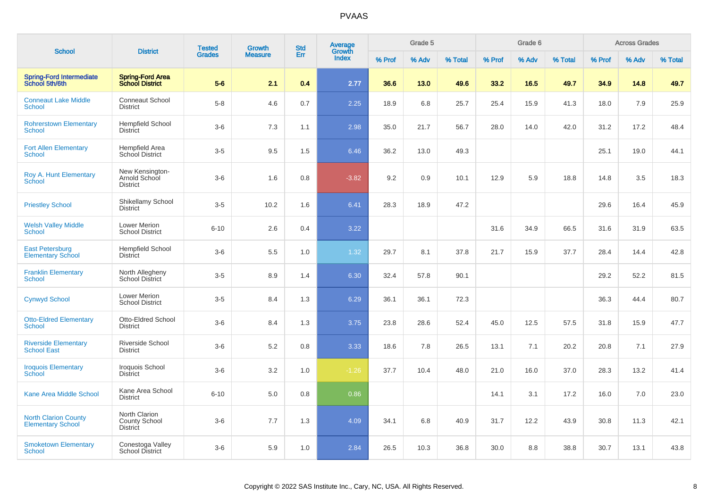|                                                         | <b>District</b>                                          | <b>Tested</b> | <b>Growth</b>  | <b>Std</b> | <b>Average</b><br>Growth |        | Grade 5 |         |        | Grade 6 |         |        | <b>Across Grades</b> |         |
|---------------------------------------------------------|----------------------------------------------------------|---------------|----------------|------------|--------------------------|--------|---------|---------|--------|---------|---------|--------|----------------------|---------|
| <b>School</b>                                           |                                                          | <b>Grades</b> | <b>Measure</b> | Err        | <b>Index</b>             | % Prof | % Adv   | % Total | % Prof | % Adv   | % Total | % Prof | % Adv                | % Total |
| <b>Spring-Ford Intermediate</b><br>School 5th/6th       | <b>Spring-Ford Area</b><br><b>School District</b>        | $5-6$         | 2.1            | 0.4        | 2.77                     | 36.6   | 13.0    | 49.6    | 33.2   | 16.5    | 49.7    | 34.9   | 14.8                 | 49.7    |
| <b>Conneaut Lake Middle</b><br>School                   | <b>Conneaut School</b><br><b>District</b>                | $5-8$         | 4.6            | 0.7        | 2.25                     | 18.9   | 6.8     | 25.7    | 25.4   | 15.9    | 41.3    | 18.0   | 7.9                  | 25.9    |
| <b>Rohrerstown Elementary</b><br><b>School</b>          | <b>Hempfield School</b><br><b>District</b>               | $3-6$         | 7.3            | 1.1        | 2.98                     | 35.0   | 21.7    | 56.7    | 28.0   | 14.0    | 42.0    | 31.2   | 17.2                 | 48.4    |
| <b>Fort Allen Elementary</b><br><b>School</b>           | <b>Hempfield Area</b><br>School District                 | $3-5$         | 9.5            | 1.5        | 6.46                     | 36.2   | 13.0    | 49.3    |        |         |         | 25.1   | 19.0                 | 44.1    |
| Roy A. Hunt Elementary<br><b>School</b>                 | New Kensington-<br>Arnold School<br><b>District</b>      | $3-6$         | 1.6            | 0.8        | $-3.82$                  | 9.2    | 0.9     | 10.1    | 12.9   | 5.9     | 18.8    | 14.8   | 3.5                  | 18.3    |
| <b>Priestley School</b>                                 | Shikellamy School<br>District                            | $3-5$         | 10.2           | 1.6        | 6.41                     | 28.3   | 18.9    | 47.2    |        |         |         | 29.6   | 16.4                 | 45.9    |
| <b>Welsh Valley Middle</b><br><b>School</b>             | Lower Merion<br><b>School District</b>                   | $6 - 10$      | 2.6            | 0.4        | 3.22                     |        |         |         | 31.6   | 34.9    | 66.5    | 31.6   | 31.9                 | 63.5    |
| <b>East Petersburg</b><br><b>Elementary School</b>      | <b>Hempfield School</b><br><b>District</b>               | $3-6$         | 5.5            | 1.0        | 1.32                     | 29.7   | 8.1     | 37.8    | 21.7   | 15.9    | 37.7    | 28.4   | 14.4                 | 42.8    |
| <b>Franklin Elementary</b><br><b>School</b>             | North Allegheny<br><b>School District</b>                | $3-5$         | 8.9            | 1.4        | 6.30                     | 32.4   | 57.8    | 90.1    |        |         |         | 29.2   | 52.2                 | 81.5    |
| <b>Cynwyd School</b>                                    | <b>Lower Merion</b><br><b>School District</b>            | $3-5$         | 8.4            | 1.3        | 6.29                     | 36.1   | 36.1    | 72.3    |        |         |         | 36.3   | 44.4                 | 80.7    |
| <b>Otto-Eldred Elementary</b><br>School                 | Otto-Eldred School<br><b>District</b>                    | $3-6$         | 8.4            | 1.3        | 3.75                     | 23.8   | 28.6    | 52.4    | 45.0   | 12.5    | 57.5    | 31.8   | 15.9                 | 47.7    |
| <b>Riverside Elementary</b><br><b>School East</b>       | Riverside School<br><b>District</b>                      | $3-6$         | $5.2\,$        | 0.8        | 3.33                     | 18.6   | 7.8     | 26.5    | 13.1   | 7.1     | 20.2    | 20.8   | 7.1                  | 27.9    |
| <b>Iroquois Elementary</b><br>School                    | Iroquois School<br><b>District</b>                       | $3-6$         | 3.2            | 1.0        | $-1.26$                  | 37.7   | 10.4    | 48.0    | 21.0   | 16.0    | 37.0    | 28.3   | 13.2                 | 41.4    |
| <b>Kane Area Middle School</b>                          | Kane Area School<br><b>District</b>                      | $6 - 10$      | 5.0            | 0.8        | 0.86                     |        |         |         | 14.1   | 3.1     | 17.2    | 16.0   | 7.0                  | 23.0    |
| <b>North Clarion County</b><br><b>Elementary School</b> | North Clarion<br><b>County School</b><br><b>District</b> | $3-6$         | 7.7            | 1.3        | 4.09                     | 34.1   | 6.8     | 40.9    | 31.7   | 12.2    | 43.9    | 30.8   | 11.3                 | 42.1    |
| <b>Smoketown Elementary</b><br>School                   | Conestoga Valley<br>School District                      | $3-6$         | 5.9            | 1.0        | 2.84                     | 26.5   | 10.3    | 36.8    | 30.0   | 8.8     | 38.8    | 30.7   | 13.1                 | 43.8    |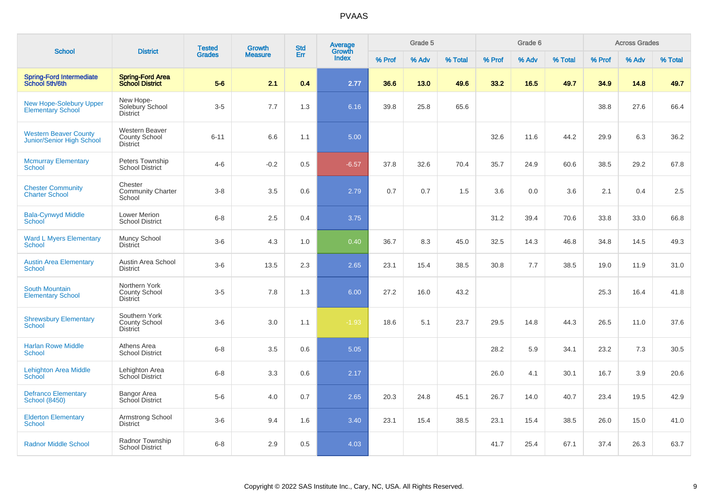|                                                            |                                                                  | <b>Tested</b> | Growth         | <b>Std</b> | Average         |        | Grade 5 |         |        | Grade 6 |         |        | <b>Across Grades</b> |         |
|------------------------------------------------------------|------------------------------------------------------------------|---------------|----------------|------------|-----------------|--------|---------|---------|--------|---------|---------|--------|----------------------|---------|
| <b>School</b>                                              | <b>District</b>                                                  | <b>Grades</b> | <b>Measure</b> | Err        | Growth<br>Index | % Prof | % Adv   | % Total | % Prof | % Adv   | % Total | % Prof | % Adv                | % Total |
| <b>Spring-Ford Intermediate</b><br>School 5th/6th          | <b>Spring-Ford Area</b><br><b>School District</b>                | $5-6$         | 2.1            | 0.4        | 2.77            | 36.6   | 13.0    | 49.6    | 33.2   | 16.5    | 49.7    | 34.9   | 14.8                 | 49.7    |
| <b>New Hope-Solebury Upper</b><br><b>Elementary School</b> | New Hope-<br>Solebury School<br><b>District</b>                  | $3-5$         | 7.7            | 1.3        | 6.16            | 39.8   | 25.8    | 65.6    |        |         |         | 38.8   | 27.6                 | 66.4    |
| <b>Western Beaver County</b><br>Junior/Senior High School  | <b>Western Beaver</b><br><b>County School</b><br><b>District</b> | $6 - 11$      | 6.6            | 1.1        | 5.00            |        |         |         | 32.6   | 11.6    | 44.2    | 29.9   | 6.3                  | 36.2    |
| <b>Mcmurray Elementary</b><br><b>School</b>                | Peters Township<br><b>School District</b>                        | $4 - 6$       | $-0.2$         | 0.5        | $-6.57$         | 37.8   | 32.6    | 70.4    | 35.7   | 24.9    | 60.6    | 38.5   | 29.2                 | 67.8    |
| <b>Chester Community</b><br><b>Charter School</b>          | Chester<br><b>Community Charter</b><br>School                    | $3 - 8$       | 3.5            | 0.6        | 2.79            | 0.7    | 0.7     | 1.5     | 3.6    | 0.0     | 3.6     | 2.1    | 0.4                  | 2.5     |
| <b>Bala-Cynwyd Middle</b><br>School                        | <b>Lower Merion</b><br><b>School District</b>                    | $6 - 8$       | 2.5            | 0.4        | 3.75            |        |         |         | 31.2   | 39.4    | 70.6    | 33.8   | 33.0                 | 66.8    |
| <b>Ward L Myers Elementary</b><br>School                   | Muncy School<br><b>District</b>                                  | $3-6$         | 4.3            | 1.0        | 0.40            | 36.7   | 8.3     | 45.0    | 32.5   | 14.3    | 46.8    | 34.8   | 14.5                 | 49.3    |
| <b>Austin Area Elementary</b><br><b>School</b>             | Austin Area School<br><b>District</b>                            | $3-6$         | 13.5           | 2.3        | 2.65            | 23.1   | 15.4    | 38.5    | 30.8   | 7.7     | 38.5    | 19.0   | 11.9                 | 31.0    |
| <b>South Mountain</b><br><b>Elementary School</b>          | Northern York<br><b>County School</b><br><b>District</b>         | $3-5$         | 7.8            | 1.3        | 6.00            | 27.2   | 16.0    | 43.2    |        |         |         | 25.3   | 16.4                 | 41.8    |
| <b>Shrewsbury Elementary</b><br>School                     | Southern York<br>County School<br><b>District</b>                | $3-6$         | 3.0            | 1.1        | $-1.93$         | 18.6   | 5.1     | 23.7    | 29.5   | 14.8    | 44.3    | 26.5   | 11.0                 | 37.6    |
| <b>Harlan Rowe Middle</b><br><b>School</b>                 | Athens Area<br><b>School District</b>                            | $6-8$         | 3.5            | 0.6        | 5.05            |        |         |         | 28.2   | 5.9     | 34.1    | 23.2   | 7.3                  | 30.5    |
| Lehighton Area Middle<br>School                            | Lehighton Area<br>School District                                | $6-8$         | 3.3            | 0.6        | 2.17            |        |         |         | 26.0   | 4.1     | 30.1    | 16.7   | 3.9                  | 20.6    |
| <b>Defranco Elementary</b><br><b>School (8450)</b>         | Bangor Area<br>School District                                   | $5-6$         | 4.0            | 0.7        | 2.65            | 20.3   | 24.8    | 45.1    | 26.7   | 14.0    | 40.7    | 23.4   | 19.5                 | 42.9    |
| <b>Elderton Elementary</b><br><b>School</b>                | Armstrong School<br><b>District</b>                              | $3-6$         | 9.4            | 1.6        | 3.40            | 23.1   | 15.4    | 38.5    | 23.1   | 15.4    | 38.5    | 26.0   | 15.0                 | 41.0    |
| <b>Radnor Middle School</b>                                | Radnor Township<br><b>School District</b>                        | $6-8$         | 2.9            | 0.5        | 4.03            |        |         |         | 41.7   | 25.4    | 67.1    | 37.4   | 26.3                 | 63.7    |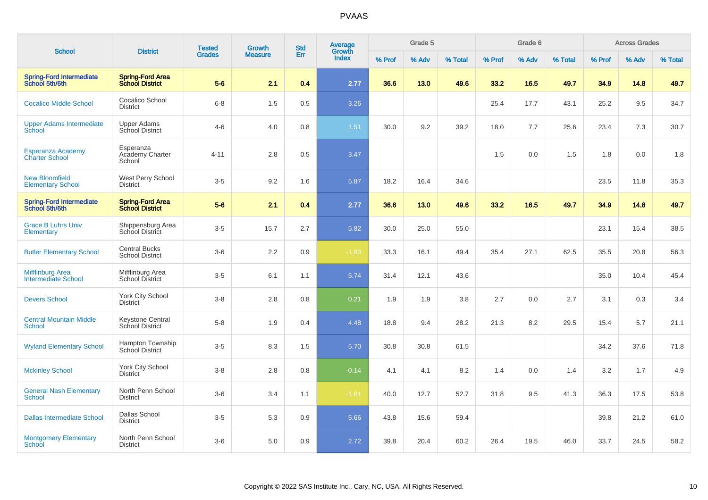| <b>School</b>                                         | <b>District</b>                                   | <b>Tested</b> | Growth         | <b>Std</b> | Average<br>Growth |        | Grade 5 |         |        | Grade 6 |         |        | <b>Across Grades</b> |         |
|-------------------------------------------------------|---------------------------------------------------|---------------|----------------|------------|-------------------|--------|---------|---------|--------|---------|---------|--------|----------------------|---------|
|                                                       |                                                   | <b>Grades</b> | <b>Measure</b> | Err        | <b>Index</b>      | % Prof | % Adv   | % Total | % Prof | % Adv   | % Total | % Prof | % Adv                | % Total |
| <b>Spring-Ford Intermediate</b><br>School 5th/6th     | <b>Spring-Ford Area</b><br><b>School District</b> | $5-6$         | 2.1            | 0.4        | 2.77              | 36.6   | 13.0    | 49.6    | 33.2   | 16.5    | 49.7    | 34.9   | 14.8                 | 49.7    |
| <b>Cocalico Middle School</b>                         | Cocalico School<br><b>District</b>                | $6 - 8$       | 1.5            | 0.5        | 3.26              |        |         |         | 25.4   | 17.7    | 43.1    | 25.2   | 9.5                  | 34.7    |
| <b>Upper Adams Intermediate</b><br>School             | <b>Upper Adams</b><br>School District             | $4-6$         | 4.0            | 0.8        | 1.51              | 30.0   | 9.2     | 39.2    | 18.0   | 7.7     | 25.6    | 23.4   | 7.3                  | 30.7    |
| <b>Esperanza Academy</b><br><b>Charter School</b>     | Esperanza<br>Academy Charter<br>School            | $4 - 11$      | 2.8            | 0.5        | 3.47              |        |         |         | 1.5    | 0.0     | 1.5     | 1.8    | 0.0                  | 1.8     |
| <b>New Bloomfield</b><br><b>Elementary School</b>     | West Perry School<br><b>District</b>              | $3-5$         | 9.2            | 1.6        | 5.87              | 18.2   | 16.4    | 34.6    |        |         |         | 23.5   | 11.8                 | 35.3    |
| <b>Spring-Ford Intermediate</b><br>School 5th/6th     | <b>Spring-Ford Area</b><br><b>School District</b> | $5-6$         | 2.1            | 0.4        | 2.77              | 36.6   | 13.0    | 49.6    | 33.2   | 16.5    | 49.7    | 34.9   | 14.8                 | 49.7    |
| <b>Grace B Luhrs Univ</b><br><b>Elementary</b>        | Shippensburg Area<br>School District              | $3-5$         | 15.7           | 2.7        | 5.82              | 30.0   | 25.0    | 55.0    |        |         |         | 23.1   | 15.4                 | 38.5    |
| <b>Butler Elementary School</b>                       | <b>Central Bucks</b><br><b>School District</b>    | $3-6$         | 2.2            | 0.9        | $-1.83$           | 33.3   | 16.1    | 49.4    | 35.4   | 27.1    | 62.5    | 35.5   | 20.8                 | 56.3    |
| <b>Mifflinburg Area</b><br><b>Intermediate School</b> | Mifflinburg Area<br>School District               | $3-5$         | 6.1            | 1.1        | 5.74              | 31.4   | 12.1    | 43.6    |        |         |         | 35.0   | 10.4                 | 45.4    |
| <b>Devers School</b>                                  | <b>York City School</b><br><b>District</b>        | $3 - 8$       | 2.8            | 0.8        | 0.21              | 1.9    | 1.9     | 3.8     | 2.7    | 0.0     | 2.7     | 3.1    | 0.3                  | 3.4     |
| <b>Central Mountain Middle</b><br><b>School</b>       | Keystone Central<br>School District               | $5 - 8$       | 1.9            | 0.4        | 4.48              | 18.8   | 9.4     | 28.2    | 21.3   | 8.2     | 29.5    | 15.4   | 5.7                  | 21.1    |
| <b>Wyland Elementary School</b>                       | Hampton Township<br>School District               | $3-5$         | 8.3            | 1.5        | 5.70              | 30.8   | 30.8    | 61.5    |        |         |         | 34.2   | 37.6                 | 71.8    |
| <b>Mckinley School</b>                                | <b>York City School</b><br><b>District</b>        | $3 - 8$       | 2.8            | 0.8        | $-0.14$           | 4.1    | 4.1     | 8.2     | 1.4    | 0.0     | 1.4     | 3.2    | 1.7                  | 4.9     |
| <b>General Nash Elementary</b><br><b>School</b>       | North Penn School<br><b>District</b>              | $3-6$         | 3.4            | 1.1        | $-1.61$           | 40.0   | 12.7    | 52.7    | 31.8   | 9.5     | 41.3    | 36.3   | 17.5                 | 53.8    |
| <b>Dallas Intermediate School</b>                     | <b>Dallas School</b><br><b>District</b>           | $3 - 5$       | 5.3            | 0.9        | 5.66              | 43.8   | 15.6    | 59.4    |        |         |         | 39.8   | 21.2                 | 61.0    |
| <b>Montgomery Elementary</b><br>School                | North Penn School<br><b>District</b>              | $3-6$         | 5.0            | 0.9        | 2.72              | 39.8   | 20.4    | 60.2    | 26.4   | 19.5    | 46.0    | 33.7   | 24.5                 | 58.2    |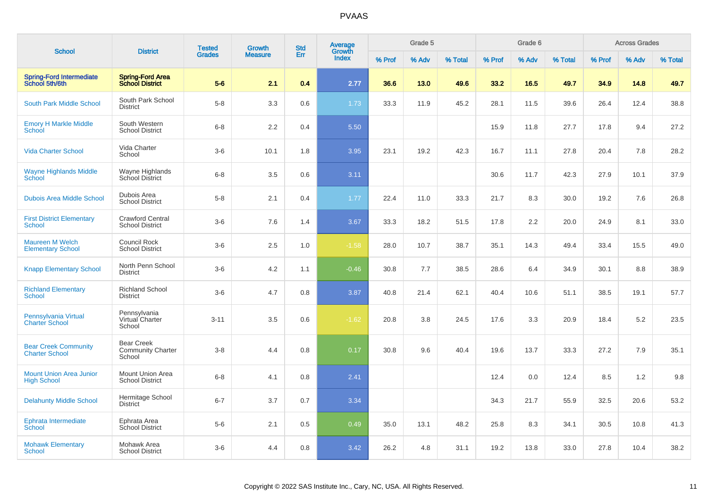| <b>School</b>                                        | <b>District</b>                                         | <b>Tested</b> | <b>Growth</b>  | <b>Std</b> | Average<br>Growth |        | Grade 5 |         |        | Grade 6 |         |        | <b>Across Grades</b> |         |
|------------------------------------------------------|---------------------------------------------------------|---------------|----------------|------------|-------------------|--------|---------|---------|--------|---------|---------|--------|----------------------|---------|
|                                                      |                                                         | <b>Grades</b> | <b>Measure</b> | Err        | Index             | % Prof | % Adv   | % Total | % Prof | % Adv   | % Total | % Prof | % Adv                | % Total |
| <b>Spring-Ford Intermediate</b><br>School 5th/6th    | <b>Spring-Ford Area</b><br><b>School District</b>       | $5-6$         | 2.1            | 0.4        | 2.77              | 36.6   | 13.0    | 49.6    | 33.2   | 16.5    | 49.7    | 34.9   | 14.8                 | 49.7    |
| <b>South Park Middle School</b>                      | South Park School<br><b>District</b>                    | $5-8$         | 3.3            | 0.6        | 1.73              | 33.3   | 11.9    | 45.2    | 28.1   | 11.5    | 39.6    | 26.4   | 12.4                 | 38.8    |
| <b>Emory H Markle Middle</b><br>School               | South Western<br><b>School District</b>                 | $6 - 8$       | $2.2\,$        | 0.4        | 5.50              |        |         |         | 15.9   | 11.8    | 27.7    | 17.8   | 9.4                  | 27.2    |
| <b>Vida Charter School</b>                           | Vida Charter<br>School                                  | $3-6$         | 10.1           | 1.8        | 3.95              | 23.1   | 19.2    | 42.3    | 16.7   | 11.1    | 27.8    | 20.4   | 7.8                  | 28.2    |
| <b>Wayne Highlands Middle</b><br><b>School</b>       | Wayne Highlands<br>School District                      | $6 - 8$       | 3.5            | 0.6        | 3.11              |        |         |         | 30.6   | 11.7    | 42.3    | 27.9   | 10.1                 | 37.9    |
| <b>Dubois Area Middle School</b>                     | Dubois Area<br><b>School District</b>                   | $5-8$         | 2.1            | 0.4        | 1.77              | 22.4   | 11.0    | 33.3    | 21.7   | 8.3     | 30.0    | 19.2   | 7.6                  | 26.8    |
| <b>First District Elementary</b><br><b>School</b>    | <b>Crawford Central</b><br><b>School District</b>       | $3-6$         | 7.6            | 1.4        | 3.67              | 33.3   | 18.2    | 51.5    | 17.8   | 2.2     | 20.0    | 24.9   | 8.1                  | 33.0    |
| <b>Maureen M Welch</b><br><b>Elementary School</b>   | <b>Council Rock</b><br><b>School District</b>           | $3-6$         | 2.5            | 1.0        | $-1.58$           | 28.0   | 10.7    | 38.7    | 35.1   | 14.3    | 49.4    | 33.4   | 15.5                 | 49.0    |
| <b>Knapp Elementary School</b>                       | North Penn School<br><b>District</b>                    | $3-6$         | 4.2            | 1.1        | $-0.46$           | 30.8   | 7.7     | 38.5    | 28.6   | 6.4     | 34.9    | 30.1   | 8.8                  | 38.9    |
| <b>Richland Elementary</b><br><b>School</b>          | <b>Richland School</b><br><b>District</b>               | $3-6$         | 4.7            | 0.8        | 3.87              | 40.8   | 21.4    | 62.1    | 40.4   | 10.6    | 51.1    | 38.5   | 19.1                 | 57.7    |
| Pennsylvania Virtual<br><b>Charter School</b>        | Pennsylvania<br>Virtual Charter<br>School               | $3 - 11$      | 3.5            | 0.6        | $-1.62$           | 20.8   | 3.8     | 24.5    | 17.6   | 3.3     | 20.9    | 18.4   | 5.2                  | 23.5    |
| <b>Bear Creek Community</b><br><b>Charter School</b> | <b>Bear Creek</b><br><b>Community Charter</b><br>School | $3-8$         | 4.4            | 0.8        | 0.17              | 30.8   | 9.6     | 40.4    | 19.6   | 13.7    | 33.3    | 27.2   | 7.9                  | 35.1    |
| <b>Mount Union Area Junior</b><br><b>High School</b> | Mount Union Area<br><b>School District</b>              | $6 - 8$       | 4.1            | 0.8        | 2.41              |        |         |         | 12.4   | 0.0     | 12.4    | 8.5    | 1.2                  | 9.8     |
| <b>Delahunty Middle School</b>                       | Hermitage School<br><b>District</b>                     | $6 - 7$       | 3.7            | 0.7        | 3.34              |        |         |         | 34.3   | 21.7    | 55.9    | 32.5   | 20.6                 | 53.2    |
| Ephrata Intermediate<br>School                       | Ephrata Area<br>School District                         | $5-6$         | 2.1            | 0.5        | 0.49              | 35.0   | 13.1    | 48.2    | 25.8   | 8.3     | 34.1    | 30.5   | 10.8                 | 41.3    |
| <b>Mohawk Elementary</b><br><b>School</b>            | Mohawk Area<br><b>School District</b>                   | $3-6$         | 4.4            | 0.8        | 3.42              | 26.2   | 4.8     | 31.1    | 19.2   | 13.8    | 33.0    | 27.8   | 10.4                 | 38.2    |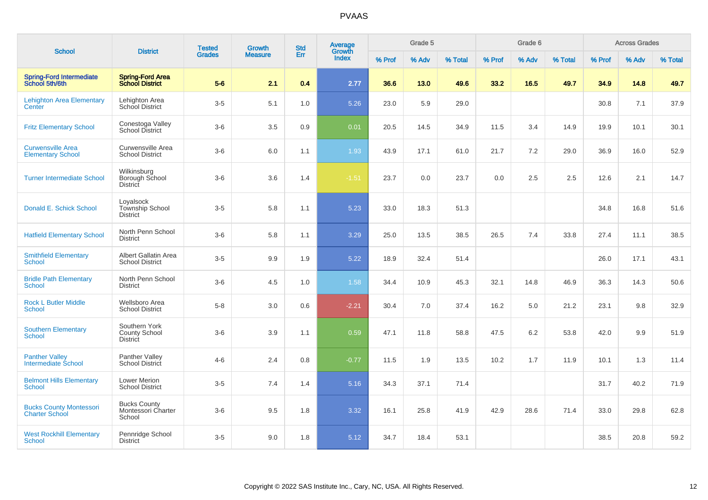|                                                         |                                                          | <b>Tested</b> | Growth         | <b>Std</b> | Average<br>Growth |        | Grade 5 |         |        | Grade 6 |         |        | <b>Across Grades</b> |         |
|---------------------------------------------------------|----------------------------------------------------------|---------------|----------------|------------|-------------------|--------|---------|---------|--------|---------|---------|--------|----------------------|---------|
| <b>School</b>                                           | <b>District</b>                                          | <b>Grades</b> | <b>Measure</b> | Err        | <b>Index</b>      | % Prof | % Adv   | % Total | % Prof | % Adv   | % Total | % Prof | % Adv                | % Total |
| <b>Spring-Ford Intermediate</b><br>School 5th/6th       | <b>Spring-Ford Area</b><br><b>School District</b>        | $5-6$         | 2.1            | 0.4        | 2.77              | 36.6   | 13.0    | 49.6    | 33.2   | 16.5    | 49.7    | 34.9   | 14.8                 | 49.7    |
| <b>Lehighton Area Elementary</b><br>Center              | Lehighton Area<br>School District                        | $3-5$         | 5.1            | 1.0        | 5.26              | 23.0   | 5.9     | 29.0    |        |         |         | 30.8   | 7.1                  | 37.9    |
| <b>Fritz Elementary School</b>                          | Conestoga Valley<br>School District                      | $3-6$         | 3.5            | 0.9        | 0.01              | 20.5   | 14.5    | 34.9    | 11.5   | 3.4     | 14.9    | 19.9   | 10.1                 | 30.1    |
| <b>Curwensville Area</b><br><b>Elementary School</b>    | Curwensville Area<br><b>School District</b>              | $3-6$         | 6.0            | 1.1        | 1.93              | 43.9   | 17.1    | 61.0    | 21.7   | 7.2     | 29.0    | 36.9   | 16.0                 | 52.9    |
| <b>Turner Intermediate School</b>                       | Wilkinsburg<br>Borough School<br><b>District</b>         | $3-6$         | 3.6            | 1.4        | $-1.51$           | 23.7   | 0.0     | 23.7    | 0.0    | 2.5     | 2.5     | 12.6   | 2.1                  | 14.7    |
| Donald E. Schick School                                 | Loyalsock<br>Township School<br><b>District</b>          | $3-5$         | 5.8            | 1.1        | 5.23              | 33.0   | 18.3    | 51.3    |        |         |         | 34.8   | 16.8                 | 51.6    |
| <b>Hatfield Elementary School</b>                       | North Penn School<br><b>District</b>                     | $3-6$         | 5.8            | 1.1        | 3.29              | 25.0   | 13.5    | 38.5    | 26.5   | 7.4     | 33.8    | 27.4   | 11.1                 | 38.5    |
| <b>Smithfield Elementary</b><br><b>School</b>           | Albert Gallatin Area<br><b>School District</b>           | $3-5$         | 9.9            | 1.9        | 5.22              | 18.9   | 32.4    | 51.4    |        |         |         | 26.0   | 17.1                 | 43.1    |
| <b>Bridle Path Elementary</b><br><b>School</b>          | North Penn School<br><b>District</b>                     | $3-6$         | 4.5            | 1.0        | 1.58              | 34.4   | 10.9    | 45.3    | 32.1   | 14.8    | 46.9    | 36.3   | 14.3                 | 50.6    |
| <b>Rock L Butler Middle</b><br><b>School</b>            | Wellsboro Area<br><b>School District</b>                 | $5 - 8$       | 3.0            | 0.6        | $-2.21$           | 30.4   | 7.0     | 37.4    | 16.2   | 5.0     | 21.2    | 23.1   | 9.8                  | 32.9    |
| <b>Southern Elementary</b><br><b>School</b>             | Southern York<br><b>County School</b><br><b>District</b> | $3-6$         | 3.9            | 1.1        | 0.59              | 47.1   | 11.8    | 58.8    | 47.5   | 6.2     | 53.8    | 42.0   | 9.9                  | 51.9    |
| <b>Panther Valley</b><br><b>Intermediate School</b>     | Panther Valley<br><b>School District</b>                 | $4 - 6$       | 2.4            | 0.8        | $-0.77$           | 11.5   | 1.9     | 13.5    | 10.2   | 1.7     | 11.9    | 10.1   | 1.3                  | 11.4    |
| <b>Belmont Hills Elementary</b><br><b>School</b>        | Lower Merion<br><b>School District</b>                   | $3-5$         | 7.4            | 1.4        | 5.16              | 34.3   | 37.1    | 71.4    |        |         |         | 31.7   | 40.2                 | 71.9    |
| <b>Bucks County Montessori</b><br><b>Charter School</b> | <b>Bucks County</b><br>Montessori Charter<br>School      | $3-6$         | 9.5            | 1.8        | 3.32              | 16.1   | 25.8    | 41.9    | 42.9   | 28.6    | 71.4    | 33.0   | 29.8                 | 62.8    |
| <b>West Rockhill Elementary</b><br><b>School</b>        | Pennridge School<br><b>District</b>                      | $3-5$         | 9.0            | 1.8        | 5.12              | 34.7   | 18.4    | 53.1    |        |         |         | 38.5   | 20.8                 | 59.2    |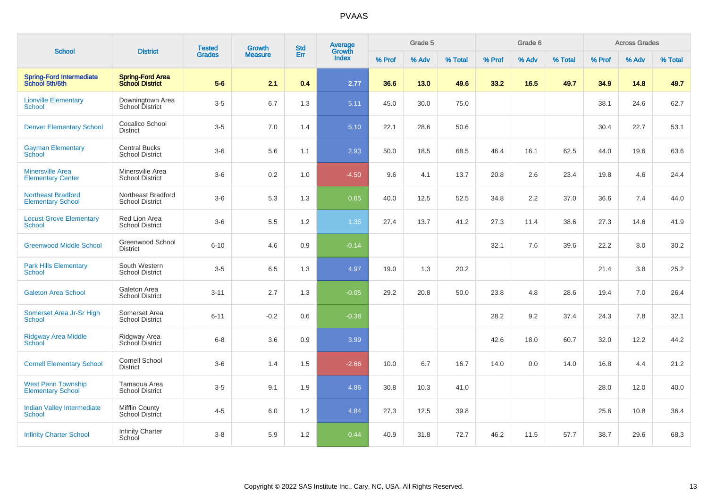| <b>School</b>                                         | <b>District</b>                                   | <b>Tested</b> | <b>Growth</b>  | <b>Std</b> | Average<br>Growth |        | Grade 5 |         |        | Grade 6 |         |        | <b>Across Grades</b> |         |
|-------------------------------------------------------|---------------------------------------------------|---------------|----------------|------------|-------------------|--------|---------|---------|--------|---------|---------|--------|----------------------|---------|
|                                                       |                                                   | <b>Grades</b> | <b>Measure</b> | Err        | <b>Index</b>      | % Prof | % Adv   | % Total | % Prof | % Adv   | % Total | % Prof | % Adv                | % Total |
| <b>Spring-Ford Intermediate</b><br>School 5th/6th     | <b>Spring-Ford Area</b><br><b>School District</b> | $5-6$         | 2.1            | 0.4        | 2.77              | 36.6   | 13.0    | 49.6    | 33.2   | 16.5    | 49.7    | 34.9   | 14.8                 | 49.7    |
| <b>Lionville Elementary</b><br>School                 | Downingtown Area<br>School District               | $3-5$         | 6.7            | 1.3        | 5.11              | 45.0   | 30.0    | 75.0    |        |         |         | 38.1   | 24.6                 | 62.7    |
| <b>Denver Elementary School</b>                       | Cocalico School<br><b>District</b>                | $3-5$         | 7.0            | 1.4        | 5.10              | 22.1   | 28.6    | 50.6    |        |         |         | 30.4   | 22.7                 | 53.1    |
| <b>Gayman Elementary</b><br>School                    | <b>Central Bucks</b><br><b>School District</b>    | $3-6$         | 5.6            | 1.1        | 2.93              | 50.0   | 18.5    | 68.5    | 46.4   | 16.1    | 62.5    | 44.0   | 19.6                 | 63.6    |
| <b>Minersville Area</b><br><b>Elementary Center</b>   | Minersville Area<br><b>School District</b>        | $3-6$         | $0.2\,$        | 1.0        | $-4.50$           | 9.6    | 4.1     | 13.7    | 20.8   | 2.6     | 23.4    | 19.8   | 4.6                  | 24.4    |
| <b>Northeast Bradford</b><br><b>Elementary School</b> | Northeast Bradford<br><b>School District</b>      | $3-6$         | 5.3            | 1.3        | 0.65              | 40.0   | 12.5    | 52.5    | 34.8   | 2.2     | 37.0    | 36.6   | 7.4                  | 44.0    |
| <b>Locust Grove Elementary</b><br>School              | Red Lion Area<br><b>School District</b>           | $3-6$         | 5.5            | 1.2        | 1.35              | 27.4   | 13.7    | 41.2    | 27.3   | 11.4    | 38.6    | 27.3   | 14.6                 | 41.9    |
| <b>Greenwood Middle School</b>                        | Greenwood School<br><b>District</b>               | $6 - 10$      | 4.6            | 0.9        | $-0.14$           |        |         |         | 32.1   | 7.6     | 39.6    | 22.2   | 8.0                  | 30.2    |
| <b>Park Hills Elementary</b><br><b>School</b>         | South Western<br><b>School District</b>           | $3-5$         | 6.5            | 1.3        | 4.97              | 19.0   | 1.3     | 20.2    |        |         |         | 21.4   | 3.8                  | 25.2    |
| <b>Galeton Area School</b>                            | Galeton Area<br><b>School District</b>            | $3 - 11$      | 2.7            | 1.3        | $-0.05$           | 29.2   | 20.8    | 50.0    | 23.8   | 4.8     | 28.6    | 19.4   | 7.0                  | 26.4    |
| Somerset Area Jr-Sr High<br>School                    | Somerset Area<br><b>School District</b>           | $6 - 11$      | $-0.2$         | 0.6        | $-0.38$           |        |         |         | 28.2   | 9.2     | 37.4    | 24.3   | 7.8                  | 32.1    |
| Ridgway Area Middle<br>School                         | Ridgway Area<br>School District                   | $6 - 8$       | 3.6            | 0.9        | 3.99              |        |         |         | 42.6   | 18.0    | 60.7    | 32.0   | 12.2                 | 44.2    |
| <b>Cornell Elementary School</b>                      | <b>Cornell School</b><br><b>District</b>          | $3-6$         | 1.4            | 1.5        | $-2.66$           | 10.0   | 6.7     | 16.7    | 14.0   | 0.0     | 14.0    | 16.8   | 4.4                  | 21.2    |
| <b>West Penn Township</b><br><b>Elementary School</b> | Tamaqua Area<br>School District                   | $3-5$         | 9.1            | 1.9        | 4.86              | 30.8   | 10.3    | 41.0    |        |         |         | 28.0   | 12.0                 | 40.0    |
| <b>Indian Valley Intermediate</b><br>School           | <b>Mifflin County</b><br>School District          | $4 - 5$       | 6.0            | 1.2        | 4.84              | 27.3   | 12.5    | 39.8    |        |         |         | 25.6   | 10.8                 | 36.4    |
| <b>Infinity Charter School</b>                        | <b>Infinity Charter</b><br>School                 | $3-8$         | 5.9            | 1.2        | 0.44              | 40.9   | 31.8    | 72.7    | 46.2   | 11.5    | 57.7    | 38.7   | 29.6                 | 68.3    |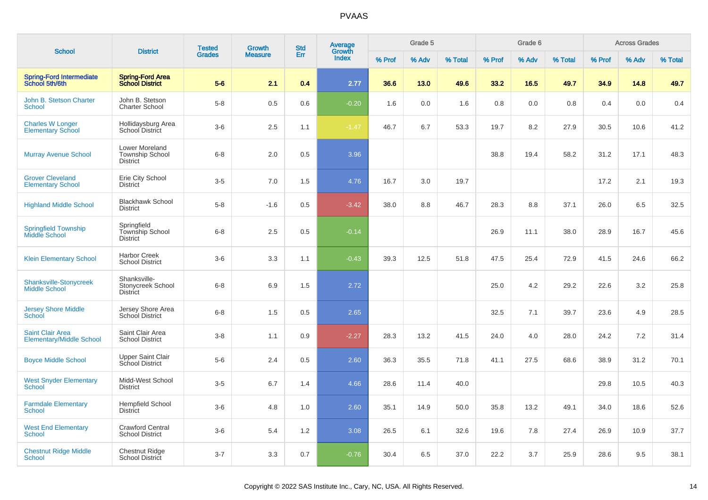|                                                            |                                                             | <b>Tested</b> | <b>Growth</b>  | <b>Std</b> | <b>Average</b><br>Growth |        | Grade 5 |         |        | Grade 6 |         |        | <b>Across Grades</b> |         |
|------------------------------------------------------------|-------------------------------------------------------------|---------------|----------------|------------|--------------------------|--------|---------|---------|--------|---------|---------|--------|----------------------|---------|
| <b>School</b>                                              | <b>District</b>                                             | <b>Grades</b> | <b>Measure</b> | Err        | Index                    | % Prof | % Adv   | % Total | % Prof | % Adv   | % Total | % Prof | % Adv                | % Total |
| <b>Spring-Ford Intermediate</b><br>School 5th/6th          | <b>Spring-Ford Area</b><br><b>School District</b>           | $5-6$         | 2.1            | 0.4        | 2.77                     | 36.6   | 13.0    | 49.6    | 33.2   | 16.5    | 49.7    | 34.9   | 14.8                 | 49.7    |
| John B. Stetson Charter<br><b>School</b>                   | John B. Stetson<br><b>Charter School</b>                    | $5-8$         | 0.5            | 0.6        | $-0.20$                  | 1.6    | 0.0     | 1.6     | 0.8    | 0.0     | 0.8     | 0.4    | 0.0                  | 0.4     |
| <b>Charles W Longer</b><br><b>Elementary School</b>        | Hollidaysburg Area<br><b>School District</b>                | $3-6$         | 2.5            | 1.1        | $-1.47$                  | 46.7   | 6.7     | 53.3    | 19.7   | 8.2     | 27.9    | 30.5   | 10.6                 | 41.2    |
| <b>Murray Avenue School</b>                                | Lower Moreland<br><b>Township School</b><br><b>District</b> | $6 - 8$       | 2.0            | 0.5        | 3.96                     |        |         |         | 38.8   | 19.4    | 58.2    | 31.2   | 17.1                 | 48.3    |
| <b>Grover Cleveland</b><br><b>Elementary School</b>        | Erie City School<br>District                                | $3-5$         | 7.0            | 1.5        | 4.76                     | 16.7   | 3.0     | 19.7    |        |         |         | 17.2   | 2.1                  | 19.3    |
| <b>Highland Middle School</b>                              | <b>Blackhawk School</b><br><b>District</b>                  | $5-8$         | $-1.6$         | 0.5        | $-3.42$                  | 38.0   | 8.8     | 46.7    | 28.3   | 8.8     | 37.1    | 26.0   | 6.5                  | 32.5    |
| <b>Springfield Township</b><br>Middle School               | Springfield<br>Township School<br><b>District</b>           | $6 - 8$       | 2.5            | 0.5        | $-0.14$                  |        |         |         | 26.9   | 11.1    | 38.0    | 28.9   | 16.7                 | 45.6    |
| <b>Klein Elementary School</b>                             | <b>Harbor Creek</b><br><b>School District</b>               | $3-6$         | 3.3            | 1.1        | $-0.43$                  | 39.3   | 12.5    | 51.8    | 47.5   | 25.4    | 72.9    | 41.5   | 24.6                 | 66.2    |
| <b>Shanksville-Stonycreek</b><br><b>Middle School</b>      | Shanksville-<br>Stonycreek School<br>District               | $6 - 8$       | 6.9            | 1.5        | 2.72                     |        |         |         | 25.0   | 4.2     | 29.2    | 22.6   | 3.2                  | 25.8    |
| <b>Jersey Shore Middle</b><br><b>School</b>                | Jersey Shore Area<br><b>School District</b>                 | $6 - 8$       | 1.5            | 0.5        | 2.65                     |        |         |         | 32.5   | 7.1     | 39.7    | 23.6   | 4.9                  | 28.5    |
| <b>Saint Clair Area</b><br><b>Elementary/Middle School</b> | Saint Clair Area<br><b>School District</b>                  | $3 - 8$       | 1.1            | 0.9        | $-2.27$                  | 28.3   | 13.2    | 41.5    | 24.0   | 4.0     | 28.0    | 24.2   | 7.2                  | 31.4    |
| <b>Boyce Middle School</b>                                 | <b>Upper Saint Clair</b><br>School District                 | $5-6$         | 2.4            | 0.5        | 2.60                     | 36.3   | 35.5    | 71.8    | 41.1   | 27.5    | 68.6    | 38.9   | 31.2                 | 70.1    |
| <b>West Snyder Elementary</b><br><b>School</b>             | Midd-West School<br><b>District</b>                         | $3-5$         | 6.7            | 1.4        | 4.66                     | 28.6   | 11.4    | 40.0    |        |         |         | 29.8   | 10.5                 | 40.3    |
| <b>Farmdale Elementary</b><br><b>School</b>                | <b>Hempfield School</b><br>District                         | $3-6$         | 4.8            | 1.0        | 2.60                     | 35.1   | 14.9    | 50.0    | 35.8   | 13.2    | 49.1    | 34.0   | 18.6                 | 52.6    |
| <b>West End Elementary</b><br><b>School</b>                | <b>Crawford Central</b><br><b>School District</b>           | $3-6$         | 5.4            | 1.2        | 3.08                     | 26.5   | 6.1     | 32.6    | 19.6   | 7.8     | 27.4    | 26.9   | 10.9                 | 37.7    |
| <b>Chestnut Ridge Middle</b><br>School                     | <b>Chestnut Ridge</b><br><b>School District</b>             | $3 - 7$       | 3.3            | 0.7        | $-0.76$                  | 30.4   | 6.5     | 37.0    | 22.2   | 3.7     | 25.9    | 28.6   | 9.5                  | 38.1    |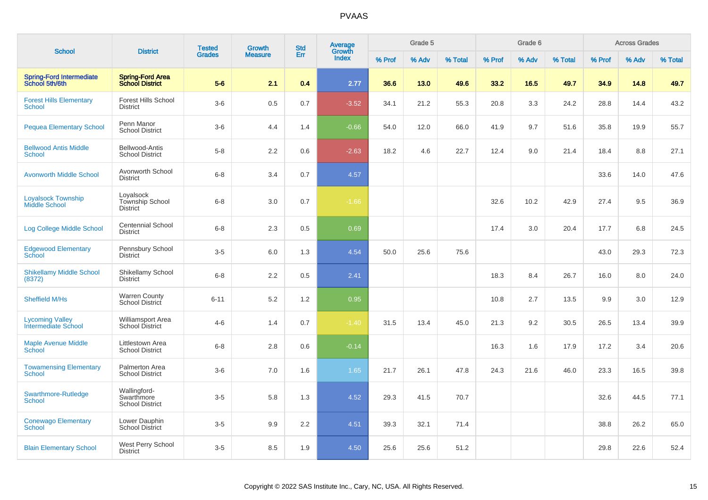| <b>School</b>                                     | <b>District</b>                                      | <b>Tested</b> | <b>Growth</b>  | <b>Std</b> | Average<br>Growth |        | Grade 5 |         |        | Grade 6 |         |        | <b>Across Grades</b> |         |
|---------------------------------------------------|------------------------------------------------------|---------------|----------------|------------|-------------------|--------|---------|---------|--------|---------|---------|--------|----------------------|---------|
|                                                   |                                                      | <b>Grades</b> | <b>Measure</b> | Err        | Index             | % Prof | % Adv   | % Total | % Prof | % Adv   | % Total | % Prof | % Adv                | % Total |
| <b>Spring-Ford Intermediate</b><br>School 5th/6th | <b>Spring-Ford Area</b><br><b>School District</b>    | $5 - 6$       | 2.1            | 0.4        | 2.77              | 36.6   | 13.0    | 49.6    | 33.2   | 16.5    | 49.7    | 34.9   | 14.8                 | 49.7    |
| <b>Forest Hills Elementary</b><br><b>School</b>   | <b>Forest Hills School</b><br><b>District</b>        | $3-6$         | 0.5            | 0.7        | $-3.52$           | 34.1   | 21.2    | 55.3    | 20.8   | 3.3     | 24.2    | 28.8   | 14.4                 | 43.2    |
| <b>Pequea Elementary School</b>                   | Penn Manor<br><b>School District</b>                 | $3-6$         | 4.4            | 1.4        | $-0.66$           | 54.0   | 12.0    | 66.0    | 41.9   | 9.7     | 51.6    | 35.8   | 19.9                 | 55.7    |
| <b>Bellwood Antis Middle</b><br>School            | Bellwood-Antis<br><b>School District</b>             | $5 - 8$       | $2.2\,$        | 0.6        | $-2.63$           | 18.2   | 4.6     | 22.7    | 12.4   | 9.0     | 21.4    | 18.4   | 8.8                  | 27.1    |
| <b>Avonworth Middle School</b>                    | Avonworth School<br><b>District</b>                  | $6 - 8$       | 3.4            | 0.7        | 4.57              |        |         |         |        |         |         | 33.6   | 14.0                 | 47.6    |
| <b>Loyalsock Township</b><br><b>Middle School</b> | Loyalsock<br>Township School<br><b>District</b>      | $6 - 8$       | 3.0            | 0.7        | $-1.66$           |        |         |         | 32.6   | 10.2    | 42.9    | 27.4   | 9.5                  | 36.9    |
| Log College Middle School                         | <b>Centennial School</b><br><b>District</b>          | $6 - 8$       | 2.3            | 0.5        | 0.69              |        |         |         | 17.4   | 3.0     | 20.4    | 17.7   | 6.8                  | 24.5    |
| <b>Edgewood Elementary</b><br>School              | Pennsbury School<br><b>District</b>                  | $3-5$         | 6.0            | 1.3        | 4.54              | 50.0   | 25.6    | 75.6    |        |         |         | 43.0   | 29.3                 | 72.3    |
| <b>Shikellamy Middle School</b><br>(8372)         | Shikellamy School<br><b>District</b>                 | $6 - 8$       | 2.2            | 0.5        | 2.41              |        |         |         | 18.3   | 8.4     | 26.7    | 16.0   | 8.0                  | 24.0    |
| <b>Sheffield M/Hs</b>                             | <b>Warren County</b><br>School District              | $6 - 11$      | 5.2            | 1.2        | 0.95              |        |         |         | 10.8   | 2.7     | 13.5    | 9.9    | 3.0                  | 12.9    |
| <b>Lycoming Valley</b><br>Intermediate School     | Williamsport Area<br>School District                 | $4 - 6$       | 1.4            | 0.7        | $-1.40$           | 31.5   | 13.4    | 45.0    | 21.3   | 9.2     | 30.5    | 26.5   | 13.4                 | 39.9    |
| <b>Maple Avenue Middle</b><br>School              | Littlestown Area<br><b>School District</b>           | $6 - 8$       | 2.8            | 0.6        | $-0.14$           |        |         |         | 16.3   | 1.6     | 17.9    | 17.2   | 3.4                  | 20.6    |
| <b>Towamensing Elementary</b><br><b>School</b>    | Palmerton Area<br><b>School District</b>             | $3-6$         | 7.0            | 1.6        | 1.65              | 21.7   | 26.1    | 47.8    | 24.3   | 21.6    | 46.0    | 23.3   | 16.5                 | 39.8    |
| Swarthmore-Rutledge<br><b>School</b>              | Wallingford-<br>Swarthmore<br><b>School District</b> | $3-5$         | 5.8            | 1.3        | 4.52              | 29.3   | 41.5    | 70.7    |        |         |         | 32.6   | 44.5                 | 77.1    |
| <b>Conewago Elementary</b><br><b>School</b>       | Lower Dauphin<br><b>School District</b>              | $3-5$         | 9.9            | 2.2        | 4.51              | 39.3   | 32.1    | 71.4    |        |         |         | 38.8   | 26.2                 | 65.0    |
| <b>Blain Elementary School</b>                    | West Perry School<br><b>District</b>                 | $3-5$         | 8.5            | 1.9        | 4.50              | 25.6   | 25.6    | 51.2    |        |         |         | 29.8   | 22.6                 | 52.4    |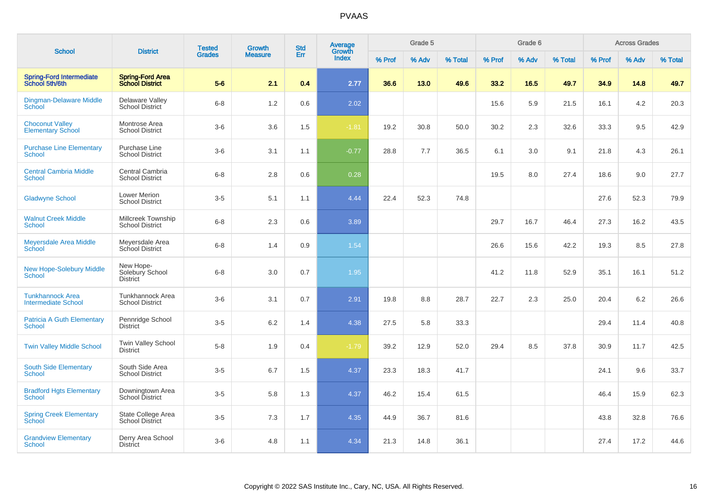| <b>School</b>                                         | <b>District</b>                                   | <b>Tested</b> | Growth         | <b>Std</b> | Average<br>Growth |        | Grade 5 |         |        | Grade 6 |         |        | <b>Across Grades</b> |         |
|-------------------------------------------------------|---------------------------------------------------|---------------|----------------|------------|-------------------|--------|---------|---------|--------|---------|---------|--------|----------------------|---------|
|                                                       |                                                   | <b>Grades</b> | <b>Measure</b> | Err        | <b>Index</b>      | % Prof | % Adv   | % Total | % Prof | % Adv   | % Total | % Prof | % Adv                | % Total |
| <b>Spring-Ford Intermediate</b><br>School 5th/6th     | <b>Spring-Ford Area</b><br><b>School District</b> | $5-6$         | 2.1            | 0.4        | 2.77              | 36.6   | 13.0    | 49.6    | 33.2   | 16.5    | 49.7    | 34.9   | 14.8                 | 49.7    |
| <b>Dingman-Delaware Middle</b><br><b>School</b>       | Delaware Valley<br><b>School District</b>         | $6 - 8$       | 1.2            | 0.6        | 2.02              |        |         |         | 15.6   | 5.9     | 21.5    | 16.1   | 4.2                  | 20.3    |
| <b>Choconut Valley</b><br><b>Elementary School</b>    | Montrose Area<br><b>School District</b>           | $3-6$         | 3.6            | 1.5        | $-1.81$           | 19.2   | 30.8    | 50.0    | 30.2   | 2.3     | 32.6    | 33.3   | 9.5                  | 42.9    |
| <b>Purchase Line Elementary</b><br><b>School</b>      | Purchase Line<br><b>School District</b>           | $3-6$         | 3.1            | 1.1        | $-0.77$           | 28.8   | 7.7     | 36.5    | 6.1    | 3.0     | 9.1     | 21.8   | 4.3                  | 26.1    |
| <b>Central Cambria Middle</b><br><b>School</b>        | Central Cambria<br><b>School District</b>         | $6 - 8$       | 2.8            | 0.6        | 0.28              |        |         |         | 19.5   | 8.0     | 27.4    | 18.6   | 9.0                  | 27.7    |
| <b>Gladwyne School</b>                                | <b>Lower Merion</b><br><b>School District</b>     | $3-5$         | 5.1            | 1.1        | 4.44              | 22.4   | 52.3    | 74.8    |        |         |         | 27.6   | 52.3                 | 79.9    |
| <b>Walnut Creek Middle</b><br><b>School</b>           | Millcreek Township<br><b>School District</b>      | $6-8$         | 2.3            | 0.6        | 3.89              |        |         |         | 29.7   | 16.7    | 46.4    | 27.3   | 16.2                 | 43.5    |
| Meyersdale Area Middle<br>School                      | Meyersdale Area<br>School District                | $6 - 8$       | 1.4            | 0.9        | 1.54              |        |         |         | 26.6   | 15.6    | 42.2    | 19.3   | 8.5                  | 27.8    |
| <b>New Hope-Solebury Middle</b><br><b>School</b>      | New Hope-<br>Solebury School<br><b>District</b>   | $6 - 8$       | 3.0            | 0.7        | 1.95              |        |         |         | 41.2   | 11.8    | 52.9    | 35.1   | 16.1                 | 51.2    |
| <b>Tunkhannock Area</b><br><b>Intermediate School</b> | Tunkhannock Area<br><b>School District</b>        | $3-6$         | 3.1            | 0.7        | 2.91              | 19.8   | 8.8     | 28.7    | 22.7   | 2.3     | 25.0    | 20.4   | 6.2                  | 26.6    |
| <b>Patricia A Guth Elementary</b><br>School           | Pennridge School<br><b>District</b>               | $3-5$         | 6.2            | 1.4        | 4.38              | 27.5   | 5.8     | 33.3    |        |         |         | 29.4   | 11.4                 | 40.8    |
| <b>Twin Valley Middle School</b>                      | Twin Valley School<br><b>District</b>             | $5 - 8$       | 1.9            | 0.4        | $-1.79$           | 39.2   | 12.9    | 52.0    | 29.4   | 8.5     | 37.8    | 30.9   | 11.7                 | 42.5    |
| <b>South Side Elementary</b><br><b>School</b>         | South Side Area<br><b>School District</b>         | $3-5$         | 6.7            | 1.5        | 4.37              | 23.3   | 18.3    | 41.7    |        |         |         | 24.1   | 9.6                  | 33.7    |
| <b>Bradford Hgts Elementary</b><br><b>School</b>      | Downingtown Area<br><b>School District</b>        | $3-5$         | 5.8            | 1.3        | 4.37              | 46.2   | 15.4    | 61.5    |        |         |         | 46.4   | 15.9                 | 62.3    |
| <b>Spring Creek Elementary</b><br>School              | State College Area<br><b>School District</b>      | $3-5$         | 7.3            | 1.7        | 4.35              | 44.9   | 36.7    | 81.6    |        |         |         | 43.8   | 32.8                 | 76.6    |
| <b>Grandview Elementary</b><br>School                 | Derry Area School<br><b>District</b>              | $3-6$         | 4.8            | 1.1        | 4.34              | 21.3   | 14.8    | 36.1    |        |         |         | 27.4   | 17.2                 | 44.6    |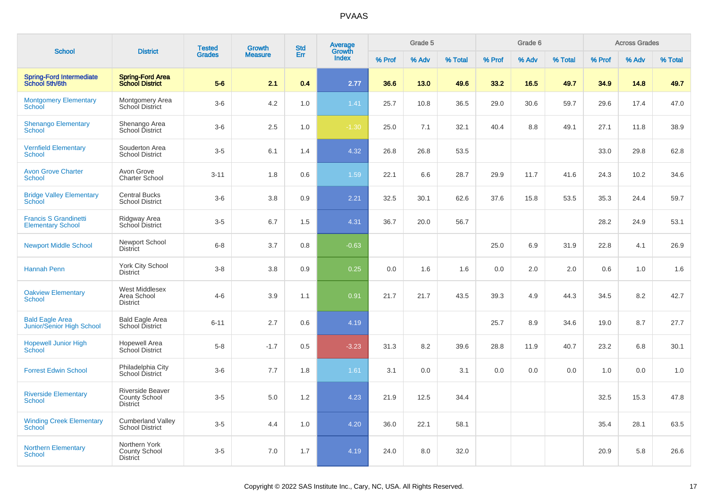|                                                          |                                                                    | <b>Tested</b> | <b>Growth</b>  | <b>Std</b> | Average<br>Growth |        | Grade 5 |         |        | Grade 6 |         |        | <b>Across Grades</b> |         |
|----------------------------------------------------------|--------------------------------------------------------------------|---------------|----------------|------------|-------------------|--------|---------|---------|--------|---------|---------|--------|----------------------|---------|
| <b>School</b>                                            | <b>District</b>                                                    | <b>Grades</b> | <b>Measure</b> | Err        | Index             | % Prof | % Adv   | % Total | % Prof | % Adv   | % Total | % Prof | % Adv                | % Total |
| <b>Spring-Ford Intermediate</b><br>School 5th/6th        | <b>Spring-Ford Area</b><br><b>School District</b>                  | $5-6$         | 2.1            | 0.4        | 2.77              | 36.6   | 13.0    | 49.6    | 33.2   | 16.5    | 49.7    | 34.9   | 14.8                 | 49.7    |
| <b>Montgomery Elementary</b><br>School                   | Montgomery Area<br>School District                                 | $3-6$         | 4.2            | 1.0        | 1.41              | 25.7   | 10.8    | 36.5    | 29.0   | 30.6    | 59.7    | 29.6   | 17.4                 | 47.0    |
| <b>Shenango Elementary</b><br><b>School</b>              | Shenango Area<br>School District                                   | $3-6$         | 2.5            | 1.0        | $-1.30$           | 25.0   | 7.1     | 32.1    | 40.4   | 8.8     | 49.1    | 27.1   | 11.8                 | 38.9    |
| <b>Vernfield Elementary</b><br><b>School</b>             | Souderton Area<br><b>School District</b>                           | $3-5$         | 6.1            | 1.4        | 4.32              | 26.8   | 26.8    | 53.5    |        |         |         | 33.0   | 29.8                 | 62.8    |
| <b>Avon Grove Charter</b><br>School                      | Avon Grove<br><b>Charter School</b>                                | $3 - 11$      | 1.8            | 0.6        | 1.59              | 22.1   | 6.6     | 28.7    | 29.9   | 11.7    | 41.6    | 24.3   | 10.2                 | 34.6    |
| <b>Bridge Valley Elementary</b><br>School                | <b>Central Bucks</b><br><b>School District</b>                     | $3-6$         | 3.8            | 0.9        | 2.21              | 32.5   | 30.1    | 62.6    | 37.6   | 15.8    | 53.5    | 35.3   | 24.4                 | 59.7    |
| <b>Francis S Grandinetti</b><br><b>Elementary School</b> | Ridgway Area<br>School District                                    | $3-5$         | 6.7            | 1.5        | 4.31              | 36.7   | 20.0    | 56.7    |        |         |         | 28.2   | 24.9                 | 53.1    |
| <b>Newport Middle School</b>                             | Newport School<br>District                                         | $6 - 8$       | 3.7            | 0.8        | $-0.63$           |        |         |         | 25.0   | 6.9     | 31.9    | 22.8   | 4.1                  | 26.9    |
| <b>Hannah Penn</b>                                       | York City School<br><b>District</b>                                | $3 - 8$       | 3.8            | 0.9        | 0.25              | 0.0    | 1.6     | 1.6     | 0.0    | 2.0     | 2.0     | 0.6    | 1.0                  | 1.6     |
| <b>Oakview Elementary</b><br>School                      | West Middlesex<br>Area School<br><b>District</b>                   | $4 - 6$       | 3.9            | 1.1        | 0.91              | 21.7   | 21.7    | 43.5    | 39.3   | 4.9     | 44.3    | 34.5   | 8.2                  | 42.7    |
| <b>Bald Eagle Area</b><br>Junior/Senior High School      | <b>Bald Eagle Area</b><br>School District                          | $6 - 11$      | 2.7            | 0.6        | 4.19              |        |         |         | 25.7   | 8.9     | 34.6    | 19.0   | 8.7                  | 27.7    |
| <b>Hopewell Junior High</b><br><b>School</b>             | <b>Hopewell Area</b><br>School District                            | $5 - 8$       | $-1.7$         | 0.5        | $-3.23$           | 31.3   | 8.2     | 39.6    | 28.8   | 11.9    | 40.7    | 23.2   | 6.8                  | 30.1    |
| <b>Forrest Edwin School</b>                              | Philadelphia City<br><b>School District</b>                        | $3-6$         | 7.7            | 1.8        | 1.61              | 3.1    | 0.0     | 3.1     | 0.0    | 0.0     | 0.0     | 1.0    | 0.0                  | 1.0     |
| <b>Riverside Elementary</b><br>School                    | <b>Riverside Beaver</b><br><b>County School</b><br><b>District</b> | $3-5$         | 5.0            | 1.2        | 4.23              | 21.9   | 12.5    | 34.4    |        |         |         | 32.5   | 15.3                 | 47.8    |
| <b>Winding Creek Elementary</b><br>School <sup>®</sup>   | <b>Cumberland Valley</b><br><b>School District</b>                 | $3-5$         | 4.4            | 1.0        | 4.20              | 36.0   | 22.1    | 58.1    |        |         |         | 35.4   | 28.1                 | 63.5    |
| <b>Northern Elementary</b><br><b>School</b>              | Northern York<br><b>County School</b><br><b>District</b>           | $3-5$         | 7.0            | 1.7        | 4.19              | 24.0   | 8.0     | 32.0    |        |         |         | 20.9   | 5.8                  | 26.6    |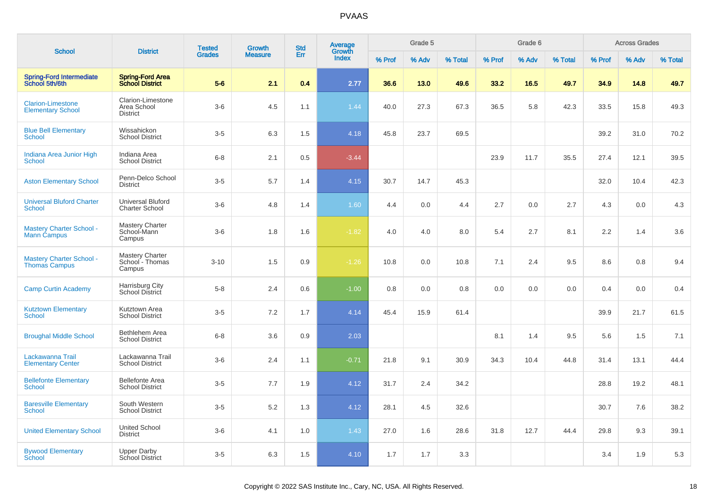| <b>School</b>                                           | <b>District</b>                                     | <b>Tested</b> | Growth         | <b>Std</b> | <b>Average</b><br>Growth |        | Grade 5 |         |        | Grade 6 |         |        | <b>Across Grades</b> |         |
|---------------------------------------------------------|-----------------------------------------------------|---------------|----------------|------------|--------------------------|--------|---------|---------|--------|---------|---------|--------|----------------------|---------|
|                                                         |                                                     | <b>Grades</b> | <b>Measure</b> | Err        | Index                    | % Prof | % Adv   | % Total | % Prof | % Adv   | % Total | % Prof | % Adv                | % Total |
| <b>Spring-Ford Intermediate</b><br>School 5th/6th       | <b>Spring-Ford Area</b><br><b>School District</b>   | $5-6$         | 2.1            | 0.4        | 2.77                     | 36.6   | 13.0    | 49.6    | 33.2   | 16.5    | 49.7    | 34.9   | 14.8                 | 49.7    |
| <b>Clarion-Limestone</b><br><b>Elementary School</b>    | Clarion-Limestone<br>Area School<br><b>District</b> | $3-6$         | 4.5            | 1.1        | 1.44                     | 40.0   | 27.3    | 67.3    | 36.5   | 5.8     | 42.3    | 33.5   | 15.8                 | 49.3    |
| <b>Blue Bell Elementary</b><br>School                   | Wissahickon<br><b>School District</b>               | $3-5$         | 6.3            | 1.5        | 4.18                     | 45.8   | 23.7    | 69.5    |        |         |         | 39.2   | 31.0                 | 70.2    |
| Indiana Area Junior High<br><b>School</b>               | Indiana Area<br><b>School District</b>              | $6-8$         | 2.1            | 0.5        | $-3.44$                  |        |         |         | 23.9   | 11.7    | 35.5    | 27.4   | 12.1                 | 39.5    |
| <b>Aston Elementary School</b>                          | Penn-Delco School<br><b>District</b>                | $3-5$         | 5.7            | 1.4        | 4.15                     | 30.7   | 14.7    | 45.3    |        |         |         | 32.0   | 10.4                 | 42.3    |
| <b>Universal Bluford Charter</b><br>School              | Universal Bluford<br><b>Charter School</b>          | $3-6$         | 4.8            | 1.4        | 1.60                     | 4.4    | 0.0     | 4.4     | 2.7    | 0.0     | 2.7     | 4.3    | 0.0                  | 4.3     |
| <b>Mastery Charter School -</b><br>Mann Campus          | <b>Mastery Charter</b><br>School-Mann<br>Campus     | $3-6$         | 1.8            | 1.6        | $-1.82$                  | 4.0    | 4.0     | 8.0     | 5.4    | 2.7     | 8.1     | 2.2    | 1.4                  | 3.6     |
| <b>Mastery Charter School -</b><br><b>Thomas Campus</b> | <b>Mastery Charter</b><br>School - Thomas<br>Campus | $3 - 10$      | 1.5            | 0.9        | $-1.26$                  | 10.8   | 0.0     | 10.8    | 7.1    | 2.4     | 9.5     | 8.6    | 0.8                  | 9.4     |
| <b>Camp Curtin Academy</b>                              | Harrisburg City<br>School District                  | $5-8$         | 2.4            | 0.6        | $-1.00$                  | 0.8    | 0.0     | 0.8     | 0.0    | 0.0     | 0.0     | 0.4    | 0.0                  | 0.4     |
| <b>Kutztown Elementary</b><br>School                    | Kutztown Area<br><b>School District</b>             | $3-5$         | 7.2            | 1.7        | 4.14                     | 45.4   | 15.9    | 61.4    |        |         |         | 39.9   | 21.7                 | 61.5    |
| <b>Broughal Middle School</b>                           | Bethlehem Area<br><b>School District</b>            | $6-8$         | 3.6            | 0.9        | 2.03                     |        |         |         | 8.1    | 1.4     | 9.5     | 5.6    | 1.5                  | 7.1     |
| Lackawanna Trail<br><b>Elementary Center</b>            | Lackawanna Trail<br><b>School District</b>          | $3-6$         | 2.4            | 1.1        | $-0.71$                  | 21.8   | 9.1     | 30.9    | 34.3   | 10.4    | 44.8    | 31.4   | 13.1                 | 44.4    |
| <b>Bellefonte Elementary</b><br>School                  | <b>Bellefonte Area</b><br><b>School District</b>    | $3-5$         | 7.7            | 1.9        | 4.12                     | 31.7   | 2.4     | 34.2    |        |         |         | 28.8   | 19.2                 | 48.1    |
| <b>Baresville Elementary</b><br>School                  | South Western<br><b>School District</b>             | $3 - 5$       | 5.2            | 1.3        | 4.12                     | 28.1   | 4.5     | 32.6    |        |         |         | 30.7   | 7.6                  | 38.2    |
| <b>United Elementary School</b>                         | <b>United School</b><br><b>District</b>             | $3-6$         | 4.1            | 1.0        | 1.43                     | 27.0   | 1.6     | 28.6    | 31.8   | 12.7    | 44.4    | 29.8   | 9.3                  | 39.1    |
| <b>Bywood Elementary</b><br>School                      | <b>Upper Darby</b><br>School District               | $3-5$         | 6.3            | 1.5        | 4.10                     | 1.7    | 1.7     | 3.3     |        |         |         | 3.4    | 1.9                  | 5.3     |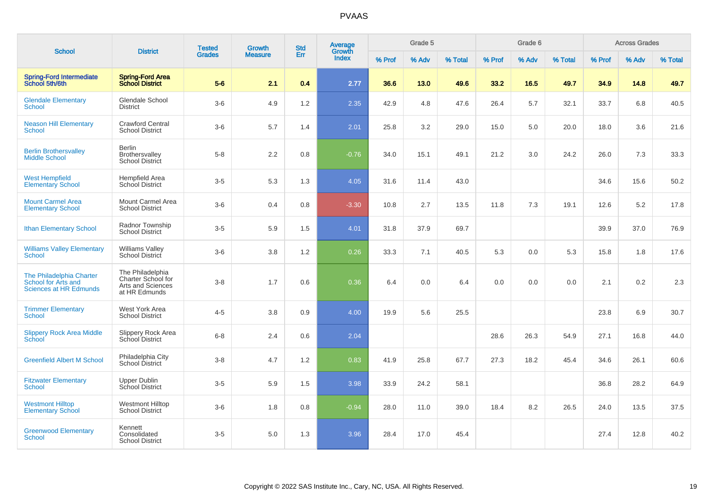|                                                                                  |                                                                              | <b>Tested</b> | <b>Growth</b>  | <b>Std</b> | Average<br>Growth |        | Grade 5 |         |        | Grade 6 |         |        | <b>Across Grades</b> |         |
|----------------------------------------------------------------------------------|------------------------------------------------------------------------------|---------------|----------------|------------|-------------------|--------|---------|---------|--------|---------|---------|--------|----------------------|---------|
| <b>School</b>                                                                    | <b>District</b>                                                              | <b>Grades</b> | <b>Measure</b> | Err        | Index             | % Prof | % Adv   | % Total | % Prof | % Adv   | % Total | % Prof | % Adv                | % Total |
| <b>Spring-Ford Intermediate</b><br>School 5th/6th                                | <b>Spring-Ford Area</b><br><b>School District</b>                            | $5-6$         | 2.1            | 0.4        | 2.77              | 36.6   | 13.0    | 49.6    | 33.2   | 16.5    | 49.7    | 34.9   | 14.8                 | 49.7    |
| <b>Glendale Elementary</b><br>School                                             | Glendale School<br><b>District</b>                                           | $3-6$         | 4.9            | 1.2        | 2.35              | 42.9   | 4.8     | 47.6    | 26.4   | 5.7     | 32.1    | 33.7   | 6.8                  | 40.5    |
| <b>Neason Hill Elementary</b><br>School                                          | <b>Crawford Central</b><br><b>School District</b>                            | $3-6$         | 5.7            | 1.4        | 2.01              | 25.8   | 3.2     | 29.0    | 15.0   | 5.0     | 20.0    | 18.0   | 3.6                  | 21.6    |
| <b>Berlin Brothersvalley</b><br><b>Middle School</b>                             | <b>Berlin</b><br>Brothersvalley<br><b>School District</b>                    | $5-8$         | 2.2            | 0.8        | $-0.76$           | 34.0   | 15.1    | 49.1    | 21.2   | 3.0     | 24.2    | 26.0   | 7.3                  | 33.3    |
| <b>West Hempfield</b><br><b>Elementary School</b>                                | <b>Hempfield Area</b><br><b>School District</b>                              | $3-5$         | 5.3            | 1.3        | 4.05              | 31.6   | 11.4    | 43.0    |        |         |         | 34.6   | 15.6                 | 50.2    |
| <b>Mount Carmel Area</b><br><b>Elementary School</b>                             | Mount Carmel Area<br><b>School District</b>                                  | $3-6$         | 0.4            | 0.8        | $-3.30$           | 10.8   | 2.7     | 13.5    | 11.8   | $7.3$   | 19.1    | 12.6   | 5.2                  | 17.8    |
| <b>Ithan Elementary School</b>                                                   | Radnor Township<br><b>School District</b>                                    | $3-5$         | 5.9            | 1.5        | 4.01              | 31.8   | 37.9    | 69.7    |        |         |         | 39.9   | 37.0                 | 76.9    |
| <b>Williams Valley Elementary</b><br>School                                      | <b>Williams Valley</b><br><b>School District</b>                             | $3-6$         | 3.8            | 1.2        | 0.26              | 33.3   | 7.1     | 40.5    | 5.3    | 0.0     | 5.3     | 15.8   | 1.8                  | 17.6    |
| The Philadelphia Charter<br>School for Arts and<br><b>Sciences at HR Edmunds</b> | The Philadelphia<br>Charter School for<br>Arts and Sciences<br>at HR Edmunds | $3-8$         | 1.7            | 0.6        | 0.36              | 6.4    | 0.0     | 6.4     | 0.0    | 0.0     | 0.0     | 2.1    | 0.2                  | 2.3     |
| <b>Trimmer Elementary</b><br><b>School</b>                                       | West York Area<br><b>School District</b>                                     | $4 - 5$       | 3.8            | 0.9        | 4.00              | 19.9   | 5.6     | 25.5    |        |         |         | 23.8   | 6.9                  | 30.7    |
| <b>Slippery Rock Area Middle</b><br>School                                       | <b>Slippery Rock Area</b><br><b>School District</b>                          | $6 - 8$       | 2.4            | 0.6        | 2.04              |        |         |         | 28.6   | 26.3    | 54.9    | 27.1   | 16.8                 | 44.0    |
| <b>Greenfield Albert M School</b>                                                | Philadelphia City<br>School District                                         | $3 - 8$       | 4.7            | 1.2        | 0.83              | 41.9   | 25.8    | 67.7    | 27.3   | 18.2    | 45.4    | 34.6   | 26.1                 | 60.6    |
| <b>Fitzwater Elementary</b><br><b>School</b>                                     | Upper Dublin<br>School District                                              | $3-5$         | 5.9            | 1.5        | 3.98              | 33.9   | 24.2    | 58.1    |        |         |         | 36.8   | 28.2                 | 64.9    |
| <b>Westmont Hilltop</b><br><b>Elementary School</b>                              | <b>Westmont Hilltop</b><br><b>School District</b>                            | $3-6$         | 1.8            | $0.8\,$    | $-0.94$           | 28.0   | 11.0    | 39.0    | 18.4   | 8.2     | 26.5    | 24.0   | 13.5                 | 37.5    |
| <b>Greenwood Elementary</b><br>School                                            | Kennett<br>Consolidated<br><b>School District</b>                            | $3-5$         | 5.0            | 1.3        | 3.96              | 28.4   | 17.0    | 45.4    |        |         |         | 27.4   | 12.8                 | 40.2    |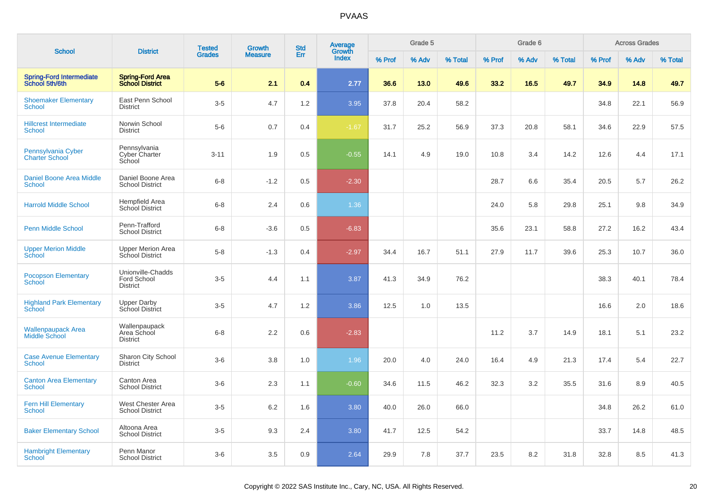|                                                  |                                                     | <b>Tested</b> | Growth         | <b>Std</b> | Average<br>Growth |        | Grade 5 |         |        | Grade 6 |         |        | <b>Across Grades</b> |         |
|--------------------------------------------------|-----------------------------------------------------|---------------|----------------|------------|-------------------|--------|---------|---------|--------|---------|---------|--------|----------------------|---------|
| <b>School</b>                                    | <b>District</b>                                     | <b>Grades</b> | <b>Measure</b> | Err        | Index             | % Prof | % Adv   | % Total | % Prof | % Adv   | % Total | % Prof | % Adv                | % Total |
| Spring-Ford Intermediate<br>School 5th/6th       | Spring-Ford Area<br>School District                 | $5-6$         | 2.1            | 0.4        | 2.77              | 36.6   | 13.0    | 49.6    | 33.2   | 16.5    | 49.7    | 34.9   | 14.8                 | 49.7    |
| <b>Shoemaker Elementary</b><br><b>School</b>     | East Penn School<br><b>District</b>                 | $3-5$         | 4.7            | 1.2        | 3.95              | 37.8   | 20.4    | 58.2    |        |         |         | 34.8   | 22.1                 | 56.9    |
| <b>Hillcrest Intermediate</b><br><b>School</b>   | Norwin School<br><b>District</b>                    | $5-6$         | 0.7            | 0.4        | $-1.67$           | 31.7   | 25.2    | 56.9    | 37.3   | 20.8    | 58.1    | 34.6   | 22.9                 | 57.5    |
| Pennsylvania Cyber<br><b>Charter School</b>      | Pennsylvania<br>Cyber Charter<br>School             | $3 - 11$      | 1.9            | 0.5        | $-0.55$           | 14.1   | 4.9     | 19.0    | 10.8   | 3.4     | 14.2    | 12.6   | 4.4                  | 17.1    |
| <b>Daniel Boone Area Middle</b><br><b>School</b> | Daniel Boone Area<br><b>School District</b>         | $6 - 8$       | $-1.2$         | 0.5        | $-2.30$           |        |         |         | 28.7   | 6.6     | 35.4    | 20.5   | 5.7                  | 26.2    |
| <b>Harrold Middle School</b>                     | <b>Hempfield Area</b><br>School District            | $6 - 8$       | 2.4            | 0.6        | 1.36              |        |         |         | 24.0   | 5.8     | 29.8    | 25.1   | 9.8                  | 34.9    |
| <b>Penn Middle School</b>                        | Penn-Trafford<br><b>School District</b>             | $6 - 8$       | $-3.6$         | 0.5        | $-6.83$           |        |         |         | 35.6   | 23.1    | 58.8    | 27.2   | 16.2                 | 43.4    |
| <b>Upper Merion Middle</b><br>School             | <b>Upper Merion Area</b><br>School District         | $5-8$         | $-1.3$         | 0.4        | $-2.97$           | 34.4   | 16.7    | 51.1    | 27.9   | 11.7    | 39.6    | 25.3   | 10.7                 | 36.0    |
| <b>Pocopson Elementary</b><br>School             | Unionville-Chadds<br>Ford School<br><b>District</b> | $3-5$         | 4.4            | 1.1        | 3.87              | 41.3   | 34.9    | 76.2    |        |         |         | 38.3   | 40.1                 | 78.4    |
| <b>Highland Park Elementary</b><br>School        | <b>Upper Darby</b><br>School District               | $3-5$         | 4.7            | 1.2        | 3.86              | 12.5   | 1.0     | 13.5    |        |         |         | 16.6   | 2.0                  | 18.6    |
| <b>Wallenpaupack Area</b><br>Middle School       | Wallenpaupack<br>Area School<br><b>District</b>     | $6-8$         | 2.2            | 0.6        | $-2.83$           |        |         |         | 11.2   | 3.7     | 14.9    | 18.1   | 5.1                  | 23.2    |
| <b>Case Avenue Elementary</b><br><b>School</b>   | Sharon City School<br><b>District</b>               | $3-6$         | 3.8            | 1.0        | 1.96              | 20.0   | 4.0     | 24.0    | 16.4   | 4.9     | 21.3    | 17.4   | 5.4                  | 22.7    |
| <b>Canton Area Elementary</b><br><b>School</b>   | Canton Area<br><b>School District</b>               | $3-6$         | 2.3            | 1.1        | $-0.60$           | 34.6   | 11.5    | 46.2    | 32.3   | 3.2     | 35.5    | 31.6   | 8.9                  | 40.5    |
| <b>Fern Hill Elementary</b><br><b>School</b>     | West Chester Area<br><b>School District</b>         | $3-5$         | 6.2            | 1.6        | 3.80              | 40.0   | 26.0    | 66.0    |        |         |         | 34.8   | 26.2                 | 61.0    |
| <b>Baker Elementary School</b>                   | Altoona Area<br><b>School District</b>              | $3-5$         | 9.3            | 2.4        | 3.80              | 41.7   | 12.5    | 54.2    |        |         |         | 33.7   | 14.8                 | 48.5    |
| <b>Hambright Elementary</b><br>School            | Penn Manor<br><b>School District</b>                | $3-6$         | 3.5            | 0.9        | 2.64              | 29.9   | 7.8     | 37.7    | 23.5   | 8.2     | 31.8    | 32.8   | 8.5                  | 41.3    |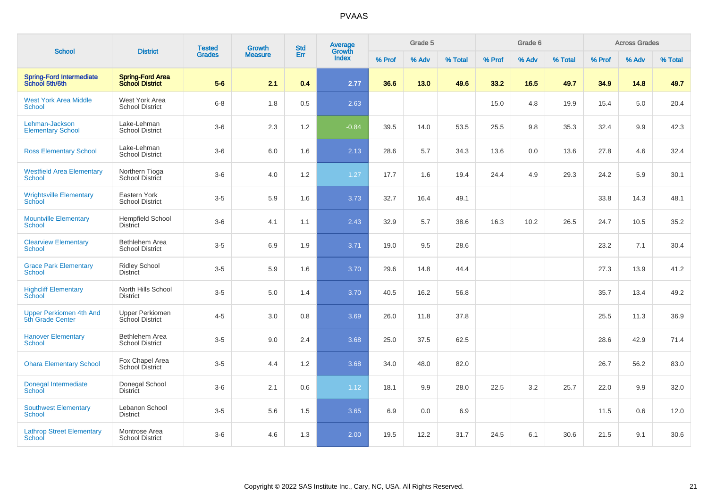|                                                    |                                                   | <b>Tested</b> | <b>Growth</b>  | <b>Std</b> | Average<br>Growth |        | Grade 5 |         |        | Grade 6 |         |        | <b>Across Grades</b> |         |
|----------------------------------------------------|---------------------------------------------------|---------------|----------------|------------|-------------------|--------|---------|---------|--------|---------|---------|--------|----------------------|---------|
| <b>School</b>                                      | <b>District</b>                                   | <b>Grades</b> | <b>Measure</b> | Err        | Index             | % Prof | % Adv   | % Total | % Prof | % Adv   | % Total | % Prof | % Adv                | % Total |
| <b>Spring-Ford Intermediate</b><br>School 5th/6th  | <b>Spring-Ford Area</b><br><b>School District</b> | $5-6$         | 2.1            | 0.4        | 2.77              | 36.6   | 13.0    | 49.6    | 33.2   | 16.5    | 49.7    | 34.9   | 14.8                 | 49.7    |
| <b>West York Area Middle</b><br>School             | West York Area<br><b>School District</b>          | $6 - 8$       | 1.8            | 0.5        | 2.63              |        |         |         | 15.0   | 4.8     | 19.9    | 15.4   | 5.0                  | 20.4    |
| Lehman-Jackson<br><b>Elementary School</b>         | Lake-Lehman<br><b>School District</b>             | $3-6$         | 2.3            | 1.2        | $-0.84$           | 39.5   | 14.0    | 53.5    | 25.5   | 9.8     | 35.3    | 32.4   | 9.9                  | 42.3    |
| <b>Ross Elementary School</b>                      | Lake-Lehman<br><b>School District</b>             | $3-6$         | 6.0            | 1.6        | 2.13              | 28.6   | 5.7     | 34.3    | 13.6   | 0.0     | 13.6    | 27.8   | 4.6                  | 32.4    |
| <b>Westfield Area Elementary</b><br>School         | Northern Tioga<br><b>School District</b>          | $3-6$         | 4.0            | $1.2$      | 1.27              | 17.7   | 1.6     | 19.4    | 24.4   | 4.9     | 29.3    | 24.2   | 5.9                  | 30.1    |
| <b>Wrightsville Elementary</b><br>School           | Eastern York<br><b>School District</b>            | $3-5$         | 5.9            | 1.6        | 3.73              | 32.7   | 16.4    | 49.1    |        |         |         | 33.8   | 14.3                 | 48.1    |
| <b>Mountville Elementary</b><br>School             | <b>Hempfield School</b><br><b>District</b>        | $3-6$         | 4.1            | 1.1        | 2.43              | 32.9   | 5.7     | 38.6    | 16.3   | 10.2    | 26.5    | 24.7   | 10.5                 | 35.2    |
| <b>Clearview Elementary</b><br><b>School</b>       | Bethlehem Area<br><b>School District</b>          | $3-5$         | 6.9            | 1.9        | 3.71              | 19.0   | 9.5     | 28.6    |        |         |         | 23.2   | 7.1                  | 30.4    |
| <b>Grace Park Elementary</b><br><b>School</b>      | <b>Ridley School</b><br><b>District</b>           | $3-5$         | 5.9            | 1.6        | 3.70              | 29.6   | 14.8    | 44.4    |        |         |         | 27.3   | 13.9                 | 41.2    |
| <b>Highcliff Elementary</b><br><b>School</b>       | North Hills School<br><b>District</b>             | $3-5$         | 5.0            | 1.4        | 3.70              | 40.5   | 16.2    | 56.8    |        |         |         | 35.7   | 13.4                 | 49.2    |
| <b>Upper Perkiomen 4th And</b><br>5th Grade Center | <b>Upper Perkiomen</b><br>School District         | $4 - 5$       | 3.0            | 0.8        | 3.69              | 26.0   | 11.8    | 37.8    |        |         |         | 25.5   | 11.3                 | 36.9    |
| <b>Hanover Elementary</b><br>School                | <b>Bethlehem Area</b><br><b>School District</b>   | $3-5$         | 9.0            | 2.4        | 3.68              | 25.0   | 37.5    | 62.5    |        |         |         | 28.6   | 42.9                 | 71.4    |
| <b>Ohara Elementary School</b>                     | Fox Chapel Area<br><b>School District</b>         | $3-5$         | 4.4            | 1.2        | 3.68              | 34.0   | 48.0    | 82.0    |        |         |         | 26.7   | 56.2                 | 83.0    |
| Donegal Intermediate<br>School                     | Donegal School<br><b>District</b>                 | $3-6$         | 2.1            | 0.6        | 1.12              | 18.1   | 9.9     | 28.0    | 22.5   | 3.2     | 25.7    | 22.0   | 9.9                  | 32.0    |
| <b>Southwest Elementary</b><br><b>School</b>       | Lebanon School<br><b>District</b>                 | $3-5$         | 5.6            | 1.5        | 3.65              | 6.9    | 0.0     | 6.9     |        |         |         | 11.5   | 0.6                  | 12.0    |
| <b>Lathrop Street Elementary</b><br>School         | Montrose Area<br><b>School District</b>           | $3-6$         | 4.6            | 1.3        | 2.00              | 19.5   | 12.2    | 31.7    | 24.5   | 6.1     | 30.6    | 21.5   | 9.1                  | 30.6    |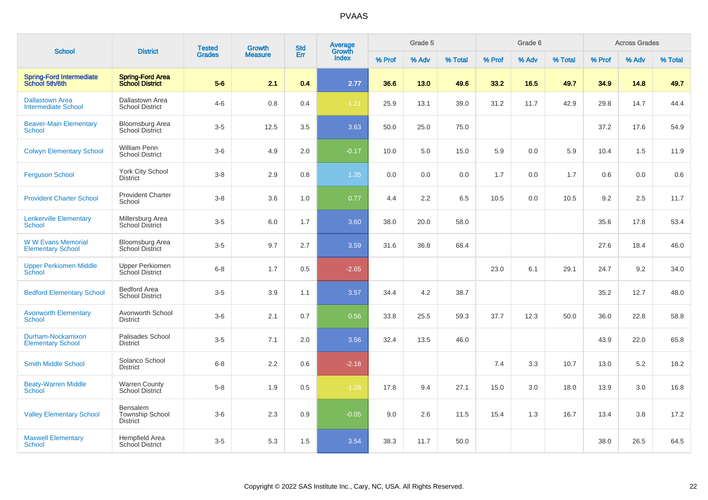| <b>School</b>                                        |                                                       | <b>Tested</b> | <b>Growth</b>  | <b>Std</b> | Average<br>Growth |        | Grade 5 |         |        | Grade 6 |         |        | <b>Across Grades</b> |         |
|------------------------------------------------------|-------------------------------------------------------|---------------|----------------|------------|-------------------|--------|---------|---------|--------|---------|---------|--------|----------------------|---------|
|                                                      | <b>District</b>                                       | <b>Grades</b> | <b>Measure</b> | Err        | Index             | % Prof | % Adv   | % Total | % Prof | % Adv   | % Total | % Prof | % Adv                | % Total |
| <b>Spring-Ford Intermediate</b><br>School 5th/6th    | <b>Spring-Ford Area</b><br><b>School District</b>     | $5-6$         | 2.1            | 0.4        | 2.77              | 36.6   | 13.0    | 49.6    | 33.2   | 16.5    | 49.7    | 34.9   | 14.8                 | 49.7    |
| <b>Dallastown Area</b><br><b>Intermediate School</b> | Dallastown Area<br><b>School District</b>             | $4-6$         | 0.8            | 0.4        | $-1.21$           | 25.9   | 13.1    | 39.0    | 31.2   | 11.7    | 42.9    | 29.8   | 14.7                 | 44.4    |
| <b>Beaver-Main Elementary</b><br><b>School</b>       | <b>Bloomsburg Area</b><br><b>School District</b>      | $3-5$         | 12.5           | 3.5        | 3.63              | 50.0   | 25.0    | 75.0    |        |         |         | 37.2   | 17.6                 | 54.9    |
| <b>Colwyn Elementary School</b>                      | <b>William Penn</b><br><b>School District</b>         | $3-6$         | 4.9            | 2.0        | $-0.17$           | 10.0   | 5.0     | 15.0    | 5.9    | 0.0     | 5.9     | 10.4   | 1.5                  | 11.9    |
| <b>Ferguson School</b>                               | <b>York City School</b><br><b>District</b>            | $3-8$         | 2.9            | 0.8        | 1.35              | 0.0    | 0.0     | 0.0     | 1.7    | 0.0     | 1.7     | 0.6    | 0.0                  | 0.6     |
| <b>Provident Charter School</b>                      | <b>Provident Charter</b><br>School                    | $3 - 8$       | 3.6            | 1.0        | 0.77              | 4.4    | 2.2     | 6.5     | 10.5   | 0.0     | 10.5    | 9.2    | 2.5                  | 11.7    |
| <b>Lenkerville Elementary</b><br>School              | Millersburg Area<br><b>School District</b>            | $3-5$         | 6.0            | 1.7        | 3.60              | 38.0   | 20.0    | 58.0    |        |         |         | 35.6   | 17.8                 | 53.4    |
| <b>WW Evans Memorial</b><br><b>Elementary School</b> | <b>Bloomsburg Area</b><br><b>School District</b>      | $3-5$         | 9.7            | 2.7        | 3.59              | 31.6   | 36.8    | 68.4    |        |         |         | 27.6   | 18.4                 | 46.0    |
| <b>Upper Perkiomen Middle</b><br>School              | <b>Upper Perkiomen</b><br>School District             | $6 - 8$       | 1.7            | 0.5        | $-2.65$           |        |         |         | 23.0   | 6.1     | 29.1    | 24.7   | 9.2                  | 34.0    |
| <b>Bedford Elementary School</b>                     | <b>Bedford Area</b><br><b>School District</b>         | $3-5$         | 3.9            | 1.1        | 3.57              | 34.4   | 4.2     | 38.7    |        |         |         | 35.2   | 12.7                 | 48.0    |
| <b>Avonworth Elementary</b><br><b>School</b>         | Avonworth School<br><b>District</b>                   | $3-6$         | 2.1            | 0.7        | 0.56              | 33.8   | 25.5    | 59.3    | 37.7   | 12.3    | 50.0    | 36.0   | 22.8                 | 58.8    |
| Durham-Nockamixon<br><b>Elementary School</b>        | Palisades School<br><b>District</b>                   | $3-5$         | 7.1            | 2.0        | 3.56              | 32.4   | 13.5    | 46.0    |        |         |         | 43.9   | 22.0                 | 65.8    |
| <b>Smith Middle School</b>                           | Solanco School<br><b>District</b>                     | $6 - 8$       | 2.2            | 0.6        | $-2.18$           |        |         |         | 7.4    | 3.3     | 10.7    | 13.0   | 5.2                  | 18.2    |
| <b>Beaty-Warren Middle</b><br>School                 | Warren County<br>School District                      | $5-8$         | 1.9            | 0.5        | $-1.28$           | 17.8   | 9.4     | 27.1    | 15.0   | 3.0     | 18.0    | 13.9   | 3.0                  | 16.8    |
| <b>Valley Elementary School</b>                      | Bensalem<br><b>Township School</b><br><b>District</b> | $3-6$         | 2.3            | 0.9        | $-0.05$           | 9.0    | 2.6     | 11.5    | 15.4   | 1.3     | 16.7    | 13.4   | 3.8                  | 17.2    |
| <b>Maxwell Elementary</b><br><b>School</b>           | Hempfield Area<br><b>School District</b>              | $3-5$         | 5.3            | 1.5        | 3.54              | 38.3   | 11.7    | 50.0    |        |         |         | 38.0   | 26.5                 | 64.5    |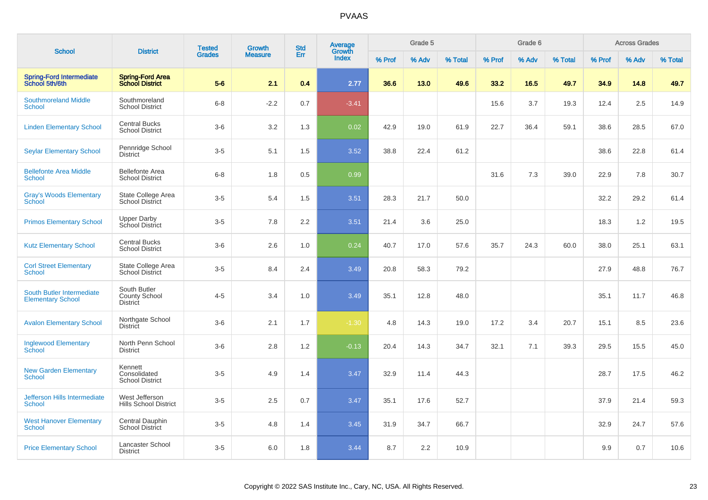|                                                       | <b>District</b>                                         | <b>Tested</b> | <b>Growth</b>  | <b>Std</b> | Average<br>Growth |        | Grade 5 |         |        | Grade 6 |         |        | <b>Across Grades</b> |         |
|-------------------------------------------------------|---------------------------------------------------------|---------------|----------------|------------|-------------------|--------|---------|---------|--------|---------|---------|--------|----------------------|---------|
| <b>School</b>                                         |                                                         | <b>Grades</b> | <b>Measure</b> | Err        | <b>Index</b>      | % Prof | % Adv   | % Total | % Prof | % Adv   | % Total | % Prof | % Adv                | % Total |
| <b>Spring-Ford Intermediate</b><br>School 5th/6th     | <b>Spring-Ford Area</b><br><b>School District</b>       | $5-6$         | 2.1            | 0.4        | 2.77              | 36.6   | 13.0    | 49.6    | 33.2   | 16.5    | 49.7    | 34.9   | 14.8                 | 49.7    |
| <b>Southmoreland Middle</b><br><b>School</b>          | Southmoreland<br><b>School District</b>                 | $6-8$         | $-2.2$         | 0.7        | $-3.41$           |        |         |         | 15.6   | 3.7     | 19.3    | 12.4   | 2.5                  | 14.9    |
| <b>Linden Elementary School</b>                       | <b>Central Bucks</b><br><b>School District</b>          | $3-6$         | 3.2            | 1.3        | 0.02              | 42.9   | 19.0    | 61.9    | 22.7   | 36.4    | 59.1    | 38.6   | 28.5                 | 67.0    |
| <b>Seylar Elementary School</b>                       | Pennridge School<br><b>District</b>                     | $3-5$         | 5.1            | 1.5        | 3.52              | 38.8   | 22.4    | 61.2    |        |         |         | 38.6   | 22.8                 | 61.4    |
| <b>Bellefonte Area Middle</b><br><b>School</b>        | <b>Bellefonte Area</b><br><b>School District</b>        | $6-8$         | 1.8            | 0.5        | 0.99              |        |         |         | 31.6   | 7.3     | 39.0    | 22.9   | 7.8                  | 30.7    |
| <b>Gray's Woods Elementary</b><br>School              | State College Area<br><b>School District</b>            | $3-5$         | 5.4            | 1.5        | 3.51              | 28.3   | 21.7    | 50.0    |        |         |         | 32.2   | 29.2                 | 61.4    |
| <b>Primos Elementary School</b>                       | <b>Upper Darby</b><br>School District                   | $3-5$         | 7.8            | 2.2        | 3.51              | 21.4   | 3.6     | 25.0    |        |         |         | 18.3   | 1.2                  | 19.5    |
| <b>Kutz Elementary School</b>                         | <b>Central Bucks</b><br><b>School District</b>          | $3-6$         | 2.6            | 1.0        | 0.24              | 40.7   | 17.0    | 57.6    | 35.7   | 24.3    | 60.0    | 38.0   | 25.1                 | 63.1    |
| <b>Corl Street Elementary</b><br>School               | State College Area<br><b>School District</b>            | $3-5$         | 8.4            | 2.4        | 3.49              | 20.8   | 58.3    | 79.2    |        |         |         | 27.9   | 48.8                 | 76.7    |
| South Butler Intermediate<br><b>Elementary School</b> | South Butler<br><b>County School</b><br><b>District</b> | $4 - 5$       | 3.4            | 1.0        | 3.49              | 35.1   | 12.8    | 48.0    |        |         |         | 35.1   | 11.7                 | 46.8    |
| <b>Avalon Elementary School</b>                       | Northgate School<br><b>District</b>                     | $3-6$         | 2.1            | 1.7        | $-1.30$           | 4.8    | 14.3    | 19.0    | 17.2   | 3.4     | 20.7    | 15.1   | 8.5                  | 23.6    |
| <b>Inglewood Elementary</b><br>School                 | North Penn School<br><b>District</b>                    | $3-6$         | 2.8            | 1.2        | $-0.13$           | 20.4   | 14.3    | 34.7    | 32.1   | 7.1     | 39.3    | 29.5   | 15.5                 | 45.0    |
| <b>New Garden Elementary</b><br><b>School</b>         | Kennett<br>Consolidated<br><b>School District</b>       | $3-5$         | 4.9            | 1.4        | 3.47              | 32.9   | 11.4    | 44.3    |        |         |         | 28.7   | 17.5                 | 46.2    |
| Jefferson Hills Intermediate<br><b>School</b>         | West Jefferson<br><b>Hills School District</b>          | $3 - 5$       | 2.5            | 0.7        | 3.47              | 35.1   | 17.6    | 52.7    |        |         |         | 37.9   | 21.4                 | 59.3    |
| <b>West Hanover Elementary</b><br><b>School</b>       | Central Dauphin<br>School District                      | $3-5$         | 4.8            | 1.4        | 3.45              | 31.9   | 34.7    | 66.7    |        |         |         | 32.9   | 24.7                 | 57.6    |
| <b>Price Elementary School</b>                        | Lancaster School<br><b>District</b>                     | $3-5$         | 6.0            | 1.8        | 3.44              | 8.7    | 2.2     | 10.9    |        |         |         | 9.9    | 0.7                  | 10.6    |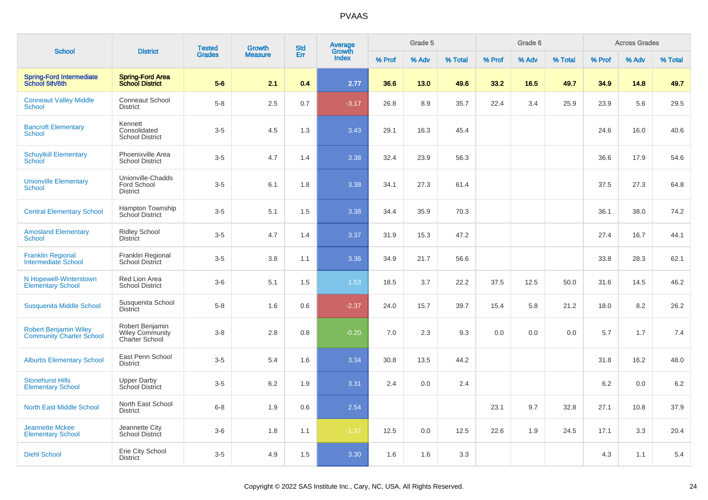| <b>School</b>                                                   | <b>District</b>                                                    | <b>Tested</b> | <b>Growth</b>  | <b>Std</b> | <b>Average</b>  |        | Grade 5 |         |        | Grade 6 |         |        | <b>Across Grades</b> |         |
|-----------------------------------------------------------------|--------------------------------------------------------------------|---------------|----------------|------------|-----------------|--------|---------|---------|--------|---------|---------|--------|----------------------|---------|
|                                                                 |                                                                    | <b>Grades</b> | <b>Measure</b> | Err        | Growth<br>Index | % Prof | % Adv   | % Total | % Prof | % Adv   | % Total | % Prof | % Adv                | % Total |
| <b>Spring-Ford Intermediate</b><br>School 5th/6th               | Spring-Ford Area<br>School District                                | $5-6$         | 2.1            | 0.4        | 2.77            | 36.6   | 13.0    | 49.6    | 33.2   | 16.5    | 49.7    | 34.9   | 14.8                 | 49.7    |
| <b>Conneaut Valley Middle</b><br><b>School</b>                  | <b>Conneaut School</b><br><b>District</b>                          | $5-8$         | 2.5            | 0.7        | $-3.17$         | 26.8   | 8.9     | 35.7    | 22.4   | 3.4     | 25.9    | 23.9   | 5.6                  | 29.5    |
| <b>Bancroft Elementary</b><br><b>School</b>                     | Kennett<br>Consolidated<br><b>School District</b>                  | $3-5$         | 4.5            | 1.3        | 3.43            | 29.1   | 16.3    | 45.4    |        |         |         | 24.6   | 16.0                 | 40.6    |
| <b>Schuylkill Elementary</b><br>School                          | Phoenixville Area<br><b>School District</b>                        | $3-5$         | 4.7            | 1.4        | 3.38            | 32.4   | 23.9    | 56.3    |        |         |         | 36.6   | 17.9                 | 54.6    |
| <b>Unionville Elementary</b><br>School                          | Unionville-Chadds<br>Ford School<br><b>District</b>                | $3 - 5$       | 6.1            | 1.8        | 3.38            | 34.1   | 27.3    | 61.4    |        |         |         | 37.5   | 27.3                 | 64.8    |
| <b>Central Elementary School</b>                                | Hampton Township<br>School District                                | $3-5$         | 5.1            | 1.5        | 3.38            | 34.4   | 35.9    | 70.3    |        |         |         | 36.1   | 38.0                 | 74.2    |
| <b>Amosland Elementary</b><br><b>School</b>                     | <b>Ridley School</b><br><b>District</b>                            | $3-5$         | 4.7            | 1.4        | 3.37            | 31.9   | 15.3    | 47.2    |        |         |         | 27.4   | 16.7                 | 44.1    |
| <b>Franklin Regional</b><br><b>Intermediate School</b>          | <b>Franklin Regional</b><br>School District                        | $3-5$         | 3.8            | 1.1        | 3.36            | 34.9   | 21.7    | 56.6    |        |         |         | 33.8   | 28.3                 | 62.1    |
| N Hopewell-Winterstown<br><b>Elementary School</b>              | Red Lion Area<br><b>School District</b>                            | $3-6$         | 5.1            | 1.5        | 1.53            | 18.5   | 3.7     | 22.2    | 37.5   | 12.5    | 50.0    | 31.6   | 14.5                 | 46.2    |
| <b>Susquenita Middle School</b>                                 | Susquenita School<br><b>District</b>                               | $5 - 8$       | 1.6            | 0.6        | $-2.37$         | 24.0   | 15.7    | 39.7    | 15.4   | 5.8     | 21.2    | 18.0   | 8.2                  | 26.2    |
| <b>Robert Benjamin Wiley</b><br><b>Community Charter School</b> | Robert Benjamin<br><b>Wiley Community</b><br><b>Charter School</b> | $3 - 8$       | 2.8            | 0.8        | $-0.20$         | 7.0    | 2.3     | 9.3     | 0.0    | 0.0     | 0.0     | 5.7    | 1.7                  | 7.4     |
| <b>Alburtis Elementary School</b>                               | East Penn School<br><b>District</b>                                | $3-5$         | 5.4            | 1.6        | 3.34            | 30.8   | 13.5    | 44.2    |        |         |         | 31.8   | 16.2                 | 48.0    |
| <b>Stonehurst Hills</b><br><b>Elementary School</b>             | <b>Upper Darby</b><br>School District                              | $3-5$         | $6.2\,$        | 1.9        | 3.31            | 2.4    | 0.0     | 2.4     |        |         |         | 6.2    | 0.0                  | $6.2\,$ |
| <b>North East Middle School</b>                                 | North East School<br><b>District</b>                               | $6 - 8$       | 1.9            | 0.6        | 2.54            |        |         |         | 23.1   | 9.7     | 32.8    | 27.1   | 10.8                 | 37.9    |
| <b>Jeannette Mckee</b><br><b>Elementary School</b>              | Jeannette City<br><b>School District</b>                           | $3-6$         | 1.8            | 1.1        | $-1.37$         | 12.5   | 0.0     | 12.5    | 22.6   | 1.9     | 24.5    | 17.1   | 3.3                  | 20.4    |
| <b>Diehl School</b>                                             | Erie City School<br><b>District</b>                                | $3-5$         | 4.9            | 1.5        | 3.30            | 1.6    | 1.6     | 3.3     |        |         |         | 4.3    | 1.1                  | 5.4     |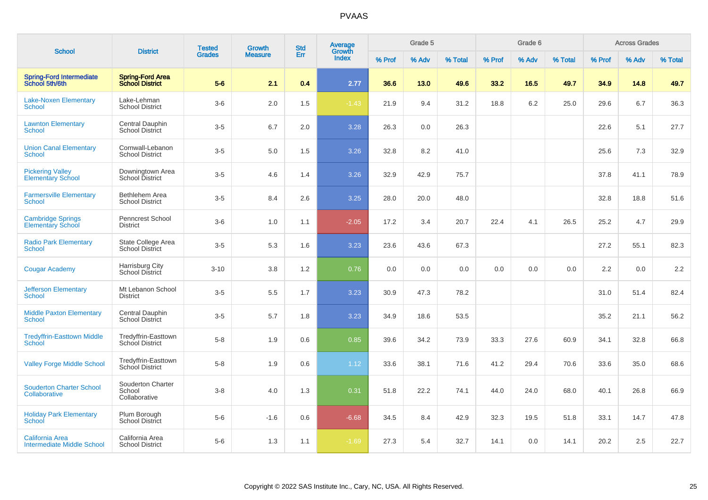| <b>School</b>                                        | <b>District</b>                                   | <b>Tested</b> | Growth         | <b>Std</b> | Average<br>Growth |        | Grade 5 |         |        | Grade 6 |         |        | <b>Across Grades</b> |         |
|------------------------------------------------------|---------------------------------------------------|---------------|----------------|------------|-------------------|--------|---------|---------|--------|---------|---------|--------|----------------------|---------|
|                                                      |                                                   | <b>Grades</b> | <b>Measure</b> | Err        | Index             | % Prof | % Adv   | % Total | % Prof | % Adv   | % Total | % Prof | % Adv                | % Total |
| <b>Spring-Ford Intermediate</b><br>School 5th/6th    | <b>Spring-Ford Area</b><br><b>School District</b> | $5-6$         | 2.1            | 0.4        | 2.77              | 36.6   | 13.0    | 49.6    | 33.2   | 16.5    | 49.7    | 34.9   | 14.8                 | 49.7    |
| <b>Lake-Noxen Elementary</b><br>School               | Lake-Lehman<br><b>School District</b>             | $3-6$         | 2.0            | 1.5        | $-1.43$           | 21.9   | 9.4     | 31.2    | 18.8   | 6.2     | 25.0    | 29.6   | 6.7                  | 36.3    |
| <b>Lawnton Elementary</b><br>School                  | Central Dauphin<br><b>School District</b>         | $3-5$         | 6.7            | 2.0        | 3.28              | 26.3   | 0.0     | 26.3    |        |         |         | 22.6   | 5.1                  | 27.7    |
| <b>Union Canal Elementary</b><br>School              | Cornwall-Lebanon<br><b>School District</b>        | $3-5$         | 5.0            | 1.5        | 3.26              | 32.8   | 8.2     | 41.0    |        |         |         | 25.6   | 7.3                  | 32.9    |
| <b>Pickering Valley</b><br><b>Elementary School</b>  | Downingtown Area<br>School District               | $3-5$         | 4.6            | 1.4        | 3.26              | 32.9   | 42.9    | 75.7    |        |         |         | 37.8   | 41.1                 | 78.9    |
| <b>Farmersville Elementary</b><br>School             | <b>Bethlehem Area</b><br><b>School District</b>   | $3-5$         | 8.4            | 2.6        | 3.25              | 28.0   | 20.0    | 48.0    |        |         |         | 32.8   | 18.8                 | 51.6    |
| <b>Cambridge Springs</b><br><b>Elementary School</b> | Penncrest School<br>District                      | $3-6$         | 1.0            | 1.1        | $-2.05$           | 17.2   | 3.4     | 20.7    | 22.4   | 4.1     | 26.5    | 25.2   | 4.7                  | 29.9    |
| <b>Radio Park Elementary</b><br>School               | State College Area<br><b>School District</b>      | $3-5$         | 5.3            | 1.6        | 3.23              | 23.6   | 43.6    | 67.3    |        |         |         | 27.2   | 55.1                 | 82.3    |
| <b>Cougar Academy</b>                                | Harrisburg City<br>School District                | $3 - 10$      | 3.8            | 1.2        | 0.76              | 0.0    | 0.0     | 0.0     | 0.0    | 0.0     | 0.0     | 2.2    | 0.0                  | 2.2     |
| <b>Jefferson Elementary</b><br>School                | Mt Lebanon School<br><b>District</b>              | $3-5$         | 5.5            | 1.7        | 3.23              | 30.9   | 47.3    | 78.2    |        |         |         | 31.0   | 51.4                 | 82.4    |
| <b>Middle Paxton Elementary</b><br>School            | Central Dauphin<br><b>School District</b>         | $3-5$         | 5.7            | 1.8        | 3.23              | 34.9   | 18.6    | 53.5    |        |         |         | 35.2   | 21.1                 | 56.2    |
| <b>Tredyffrin-Easttown Middle</b><br>School          | Tredyffrin-Easttown<br>School District            | $5-8$         | 1.9            | 0.6        | 0.85              | 39.6   | 34.2    | 73.9    | 33.3   | 27.6    | 60.9    | 34.1   | 32.8                 | 66.8    |
| <b>Valley Forge Middle School</b>                    | Tredyffrin-Easttown<br>School District            | $5-8$         | 1.9            | 0.6        | 1.12              | 33.6   | 38.1    | 71.6    | 41.2   | 29.4    | 70.6    | 33.6   | 35.0                 | 68.6    |
| <b>Souderton Charter School</b><br>Collaborative     | Souderton Charter<br>School<br>Collaborative      | $3 - 8$       | 4.0            | 1.3        | 0.31              | 51.8   | 22.2    | 74.1    | 44.0   | 24.0    | 68.0    | 40.1   | 26.8                 | 66.9    |
| <b>Holiday Park Elementary</b><br><b>School</b>      | Plum Borough<br><b>School District</b>            | $5-6$         | $-1.6$         | 0.6        | $-6.68$           | 34.5   | 8.4     | 42.9    | 32.3   | 19.5    | 51.8    | 33.1   | 14.7                 | 47.8    |
| California Area<br><b>Intermediate Middle School</b> | California Area<br><b>School District</b>         | $5-6$         | 1.3            | 1.1        | $-1.69$           | 27.3   | 5.4     | 32.7    | 14.1   | 0.0     | 14.1    | 20.2   | 2.5                  | 22.7    |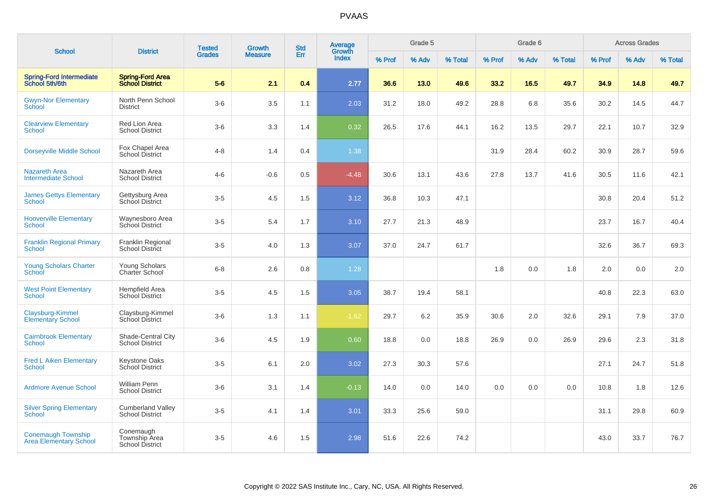| <b>School</b>                                              | <b>District</b>                                      | <b>Tested</b> | <b>Growth</b>  | <b>Std</b> | Average<br>Growth |        | Grade 5 |         |        | Grade 6 |         |        | <b>Across Grades</b> |         |
|------------------------------------------------------------|------------------------------------------------------|---------------|----------------|------------|-------------------|--------|---------|---------|--------|---------|---------|--------|----------------------|---------|
|                                                            |                                                      | <b>Grades</b> | <b>Measure</b> | Err        | Index             | % Prof | % Adv   | % Total | % Prof | % Adv   | % Total | % Prof | % Adv                | % Total |
| <b>Spring-Ford Intermediate</b><br>School 5th/6th          | <b>Spring-Ford Area</b><br><b>School District</b>    | $5-6$         | 2.1            | 0.4        | 2.77              | 36.6   | 13.0    | 49.6    | 33.2   | 16.5    | 49.7    | 34.9   | 14.8                 | 49.7    |
| <b>Gwyn-Nor Elementary</b><br>School                       | North Penn School<br><b>District</b>                 | $3-6$         | 3.5            | 1.1        | 2.03              | 31.2   | 18.0    | 49.2    | 28.8   | 6.8     | 35.6    | 30.2   | 14.5                 | 44.7    |
| <b>Clearview Elementary</b><br>School                      | Red Lion Area<br><b>School District</b>              | $3-6$         | 3.3            | 1.4        | 0.32              | 26.5   | 17.6    | 44.1    | 16.2   | 13.5    | 29.7    | 22.1   | 10.7                 | 32.9    |
| <b>Dorseyville Middle School</b>                           | Fox Chapel Area<br>School District                   | $4 - 8$       | 1.4            | 0.4        | 1.38              |        |         |         | 31.9   | 28.4    | 60.2    | 30.9   | 28.7                 | 59.6    |
| <b>Nazareth Area</b><br><b>Intermediate School</b>         | Nazareth Area<br><b>School District</b>              | $4 - 6$       | $-0.6$         | 0.5        | $-4.48$           | 30.6   | 13.1    | 43.6    | 27.8   | 13.7    | 41.6    | 30.5   | 11.6                 | 42.1    |
| <b>James Gettys Elementary</b><br><b>School</b>            | Gettysburg Area<br>School District                   | $3-5$         | 4.5            | 1.5        | 3.12              | 36.8   | 10.3    | 47.1    |        |         |         | 30.8   | 20.4                 | 51.2    |
| <b>Hooverville Elementary</b><br><b>School</b>             | Waynesboro Area<br><b>School District</b>            | $3-5$         | 5.4            | 1.7        | 3.10              | 27.7   | 21.3    | 48.9    |        |         |         | 23.7   | 16.7                 | 40.4    |
| <b>Franklin Regional Primary</b><br>School                 | Franklin Regional<br><b>School District</b>          | $3-5$         | 4.0            | 1.3        | 3.07              | 37.0   | 24.7    | 61.7    |        |         |         | 32.6   | 36.7                 | 69.3    |
| <b>Young Scholars Charter</b><br>School                    | Young Scholars<br><b>Charter School</b>              | $6 - 8$       | 2.6            | 0.8        | 1.28              |        |         |         | 1.8    | 0.0     | 1.8     | 2.0    | 0.0                  | 2.0     |
| <b>West Point Elementary</b><br><b>School</b>              | Hempfield Area<br>School District                    | $3-5$         | 4.5            | 1.5        | 3.05              | 38.7   | 19.4    | 58.1    |        |         |         | 40.8   | 22.3                 | 63.0    |
| Claysburg-Kimmel<br><b>Elementary School</b>               | Claysburg-Kimmel<br><b>School District</b>           | $3-6$         | 1.3            | 1.1        | $-1.62$           | 29.7   | 6.2     | 35.9    | 30.6   | 2.0     | 32.6    | 29.1   | 7.9                  | 37.0    |
| <b>Cairnbrook Elementary</b><br>School                     | Shade-Central City<br><b>School District</b>         | $3-6$         | 4.5            | 1.9        | 0.60              | 18.8   | 0.0     | 18.8    | 26.9   | 0.0     | 26.9    | 29.6   | 2.3                  | 31.8    |
| <b>Fred L Aiken Elementary</b><br><b>School</b>            | Keystone Oaks<br>School District                     | $3-5$         | 6.1            | 2.0        | 3.02              | 27.3   | 30.3    | 57.6    |        |         |         | 27.1   | 24.7                 | 51.8    |
| <b>Ardmore Avenue School</b>                               | <b>William Penn</b><br><b>School District</b>        | $3-6$         | 3.1            | 1.4        | $-0.13$           | 14.0   | 0.0     | 14.0    | 0.0    | 0.0     | 0.0     | 10.8   | 1.8                  | 12.6    |
| <b>Silver Spring Elementary</b><br><b>School</b>           | <b>Cumberland Valley</b><br><b>School District</b>   | $3-5$         | 4.1            | 1.4        | 3.01              | 33.3   | 25.6    | 59.0    |        |         |         | 31.1   | 29.8                 | 60.9    |
| <b>Conemaugh Township</b><br><b>Area Elementary School</b> | Conemaugh<br>Township Area<br><b>School District</b> | $3-5$         | 4.6            | 1.5        | 2.98              | 51.6   | 22.6    | 74.2    |        |         |         | 43.0   | 33.7                 | 76.7    |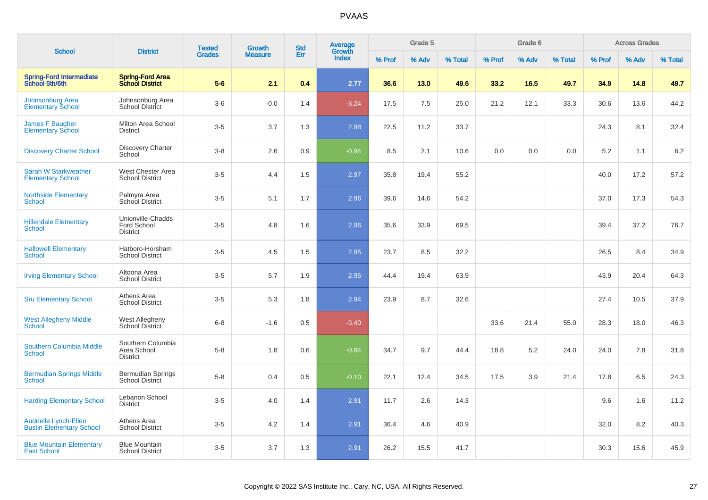|                                                                 | <b>District</b>                                     | <b>Tested</b> | <b>Growth</b>  | <b>Std</b> | <b>Average</b><br>Growth |        | Grade 5 |         |        | Grade 6 |         |        | <b>Across Grades</b> |         |
|-----------------------------------------------------------------|-----------------------------------------------------|---------------|----------------|------------|--------------------------|--------|---------|---------|--------|---------|---------|--------|----------------------|---------|
| <b>School</b>                                                   |                                                     | <b>Grades</b> | <b>Measure</b> | Err        | Index                    | % Prof | % Adv   | % Total | % Prof | % Adv   | % Total | % Prof | % Adv                | % Total |
| <b>Spring-Ford Intermediate</b><br>School 5th/6th               | <b>Spring-Ford Area</b><br><b>School District</b>   | $5-6$         | 2.1            | 0.4        | 2.77                     | 36.6   | 13.0    | 49.6    | 33.2   | 16.5    | 49.7    | 34.9   | 14.8                 | 49.7    |
| Johnsonburg Area<br><b>Elementary School</b>                    | Johnsonburg Area<br><b>School District</b>          | $3-6$         | $-0.0$         | 1.4        | $-3.24$                  | 17.5   | 7.5     | 25.0    | 21.2   | 12.1    | 33.3    | 30.6   | 13.6                 | 44.2    |
| James F Baugher<br><b>Elementary School</b>                     | Milton Area School<br><b>District</b>               | $3-5$         | 3.7            | 1.3        | 2.98                     | 22.5   | 11.2    | 33.7    |        |         |         | 24.3   | 8.1                  | 32.4    |
| <b>Discovery Charter School</b>                                 | Discovery Charter<br>School                         | $3-8$         | 2.6            | 0.9        | $-0.94$                  | 8.5    | 2.1     | 10.6    | 0.0    | 0.0     | 0.0     | 5.2    | 1.1                  | 6.2     |
| Sarah W Starkweather<br><b>Elementary School</b>                | West Chester Area<br><b>School District</b>         | $3-5$         | 4.4            | 1.5        | 2.97                     | 35.8   | 19.4    | 55.2    |        |         |         | 40.0   | 17.2                 | 57.2    |
| <b>Northside Elementary</b><br>School                           | Palmyra Area<br>School District                     | $3-5$         | 5.1            | 1.7        | 2.96                     | 39.6   | 14.6    | 54.2    |        |         |         | 37.0   | 17.3                 | 54.3    |
| <b>Hillendale Elementary</b><br>School                          | Unionville-Chadds<br>Ford School<br><b>District</b> | $3-5$         | 4.8            | 1.6        | 2.96                     | 35.6   | 33.9    | 69.5    |        |         |         | 39.4   | 37.2                 | 76.7    |
| <b>Hallowell Elementary</b><br>School                           | Hatboro-Horsham<br><b>School District</b>           | $3-5$         | 4.5            | 1.5        | 2.95                     | 23.7   | 8.5     | 32.2    |        |         |         | 26.5   | 8.4                  | 34.9    |
| <b>Irving Elementary School</b>                                 | Altoona Area<br><b>School District</b>              | $3-5$         | 5.7            | 1.9        | 2.95                     | 44.4   | 19.4    | 63.9    |        |         |         | 43.9   | 20.4                 | 64.3    |
| <b>Sru Elementary School</b>                                    | Athens Area<br><b>School District</b>               | $3-5$         | 5.3            | 1.8        | 2.94                     | 23.9   | 8.7     | 32.6    |        |         |         | 27.4   | 10.5                 | 37.9    |
| <b>West Allegheny Middle</b><br>School                          | West Allegheny<br>School District                   | $6 - 8$       | $-1.6$         | 0.5        | $-3.40$                  |        |         |         | 33.6   | 21.4    | 55.0    | 28.3   | 18.0                 | 46.3    |
| <b>Southern Columbia Middle</b><br>School                       | Southern Columbia<br>Area School<br><b>District</b> | $5-8$         | 1.8            | 0.6        | $-0.84$                  | 34.7   | 9.7     | 44.4    | 18.8   | 5.2     | 24.0    | 24.0   | 7.8                  | 31.8    |
| <b>Bermudian Springs Middle</b><br>School                       | <b>Bermudian Springs</b><br><b>School District</b>  | $5 - 8$       | 0.4            | 0.5        | $-0.10$                  | 22.1   | 12.4    | 34.5    | 17.5   | 3.9     | 21.4    | 17.8   | 6.5                  | 24.3    |
| <b>Harding Elementary School</b>                                | Lebanon School<br><b>District</b>                   | $3-5$         | 4.0            | 1.4        | 2.91                     | 11.7   | 2.6     | 14.3    |        |         |         | 9.6    | 1.6                  | 11.2    |
| <b>Audrielle Lynch-Ellen</b><br><b>Bustin Elementary School</b> | Athens Area<br><b>School District</b>               | $3-5$         | 4.2            | 1.4        | 2.91                     | 36.4   | 4.6     | 40.9    |        |         |         | 32.0   | 8.2                  | 40.3    |
| <b>Blue Mountain Elementary</b><br><b>East School</b>           | <b>Blue Mountain</b><br><b>School District</b>      | $3-5$         | 3.7            | 1.3        | 2.91                     | 26.2   | 15.5    | 41.7    |        |         |         | 30.3   | 15.6                 | 45.9    |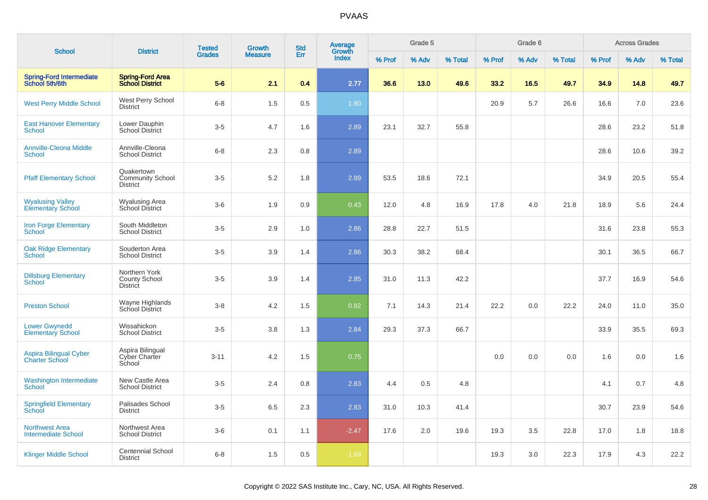|                                                        |                                                          | <b>Tested</b> | Growth         | <b>Std</b> | Average<br>Growth |        | Grade 5 |         |        | Grade 6 |         |        | <b>Across Grades</b> |         |
|--------------------------------------------------------|----------------------------------------------------------|---------------|----------------|------------|-------------------|--------|---------|---------|--------|---------|---------|--------|----------------------|---------|
| <b>School</b>                                          | <b>District</b>                                          | <b>Grades</b> | <b>Measure</b> | Err        | Index             | % Prof | % Adv   | % Total | % Prof | % Adv   | % Total | % Prof | % Adv                | % Total |
| Spring-Ford Intermediate<br>School 5th/6th             | <b>Spring-Ford Area</b><br><b>School District</b>        | $5-6$         | 2.1            | 0.4        | 2.77              | 36.6   | 13.0    | 49.6    | 33.2   | 16.5    | 49.7    | 34.9   | 14.8                 | 49.7    |
| <b>West Perry Middle School</b>                        | West Perry School<br><b>District</b>                     | $6 - 8$       | 1.5            | 0.5        | 1.80              |        |         |         | 20.9   | 5.7     | 26.6    | 16.6   | 7.0                  | 23.6    |
| <b>East Hanover Elementary</b><br><b>School</b>        | Lower Dauphin<br><b>School District</b>                  | $3-5$         | 4.7            | 1.6        | 2.89              | 23.1   | 32.7    | 55.8    |        |         |         | 28.6   | 23.2                 | 51.8    |
| <b>Annville-Cleona Middle</b><br><b>School</b>         | Annville-Cleona<br><b>School District</b>                | $6 - 8$       | 2.3            | 0.8        | 2.89              |        |         |         |        |         |         | 28.6   | 10.6                 | 39.2    |
| <b>Pfaff Elementary School</b>                         | Quakertown<br><b>Community School</b><br><b>District</b> | $3-5$         | 5.2            | 1.8        | 2.89              | 53.5   | 18.6    | 72.1    |        |         |         | 34.9   | 20.5                 | 55.4    |
| <b>Wyalusing Valley</b><br><b>Elementary School</b>    | <b>Wyalusing Area</b><br>School District                 | $3-6$         | 1.9            | 0.9        | 0.43              | 12.0   | 4.8     | 16.9    | 17.8   | 4.0     | 21.8    | 18.9   | 5.6                  | 24.4    |
| <b>Iron Forge Elementary</b><br><b>School</b>          | South Middleton<br><b>School District</b>                | $3-5$         | 2.9            | 1.0        | 2.86              | 28.8   | 22.7    | 51.5    |        |         |         | 31.6   | 23.8                 | 55.3    |
| <b>Oak Ridge Elementary</b><br><b>School</b>           | Souderton Area<br><b>School District</b>                 | $3-5$         | 3.9            | 1.4        | 2.86              | 30.3   | 38.2    | 68.4    |        |         |         | 30.1   | 36.5                 | 66.7    |
| <b>Dillsburg Elementary</b><br><b>School</b>           | Northern York<br><b>County School</b><br><b>District</b> | $3-5$         | 3.9            | 1.4        | 2.85              | 31.0   | 11.3    | 42.2    |        |         |         | 37.7   | 16.9                 | 54.6    |
| <b>Preston School</b>                                  | Wayne Highlands<br>School District                       | $3 - 8$       | 4.2            | 1.5        | 0.82              | 7.1    | 14.3    | 21.4    | 22.2   | 0.0     | 22.2    | 24.0   | 11.0                 | 35.0    |
| <b>Lower Gwynedd</b><br><b>Elementary School</b>       | Wissahickon<br><b>School District</b>                    | $3-5$         | 3.8            | 1.3        | 2.84              | 29.3   | 37.3    | 66.7    |        |         |         | 33.9   | 35.5                 | 69.3    |
| <b>Aspira Bilingual Cyber</b><br><b>Charter School</b> | Aspira Bilingual<br>Cyber Charter<br>School              | $3 - 11$      | 4.2            | 1.5        | 0.75              |        |         |         | 0.0    | 0.0     | 0.0     | 1.6    | 0.0                  | 1.6     |
| <b>Washington Intermediate</b><br><b>School</b>        | New Castle Area<br><b>School District</b>                | $3-5$         | 2.4            | 0.8        | 2.83              | 4.4    | 0.5     | 4.8     |        |         |         | 4.1    | 0.7                  | 4.8     |
| <b>Springfield Elementary</b><br>School                | Palisades School<br><b>District</b>                      | $3-5$         | 6.5            | 2.3        | 2.83              | 31.0   | 10.3    | 41.4    |        |         |         | 30.7   | 23.9                 | 54.6    |
| <b>Northwest Area</b><br><b>Intermediate School</b>    | Northwest Area<br><b>School District</b>                 | $3-6$         | 0.1            | 1.1        | $-2.47$           | 17.6   | 2.0     | 19.6    | 19.3   | 3.5     | 22.8    | 17.0   | 1.8                  | 18.8    |
| <b>Klinger Middle School</b>                           | <b>Centennial School</b><br><b>District</b>              | $6 - 8$       | 1.5            | 0.5        | $-1.69$           |        |         |         | 19.3   | 3.0     | 22.3    | 17.9   | 4.3                  | 22.2    |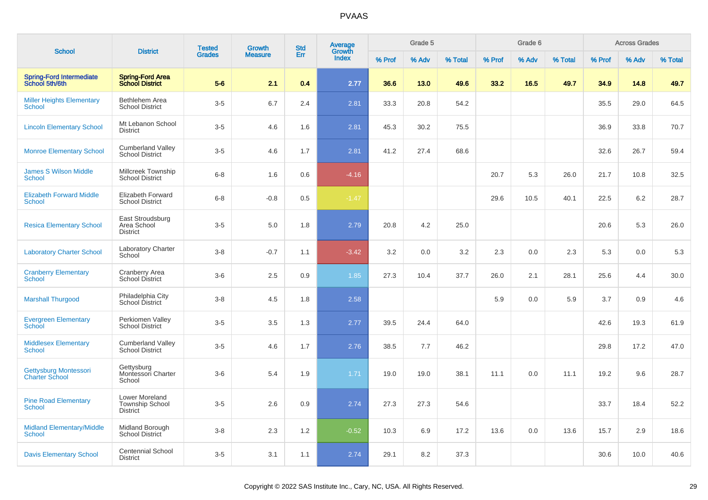|                                                   |                                                      | <b>Tested</b> | <b>Growth</b>  | <b>Std</b> | Average         |        | Grade 5 |         |        | Grade 6 |         |        | <b>Across Grades</b> |         |
|---------------------------------------------------|------------------------------------------------------|---------------|----------------|------------|-----------------|--------|---------|---------|--------|---------|---------|--------|----------------------|---------|
| <b>School</b>                                     | <b>District</b>                                      | <b>Grades</b> | <b>Measure</b> | Err        | Growth<br>Index | % Prof | % Adv   | % Total | % Prof | % Adv   | % Total | % Prof | % Adv                | % Total |
| <b>Spring-Ford Intermediate</b><br>School 5th/6th | <b>Spring-Ford Area</b><br><b>School District</b>    | $5-6$         | 2.1            | 0.4        | 2.77            | 36.6   | 13.0    | 49.6    | 33.2   | 16.5    | 49.7    | 34.9   | 14.8                 | 49.7    |
| <b>Miller Heights Elementary</b><br><b>School</b> | Bethlehem Area<br><b>School District</b>             | $3-5$         | 6.7            | 2.4        | 2.81            | 33.3   | 20.8    | 54.2    |        |         |         | 35.5   | 29.0                 | 64.5    |
| <b>Lincoln Elementary School</b>                  | Mt Lebanon School<br><b>District</b>                 | $3-5$         | 4.6            | 1.6        | 2.81            | 45.3   | 30.2    | 75.5    |        |         |         | 36.9   | 33.8                 | 70.7    |
| <b>Monroe Elementary School</b>                   | <b>Cumberland Valley</b><br><b>School District</b>   | $3-5$         | 4.6            | 1.7        | 2.81            | 41.2   | 27.4    | 68.6    |        |         |         | 32.6   | 26.7                 | 59.4    |
| <b>James S Wilson Middle</b><br><b>School</b>     | <b>Millcreek Township</b><br><b>School District</b>  | $6 - 8$       | 1.6            | 0.6        | $-4.16$         |        |         |         | 20.7   | 5.3     | 26.0    | 21.7   | 10.8                 | 32.5    |
| <b>Elizabeth Forward Middle</b><br><b>School</b>  | <b>Elizabeth Forward</b><br><b>School District</b>   | $6 - 8$       | $-0.8$         | 0.5        | $-1.47$         |        |         |         | 29.6   | 10.5    | 40.1    | 22.5   | 6.2                  | 28.7    |
| <b>Resica Elementary School</b>                   | East Stroudsburg<br>Area School<br><b>District</b>   | $3-5$         | 5.0            | 1.8        | 2.79            | 20.8   | 4.2     | 25.0    |        |         |         | 20.6   | 5.3                  | 26.0    |
| <b>Laboratory Charter School</b>                  | <b>Laboratory Charter</b><br>School                  | $3 - 8$       | $-0.7$         | 1.1        | $-3.42$         | 3.2    | 0.0     | 3.2     | 2.3    | 0.0     | 2.3     | 5.3    | 0.0                  | 5.3     |
| <b>Cranberry Elementary</b><br><b>School</b>      | Cranberry Area<br><b>School District</b>             | $3-6$         | 2.5            | 0.9        | 1.85            | 27.3   | 10.4    | 37.7    | 26.0   | 2.1     | 28.1    | 25.6   | 4.4                  | 30.0    |
| <b>Marshall Thurgood</b>                          | Philadelphia City<br>School District                 | $3 - 8$       | 4.5            | 1.8        | 2.58            |        |         |         | 5.9    | 0.0     | 5.9     | 3.7    | 0.9                  | 4.6     |
| <b>Evergreen Elementary</b><br><b>School</b>      | Perkiomen Valley<br><b>School District</b>           | $3-5$         | 3.5            | 1.3        | 2.77            | 39.5   | 24.4    | 64.0    |        |         |         | 42.6   | 19.3                 | 61.9    |
| <b>Middlesex Elementary</b><br><b>School</b>      | <b>Cumberland Valley</b><br><b>School District</b>   | $3-5$         | 4.6            | 1.7        | 2.76            | 38.5   | 7.7     | 46.2    |        |         |         | 29.8   | 17.2                 | 47.0    |
| Gettysburg Montessori<br><b>Charter School</b>    | Gettysburg<br>Montessori Charter<br>School           | $3-6$         | 5.4            | 1.9        | 1.71            | 19.0   | 19.0    | 38.1    | 11.1   | 0.0     | 11.1    | 19.2   | 9.6                  | 28.7    |
| <b>Pine Road Elementary</b><br><b>School</b>      | Lower Moreland<br>Township School<br><b>District</b> | $3-5$         | 2.6            | 0.9        | 2.74            | 27.3   | 27.3    | 54.6    |        |         |         | 33.7   | 18.4                 | 52.2    |
| <b>Midland Elementary/Middle</b><br><b>School</b> | Midland Borough<br><b>School District</b>            | $3 - 8$       | 2.3            | 1.2        | $-0.52$         | 10.3   | 6.9     | 17.2    | 13.6   | 0.0     | 13.6    | 15.7   | 2.9                  | 18.6    |
| <b>Davis Elementary School</b>                    | <b>Centennial School</b><br><b>District</b>          | $3-5$         | 3.1            | 1.1        | 2.74            | 29.1   | 8.2     | 37.3    |        |         |         | 30.6   | 10.0                 | 40.6    |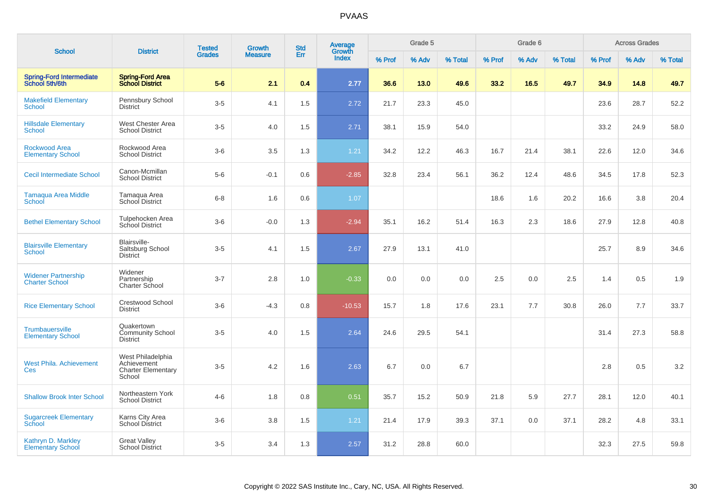| <b>School</b>                                       | <b>District</b>                                                         | <b>Tested</b> | <b>Growth</b>  | <b>Std</b> | Average<br>Growth |        | Grade 5 |         |        | Grade 6 |         |        | <b>Across Grades</b> |         |
|-----------------------------------------------------|-------------------------------------------------------------------------|---------------|----------------|------------|-------------------|--------|---------|---------|--------|---------|---------|--------|----------------------|---------|
|                                                     |                                                                         | <b>Grades</b> | <b>Measure</b> | Err        | Index             | % Prof | % Adv   | % Total | % Prof | % Adv   | % Total | % Prof | % Adv                | % Total |
| <b>Spring-Ford Intermediate</b><br>School 5th/6th   | <b>Spring-Ford Area</b><br><b>School District</b>                       | $5-6$         | 2.1            | 0.4        | 2.77              | 36.6   | 13.0    | 49.6    | 33.2   | 16.5    | 49.7    | 34.9   | 14.8                 | 49.7    |
| <b>Makefield Elementary</b><br>School               | Pennsbury School<br><b>District</b>                                     | $3-5$         | 4.1            | 1.5        | 2.72              | 21.7   | 23.3    | 45.0    |        |         |         | 23.6   | 28.7                 | 52.2    |
| <b>Hillsdale Elementary</b><br>School               | West Chester Area<br><b>School District</b>                             | $3-5$         | 4.0            | 1.5        | 2.71              | 38.1   | 15.9    | 54.0    |        |         |         | 33.2   | 24.9                 | 58.0    |
| <b>Rockwood Area</b><br><b>Elementary School</b>    | Rockwood Area<br><b>School District</b>                                 | $3-6$         | 3.5            | 1.3        | 1.21              | 34.2   | 12.2    | 46.3    | 16.7   | 21.4    | 38.1    | 22.6   | 12.0                 | 34.6    |
| <b>Cecil Intermediate School</b>                    | Canon-Mcmillan<br><b>School District</b>                                | $5-6$         | $-0.1$         | 0.6        | $-2.85$           | 32.8   | 23.4    | 56.1    | 36.2   | 12.4    | 48.6    | 34.5   | 17.8                 | 52.3    |
| <b>Tamaqua Area Middle</b><br>School                | Tamaqua Area<br>School District                                         | $6 - 8$       | 1.6            | 0.6        | 1.07              |        |         |         | 18.6   | 1.6     | 20.2    | 16.6   | 3.8                  | 20.4    |
| <b>Bethel Elementary School</b>                     | Tulpehocken Area<br>School District                                     | $3-6$         | $-0.0$         | 1.3        | $-2.94$           | 35.1   | 16.2    | 51.4    | 16.3   | 2.3     | 18.6    | 27.9   | 12.8                 | 40.8    |
| <b>Blairsville Elementary</b><br>School             | Blairsville-<br>Saltsburg School<br><b>District</b>                     | $3-5$         | 4.1            | 1.5        | 2.67              | 27.9   | 13.1    | 41.0    |        |         |         | 25.7   | 8.9                  | 34.6    |
| <b>Widener Partnership</b><br><b>Charter School</b> | Widener<br>Partnership<br>Charter School                                | $3 - 7$       | 2.8            | 1.0        | $-0.33$           | 0.0    | 0.0     | 0.0     | 2.5    | 0.0     | 2.5     | 1.4    | 0.5                  | 1.9     |
| <b>Rice Elementary School</b>                       | Crestwood School<br>District                                            | $3-6$         | $-4.3$         | 0.8        | $-10.53$          | 15.7   | 1.8     | 17.6    | 23.1   | 7.7     | 30.8    | 26.0   | 7.7                  | 33.7    |
| Trumbauersville<br><b>Elementary School</b>         | Quakertown<br><b>Community School</b><br>District                       | $3-5$         | 4.0            | 1.5        | 2.64              | 24.6   | 29.5    | 54.1    |        |         |         | 31.4   | 27.3                 | 58.8    |
| <b>West Phila. Achievement</b><br>Ces               | West Philadelphia<br>Achievement<br><b>Charter Elementary</b><br>School | $3-5$         | 4.2            | 1.6        | 2.63              | 6.7    | 0.0     | 6.7     |        |         |         | 2.8    | 0.5                  | 3.2     |
| <b>Shallow Brook Inter School</b>                   | Northeastern York<br><b>School District</b>                             | $4 - 6$       | 1.8            | 0.8        | 0.51              | 35.7   | 15.2    | 50.9    | 21.8   | 5.9     | 27.7    | 28.1   | 12.0                 | 40.1    |
| <b>Sugarcreek Elementary</b><br>School              | Karns City Area<br>School District                                      | $3-6$         | 3.8            | 1.5        | 1.21              | 21.4   | 17.9    | 39.3    | 37.1   | 0.0     | 37.1    | 28.2   | 4.8                  | 33.1    |
| Kathryn D. Markley<br><b>Elementary School</b>      | <b>Great Valley</b><br><b>School District</b>                           | $3 - 5$       | 3.4            | 1.3        | 2.57              | 31.2   | 28.8    | 60.0    |        |         |         | 32.3   | 27.5                 | 59.8    |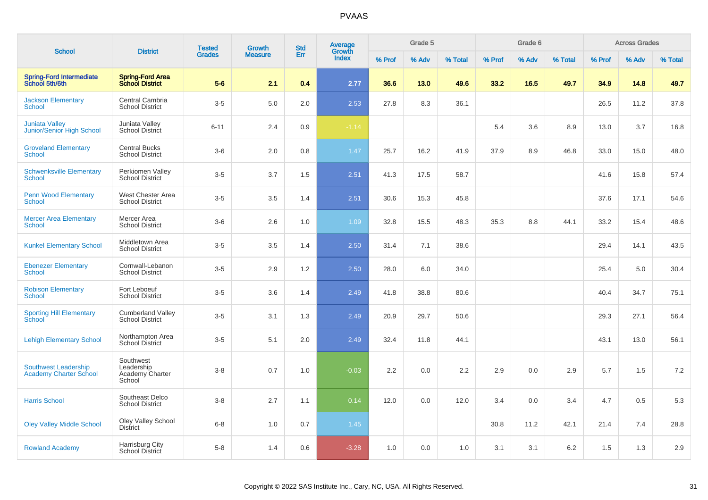| <b>School</b>                                                | <b>District</b>                                      | <b>Tested</b> | Growth         | <b>Std</b> | Average         |        | Grade 5 |         |        | Grade 6 |         |        | <b>Across Grades</b> |         |
|--------------------------------------------------------------|------------------------------------------------------|---------------|----------------|------------|-----------------|--------|---------|---------|--------|---------|---------|--------|----------------------|---------|
|                                                              |                                                      | <b>Grades</b> | <b>Measure</b> | Err        | Growth<br>Index | % Prof | % Adv   | % Total | % Prof | % Adv   | % Total | % Prof | % Adv                | % Total |
| <b>Spring-Ford Intermediate</b><br>School 5th/6th            | <b>Spring-Ford Area</b><br><b>School District</b>    | $5-6$         | 2.1            | 0.4        | 2.77            | 36.6   | 13.0    | 49.6    | 33.2   | 16.5    | 49.7    | 34.9   | 14.8                 | 49.7    |
| <b>Jackson Elementary</b><br><b>School</b>                   | Central Cambria<br><b>School District</b>            | $3-5$         | 5.0            | 2.0        | 2.53            | 27.8   | 8.3     | 36.1    |        |         |         | 26.5   | 11.2                 | 37.8    |
| <b>Juniata Valley</b><br>Junior/Senior High School           | Juniata Valley<br>School District                    | $6 - 11$      | 2.4            | 0.9        | $-1.14$         |        |         |         | 5.4    | 3.6     | 8.9     | 13.0   | 3.7                  | 16.8    |
| <b>Groveland Elementary</b><br>School                        | <b>Central Bucks</b><br><b>School District</b>       | $3-6$         | 2.0            | 0.8        | 1.47            | 25.7   | 16.2    | 41.9    | 37.9   | 8.9     | 46.8    | 33.0   | 15.0                 | 48.0    |
| <b>Schwenksville Elementary</b><br>School                    | Perkiomen Valley<br><b>School District</b>           | $3-5$         | 3.7            | 1.5        | 2.51            | 41.3   | 17.5    | 58.7    |        |         |         | 41.6   | 15.8                 | 57.4    |
| <b>Penn Wood Elementary</b><br><b>School</b>                 | West Chester Area<br><b>School District</b>          | $3-5$         | 3.5            | 1.4        | 2.51            | 30.6   | 15.3    | 45.8    |        |         |         | 37.6   | 17.1                 | 54.6    |
| <b>Mercer Area Elementary</b><br><b>School</b>               | Mercer Area<br><b>School District</b>                | $3-6$         | 2.6            | 1.0        | 1.09            | 32.8   | 15.5    | 48.3    | 35.3   | 8.8     | 44.1    | 33.2   | 15.4                 | 48.6    |
| <b>Kunkel Elementary School</b>                              | <b>Middletown Area</b><br><b>School District</b>     | $3-5$         | 3.5            | 1.4        | 2.50            | 31.4   | 7.1     | 38.6    |        |         |         | 29.4   | 14.1                 | 43.5    |
| <b>Ebenezer Elementary</b><br><b>School</b>                  | Cornwall-Lebanon<br><b>School District</b>           | $3-5$         | 2.9            | 1.2        | 2.50            | 28.0   | 6.0     | 34.0    |        |         |         | 25.4   | 5.0                  | 30.4    |
| <b>Robison Elementary</b><br>School                          | Fort Leboeuf<br><b>School District</b>               | $3-5$         | 3.6            | 1.4        | 2.49            | 41.8   | 38.8    | 80.6    |        |         |         | 40.4   | 34.7                 | 75.1    |
| <b>Sporting Hill Elementary</b><br>School                    | <b>Cumberland Valley</b><br><b>School District</b>   | $3-5$         | 3.1            | 1.3        | 2.49            | 20.9   | 29.7    | 50.6    |        |         |         | 29.3   | 27.1                 | 56.4    |
| <b>Lehigh Elementary School</b>                              | Northampton Area<br>School District                  | $3-5$         | 5.1            | 2.0        | 2.49            | 32.4   | 11.8    | 44.1    |        |         |         | 43.1   | 13.0                 | 56.1    |
| <b>Southwest Leadership</b><br><b>Academy Charter School</b> | Southwest<br>Leadership<br>Academy Charter<br>School | $3 - 8$       | 0.7            | 1.0        | $-0.03$         | 2.2    | 0.0     | 2.2     | 2.9    | 0.0     | 2.9     | 5.7    | 1.5                  | 7.2     |
| <b>Harris School</b>                                         | Southeast Delco<br><b>School District</b>            | $3 - 8$       | 2.7            | 1.1        | 0.14            | 12.0   | 0.0     | 12.0    | 3.4    | 0.0     | 3.4     | 4.7    | 0.5                  | 5.3     |
| <b>Oley Valley Middle School</b>                             | Oley Valley School<br>District                       | $6 - 8$       | 1.0            | 0.7        | 1.45            |        |         |         | 30.8   | 11.2    | 42.1    | 21.4   | 7.4                  | 28.8    |
| <b>Rowland Academy</b>                                       | Harrisburg City<br><b>School District</b>            | $5-8$         | 1.4            | 0.6        | $-3.28$         | 1.0    | 0.0     | 1.0     | 3.1    | 3.1     | 6.2     | 1.5    | 1.3                  | 2.9     |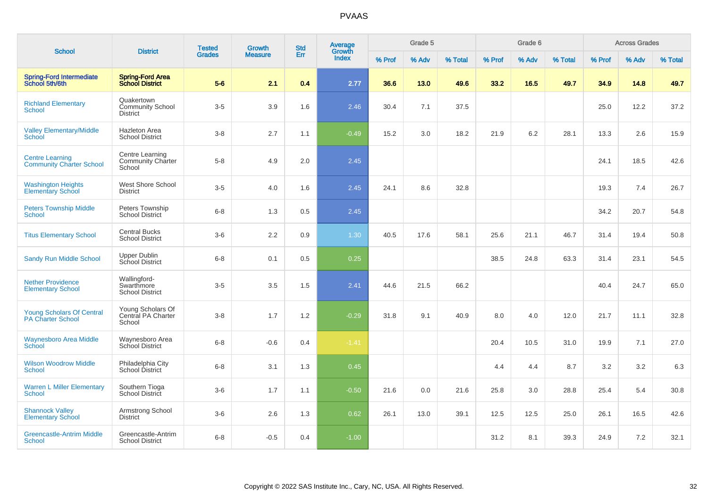| <b>School</b>                                                | <b>District</b>                                          | <b>Tested</b> | <b>Growth</b>  | <b>Std</b> | Average<br>Growth |        | Grade 5 |         |        | Grade 6 |         |        | <b>Across Grades</b> |         |
|--------------------------------------------------------------|----------------------------------------------------------|---------------|----------------|------------|-------------------|--------|---------|---------|--------|---------|---------|--------|----------------------|---------|
|                                                              |                                                          | <b>Grades</b> | <b>Measure</b> | Err        | Index             | % Prof | % Adv   | % Total | % Prof | % Adv   | % Total | % Prof | % Adv                | % Total |
| <b>Spring-Ford Intermediate</b><br>School 5th/6th            | <b>Spring-Ford Area</b><br><b>School District</b>        | $5-6$         | 2.1            | 0.4        | 2.77              | 36.6   | 13.0    | 49.6    | 33.2   | 16.5    | 49.7    | 34.9   | 14.8                 | 49.7    |
| <b>Richland Elementary</b><br>School                         | Quakertown<br><b>Community School</b><br><b>District</b> | $3-5$         | 3.9            | 1.6        | 2.46              | 30.4   | 7.1     | 37.5    |        |         |         | 25.0   | 12.2                 | 37.2    |
| <b>Valley Elementary/Middle</b><br>School                    | <b>Hazleton Area</b><br><b>School District</b>           | $3 - 8$       | 2.7            | 1.1        | $-0.49$           | 15.2   | 3.0     | 18.2    | 21.9   | 6.2     | 28.1    | 13.3   | 2.6                  | 15.9    |
| <b>Centre Learning</b><br><b>Community Charter School</b>    | Centre Learning<br><b>Community Charter</b><br>School    | $5-8$         | 4.9            | 2.0        | 2.45              |        |         |         |        |         |         | 24.1   | 18.5                 | 42.6    |
| <b>Washington Heights</b><br><b>Elementary School</b>        | West Shore School<br><b>District</b>                     | $3-5$         | 4.0            | 1.6        | 2.45              | 24.1   | 8.6     | 32.8    |        |         |         | 19.3   | 7.4                  | 26.7    |
| <b>Peters Township Middle</b><br>School                      | Peters Township<br><b>School District</b>                | $6 - 8$       | 1.3            | 0.5        | 2.45              |        |         |         |        |         |         | 34.2   | 20.7                 | 54.8    |
| <b>Titus Elementary School</b>                               | Central Bucks<br><b>School District</b>                  | $3-6$         | 2.2            | 0.9        | 1.30              | 40.5   | 17.6    | 58.1    | 25.6   | 21.1    | 46.7    | 31.4   | 19.4                 | 50.8    |
| <b>Sandy Run Middle School</b>                               | <b>Upper Dublin</b><br>School District                   | $6 - 8$       | 0.1            | 0.5        | 0.25              |        |         |         | 38.5   | 24.8    | 63.3    | 31.4   | 23.1                 | 54.5    |
| <b>Nether Providence</b><br><b>Elementary School</b>         | Wallingford-<br>Swarthmore<br><b>School District</b>     | $3-5$         | 3.5            | 1.5        | 2.41              | 44.6   | 21.5    | 66.2    |        |         |         | 40.4   | 24.7                 | 65.0    |
| <b>Young Scholars Of Central</b><br><b>PA Charter School</b> | Young Scholars Of<br>Central PA Charter<br>School        | $3-8$         | 1.7            | 1.2        | $-0.29$           | 31.8   | 9.1     | 40.9    | 8.0    | 4.0     | 12.0    | 21.7   | 11.1                 | 32.8    |
| <b>Waynesboro Area Middle</b><br><b>School</b>               | Waynesboro Area<br><b>School District</b>                | $6 - 8$       | $-0.6$         | 0.4        | $-1.41$           |        |         |         | 20.4   | 10.5    | 31.0    | 19.9   | 7.1                  | 27.0    |
| <b>Wilson Woodrow Middle</b><br><b>School</b>                | Philadelphia City<br>School District                     | $6 - 8$       | 3.1            | 1.3        | 0.45              |        |         |         | 4.4    | 4.4     | 8.7     | 3.2    | 3.2                  | 6.3     |
| <b>Warren L Miller Elementary</b><br><b>School</b>           | Southern Tioga<br>School District                        | $3-6$         | 1.7            | 1.1        | $-0.50$           | 21.6   | 0.0     | 21.6    | 25.8   | 3.0     | 28.8    | 25.4   | 5.4                  | 30.8    |
| <b>Shannock Valley</b><br><b>Elementary School</b>           | Armstrong School<br><b>District</b>                      | $3-6$         | 2.6            | 1.3        | 0.62              | 26.1   | 13.0    | 39.1    | 12.5   | 12.5    | 25.0    | 26.1   | 16.5                 | 42.6    |
| <b>Greencastle-Antrim Middle</b><br>School                   | Greencastle-Antrim<br><b>School District</b>             | $6 - 8$       | $-0.5$         | 0.4        | $-1.00$           |        |         |         | 31.2   | 8.1     | 39.3    | 24.9   | 7.2                  | 32.1    |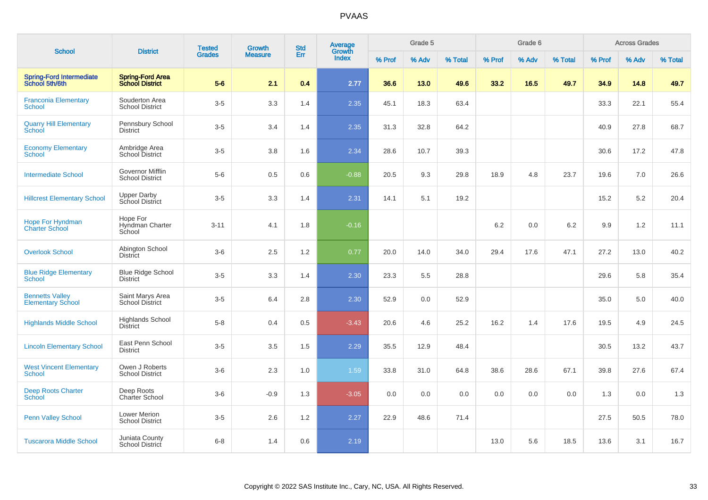|                                                    | <b>District</b>                                   | <b>Tested</b> | <b>Growth</b>  | <b>Std</b> | Average<br>Growth |        | Grade 5 |         |        | Grade 6 |         |        | <b>Across Grades</b> |         |
|----------------------------------------------------|---------------------------------------------------|---------------|----------------|------------|-------------------|--------|---------|---------|--------|---------|---------|--------|----------------------|---------|
| <b>School</b>                                      |                                                   | <b>Grades</b> | <b>Measure</b> | Err        | Index             | % Prof | % Adv   | % Total | % Prof | % Adv   | % Total | % Prof | % Adv                | % Total |
| <b>Spring-Ford Intermediate</b><br>School 5th/6th  | <b>Spring-Ford Area</b><br><b>School District</b> | $5-6$         | 2.1            | 0.4        | 2.77              | 36.6   | 13.0    | 49.6    | 33.2   | 16.5    | 49.7    | 34.9   | 14.8                 | 49.7    |
| <b>Franconia Elementary</b><br><b>School</b>       | Souderton Area<br><b>School District</b>          | $3-5$         | 3.3            | 1.4        | 2.35              | 45.1   | 18.3    | 63.4    |        |         |         | 33.3   | 22.1                 | 55.4    |
| <b>Quarry Hill Elementary</b><br>School            | Pennsbury School<br><b>District</b>               | $3-5$         | 3.4            | 1.4        | 2.35              | 31.3   | 32.8    | 64.2    |        |         |         | 40.9   | 27.8                 | 68.7    |
| <b>Economy Elementary</b><br><b>School</b>         | Ambridge Area<br>School District                  | $3-5$         | 3.8            | 1.6        | 2.34              | 28.6   | 10.7    | 39.3    |        |         |         | 30.6   | 17.2                 | 47.8    |
| <b>Intermediate School</b>                         | Governor Mifflin<br><b>School District</b>        | $5-6$         | 0.5            | 0.6        | $-0.88$           | 20.5   | 9.3     | 29.8    | 18.9   | 4.8     | 23.7    | 19.6   | 7.0                  | 26.6    |
| <b>Hillcrest Elementary School</b>                 | <b>Upper Darby</b><br>School District             | $3-5$         | 3.3            | 1.4        | 2.31              | 14.1   | 5.1     | 19.2    |        |         |         | 15.2   | 5.2                  | 20.4    |
| Hope For Hyndman<br><b>Charter School</b>          | Hope For<br>Hyndman Charter<br>School             | $3 - 11$      | 4.1            | 1.8        | $-0.16$           |        |         |         | 6.2    | 0.0     | 6.2     | 9.9    | 1.2                  | 11.1    |
| <b>Overlook School</b>                             | Abington School<br><b>District</b>                | $3-6$         | 2.5            | 1.2        | 0.77              | 20.0   | 14.0    | 34.0    | 29.4   | 17.6    | 47.1    | 27.2   | 13.0                 | 40.2    |
| <b>Blue Ridge Elementary</b><br>School             | <b>Blue Ridge School</b><br><b>District</b>       | $3-5$         | 3.3            | 1.4        | 2.30              | 23.3   | 5.5     | 28.8    |        |         |         | 29.6   | 5.8                  | 35.4    |
| <b>Bennetts Valley</b><br><b>Elementary School</b> | Saint Marys Area<br><b>School District</b>        | $3-5$         | 6.4            | 2.8        | 2.30              | 52.9   | 0.0     | 52.9    |        |         |         | 35.0   | 5.0                  | 40.0    |
| <b>Highlands Middle School</b>                     | <b>Highlands School</b><br><b>District</b>        | $5-8$         | 0.4            | 0.5        | $-3.43$           | 20.6   | 4.6     | 25.2    | 16.2   | 1.4     | 17.6    | 19.5   | 4.9                  | 24.5    |
| <b>Lincoln Elementary School</b>                   | East Penn School<br><b>District</b>               | $3-5$         | 3.5            | 1.5        | 2.29              | 35.5   | 12.9    | 48.4    |        |         |         | 30.5   | 13.2                 | 43.7    |
| <b>West Vincent Elementary</b><br><b>School</b>    | Owen J Roberts<br><b>School District</b>          | $3-6$         | 2.3            | 1.0        | 1.59              | 33.8   | 31.0    | 64.8    | 38.6   | 28.6    | 67.1    | 39.8   | 27.6                 | 67.4    |
| <b>Deep Roots Charter</b><br><b>School</b>         | Deep Roots<br>Charter School                      | $3-6$         | $-0.9$         | 1.3        | $-3.05$           | 0.0    | 0.0     | 0.0     | 0.0    | 0.0     | 0.0     | 1.3    | 0.0                  | 1.3     |
| <b>Penn Valley School</b>                          | <b>Lower Merion</b><br><b>School District</b>     | $3-5$         | 2.6            | $1.2$      | 2.27              | 22.9   | 48.6    | 71.4    |        |         |         | 27.5   | 50.5                 | 78.0    |
| <b>Tuscarora Middle School</b>                     | Juniata County<br><b>School District</b>          | $6 - 8$       | 1.4            | 0.6        | 2.19              |        |         |         | 13.0   | 5.6     | 18.5    | 13.6   | 3.1                  | 16.7    |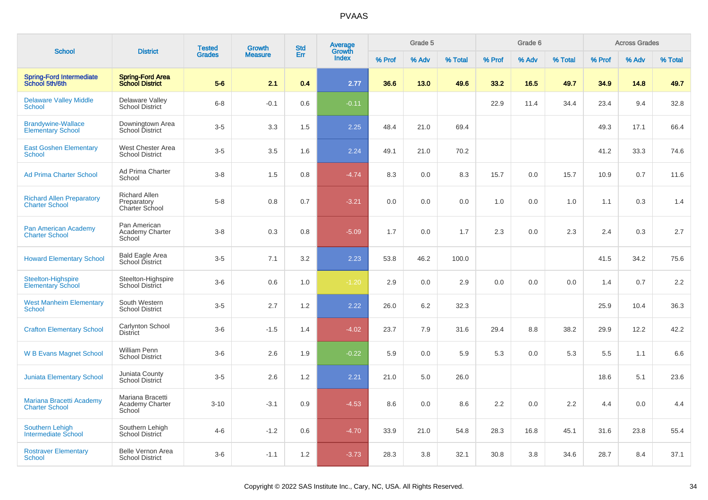|                                                           |                                                       | <b>Tested</b> | <b>Growth</b>  | <b>Std</b> | <b>Average</b>  |        | Grade 5 |         |        | Grade 6 |         |        | <b>Across Grades</b> |         |
|-----------------------------------------------------------|-------------------------------------------------------|---------------|----------------|------------|-----------------|--------|---------|---------|--------|---------|---------|--------|----------------------|---------|
| <b>School</b>                                             | <b>District</b>                                       | <b>Grades</b> | <b>Measure</b> | Err        | Growth<br>Index | % Prof | % Adv   | % Total | % Prof | % Adv   | % Total | % Prof | % Adv                | % Total |
| <b>Spring-Ford Intermediate</b><br>School 5th/6th         | <b>Spring-Ford Area</b><br><b>School District</b>     | $5-6$         | 2.1            | 0.4        | 2.77            | 36.6   | 13.0    | 49.6    | 33.2   | 16.5    | 49.7    | 34.9   | 14.8                 | 49.7    |
| <b>Delaware Valley Middle</b><br>School                   | Delaware Valley<br><b>School District</b>             | $6 - 8$       | $-0.1$         | 0.6        | $-0.11$         |        |         |         | 22.9   | 11.4    | 34.4    | 23.4   | 9.4                  | 32.8    |
| <b>Brandywine-Wallace</b><br><b>Elementary School</b>     | Downingtown Area<br>School District                   | $3-5$         | 3.3            | 1.5        | 2.25            | 48.4   | 21.0    | 69.4    |        |         |         | 49.3   | 17.1                 | 66.4    |
| <b>East Goshen Elementary</b><br><b>School</b>            | West Chester Area<br><b>School District</b>           | $3-5$         | 3.5            | 1.6        | 2.24            | 49.1   | 21.0    | 70.2    |        |         |         | 41.2   | 33.3                 | 74.6    |
| <b>Ad Prima Charter School</b>                            | Ad Prima Charter<br>School                            | $3-8$         | 1.5            | 0.8        | $-4.74$         | 8.3    | 0.0     | 8.3     | 15.7   | 0.0     | 15.7    | 10.9   | 0.7                  | 11.6    |
| <b>Richard Allen Preparatory</b><br><b>Charter School</b> | <b>Richard Allen</b><br>Preparatory<br>Charter School | $5-8$         | 0.8            | 0.7        | $-3.21$         | 0.0    | 0.0     | 0.0     | 1.0    | 0.0     | 1.0     | 1.1    | 0.3                  | 1.4     |
| <b>Pan American Academy</b><br><b>Charter School</b>      | Pan American<br><b>Academy Charter</b><br>School      | $3-8$         | 0.3            | 0.8        | $-5.09$         | 1.7    | 0.0     | 1.7     | 2.3    | 0.0     | 2.3     | 2.4    | 0.3                  | 2.7     |
| <b>Howard Elementary School</b>                           | <b>Bald Eagle Area</b><br>School District             | $3-5$         | 7.1            | 3.2        | 2.23            | 53.8   | 46.2    | 100.0   |        |         |         | 41.5   | 34.2                 | 75.6    |
| Steelton-Highspire<br>Elementary School                   | Steelton-Highspire<br><b>School District</b>          | $3-6$         | 0.6            | 1.0        | $-1.20$         | 2.9    | 0.0     | 2.9     | 0.0    | 0.0     | 0.0     | 1.4    | 0.7                  | 2.2     |
| <b>West Manheim Elementary</b><br>School                  | South Western<br><b>School District</b>               | $3-5$         | 2.7            | 1.2        | 2.22            | 26.0   | 6.2     | 32.3    |        |         |         | 25.9   | 10.4                 | 36.3    |
| <b>Crafton Elementary School</b>                          | Carlynton School<br><b>District</b>                   | $3-6$         | $-1.5$         | 1.4        | $-4.02$         | 23.7   | 7.9     | 31.6    | 29.4   | 8.8     | 38.2    | 29.9   | 12.2                 | 42.2    |
| <b>W B Evans Magnet School</b>                            | William Penn<br><b>School District</b>                | $3-6$         | 2.6            | 1.9        | $-0.22$         | 5.9    | 0.0     | 5.9     | 5.3    | 0.0     | 5.3     | 5.5    | 1.1                  | 6.6     |
| <b>Juniata Elementary School</b>                          | Juniata County<br>School District                     | $3-5$         | 2.6            | 1.2        | 2.21            | 21.0   | 5.0     | 26.0    |        |         |         | 18.6   | 5.1                  | 23.6    |
| Mariana Bracetti Academy<br><b>Charter School</b>         | Mariana Bracetti<br>Academy Charter<br>School         | $3 - 10$      | $-3.1$         | 0.9        | $-4.53$         | 8.6    | 0.0     | 8.6     | 2.2    | 0.0     | 2.2     | 4.4    | 0.0                  | 4.4     |
| <b>Southern Lehigh</b><br>Intermediate School             | Southern Lehigh<br><b>School District</b>             | $4 - 6$       | $-1.2$         | 0.6        | $-4.70$         | 33.9   | 21.0    | 54.8    | 28.3   | 16.8    | 45.1    | 31.6   | 23.8                 | 55.4    |
| <b>Rostraver Elementary</b><br>School                     | <b>Belle Vernon Area</b><br><b>School District</b>    | $3-6$         | $-1.1$         | 1.2        | $-3.73$         | 28.3   | 3.8     | 32.1    | 30.8   | 3.8     | 34.6    | 28.7   | 8.4                  | 37.1    |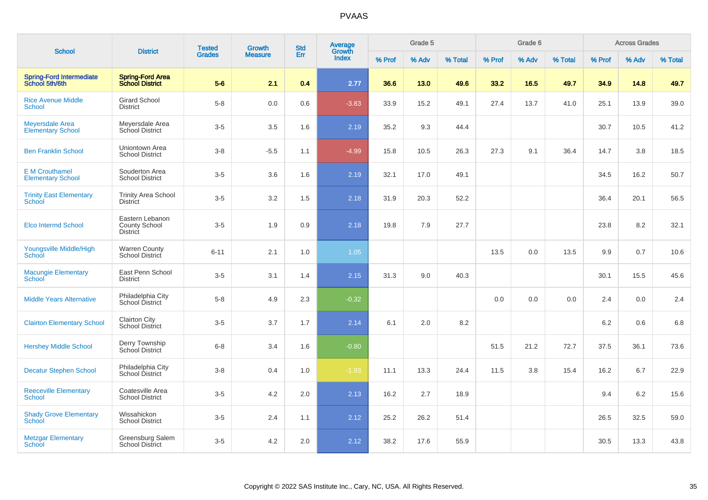| <b>School</b>                                      | <b>District</b>                                            | <b>Tested</b> | <b>Growth</b>  | <b>Std</b> | Average<br>Growth |        | Grade 5 |         |        | Grade 6 |         |        | <b>Across Grades</b> |         |
|----------------------------------------------------|------------------------------------------------------------|---------------|----------------|------------|-------------------|--------|---------|---------|--------|---------|---------|--------|----------------------|---------|
|                                                    |                                                            | <b>Grades</b> | <b>Measure</b> | Err        | <b>Index</b>      | % Prof | % Adv   | % Total | % Prof | % Adv   | % Total | % Prof | % Adv                | % Total |
| <b>Spring-Ford Intermediate</b><br>School 5th/6th  | <b>Spring-Ford Area</b><br><b>School District</b>          | $5-6$         | 2.1            | 0.4        | 2.77              | 36.6   | 13.0    | 49.6    | 33.2   | 16.5    | 49.7    | 34.9   | 14.8                 | 49.7    |
| <b>Rice Avenue Middle</b><br>School                | <b>Girard School</b><br><b>District</b>                    | $5-8$         | 0.0            | 0.6        | $-3.83$           | 33.9   | 15.2    | 49.1    | 27.4   | 13.7    | 41.0    | 25.1   | 13.9                 | 39.0    |
| <b>Meyersdale Area</b><br><b>Elementary School</b> | Meyersdale Area<br>School District                         | $3-5$         | 3.5            | 1.6        | 2.19              | 35.2   | 9.3     | 44.4    |        |         |         | 30.7   | 10.5                 | 41.2    |
| <b>Ben Franklin School</b>                         | <b>Uniontown Area</b><br><b>School District</b>            | $3-8$         | $-5.5$         | 1.1        | $-4.99$           | 15.8   | 10.5    | 26.3    | 27.3   | 9.1     | 36.4    | 14.7   | 3.8                  | 18.5    |
| <b>E</b> M Crouthamel<br><b>Elementary School</b>  | Souderton Area<br><b>School District</b>                   | $3-5$         | 3.6            | 1.6        | 2.19              | 32.1   | 17.0    | 49.1    |        |         |         | 34.5   | 16.2                 | 50.7    |
| <b>Trinity East Elementary</b><br><b>School</b>    | <b>Trinity Area School</b><br><b>District</b>              | $3-5$         | 3.2            | 1.5        | 2.18              | 31.9   | 20.3    | 52.2    |        |         |         | 36.4   | 20.1                 | 56.5    |
| <b>Elco Intermd School</b>                         | Eastern Lebanon<br><b>County School</b><br><b>District</b> | $3 - 5$       | 1.9            | 0.9        | 2.18              | 19.8   | 7.9     | 27.7    |        |         |         | 23.8   | 8.2                  | 32.1    |
| Youngsville Middle/High<br>School                  | <b>Warren County</b><br>School District                    | $6 - 11$      | 2.1            | 1.0        | 1.05              |        |         |         | 13.5   | 0.0     | 13.5    | 9.9    | 0.7                  | 10.6    |
| <b>Macungie Elementary</b><br>School               | East Penn School<br><b>District</b>                        | $3-5$         | 3.1            | 1.4        | 2.15              | 31.3   | 9.0     | 40.3    |        |         |         | 30.1   | 15.5                 | 45.6    |
| <b>Middle Years Alternative</b>                    | Philadelphia City<br>School District                       | $5-8$         | 4.9            | 2.3        | $-0.32$           |        |         |         | 0.0    | 0.0     | 0.0     | 2.4    | 0.0                  | 2.4     |
| <b>Clairton Elementary School</b>                  | <b>Clairton City</b><br><b>School District</b>             | $3-5$         | 3.7            | 1.7        | 2.14              | 6.1    | 2.0     | 8.2     |        |         |         | 6.2    | 0.6                  | 6.8     |
| <b>Hershey Middle School</b>                       | Derry Township<br>School District                          | $6 - 8$       | 3.4            | 1.6        | $-0.80$           |        |         |         | 51.5   | 21.2    | 72.7    | 37.5   | 36.1                 | 73.6    |
| <b>Decatur Stephen School</b>                      | Philadelphia City<br>School District                       | $3 - 8$       | 0.4            | 1.0        | $-1.93$           | 11.1   | 13.3    | 24.4    | 11.5   | 3.8     | 15.4    | 16.2   | 6.7                  | 22.9    |
| <b>Reeceville Elementary</b><br><b>School</b>      | Coatesville Area<br>School District                        | $3-5$         | 4.2            | 2.0        | 2.13              | 16.2   | 2.7     | 18.9    |        |         |         | 9.4    | 6.2                  | 15.6    |
| <b>Shady Grove Elementary</b><br><b>School</b>     | Wissahickon<br><b>School District</b>                      | $3-5$         | 2.4            | 1.1        | 2.12              | 25.2   | 26.2    | 51.4    |        |         |         | 26.5   | 32.5                 | 59.0    |
| <b>Metzgar Elementary</b><br>School                | Greensburg Salem<br><b>School District</b>                 | $3-5$         | 4.2            | 2.0        | 2.12              | 38.2   | 17.6    | 55.9    |        |         |         | 30.5   | 13.3                 | 43.8    |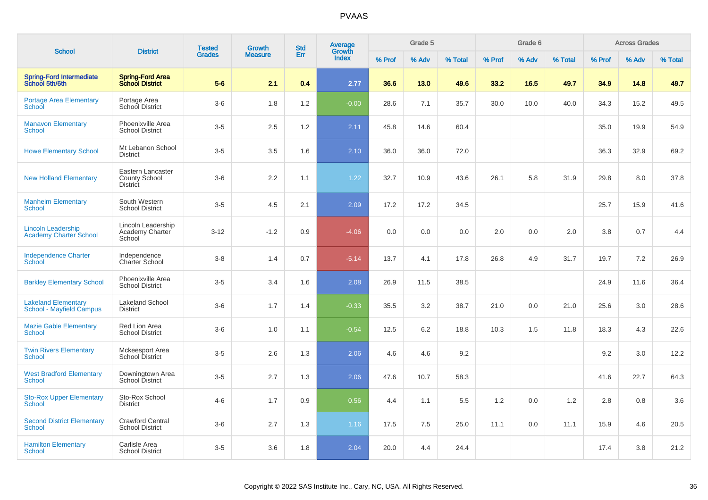| <b>School</b>                                                 | <b>District</b>                                              | <b>Tested</b><br><b>Grades</b> | <b>Growth</b><br><b>Measure</b> | <b>Std</b><br>Err | <b>Average</b><br>Growth<br>Index | Grade 5 |       |         | Grade 6 |       |         | <b>Across Grades</b> |       |         |
|---------------------------------------------------------------|--------------------------------------------------------------|--------------------------------|---------------------------------|-------------------|-----------------------------------|---------|-------|---------|---------|-------|---------|----------------------|-------|---------|
|                                                               |                                                              |                                |                                 |                   |                                   | % Prof  | % Adv | % Total | % Prof  | % Adv | % Total | % Prof               | % Adv | % Total |
| <b>Spring-Ford Intermediate</b><br>School 5th/6th             | <b>Spring-Ford Area</b><br><b>School District</b>            | $5-6$                          | 2.1                             | 0.4               | 2.77                              | 36.6    | 13.0  | 49.6    | 33.2    | 16.5  | 49.7    | 34.9                 | 14.8  | 49.7    |
| <b>Portage Area Elementary</b><br><b>School</b>               | Portage Area<br>School District                              | $3-6$                          | 1.8                             | 1.2               | $-0.00$                           | 28.6    | 7.1   | 35.7    | 30.0    | 10.0  | 40.0    | 34.3                 | 15.2  | 49.5    |
| <b>Manavon Elementary</b><br>School                           | Phoenixville Area<br><b>School District</b>                  | $3-5$                          | 2.5                             | 1.2               | 2.11                              | 45.8    | 14.6  | 60.4    |         |       |         | 35.0                 | 19.9  | 54.9    |
| <b>Howe Elementary School</b>                                 | Mt Lebanon School<br><b>District</b>                         | $3-5$                          | 3.5                             | 1.6               | 2.10                              | 36.0    | 36.0  | 72.0    |         |       |         | 36.3                 | 32.9  | 69.2    |
| <b>New Holland Elementary</b>                                 | Eastern Lancaster<br><b>County School</b><br><b>District</b> | $3-6$                          | 2.2                             | 1.1               | 1.22                              | 32.7    | 10.9  | 43.6    | 26.1    | 5.8   | 31.9    | 29.8                 | 8.0   | 37.8    |
| <b>Manheim Elementary</b><br><b>School</b>                    | South Western<br><b>School District</b>                      | $3 - 5$                        | 4.5                             | 2.1               | 2.09                              | 17.2    | 17.2  | 34.5    |         |       |         | 25.7                 | 15.9  | 41.6    |
| <b>Lincoln Leadership</b><br><b>Academy Charter School</b>    | Lincoln Leadership<br>Academy Charter<br>School              | $3 - 12$                       | $-1.2$                          | 0.9               | $-4.06$                           | 0.0     | 0.0   | 0.0     | 2.0     | 0.0   | 2.0     | 3.8                  | 0.7   | 4.4     |
| <b>Independence Charter</b><br>School                         | Independence<br><b>Charter School</b>                        | $3 - 8$                        | 1.4                             | 0.7               | $-5.14$                           | 13.7    | 4.1   | 17.8    | 26.8    | 4.9   | 31.7    | 19.7                 | 7.2   | 26.9    |
| <b>Barkley Elementary School</b>                              | Phoenixville Area<br><b>School District</b>                  | $3-5$                          | 3.4                             | 1.6               | 2.08                              | 26.9    | 11.5  | 38.5    |         |       |         | 24.9                 | 11.6  | 36.4    |
| <b>Lakeland Elementary</b><br><b>School - Mayfield Campus</b> | <b>Lakeland School</b><br><b>District</b>                    | $3-6$                          | 1.7                             | 1.4               | $-0.33$                           | 35.5    | 3.2   | 38.7    | 21.0    | 0.0   | 21.0    | 25.6                 | 3.0   | 28.6    |
| <b>Mazie Gable Elementary</b><br><b>School</b>                | Red Lion Area<br><b>School District</b>                      | $3-6$                          | 1.0                             | 1.1               | $-0.54$                           | 12.5    | 6.2   | 18.8    | 10.3    | 1.5   | 11.8    | 18.3                 | 4.3   | 22.6    |
| <b>Twin Rivers Elementary</b><br><b>School</b>                | Mckeesport Area<br><b>School District</b>                    | $3-5$                          | 2.6                             | 1.3               | 2.06                              | 4.6     | 4.6   | 9.2     |         |       |         | 9.2                  | 3.0   | 12.2    |
| <b>West Bradford Elementary</b><br><b>School</b>              | Downingtown Area<br>School District                          | $3-5$                          | 2.7                             | 1.3               | 2.06                              | 47.6    | 10.7  | 58.3    |         |       |         | 41.6                 | 22.7  | 64.3    |
| <b>Sto-Rox Upper Elementary</b><br>School                     | Sto-Rox School<br><b>District</b>                            | $4 - 6$                        | 1.7                             | 0.9               | 0.56                              | 4.4     | 1.1   | 5.5     | 1.2     | 0.0   | 1.2     | 2.8                  | 0.8   | 3.6     |
| <b>Second District Elementary</b><br><b>School</b>            | Crawford Central<br><b>School District</b>                   | $3-6$                          | 2.7                             | 1.3               | 1.16                              | 17.5    | 7.5   | 25.0    | 11.1    | 0.0   | 11.1    | 15.9                 | 4.6   | 20.5    |
| <b>Hamilton Elementary</b><br><b>School</b>                   | Carlisle Area<br><b>School District</b>                      | $3-5$                          | 3.6                             | 1.8               | 2.04                              | 20.0    | 4.4   | 24.4    |         |       |         | 17.4                 | 3.8   | 21.2    |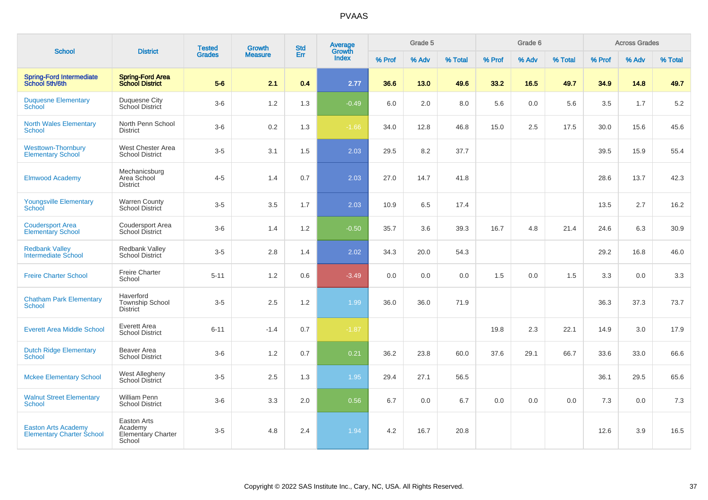| <b>School</b>                                                  |                                                               | <b>Tested</b> | Growth         | <b>Std</b> | Average<br>Growth |        | Grade 5 |         |        | Grade 6 |         |         | <b>Across Grades</b> |         |
|----------------------------------------------------------------|---------------------------------------------------------------|---------------|----------------|------------|-------------------|--------|---------|---------|--------|---------|---------|---------|----------------------|---------|
|                                                                | <b>District</b>                                               | <b>Grades</b> | <b>Measure</b> | Err        | Index             | % Prof | % Adv   | % Total | % Prof | % Adv   | % Total | % Prof  | % Adv                | % Total |
| <b>Spring-Ford Intermediate</b><br>School 5th/6th              | <b>Spring-Ford Area</b><br><b>School District</b>             | $5-6$         | 2.1            | 0.4        | 2.77              | 36.6   | 13.0    | 49.6    | 33.2   | 16.5    | 49.7    | 34.9    | 14.8                 | 49.7    |
| <b>Duquesne Elementary</b><br>School                           | <b>Duquesne City</b><br>School District                       | $3-6$         | $1.2$          | 1.3        | $-0.49$           | 6.0    | 2.0     | 8.0     | 5.6    | 0.0     | 5.6     | $3.5\,$ | 1.7                  | 5.2     |
| <b>North Wales Elementary</b><br>School                        | North Penn School<br><b>District</b>                          | $3-6$         | $0.2\,$        | 1.3        | $-1.66$           | 34.0   | 12.8    | 46.8    | 15.0   | 2.5     | 17.5    | 30.0    | 15.6                 | 45.6    |
| <b>Westtown-Thornbury</b><br><b>Elementary School</b>          | West Chester Area<br><b>School District</b>                   | $3-5$         | 3.1            | 1.5        | 2.03              | 29.5   | 8.2     | 37.7    |        |         |         | 39.5    | 15.9                 | 55.4    |
| <b>Elmwood Academy</b>                                         | Mechanicsburg<br>Area School<br>District                      | $4 - 5$       | 1.4            | 0.7        | 2.03              | 27.0   | 14.7    | 41.8    |        |         |         | 28.6    | 13.7                 | 42.3    |
| <b>Youngsville Elementary</b><br>School                        | <b>Warren County</b><br>School District                       | $3-5$         | 3.5            | 1.7        | 2.03              | 10.9   | 6.5     | 17.4    |        |         |         | 13.5    | 2.7                  | 16.2    |
| <b>Coudersport Area</b><br><b>Elementary School</b>            | Coudersport Area<br><b>School District</b>                    | $3-6$         | 1.4            | $1.2$      | $-0.50$           | 35.7   | 3.6     | 39.3    | 16.7   | 4.8     | 21.4    | 24.6    | 6.3                  | 30.9    |
| <b>Redbank Valley</b><br><b>Intermediate School</b>            | Redbank Valley<br><b>School District</b>                      | $3-5$         | 2.8            | 1.4        | 2.02              | 34.3   | 20.0    | 54.3    |        |         |         | 29.2    | 16.8                 | 46.0    |
| <b>Freire Charter School</b>                                   | <b>Freire Charter</b><br>School                               | $5 - 11$      | 1.2            | 0.6        | $-3.49$           | 0.0    | 0.0     | 0.0     | 1.5    | 0.0     | 1.5     | 3.3     | 0.0                  | 3.3     |
| <b>Chatham Park Elementary</b><br>School                       | Haverford<br><b>Township School</b><br><b>District</b>        | $3-5$         | 2.5            | 1.2        | 1.99              | 36.0   | 36.0    | 71.9    |        |         |         | 36.3    | 37.3                 | 73.7    |
| <b>Everett Area Middle School</b>                              | Everett Area<br><b>School District</b>                        | $6 - 11$      | $-1.4$         | 0.7        | $-1.87$           |        |         |         | 19.8   | 2.3     | 22.1    | 14.9    | 3.0                  | 17.9    |
| <b>Dutch Ridge Elementary</b><br>School                        | Beaver Area<br><b>School District</b>                         | $3-6$         | 1.2            | 0.7        | 0.21              | 36.2   | 23.8    | 60.0    | 37.6   | 29.1    | 66.7    | 33.6    | 33.0                 | 66.6    |
| <b>Mckee Elementary School</b>                                 | West Allegheny<br>School District                             | $3-5$         | 2.5            | 1.3        | 1.95              | 29.4   | 27.1    | 56.5    |        |         |         | 36.1    | 29.5                 | 65.6    |
| <b>Walnut Street Elementary</b><br>School                      | William Penn<br><b>School District</b>                        | $3-6$         | 3.3            | 2.0        | 0.56              | 6.7    | 0.0     | 6.7     | 0.0    | 0.0     | 0.0     | 7.3     | 0.0                  | 7.3     |
| <b>Easton Arts Academy</b><br><b>Elementary Charter School</b> | Easton Arts<br>Academy<br><b>Elementary Charter</b><br>School | $3-5$         | 4.8            | 2.4        | 1.94              | 4.2    | 16.7    | 20.8    |        |         |         | 12.6    | 3.9                  | 16.5    |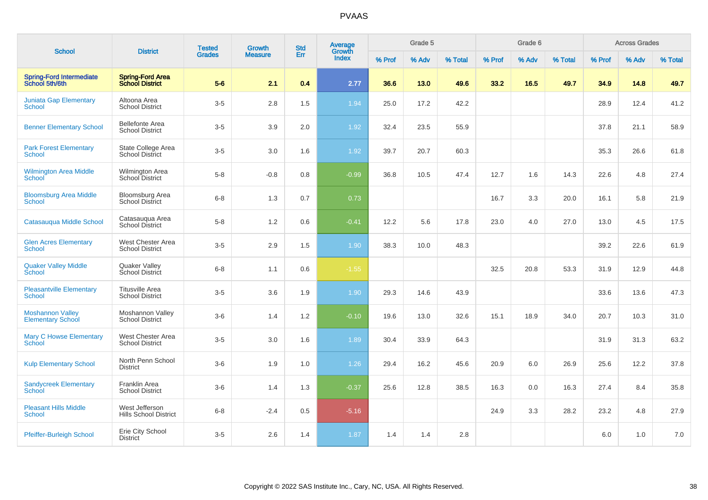|                                                     |                                                    | <b>Tested</b> | <b>Growth</b>  | <b>Std</b> | Average<br>Growth |        | Grade 5 |         |        | Grade 6 |         |        | <b>Across Grades</b> |         |
|-----------------------------------------------------|----------------------------------------------------|---------------|----------------|------------|-------------------|--------|---------|---------|--------|---------|---------|--------|----------------------|---------|
| <b>School</b>                                       | <b>District</b>                                    | <b>Grades</b> | <b>Measure</b> | Err        | Index             | % Prof | % Adv   | % Total | % Prof | % Adv   | % Total | % Prof | % Adv                | % Total |
| <b>Spring-Ford Intermediate</b><br>School 5th/6th   | <b>Spring-Ford Area</b><br><b>School District</b>  | $5-6$         | 2.1            | 0.4        | 2.77              | 36.6   | 13.0    | 49.6    | 33.2   | 16.5    | 49.7    | 34.9   | 14.8                 | 49.7    |
| <b>Juniata Gap Elementary</b><br>School             | Altoona Area<br><b>School District</b>             | $3-5$         | $2.8\,$        | 1.5        | 1.94              | 25.0   | 17.2    | 42.2    |        |         |         | 28.9   | 12.4                 | 41.2    |
| <b>Benner Elementary School</b>                     | <b>Bellefonte Area</b><br><b>School District</b>   | $3-5$         | 3.9            | 2.0        | 1.92              | 32.4   | 23.5    | 55.9    |        |         |         | 37.8   | 21.1                 | 58.9    |
| <b>Park Forest Elementary</b><br>School             | State College Area<br><b>School District</b>       | $3-5$         | 3.0            | 1.6        | 1.92              | 39.7   | 20.7    | 60.3    |        |         |         | 35.3   | 26.6                 | 61.8    |
| <b>Wilmington Area Middle</b><br>School             | <b>Wilmington Area</b><br>School District          | $5-8$         | $-0.8$         | 0.8        | $-0.99$           | 36.8   | 10.5    | 47.4    | 12.7   | 1.6     | 14.3    | 22.6   | 4.8                  | 27.4    |
| <b>Bloomsburg Area Middle</b><br>School             | <b>Bloomsburg Area</b><br><b>School District</b>   | $6 - 8$       | 1.3            | 0.7        | 0.73              |        |         |         | 16.7   | 3.3     | 20.0    | 16.1   | 5.8                  | 21.9    |
| Catasauqua Middle School                            | Catasauqua Area<br><b>School District</b>          | $5-8$         | 1.2            | 0.6        | $-0.41$           | 12.2   | 5.6     | 17.8    | 23.0   | 4.0     | 27.0    | 13.0   | 4.5                  | 17.5    |
| <b>Glen Acres Elementary</b><br><b>School</b>       | West Chester Area<br><b>School District</b>        | $3-5$         | 2.9            | 1.5        | 1.90              | 38.3   | 10.0    | 48.3    |        |         |         | 39.2   | 22.6                 | 61.9    |
| <b>Quaker Valley Middle</b><br>School               | <b>Quaker Valley</b><br>School District            | $6 - 8$       | 1.1            | 0.6        | $-1.55$           |        |         |         | 32.5   | 20.8    | 53.3    | 31.9   | 12.9                 | 44.8    |
| <b>Pleasantville Elementary</b><br><b>School</b>    | <b>Titusville Area</b><br><b>School District</b>   | $3-5$         | 3.6            | 1.9        | 1.90              | 29.3   | 14.6    | 43.9    |        |         |         | 33.6   | 13.6                 | 47.3    |
| <b>Moshannon Valley</b><br><b>Elementary School</b> | Moshannon Valley<br><b>School District</b>         | $3-6$         | 1.4            | 1.2        | $-0.10$           | 19.6   | 13.0    | 32.6    | 15.1   | 18.9    | 34.0    | 20.7   | 10.3                 | 31.0    |
| <b>Mary C Howse Elementary</b><br>School            | <b>West Chester Area</b><br><b>School District</b> | $3-5$         | 3.0            | 1.6        | 1.89              | 30.4   | 33.9    | 64.3    |        |         |         | 31.9   | 31.3                 | 63.2    |
| <b>Kulp Elementary School</b>                       | North Penn School<br><b>District</b>               | $3-6$         | 1.9            | 1.0        | 1.26              | 29.4   | 16.2    | 45.6    | 20.9   | 6.0     | 26.9    | 25.6   | 12.2                 | 37.8    |
| <b>Sandycreek Elementary</b><br>School              | <b>Franklin Area</b><br><b>School District</b>     | $3-6$         | 1.4            | 1.3        | $-0.37$           | 25.6   | 12.8    | 38.5    | 16.3   | 0.0     | 16.3    | 27.4   | 8.4                  | 35.8    |
| <b>Pleasant Hills Middle</b><br><b>School</b>       | West Jefferson<br><b>Hills School District</b>     | $6 - 8$       | $-2.4$         | 0.5        | $-5.16$           |        |         |         | 24.9   | 3.3     | 28.2    | 23.2   | 4.8                  | 27.9    |
| Pfeiffer-Burleigh School                            | Erie City School<br><b>District</b>                | $3-5$         | 2.6            | 1.4        | 1.87              | 1.4    | 1.4     | 2.8     |        |         |         | 6.0    | 1.0                  | $7.0\,$ |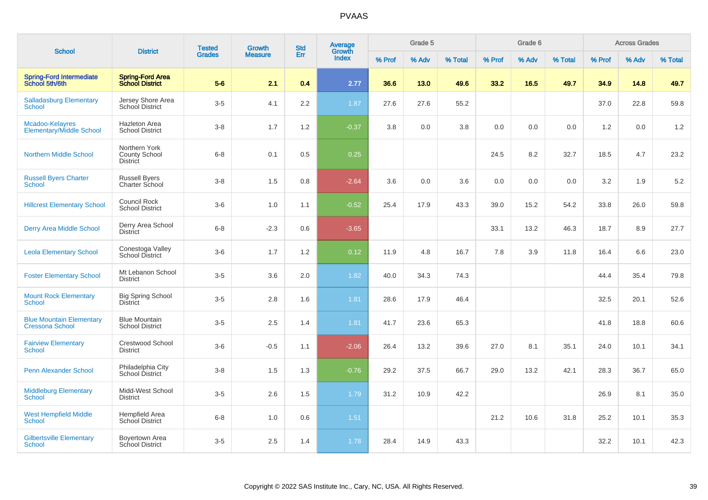|                                                           |                                                          | <b>Tested</b> | <b>Growth</b>  | <b>Std</b> | Average<br>Growth |        | Grade 5 |         |        | Grade 6 |         |        | <b>Across Grades</b> |         |
|-----------------------------------------------------------|----------------------------------------------------------|---------------|----------------|------------|-------------------|--------|---------|---------|--------|---------|---------|--------|----------------------|---------|
| <b>School</b>                                             | <b>District</b>                                          | <b>Grades</b> | <b>Measure</b> | Err        | <b>Index</b>      | % Prof | % Adv   | % Total | % Prof | % Adv   | % Total | % Prof | % Adv                | % Total |
| <b>Spring-Ford Intermediate</b><br>School 5th/6th         | <b>Spring-Ford Area</b><br><b>School District</b>        | $5-6$         | 2.1            | 0.4        | 2.77              | 36.6   | 13.0    | 49.6    | 33.2   | 16.5    | 49.7    | 34.9   | 14.8                 | 49.7    |
| <b>Salladasburg Elementary</b><br>School                  | Jersey Shore Area<br><b>School District</b>              | $3-5$         | 4.1            | 2.2        | 1.87              | 27.6   | 27.6    | 55.2    |        |         |         | 37.0   | 22.8                 | 59.8    |
| Mcadoo-Kelayres<br><b>Elementary/Middle School</b>        | <b>Hazleton Area</b><br><b>School District</b>           | $3 - 8$       | 1.7            | 1.2        | $-0.37$           | 3.8    | 0.0     | 3.8     | 0.0    | 0.0     | 0.0     | 1.2    | 0.0                  | 1.2     |
| <b>Northern Middle School</b>                             | Northern York<br><b>County School</b><br><b>District</b> | $6 - 8$       | 0.1            | 0.5        | 0.25              |        |         |         | 24.5   | 8.2     | 32.7    | 18.5   | 4.7                  | 23.2    |
| <b>Russell Byers Charter</b><br><b>School</b>             | <b>Russell Byers</b><br><b>Charter School</b>            | $3-8$         | 1.5            | 0.8        | $-2.64$           | 3.6    | 0.0     | 3.6     | 0.0    | 0.0     | 0.0     | 3.2    | 1.9                  | 5.2     |
| <b>Hillcrest Elementary School</b>                        | <b>Council Rock</b><br><b>School District</b>            | $3-6$         | 1.0            | 1.1        | $-0.52$           | 25.4   | 17.9    | 43.3    | 39.0   | 15.2    | 54.2    | 33.8   | 26.0                 | 59.8    |
| Derry Area Middle School                                  | Derry Area School<br><b>District</b>                     | $6 - 8$       | $-2.3$         | 0.6        | $-3.65$           |        |         |         | 33.1   | 13.2    | 46.3    | 18.7   | 8.9                  | 27.7    |
| <b>Leola Elementary School</b>                            | Conestoga Valley<br>School District                      | $3-6$         | 1.7            | 1.2        | 0.12              | 11.9   | 4.8     | 16.7    | 7.8    | 3.9     | 11.8    | 16.4   | 6.6                  | 23.0    |
| <b>Foster Elementary School</b>                           | Mt Lebanon School<br><b>District</b>                     | $3-5$         | 3.6            | 2.0        | 1.82              | 40.0   | 34.3    | 74.3    |        |         |         | 44.4   | 35.4                 | 79.8    |
| <b>Mount Rock Elementary</b><br><b>School</b>             | <b>Big Spring School</b><br><b>District</b>              | $3-5$         | 2.8            | 1.6        | 1.81              | 28.6   | 17.9    | 46.4    |        |         |         | 32.5   | 20.1                 | 52.6    |
| <b>Blue Mountain Elementary</b><br><b>Cressona School</b> | <b>Blue Mountain</b><br><b>School District</b>           | $3-5$         | 2.5            | 1.4        | 1.81              | 41.7   | 23.6    | 65.3    |        |         |         | 41.8   | 18.8                 | 60.6    |
| <b>Fairview Elementary</b><br><b>School</b>               | <b>Crestwood School</b><br><b>District</b>               | $3-6$         | $-0.5$         | 1.1        | $-2.06$           | 26.4   | 13.2    | 39.6    | 27.0   | 8.1     | 35.1    | 24.0   | 10.1                 | 34.1    |
| <b>Penn Alexander School</b>                              | Philadelphia City<br>School District                     | $3-8$         | 1.5            | 1.3        | $-0.76$           | 29.2   | 37.5    | 66.7    | 29.0   | 13.2    | 42.1    | 28.3   | 36.7                 | 65.0    |
| <b>Middleburg Elementary</b><br>School                    | Midd-West School<br><b>District</b>                      | $3-5$         | 2.6            | 1.5        | 1.79              | 31.2   | 10.9    | 42.2    |        |         |         | 26.9   | 8.1                  | 35.0    |
| <b>West Hempfield Middle</b><br><b>School</b>             | Hempfield Area<br><b>School District</b>                 | $6 - 8$       | $1.0$          | 0.6        | $1.51$            |        |         |         | 21.2   | 10.6    | 31.8    | 25.2   | 10.1                 | 35.3    |
| <b>Gilbertsville Elementary</b><br>School                 | Boyertown Area<br><b>School District</b>                 | $3-5$         | 2.5            | 1.4        | 1.78              | 28.4   | 14.9    | 43.3    |        |         |         | 32.2   | 10.1                 | 42.3    |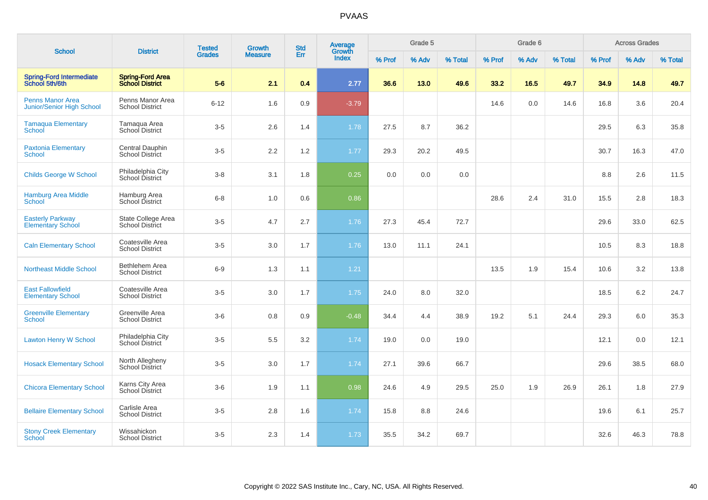|                                                             |                                                   | <b>Tested</b> | <b>Growth</b>  | <b>Std</b> | Average         |        | Grade 5 |         |        | Grade 6 |         |        | <b>Across Grades</b> |         |
|-------------------------------------------------------------|---------------------------------------------------|---------------|----------------|------------|-----------------|--------|---------|---------|--------|---------|---------|--------|----------------------|---------|
| <b>School</b>                                               | <b>District</b>                                   | <b>Grades</b> | <b>Measure</b> | Err        | Growth<br>Index | % Prof | % Adv   | % Total | % Prof | % Adv   | % Total | % Prof | % Adv                | % Total |
| <b>Spring-Ford Intermediate</b><br>School 5th/6th           | <b>Spring-Ford Area</b><br><b>School District</b> | $5-6$         | 2.1            | 0.4        | 2.77            | 36.6   | 13.0    | 49.6    | 33.2   | 16.5    | 49.7    | 34.9   | 14.8                 | 49.7    |
| <b>Penns Manor Area</b><br><b>Junior/Senior High School</b> | Penns Manor Area<br><b>School District</b>        | $6 - 12$      | 1.6            | 0.9        | $-3.79$         |        |         |         | 14.6   | 0.0     | 14.6    | 16.8   | 3.6                  | 20.4    |
| <b>Tamaqua Elementary</b><br>School                         | Tamaqua Area<br>School District                   | $3-5$         | 2.6            | 1.4        | 1.78            | 27.5   | 8.7     | 36.2    |        |         |         | 29.5   | 6.3                  | 35.8    |
| <b>Paxtonia Elementary</b><br>School                        | Central Dauphin<br><b>School District</b>         | $3-5$         | $2.2\,$        | 1.2        | 1.77            | 29.3   | 20.2    | 49.5    |        |         |         | 30.7   | 16.3                 | 47.0    |
| <b>Childs George W School</b>                               | Philadelphia City<br>School District              | $3-8$         | 3.1            | 1.8        | 0.25            | 0.0    | 0.0     | 0.0     |        |         |         | 8.8    | 2.6                  | 11.5    |
| <b>Hamburg Area Middle</b><br><b>School</b>                 | Hamburg Area<br>School District                   | $6 - 8$       | 1.0            | 0.6        | 0.86            |        |         |         | 28.6   | 2.4     | 31.0    | 15.5   | 2.8                  | 18.3    |
| <b>Easterly Parkway</b><br><b>Elementary School</b>         | State College Area<br><b>School District</b>      | $3-5$         | 4.7            | 2.7        | 1.76            | 27.3   | 45.4    | 72.7    |        |         |         | 29.6   | 33.0                 | 62.5    |
| <b>Caln Elementary School</b>                               | Coatesville Area<br><b>School District</b>        | $3-5$         | 3.0            | 1.7        | 1.76            | 13.0   | 11.1    | 24.1    |        |         |         | 10.5   | 8.3                  | 18.8    |
| <b>Northeast Middle School</b>                              | Bethlehem Area<br><b>School District</b>          | $6-9$         | 1.3            | 1.1        | 1.21            |        |         |         | 13.5   | 1.9     | 15.4    | 10.6   | 3.2                  | 13.8    |
| <b>East Fallowfield</b><br><b>Elementary School</b>         | Coatesville Area<br><b>School District</b>        | $3-5$         | 3.0            | 1.7        | 1.75            | 24.0   | 8.0     | 32.0    |        |         |         | 18.5   | $6.2\,$              | 24.7    |
| <b>Greenville Elementary</b><br>School                      | Greenville Area<br><b>School District</b>         | $3-6$         | $0.8\,$        | 0.9        | $-0.48$         | 34.4   | 4.4     | 38.9    | 19.2   | 5.1     | 24.4    | 29.3   | 6.0                  | 35.3    |
| <b>Lawton Henry W School</b>                                | Philadelphia City<br><b>School District</b>       | $3-5$         | 5.5            | 3.2        | 1.74            | 19.0   | 0.0     | 19.0    |        |         |         | 12.1   | 0.0                  | 12.1    |
| <b>Hosack Elementary School</b>                             | North Allegheny<br><b>School District</b>         | $3-5$         | 3.0            | 1.7        | 1.74            | 27.1   | 39.6    | 66.7    |        |         |         | 29.6   | 38.5                 | 68.0    |
| <b>Chicora Elementary School</b>                            | Karns City Area<br>School District                | $3-6$         | 1.9            | 1.1        | 0.98            | 24.6   | 4.9     | 29.5    | 25.0   | 1.9     | 26.9    | 26.1   | 1.8                  | 27.9    |
| <b>Bellaire Elementary School</b>                           | Carlisle Area<br><b>School District</b>           | $3-5$         | 2.8            | 1.6        | 1.74            | 15.8   | 8.8     | 24.6    |        |         |         | 19.6   | 6.1                  | 25.7    |
| <b>Stony Creek Elementary</b><br><b>School</b>              | Wissahickon<br><b>School District</b>             | $3-5$         | 2.3            | 1.4        | 1.73            | 35.5   | 34.2    | 69.7    |        |         |         | 32.6   | 46.3                 | 78.8    |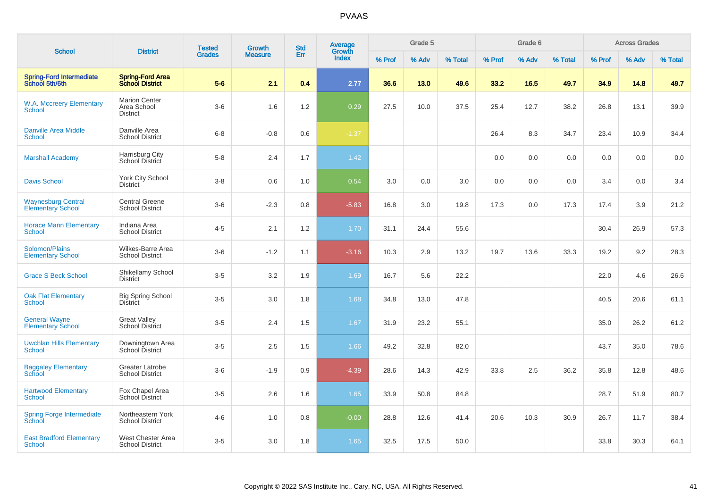| <b>School</b>                                         | <b>District</b>                                        | <b>Tested</b> | Growth         | <b>Std</b> | <b>Average</b><br>Growth |        | Grade 5 |         |        | Grade 6 |         |        | <b>Across Grades</b> |         |
|-------------------------------------------------------|--------------------------------------------------------|---------------|----------------|------------|--------------------------|--------|---------|---------|--------|---------|---------|--------|----------------------|---------|
|                                                       |                                                        | <b>Grades</b> | <b>Measure</b> | Err        | Index                    | % Prof | % Adv   | % Total | % Prof | % Adv   | % Total | % Prof | % Adv                | % Total |
| <b>Spring-Ford Intermediate</b><br>School 5th/6th     | <b>Spring-Ford Area</b><br><b>School District</b>      | $5-6$         | 2.1            | 0.4        | 2.77                     | 36.6   | 13.0    | 49.6    | 33.2   | 16.5    | 49.7    | 34.9   | 14.8                 | 49.7    |
| <b>W.A. Mccreery Elementary</b><br>School             | <b>Marion Center</b><br>Area School<br><b>District</b> | $3-6$         | 1.6            | 1.2        | 0.29                     | 27.5   | 10.0    | 37.5    | 25.4   | 12.7    | 38.2    | 26.8   | 13.1                 | 39.9    |
| <b>Danville Area Middle</b><br><b>School</b>          | Danville Area<br><b>School District</b>                | $6 - 8$       | $-0.8$         | 0.6        | $-1.37$                  |        |         |         | 26.4   | 8.3     | 34.7    | 23.4   | 10.9                 | 34.4    |
| <b>Marshall Academy</b>                               | Harrisburg City<br>School District                     | $5 - 8$       | 2.4            | 1.7        | 1.42                     |        |         |         | 0.0    | 0.0     | 0.0     | 0.0    | 0.0                  | 0.0     |
| <b>Davis School</b>                                   | <b>York City School</b><br><b>District</b>             | $3 - 8$       | $0.6\,$        | 1.0        | 0.54                     | 3.0    | 0.0     | 3.0     | 0.0    | 0.0     | 0.0     | 3.4    | 0.0                  | 3.4     |
| <b>Waynesburg Central</b><br><b>Elementary School</b> | <b>Central Greene</b><br><b>School District</b>        | $3-6$         | $-2.3$         | 0.8        | $-5.83$                  | 16.8   | 3.0     | 19.8    | 17.3   | 0.0     | 17.3    | 17.4   | 3.9                  | 21.2    |
| <b>Horace Mann Elementary</b><br><b>School</b>        | Indiana Area<br><b>School District</b>                 | $4 - 5$       | 2.1            | 1.2        | 1.70                     | 31.1   | 24.4    | 55.6    |        |         |         | 30.4   | 26.9                 | 57.3    |
| Solomon/Plains<br><b>Elementary School</b>            | Wilkes-Barre Area<br><b>School District</b>            | $3-6$         | $-1.2$         | 1.1        | $-3.16$                  | 10.3   | 2.9     | 13.2    | 19.7   | 13.6    | 33.3    | 19.2   | 9.2                  | 28.3    |
| <b>Grace S Beck School</b>                            | Shikellamy School<br><b>District</b>                   | $3-5$         | 3.2            | 1.9        | 1.69                     | 16.7   | 5.6     | 22.2    |        |         |         | 22.0   | 4.6                  | 26.6    |
| <b>Oak Flat Elementary</b><br>School                  | <b>Big Spring School</b><br><b>District</b>            | $3-5$         | 3.0            | 1.8        | 1.68                     | 34.8   | 13.0    | 47.8    |        |         |         | 40.5   | 20.6                 | 61.1    |
| <b>General Wayne</b><br><b>Elementary School</b>      | <b>Great Valley</b><br><b>School District</b>          | $3-5$         | 2.4            | 1.5        | 1.67                     | 31.9   | 23.2    | 55.1    |        |         |         | 35.0   | 26.2                 | 61.2    |
| <b>Uwchlan Hills Elementary</b><br><b>School</b>      | Downingtown Area<br>School District                    | $3-5$         | 2.5            | 1.5        | 1.66                     | 49.2   | 32.8    | 82.0    |        |         |         | 43.7   | 35.0                 | 78.6    |
| <b>Baggaley Elementary</b><br><b>School</b>           | <b>Greater Latrobe</b><br><b>School District</b>       | $3-6$         | $-1.9$         | 0.9        | $-4.39$                  | 28.6   | 14.3    | 42.9    | 33.8   | $2.5\,$ | 36.2    | 35.8   | 12.8                 | 48.6    |
| <b>Hartwood Elementary</b><br>School                  | Fox Chapel Area<br><b>School District</b>              | $3-5$         | 2.6            | 1.6        | 1.65                     | 33.9   | 50.8    | 84.8    |        |         |         | 28.7   | 51.9                 | 80.7    |
| <b>Spring Forge Intermediate</b><br><b>School</b>     | Northeastern York<br><b>School District</b>            | $4 - 6$       | 1.0            | 0.8        | $-0.00$                  | 28.8   | 12.6    | 41.4    | 20.6   | 10.3    | 30.9    | 26.7   | 11.7                 | 38.4    |
| <b>East Bradford Elementary</b><br>School             | West Chester Area<br><b>School District</b>            | $3-5$         | 3.0            | 1.8        | 1.65                     | 32.5   | 17.5    | 50.0    |        |         |         | 33.8   | 30.3                 | 64.1    |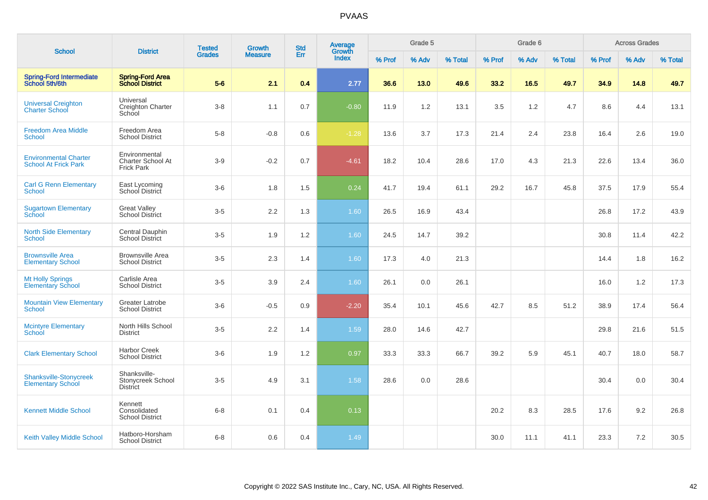| <b>School</b>                                               | <b>District</b>                                         | <b>Tested</b> | <b>Growth</b>  | <b>Std</b> | Average<br>Growth |        | Grade 5 |         |        | Grade 6 |         |        | <b>Across Grades</b> |         |
|-------------------------------------------------------------|---------------------------------------------------------|---------------|----------------|------------|-------------------|--------|---------|---------|--------|---------|---------|--------|----------------------|---------|
|                                                             |                                                         | <b>Grades</b> | <b>Measure</b> | Err        | Index             | % Prof | % Adv   | % Total | % Prof | % Adv   | % Total | % Prof | % Adv                | % Total |
| <b>Spring-Ford Intermediate</b><br>School 5th/6th           | <b>Spring-Ford Area</b><br><b>School District</b>       | $5-6$         | 2.1            | 0.4        | 2.77              | 36.6   | 13.0    | 49.6    | 33.2   | 16.5    | 49.7    | 34.9   | 14.8                 | 49.7    |
| <b>Universal Creighton</b><br><b>Charter School</b>         | Universal<br>Creighton Charter<br>School                | $3-8$         | 1.1            | 0.7        | $-0.80$           | 11.9   | 1.2     | 13.1    | 3.5    | 1.2     | 4.7     | 8.6    | 4.4                  | 13.1    |
| <b>Freedom Area Middle</b><br>School                        | Freedom Area<br><b>School District</b>                  | $5-8$         | $-0.8$         | 0.6        | $-1.28$           | 13.6   | 3.7     | 17.3    | 21.4   | 2.4     | 23.8    | 16.4   | 2.6                  | 19.0    |
| <b>Environmental Charter</b><br><b>School At Frick Park</b> | Environmental<br>Charter School At<br><b>Frick Park</b> | $3-9$         | $-0.2$         | 0.7        | $-4.61$           | 18.2   | 10.4    | 28.6    | 17.0   | 4.3     | 21.3    | 22.6   | 13.4                 | 36.0    |
| <b>Carl G Renn Elementary</b><br>School                     | East Lycoming<br>School District                        | $3-6$         | 1.8            | 1.5        | 0.24              | 41.7   | 19.4    | 61.1    | 29.2   | 16.7    | 45.8    | 37.5   | 17.9                 | 55.4    |
| <b>Sugartown Elementary</b><br>School                       | <b>Great Valley</b><br><b>School District</b>           | $3-5$         | 2.2            | 1.3        | 1.60              | 26.5   | 16.9    | 43.4    |        |         |         | 26.8   | 17.2                 | 43.9    |
| <b>North Side Elementary</b><br><b>School</b>               | Central Dauphin<br><b>School District</b>               | $3-5$         | 1.9            | 1.2        | 1.60              | 24.5   | 14.7    | 39.2    |        |         |         | 30.8   | 11.4                 | 42.2    |
| <b>Brownsville Area</b><br><b>Elementary School</b>         | <b>Brownsville Area</b><br><b>School District</b>       | $3-5$         | 2.3            | 1.4        | 1.60              | 17.3   | 4.0     | 21.3    |        |         |         | 14.4   | 1.8                  | 16.2    |
| <b>Mt Holly Springs</b><br><b>Elementary School</b>         | Carlisle Area<br><b>School District</b>                 | $3-5$         | 3.9            | 2.4        | 1.60              | 26.1   | 0.0     | 26.1    |        |         |         | 16.0   | 1.2                  | 17.3    |
| <b>Mountain View Elementary</b><br><b>School</b>            | <b>Greater Latrobe</b><br><b>School District</b>        | $3-6$         | $-0.5$         | 0.9        | $-2.20$           | 35.4   | 10.1    | 45.6    | 42.7   | 8.5     | 51.2    | 38.9   | 17.4                 | 56.4    |
| <b>Mcintyre Elementary</b><br>School                        | North Hills School<br><b>District</b>                   | $3-5$         | 2.2            | 1.4        | 1.59              | 28.0   | 14.6    | 42.7    |        |         |         | 29.8   | 21.6                 | 51.5    |
| <b>Clark Elementary School</b>                              | <b>Harbor Creek</b><br><b>School District</b>           | $3-6$         | 1.9            | 1.2        | 0.97              | 33.3   | 33.3    | 66.7    | 39.2   | 5.9     | 45.1    | 40.7   | 18.0                 | 58.7    |
| Shanksville-Stonycreek<br><b>Elementary School</b>          | Shanksville-<br>Stonycreek School<br><b>District</b>    | $3-5$         | 4.9            | 3.1        | 1.58              | 28.6   | 0.0     | 28.6    |        |         |         | 30.4   | 0.0                  | 30.4    |
| <b>Kennett Middle School</b>                                | Kennett<br>Consolidated<br><b>School District</b>       | $6 - 8$       | 0.1            | 0.4        | 0.13              |        |         |         | 20.2   | 8.3     | 28.5    | 17.6   | 9.2                  | 26.8    |
| <b>Keith Valley Middle School</b>                           | Hatboro-Horsham<br><b>School District</b>               | $6 - 8$       | 0.6            | 0.4        | 1.49              |        |         |         | 30.0   | 11.1    | 41.1    | 23.3   | 7.2                  | 30.5    |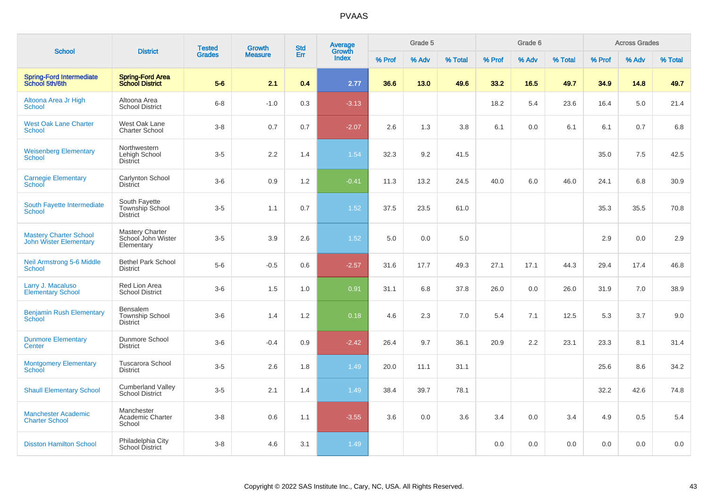| <b>School</b>                                                  | <b>District</b>                                            | <b>Tested</b> | <b>Growth</b>  | <b>Std</b> | Average<br>Growth |        | Grade 5 |         |        | Grade 6 |         |        | <b>Across Grades</b> |         |
|----------------------------------------------------------------|------------------------------------------------------------|---------------|----------------|------------|-------------------|--------|---------|---------|--------|---------|---------|--------|----------------------|---------|
|                                                                |                                                            | <b>Grades</b> | <b>Measure</b> | Err        | Index             | % Prof | % Adv   | % Total | % Prof | % Adv   | % Total | % Prof | % Adv                | % Total |
| <b>Spring-Ford Intermediate</b><br>School 5th/6th              | <b>Spring-Ford Area</b><br><b>School District</b>          | $5-6$         | 2.1            | 0.4        | 2.77              | 36.6   | 13.0    | 49.6    | 33.2   | 16.5    | 49.7    | 34.9   | 14.8                 | 49.7    |
| Altoona Area Jr High<br>School                                 | Altoona Area<br><b>School District</b>                     | $6 - 8$       | $-1.0$         | 0.3        | $-3.13$           |        |         |         | 18.2   | 5.4     | 23.6    | 16.4   | 5.0                  | 21.4    |
| <b>West Oak Lane Charter</b><br><b>School</b>                  | West Oak Lane<br><b>Charter School</b>                     | $3 - 8$       | 0.7            | 0.7        | $-2.07$           | 2.6    | 1.3     | 3.8     | 6.1    | 0.0     | 6.1     | 6.1    | 0.7                  | 6.8     |
| <b>Weisenberg Elementary</b><br>School                         | Northwestern<br>Lehigh School<br>District                  | $3-5$         | $2.2\,$        | 1.4        | 1.54              | 32.3   | 9.2     | 41.5    |        |         |         | 35.0   | 7.5                  | 42.5    |
| <b>Carnegie Elementary</b><br>School                           | Carlynton School<br><b>District</b>                        | $3-6$         | 0.9            | 1.2        | $-0.41$           | 11.3   | 13.2    | 24.5    | 40.0   | 6.0     | 46.0    | 24.1   | 6.8                  | 30.9    |
| South Fayette Intermediate<br><b>School</b>                    | South Fayette<br>Township School<br><b>District</b>        | $3-5$         | 1.1            | 0.7        | 1.52              | 37.5   | 23.5    | 61.0    |        |         |         | 35.3   | 35.5                 | 70.8    |
| <b>Mastery Charter School</b><br><b>John Wister Elementary</b> | <b>Mastery Charter</b><br>School John Wister<br>Elementary | $3-5$         | 3.9            | 2.6        | 1.52              | 5.0    | 0.0     | 5.0     |        |         |         | 2.9    | 0.0                  | 2.9     |
| <b>Neil Armstrong 5-6 Middle</b><br><b>School</b>              | <b>Bethel Park School</b><br><b>District</b>               | $5-6$         | $-0.5$         | 0.6        | $-2.57$           | 31.6   | 17.7    | 49.3    | 27.1   | 17.1    | 44.3    | 29.4   | 17.4                 | 46.8    |
| Larry J. Macaluso<br><b>Elementary School</b>                  | Red Lion Area<br><b>School District</b>                    | $3-6$         | 1.5            | 1.0        | 0.91              | 31.1   | 6.8     | 37.8    | 26.0   | 0.0     | 26.0    | 31.9   | 7.0                  | 38.9    |
| <b>Benjamin Rush Elementary</b><br>School                      | Bensalem<br><b>Township School</b><br><b>District</b>      | $3-6$         | 1.4            | 1.2        | 0.18              | 4.6    | 2.3     | 7.0     | 5.4    | 7.1     | 12.5    | 5.3    | 3.7                  | 9.0     |
| <b>Dunmore Elementary</b><br><b>Center</b>                     | Dunmore School<br><b>District</b>                          | $3-6$         | $-0.4$         | 0.9        | $-2.42$           | 26.4   | 9.7     | 36.1    | 20.9   | 2.2     | 23.1    | 23.3   | 8.1                  | 31.4    |
| <b>Montgomery Elementary</b><br>School                         | <b>Tuscarora School</b><br><b>District</b>                 | $3-5$         | 2.6            | 1.8        | 1.49              | 20.0   | 11.1    | 31.1    |        |         |         | 25.6   | 8.6                  | 34.2    |
| <b>Shaull Elementary School</b>                                | <b>Cumberland Valley</b><br><b>School District</b>         | $3-5$         | 2.1            | 1.4        | 1.49              | 38.4   | 39.7    | 78.1    |        |         |         | 32.2   | 42.6                 | 74.8    |
| <b>Manchester Academic</b><br><b>Charter School</b>            | Manchester<br>Academic Charter<br>School                   | $3-8$         | 0.6            | 1.1        | $-3.55$           | 3.6    | 0.0     | 3.6     | 3.4    | 0.0     | 3.4     | 4.9    | 0.5                  | 5.4     |
| <b>Disston Hamilton School</b>                                 | Philadelphia City<br>School District                       | $3 - 8$       | 4.6            | 3.1        | 1.49              |        |         |         | 0.0    | 0.0     | 0.0     | 0.0    | 0.0                  | 0.0     |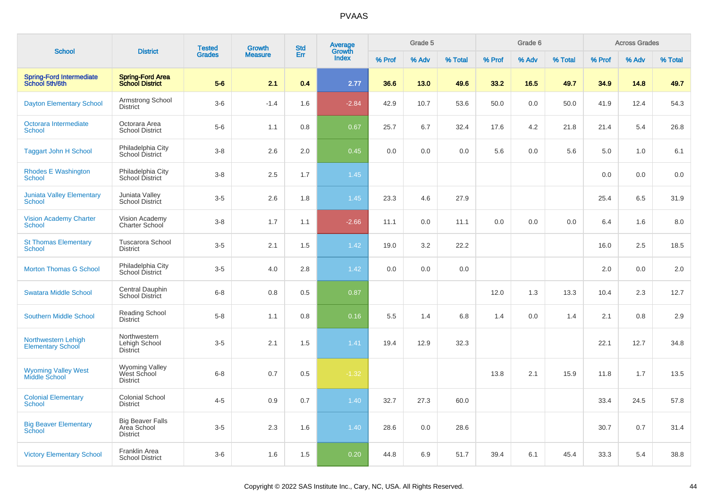|                                                 |                                                           | <b>Tested</b> | Growth         | <b>Std</b> | Average                |        | Grade 5 |         |        | Grade 6 |         |        | <b>Across Grades</b> |         |
|-------------------------------------------------|-----------------------------------------------------------|---------------|----------------|------------|------------------------|--------|---------|---------|--------|---------|---------|--------|----------------------|---------|
| <b>School</b>                                   | <b>District</b>                                           | <b>Grades</b> | <b>Measure</b> | Err        | Growth<br><b>Index</b> | % Prof | % Adv   | % Total | % Prof | % Adv   | % Total | % Prof | % Adv                | % Total |
| Spring-Ford Intermediate<br>School 5th/6th      | <b>Spring-Ford Area</b><br><b>School District</b>         | $5-6$         | 2.1            | 0.4        | 2.77                   | 36.6   | 13.0    | 49.6    | 33.2   | 16.5    | 49.7    | 34.9   | 14.8                 | 49.7    |
| <b>Dayton Elementary School</b>                 | Armstrong School<br><b>District</b>                       | $3-6$         | $-1.4$         | 1.6        | $-2.84$                | 42.9   | 10.7    | 53.6    | 50.0   | 0.0     | 50.0    | 41.9   | 12.4                 | 54.3    |
| Octorara Intermediate<br><b>School</b>          | Octorara Area<br><b>School District</b>                   | $5-6$         | 1.1            | 0.8        | 0.67                   | 25.7   | 6.7     | 32.4    | 17.6   | 4.2     | 21.8    | 21.4   | 5.4                  | 26.8    |
| <b>Taggart John H School</b>                    | Philadelphia City<br>School District                      | $3 - 8$       | 2.6            | 2.0        | 0.45                   | 0.0    | 0.0     | 0.0     | 5.6    | 0.0     | 5.6     | 5.0    | 1.0                  | 6.1     |
| <b>Rhodes E Washington</b><br><b>School</b>     | Philadelphia City<br>School District                      | $3-8$         | 2.5            | 1.7        | 1.45                   |        |         |         |        |         |         | 0.0    | 0.0                  | 0.0     |
| <b>Juniata Valley Elementary</b><br>School      | Juniata Valley<br>School District                         | $3-5$         | 2.6            | 1.8        | 1.45                   | 23.3   | 4.6     | 27.9    |        |         |         | 25.4   | 6.5                  | 31.9    |
| <b>Vision Academy Charter</b><br>School         | Vision Academy<br>Charter School                          | $3-8$         | 1.7            | 1.1        | $-2.66$                | 11.1   | 0.0     | 11.1    | 0.0    | 0.0     | 0.0     | 6.4    | 1.6                  | 8.0     |
| <b>St Thomas Elementary</b><br><b>School</b>    | <b>Tuscarora School</b><br><b>District</b>                | $3-5$         | 2.1            | 1.5        | 1.42                   | 19.0   | 3.2     | 22.2    |        |         |         | 16.0   | 2.5                  | 18.5    |
| <b>Morton Thomas G School</b>                   | Philadelphia City<br>School District                      | $3-5$         | 4.0            | 2.8        | 1.42                   | 0.0    | 0.0     | 0.0     |        |         |         | 2.0    | 0.0                  | 2.0     |
| <b>Swatara Middle School</b>                    | Central Dauphin<br><b>School District</b>                 | $6 - 8$       | 0.8            | 0.5        | 0.87                   |        |         |         | 12.0   | 1.3     | 13.3    | 10.4   | 2.3                  | 12.7    |
| <b>Southern Middle School</b>                   | Reading School<br><b>District</b>                         | $5-8$         | 1.1            | 0.8        | 0.16                   | 5.5    | 1.4     | 6.8     | 1.4    | 0.0     | 1.4     | 2.1    | 0.8                  | 2.9     |
| Northwestern Lehigh<br><b>Elementary School</b> | Northwestern<br>Lehigh School<br><b>District</b>          | $3-5$         | 2.1            | 1.5        | 1.41                   | 19.4   | 12.9    | 32.3    |        |         |         | 22.1   | 12.7                 | 34.8    |
| <b>Wyoming Valley West</b><br>Middle School     | Wyoming Valley<br>West School<br><b>District</b>          | $6-8$         | 0.7            | 0.5        | $-1.32$                |        |         |         | 13.8   | 2.1     | 15.9    | 11.8   | 1.7                  | 13.5    |
| <b>Colonial Elementary</b><br><b>School</b>     | Colonial School<br><b>District</b>                        | $4 - 5$       | 0.9            | 0.7        | 1.40                   | 32.7   | 27.3    | 60.0    |        |         |         | 33.4   | 24.5                 | 57.8    |
| <b>Big Beaver Elementary</b><br>School          | <b>Big Beaver Falls</b><br>Area School<br><b>District</b> | $3-5$         | 2.3            | 1.6        | 1.40                   | 28.6   | 0.0     | 28.6    |        |         |         | 30.7   | 0.7                  | 31.4    |
| <b>Victory Elementary School</b>                | Franklin Area<br><b>School District</b>                   | $3-6$         | 1.6            | 1.5        | 0.20                   | 44.8   | 6.9     | 51.7    | 39.4   | 6.1     | 45.4    | 33.3   | 5.4                  | 38.8    |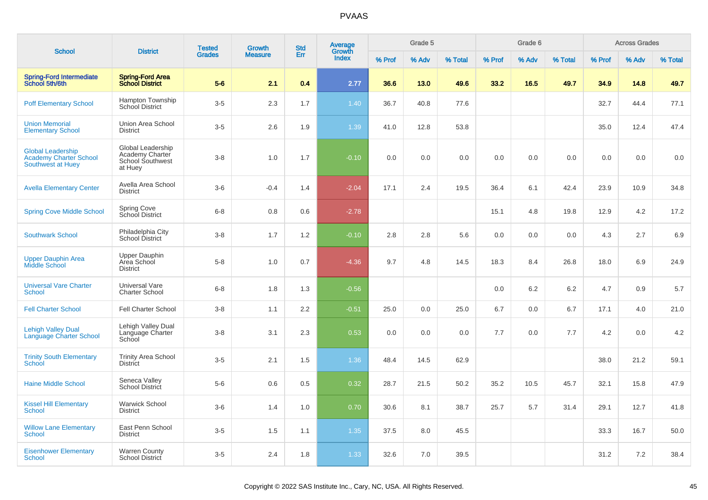| <b>School</b>                                                           | <b>District</b>                                                     | <b>Tested</b> | <b>Growth</b>  | <b>Std</b> | Average<br>Growth |        | Grade 5 |         |        | Grade 6 |         |        | <b>Across Grades</b> |         |
|-------------------------------------------------------------------------|---------------------------------------------------------------------|---------------|----------------|------------|-------------------|--------|---------|---------|--------|---------|---------|--------|----------------------|---------|
|                                                                         |                                                                     | <b>Grades</b> | <b>Measure</b> | Err        | <b>Index</b>      | % Prof | % Adv   | % Total | % Prof | % Adv   | % Total | % Prof | % Adv                | % Total |
| Spring-Ford Intermediate<br>School 5th/6th                              | <b>Spring-Ford Area</b><br><b>School District</b>                   | $5-6$         | 2.1            | 0.4        | 2.77              | 36.6   | 13.0    | 49.6    | 33.2   | 16.5    | 49.7    | 34.9   | 14.8                 | 49.7    |
| <b>Poff Elementary School</b>                                           | Hampton Township<br>School District                                 | $3-5$         | 2.3            | 1.7        | 1.40              | 36.7   | 40.8    | 77.6    |        |         |         | 32.7   | 44.4                 | 77.1    |
| <b>Union Memorial</b><br><b>Elementary School</b>                       | Union Area School<br><b>District</b>                                | $3-5$         | 2.6            | 1.9        | 1.39              | 41.0   | 12.8    | 53.8    |        |         |         | 35.0   | 12.4                 | 47.4    |
| <b>Global Leadership</b><br>Academy Charter School<br>Southwest at Huey | Global Leadership<br>Academy Charter<br>School Southwest<br>at Huey | $3-8$         | 1.0            | 1.7        | $-0.10$           | 0.0    | 0.0     | 0.0     | 0.0    | 0.0     | 0.0     | 0.0    | 0.0                  | 0.0     |
| <b>Avella Elementary Center</b>                                         | Avella Area School<br><b>District</b>                               | $3-6$         | $-0.4$         | 1.4        | $-2.04$           | 17.1   | 2.4     | 19.5    | 36.4   | 6.1     | 42.4    | 23.9   | 10.9                 | 34.8    |
| <b>Spring Cove Middle School</b>                                        | Spring Cove<br>School District                                      | $6-8$         | 0.8            | 0.6        | $-2.78$           |        |         |         | 15.1   | 4.8     | 19.8    | 12.9   | 4.2                  | 17.2    |
| <b>Southwark School</b>                                                 | Philadelphia City<br>School District                                | $3-8$         | 1.7            | 1.2        | $-0.10$           | 2.8    | 2.8     | 5.6     | 0.0    | 0.0     | 0.0     | 4.3    | 2.7                  | 6.9     |
| <b>Upper Dauphin Area</b><br>Middle School                              | Upper Dauphin<br>Area School<br><b>District</b>                     | $5-8$         | 1.0            | 0.7        | $-4.36$           | 9.7    | 4.8     | 14.5    | 18.3   | 8.4     | 26.8    | 18.0   | 6.9                  | 24.9    |
| <b>Universal Vare Charter</b><br><b>School</b>                          | <b>Universal Vare</b><br><b>Charter School</b>                      | $6 - 8$       | 1.8            | 1.3        | $-0.56$           |        |         |         | 0.0    | 6.2     | 6.2     | 4.7    | 0.9                  | 5.7     |
| <b>Fell Charter School</b>                                              | <b>Fell Charter School</b>                                          | $3-8$         | 1.1            | 2.2        | $-0.51$           | 25.0   | 0.0     | 25.0    | 6.7    | 0.0     | 6.7     | 17.1   | 4.0                  | 21.0    |
| <b>Lehigh Valley Dual</b><br><b>Language Charter School</b>             | Lehigh Valley Dual<br>Language Charter<br>School                    | $3-8$         | 3.1            | 2.3        | 0.53              | 0.0    | 0.0     | 0.0     | 7.7    | 0.0     | 7.7     | 4.2    | 0.0                  | 4.2     |
| <b>Trinity South Elementary</b><br>School                               | <b>Trinity Area School</b><br><b>District</b>                       | $3-5$         | 2.1            | 1.5        | 1.36              | 48.4   | 14.5    | 62.9    |        |         |         | 38.0   | 21.2                 | 59.1    |
| <b>Haine Middle School</b>                                              | Seneca Valley<br>School District                                    | $5-6$         | 0.6            | 0.5        | 0.32              | 28.7   | 21.5    | 50.2    | 35.2   | 10.5    | 45.7    | 32.1   | 15.8                 | 47.9    |
| <b>Kissel Hill Elementary</b><br><b>School</b>                          | Warwick School<br><b>District</b>                                   | $3-6$         | 1.4            | 1.0        | 0.70              | 30.6   | 8.1     | 38.7    | 25.7   | 5.7     | 31.4    | 29.1   | 12.7                 | 41.8    |
| <b>Willow Lane Elementary</b><br><b>School</b>                          | East Penn School<br><b>District</b>                                 | $3-5$         | 1.5            | 1.1        | 1.35              | 37.5   | 8.0     | 45.5    |        |         |         | 33.3   | 16.7                 | 50.0    |
| <b>Eisenhower Elementary</b><br><b>School</b>                           | <b>Warren County</b><br><b>School District</b>                      | $3-5$         | 2.4            | 1.8        | 1.33              | 32.6   | 7.0     | 39.5    |        |         |         | 31.2   | 7.2                  | 38.4    |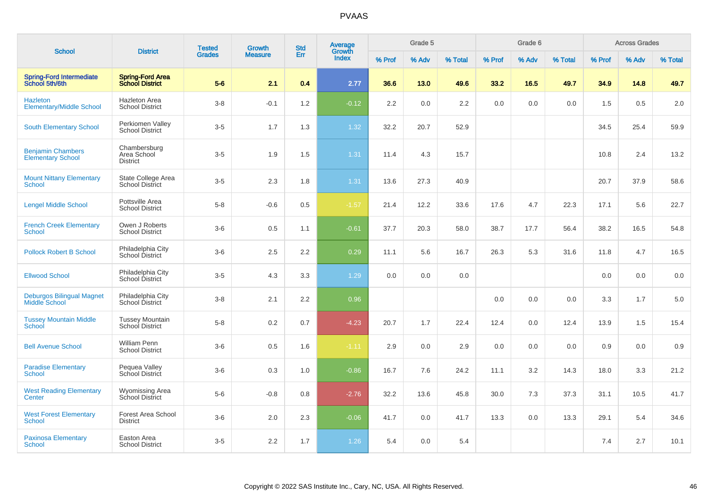| <b>School</b>                                        | <b>District</b>                                   | <b>Tested</b> | <b>Growth</b>  | <b>Std</b> | Average<br>Growth |        | Grade 5 |         |        | Grade 6 |         |        | <b>Across Grades</b> |         |
|------------------------------------------------------|---------------------------------------------------|---------------|----------------|------------|-------------------|--------|---------|---------|--------|---------|---------|--------|----------------------|---------|
|                                                      |                                                   | <b>Grades</b> | <b>Measure</b> | Err        | Index             | % Prof | % Adv   | % Total | % Prof | % Adv   | % Total | % Prof | % Adv                | % Total |
| <b>Spring-Ford Intermediate</b><br>School 5th/6th    | <b>Spring-Ford Area</b><br><b>School District</b> | $5-6$         | 2.1            | 0.4        | 2.77              | 36.6   | 13.0    | 49.6    | 33.2   | 16.5    | 49.7    | 34.9   | 14.8                 | 49.7    |
| <b>Hazleton</b><br><b>Elementary/Middle School</b>   | <b>Hazleton Area</b><br><b>School District</b>    | $3-8$         | $-0.1$         | 1.2        | $-0.12$           | 2.2    | 0.0     | 2.2     | 0.0    | 0.0     | 0.0     | 1.5    | 0.5                  | 2.0     |
| <b>South Elementary School</b>                       | Perkiomen Valley<br><b>School District</b>        | $3-5$         | 1.7            | 1.3        | 1.32              | 32.2   | 20.7    | 52.9    |        |         |         | 34.5   | 25.4                 | 59.9    |
| <b>Benjamin Chambers</b><br><b>Elementary School</b> | Chambersburg<br>Area School<br><b>District</b>    | $3-5$         | 1.9            | 1.5        | 1.31              | 11.4   | 4.3     | 15.7    |        |         |         | 10.8   | 2.4                  | 13.2    |
| <b>Mount Nittany Elementary</b><br>School            | State College Area<br><b>School District</b>      | $3 - 5$       | 2.3            | 1.8        | 1.31              | 13.6   | 27.3    | 40.9    |        |         |         | 20.7   | 37.9                 | 58.6    |
| <b>Lengel Middle School</b>                          | Pottsville Area<br><b>School District</b>         | $5-8$         | $-0.6$         | 0.5        | $-1.57$           | 21.4   | 12.2    | 33.6    | 17.6   | 4.7     | 22.3    | 17.1   | 5.6                  | 22.7    |
| <b>French Creek Elementary</b><br>School             | Owen J Roberts<br><b>School District</b>          | $3-6$         | 0.5            | 1.1        | $-0.61$           | 37.7   | 20.3    | 58.0    | 38.7   | 17.7    | 56.4    | 38.2   | 16.5                 | 54.8    |
| <b>Pollock Robert B School</b>                       | Philadelphia City<br>School District              | $3-6$         | 2.5            | 2.2        | 0.29              | 11.1   | 5.6     | 16.7    | 26.3   | 5.3     | 31.6    | 11.8   | 4.7                  | 16.5    |
| <b>Ellwood School</b>                                | Philadelphia City<br>School District              | $3-5$         | 4.3            | 3.3        | 1.29              | 0.0    | 0.0     | 0.0     |        |         |         | 0.0    | 0.0                  | 0.0     |
| <b>Deburgos Bilingual Magnet</b><br>Middle School    | Philadelphia City<br>School District              | $3-8$         | 2.1            | 2.2        | 0.96              |        |         |         | 0.0    | 0.0     | 0.0     | 3.3    | 1.7                  | 5.0     |
| <b>Tussey Mountain Middle</b><br>School              | <b>Tussey Mountain</b><br>School District         | $5 - 8$       | 0.2            | 0.7        | $-4.23$           | 20.7   | 1.7     | 22.4    | 12.4   | 0.0     | 12.4    | 13.9   | 1.5                  | 15.4    |
| <b>Bell Avenue School</b>                            | <b>William Penn</b><br><b>School District</b>     | $3-6$         | $0.5\,$        | 1.6        | $-1.11$           | 2.9    | 0.0     | 2.9     | 0.0    | 0.0     | 0.0     | 0.9    | 0.0                  | $0.9\,$ |
| <b>Paradise Elementary</b><br>School                 | Pequea Valley<br>School District                  | $3-6$         | 0.3            | 1.0        | $-0.86$           | 16.7   | 7.6     | 24.2    | 11.1   | 3.2     | 14.3    | 18.0   | 3.3                  | 21.2    |
| <b>West Reading Elementary</b><br>Center             | <b>Wyomissing Area</b><br>School District         | $5-6$         | $-0.8$         | 0.8        | $-2.76$           | 32.2   | 13.6    | 45.8    | 30.0   | 7.3     | 37.3    | 31.1   | 10.5                 | 41.7    |
| <b>West Forest Elementary</b><br><b>School</b>       | Forest Area School<br><b>District</b>             | $3-6$         | 2.0            | 2.3        | $-0.06$           | 41.7   | 0.0     | 41.7    | 13.3   | 0.0     | 13.3    | 29.1   | 5.4                  | 34.6    |
| <b>Paxinosa Elementary</b><br>School                 | Easton Area<br><b>School District</b>             | $3-5$         | 2.2            | 1.7        | 1.26              | 5.4    | 0.0     | 5.4     |        |         |         | 7.4    | 2.7                  | 10.1    |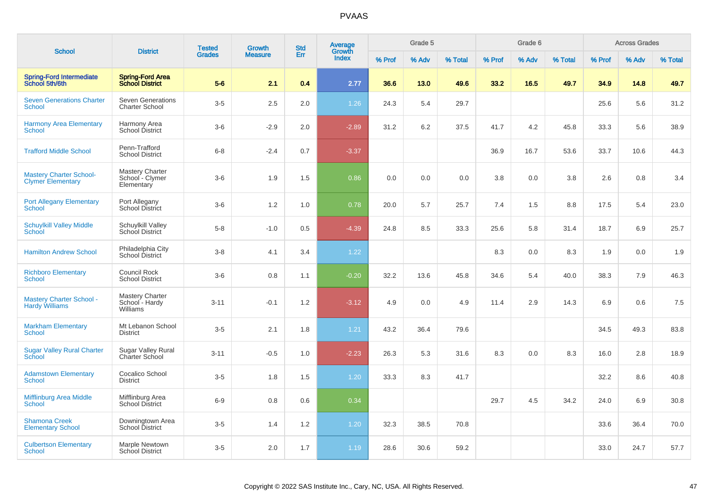| <b>School</b>                                              | <b>District</b>                                         | <b>Tested</b> | <b>Growth</b>  | <b>Std</b> | <b>Average</b><br>Growth |        | Grade 5 |         |        | Grade 6 |         |        | <b>Across Grades</b> |         |
|------------------------------------------------------------|---------------------------------------------------------|---------------|----------------|------------|--------------------------|--------|---------|---------|--------|---------|---------|--------|----------------------|---------|
|                                                            |                                                         | <b>Grades</b> | <b>Measure</b> | Err        | Index                    | % Prof | % Adv   | % Total | % Prof | % Adv   | % Total | % Prof | % Adv                | % Total |
| <b>Spring-Ford Intermediate</b><br>School 5th/6th          | <b>Spring-Ford Area</b><br><b>School District</b>       | $5-6$         | 2.1            | 0.4        | 2.77                     | 36.6   | 13.0    | 49.6    | 33.2   | 16.5    | 49.7    | 34.9   | 14.8                 | 49.7    |
| <b>Seven Generations Charter</b><br><b>School</b>          | <b>Seven Generations</b><br><b>Charter School</b>       | $3-5$         | 2.5            | 2.0        | 1.26                     | 24.3   | 5.4     | 29.7    |        |         |         | 25.6   | 5.6                  | 31.2    |
| <b>Harmony Area Elementary</b><br>School                   | Harmony Area<br>School District                         | $3-6$         | $-2.9$         | 2.0        | $-2.89$                  | 31.2   | 6.2     | 37.5    | 41.7   | 4.2     | 45.8    | 33.3   | 5.6                  | 38.9    |
| <b>Trafford Middle School</b>                              | Penn-Trafford<br><b>School District</b>                 | $6 - 8$       | $-2.4$         | 0.7        | $-3.37$                  |        |         |         | 36.9   | 16.7    | 53.6    | 33.7   | 10.6                 | 44.3    |
| <b>Mastery Charter School-</b><br><b>Clymer Elementary</b> | <b>Mastery Charter</b><br>School - Clymer<br>Elementary | $3-6$         | 1.9            | 1.5        | 0.86                     | 0.0    | 0.0     | 0.0     | 3.8    | 0.0     | 3.8     | 2.6    | 0.8                  | 3.4     |
| <b>Port Allegany Elementary</b><br><b>School</b>           | Port Allegany<br>School District                        | $3-6$         | 1.2            | 1.0        | 0.78                     | 20.0   | 5.7     | 25.7    | 7.4    | 1.5     | 8.8     | 17.5   | 5.4                  | 23.0    |
| <b>Schuylkill Valley Middle</b><br><b>School</b>           | Schuylkill Valley<br>School District                    | $5-8$         | $-1.0$         | 0.5        | $-4.39$                  | 24.8   | 8.5     | 33.3    | 25.6   | 5.8     | 31.4    | 18.7   | 6.9                  | 25.7    |
| <b>Hamilton Andrew School</b>                              | Philadelphia City<br>School District                    | $3-8$         | 4.1            | 3.4        | 1.22                     |        |         |         | 8.3    | 0.0     | 8.3     | 1.9    | 0.0                  | 1.9     |
| <b>Richboro Elementary</b><br><b>School</b>                | <b>Council Rock</b><br><b>School District</b>           | $3-6$         | 0.8            | 1.1        | $-0.20$                  | 32.2   | 13.6    | 45.8    | 34.6   | 5.4     | 40.0    | 38.3   | 7.9                  | 46.3    |
| <b>Mastery Charter School -</b><br><b>Hardy Williams</b>   | <b>Mastery Charter</b><br>School - Hardy<br>Williams    | $3 - 11$      | $-0.1$         | 1.2        | $-3.12$                  | 4.9    | 0.0     | 4.9     | 11.4   | 2.9     | 14.3    | 6.9    | 0.6                  | 7.5     |
| <b>Markham Elementary</b><br><b>School</b>                 | Mt Lebanon School<br><b>District</b>                    | $3-5$         | 2.1            | 1.8        | 1.21                     | 43.2   | 36.4    | 79.6    |        |         |         | 34.5   | 49.3                 | 83.8    |
| <b>Sugar Valley Rural Charter</b><br><b>School</b>         | Sugar Valley Rural<br><b>Charter School</b>             | $3 - 11$      | $-0.5$         | 1.0        | $-2.23$                  | 26.3   | 5.3     | 31.6    | 8.3    | 0.0     | 8.3     | 16.0   | 2.8                  | 18.9    |
| <b>Adamstown Elementary</b><br><b>School</b>               | Cocalico School<br><b>District</b>                      | $3-5$         | 1.8            | 1.5        | 1.20                     | 33.3   | 8.3     | 41.7    |        |         |         | 32.2   | 8.6                  | 40.8    |
| <b>Mifflinburg Area Middle</b><br><b>School</b>            | Mifflinburg Area<br>School District                     | $6-9$         | 0.8            | 0.6        | 0.34                     |        |         |         | 29.7   | 4.5     | 34.2    | 24.0   | 6.9                  | 30.8    |
| <b>Shamona Creek</b><br><b>Elementary School</b>           | Downingtown Area<br>School District                     | $3-5$         | 1.4            | 1.2        | 1.20                     | 32.3   | 38.5    | 70.8    |        |         |         | 33.6   | 36.4                 | 70.0    |
| <b>Culbertson Elementary</b><br><b>School</b>              | Marple Newtown<br><b>School District</b>                | $3-5$         | 2.0            | 1.7        | 1.19                     | 28.6   | 30.6    | 59.2    |        |         |         | 33.0   | 24.7                 | 57.7    |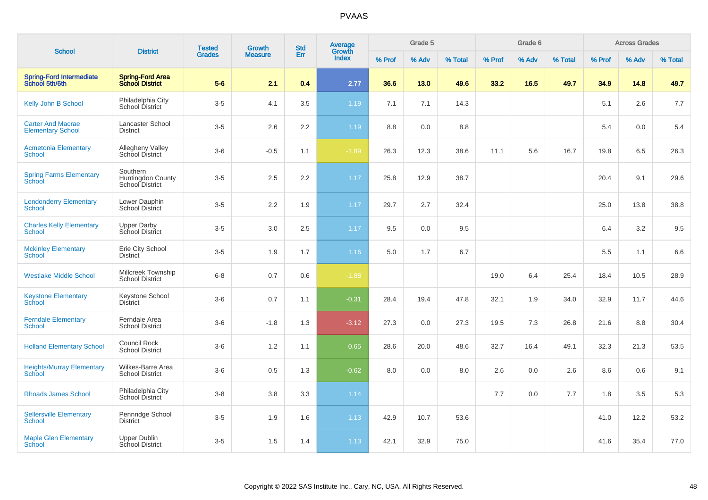|                                                      |                                                                | <b>Tested</b> | Growth         | <b>Std</b> | Average<br>Growth |        | Grade 5 |         |        | Grade 6 |         |        | <b>Across Grades</b> |         |
|------------------------------------------------------|----------------------------------------------------------------|---------------|----------------|------------|-------------------|--------|---------|---------|--------|---------|---------|--------|----------------------|---------|
| <b>School</b>                                        | <b>District</b>                                                | <b>Grades</b> | <b>Measure</b> | Err        | <b>Index</b>      | % Prof | % Adv   | % Total | % Prof | % Adv   | % Total | % Prof | % Adv                | % Total |
| <b>Spring-Ford Intermediate</b><br>School 5th/6th    | <b>Spring-Ford Area</b><br><b>School District</b>              | $5-6$         | 2.1            | 0.4        | 2.77              | 36.6   | 13.0    | 49.6    | 33.2   | 16.5    | 49.7    | 34.9   | 14.8                 | 49.7    |
| Kelly John B School                                  | Philadelphia City<br>School District                           | $3-5$         | 4.1            | 3.5        | 1.19              | 7.1    | 7.1     | 14.3    |        |         |         | 5.1    | 2.6                  | 7.7     |
| <b>Carter And Macrae</b><br><b>Elementary School</b> | <b>Lancaster School</b><br><b>District</b>                     | $3-5$         | 2.6            | 2.2        | 1.19              | 8.8    | 0.0     | 8.8     |        |         |         | 5.4    | 0.0                  | 5.4     |
| <b>Acmetonia Elementary</b><br><b>School</b>         | Allegheny Valley<br>School District                            | $3-6$         | $-0.5$         | 1.1        | $-1.89$           | 26.3   | 12.3    | 38.6    | 11.1   | 5.6     | 16.7    | 19.8   | 6.5                  | 26.3    |
| <b>Spring Farms Elementary</b><br>School             | Southern<br><b>Huntingdon County</b><br><b>School District</b> | $3-5$         | 2.5            | 2.2        | 1.17              | 25.8   | 12.9    | 38.7    |        |         |         | 20.4   | 9.1                  | 29.6    |
| <b>Londonderry Elementary</b><br>School              | Lower Dauphin<br><b>School District</b>                        | $3-5$         | 2.2            | 1.9        | 1.17              | 29.7   | 2.7     | 32.4    |        |         |         | 25.0   | 13.8                 | 38.8    |
| <b>Charles Kelly Elementary</b><br><b>School</b>     | <b>Upper Darby</b><br>School District                          | $3-5$         | $3.0\,$        | 2.5        | 1.17              | 9.5    | 0.0     | 9.5     |        |         |         | 6.4    | 3.2                  | 9.5     |
| <b>Mckinley Elementary</b><br><b>School</b>          | Erie City School<br><b>District</b>                            | $3-5$         | 1.9            | 1.7        | 1.16              | 5.0    | 1.7     | 6.7     |        |         |         | 5.5    | 1.1                  | 6.6     |
| <b>Westlake Middle School</b>                        | Millcreek Township<br><b>School District</b>                   | $6 - 8$       | 0.7            | 0.6        | $-1.88$           |        |         |         | 19.0   | 6.4     | 25.4    | 18.4   | 10.5                 | 28.9    |
| <b>Keystone Elementary</b><br>School                 | Keystone School<br><b>District</b>                             | $3-6$         | 0.7            | 1.1        | $-0.31$           | 28.4   | 19.4    | 47.8    | 32.1   | 1.9     | 34.0    | 32.9   | 11.7                 | 44.6    |
| <b>Ferndale Elementary</b><br><b>School</b>          | Ferndale Area<br><b>School District</b>                        | $3-6$         | $-1.8$         | 1.3        | $-3.12$           | 27.3   | 0.0     | 27.3    | 19.5   | 7.3     | 26.8    | 21.6   | 8.8                  | 30.4    |
| <b>Holland Elementary School</b>                     | <b>Council Rock</b><br><b>School District</b>                  | $3-6$         | 1.2            | 1.1        | 0.65              | 28.6   | 20.0    | 48.6    | 32.7   | 16.4    | 49.1    | 32.3   | 21.3                 | 53.5    |
| <b>Heights/Murray Elementary</b><br>School           | Wilkes-Barre Area<br><b>School District</b>                    | $3-6$         | 0.5            | 1.3        | $-0.62$           | 8.0    | 0.0     | 8.0     | 2.6    | 0.0     | 2.6     | 8.6    | 0.6                  | 9.1     |
| <b>Rhoads James School</b>                           | Philadelphia City<br>School District                           | $3 - 8$       | 3.8            | 3.3        | 1.14              |        |         |         | 7.7    | 0.0     | 7.7     | 1.8    | 3.5                  | 5.3     |
| <b>Sellersville Elementary</b><br><b>School</b>      | Pennridge School<br><b>District</b>                            | $3-5$         | 1.9            | 1.6        | 1.13              | 42.9   | 10.7    | 53.6    |        |         |         | 41.0   | 12.2                 | 53.2    |
| <b>Maple Glen Elementary</b><br><b>School</b>        | <b>Upper Dublin</b><br>School District                         | $3-5$         | 1.5            | 1.4        | 1.13              | 42.1   | 32.9    | 75.0    |        |         |         | 41.6   | 35.4                 | 77.0    |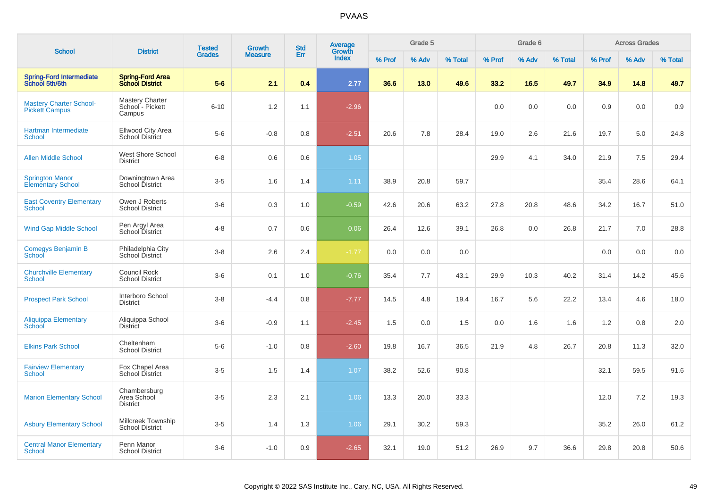| <b>School</b>                                           | <b>District</b>                                      | <b>Tested</b> | <b>Growth</b>  | <b>Std</b> | Average<br>Growth |        | Grade 5 |         |        | Grade 6 |         |        | <b>Across Grades</b> |         |
|---------------------------------------------------------|------------------------------------------------------|---------------|----------------|------------|-------------------|--------|---------|---------|--------|---------|---------|--------|----------------------|---------|
|                                                         |                                                      | <b>Grades</b> | <b>Measure</b> | Err        | <b>Index</b>      | % Prof | % Adv   | % Total | % Prof | % Adv   | % Total | % Prof | % Adv                | % Total |
| Spring-Ford Intermediate<br>School 5th/6th              | <b>Spring-Ford Area</b><br><b>School District</b>    | $5-6$         | 2.1            | 0.4        | 2.77              | 36.6   | 13.0    | 49.6    | 33.2   | 16.5    | 49.7    | 34.9   | 14.8                 | 49.7    |
| <b>Mastery Charter School-</b><br><b>Pickett Campus</b> | <b>Mastery Charter</b><br>School - Pickett<br>Campus | $6 - 10$      | 1.2            | 1.1        | $-2.96$           |        |         |         | 0.0    | 0.0     | 0.0     | 0.9    | 0.0                  | 0.9     |
| Hartman Intermediate<br><b>School</b>                   | Ellwood City Area<br><b>School District</b>          | $5-6$         | $-0.8$         | 0.8        | $-2.51$           | 20.6   | 7.8     | 28.4    | 19.0   | 2.6     | 21.6    | 19.7   | 5.0                  | 24.8    |
| <b>Allen Middle School</b>                              | West Shore School<br><b>District</b>                 | $6 - 8$       | 0.6            | 0.6        | 1.05              |        |         |         | 29.9   | 4.1     | 34.0    | 21.9   | 7.5                  | 29.4    |
| <b>Springton Manor</b><br><b>Elementary School</b>      | Downingtown Area<br>School District                  | $3-5$         | 1.6            | 1.4        | 1.11              | 38.9   | 20.8    | 59.7    |        |         |         | 35.4   | 28.6                 | 64.1    |
| <b>East Coventry Elementary</b><br><b>School</b>        | Owen J Roberts<br><b>School District</b>             | $3-6$         | 0.3            | 1.0        | $-0.59$           | 42.6   | 20.6    | 63.2    | 27.8   | 20.8    | 48.6    | 34.2   | 16.7                 | 51.0    |
| Wind Gap Middle School                                  | Pen Argyl Area<br>School District                    | $4 - 8$       | 0.7            | 0.6        | 0.06              | 26.4   | 12.6    | 39.1    | 26.8   | 0.0     | 26.8    | 21.7   | 7.0                  | 28.8    |
| Comegys Benjamin B<br>School                            | Philadelphia City<br>School District                 | $3 - 8$       | 2.6            | 2.4        | $-1.77$           | 0.0    | 0.0     | 0.0     |        |         |         | 0.0    | 0.0                  | 0.0     |
| <b>Churchville Elementary</b><br><b>School</b>          | Council Rock<br><b>School District</b>               | $3-6$         | 0.1            | 1.0        | $-0.76$           | 35.4   | 7.7     | 43.1    | 29.9   | 10.3    | 40.2    | 31.4   | 14.2                 | 45.6    |
| <b>Prospect Park School</b>                             | Interboro School<br><b>District</b>                  | $3 - 8$       | $-4.4$         | 0.8        | $-7.77$           | 14.5   | 4.8     | 19.4    | 16.7   | 5.6     | 22.2    | 13.4   | 4.6                  | 18.0    |
| Aliquippa Elementary<br>School                          | Aliquippa School<br><b>District</b>                  | $3-6$         | $-0.9$         | 1.1        | $-2.45$           | 1.5    | 0.0     | 1.5     | 0.0    | 1.6     | 1.6     | 1.2    | 0.8                  | 2.0     |
| <b>Elkins Park School</b>                               | Cheltenham<br><b>School District</b>                 | $5-6$         | $-1.0$         | 0.8        | $-2.60$           | 19.8   | 16.7    | 36.5    | 21.9   | 4.8     | 26.7    | 20.8   | 11.3                 | 32.0    |
| <b>Fairview Elementary</b><br><b>School</b>             | Fox Chapel Area<br>School District                   | $3-5$         | 1.5            | 1.4        | 1.07              | 38.2   | 52.6    | 90.8    |        |         |         | 32.1   | 59.5                 | 91.6    |
| <b>Marion Elementary School</b>                         | Chambersburg<br>Area School<br><b>District</b>       | $3 - 5$       | 2.3            | 2.1        | 1.06              | 13.3   | 20.0    | 33.3    |        |         |         | 12.0   | 7.2                  | 19.3    |
| <b>Asbury Elementary School</b>                         | Millcreek Township<br><b>School District</b>         | $3-5$         | 1.4            | 1.3        | 1.06              | 29.1   | 30.2    | 59.3    |        |         |         | 35.2   | 26.0                 | 61.2    |
| <b>Central Manor Elementary</b><br><b>School</b>        | Penn Manor<br><b>School District</b>                 | $3-6$         | $-1.0$         | 0.9        | $-2.65$           | 32.1   | 19.0    | 51.2    | 26.9   | 9.7     | 36.6    | 29.8   | 20.8                 | 50.6    |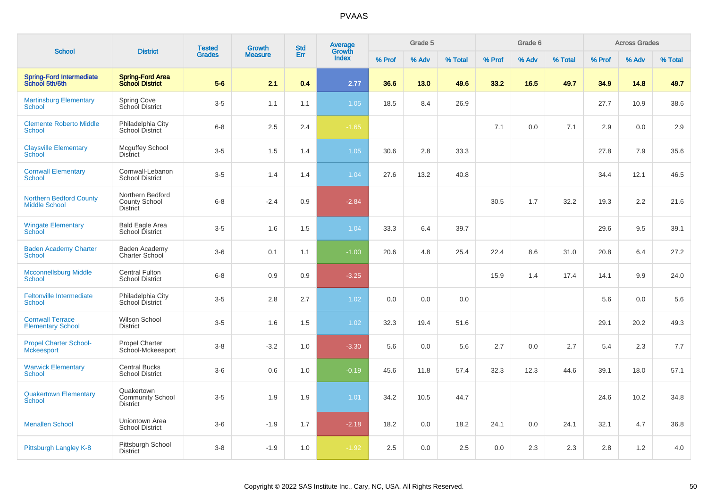|                                                        | <b>District</b>                                             | <b>Tested</b> | <b>Growth</b>  | <b>Std</b> | <b>Average</b><br>Growth |        | Grade 5 |         |        | Grade 6 |         |        | <b>Across Grades</b> |         |
|--------------------------------------------------------|-------------------------------------------------------------|---------------|----------------|------------|--------------------------|--------|---------|---------|--------|---------|---------|--------|----------------------|---------|
| <b>School</b>                                          |                                                             | <b>Grades</b> | <b>Measure</b> | Err        | Index                    | % Prof | % Adv   | % Total | % Prof | % Adv   | % Total | % Prof | % Adv                | % Total |
| <b>Spring-Ford Intermediate</b><br>School 5th/6th      | <b>Spring-Ford Area</b><br><b>School District</b>           | $5-6$         | 2.1            | 0.4        | 2.77                     | 36.6   | 13.0    | 49.6    | 33.2   | 16.5    | 49.7    | 34.9   | 14.8                 | 49.7    |
| <b>Martinsburg Elementary</b><br><b>School</b>         | Spring Cove<br>School District                              | $3-5$         | 1.1            | 1.1        | 1.05                     | 18.5   | 8.4     | 26.9    |        |         |         | 27.7   | 10.9                 | 38.6    |
| <b>Clemente Roberto Middle</b><br>School               | Philadelphia City<br>School District                        | $6 - 8$       | 2.5            | 2.4        | $-1.65$                  |        |         |         | 7.1    | 0.0     | 7.1     | 2.9    | 0.0                  | 2.9     |
| <b>Claysville Elementary</b><br><b>School</b>          | <b>Mcguffey School</b><br><b>District</b>                   | $3-5$         | 1.5            | 1.4        | 1.05                     | 30.6   | 2.8     | 33.3    |        |         |         | 27.8   | 7.9                  | 35.6    |
| <b>Cornwall Elementary</b><br><b>School</b>            | Cornwall-Lebanon<br><b>School District</b>                  | $3-5$         | 1.4            | 1.4        | 1.04                     | 27.6   | 13.2    | 40.8    |        |         |         | 34.4   | 12.1                 | 46.5    |
| <b>Northern Bedford County</b><br><b>Middle School</b> | Northern Bedford<br><b>County School</b><br><b>District</b> | $6 - 8$       | $-2.4$         | 0.9        | $-2.84$                  |        |         |         | 30.5   | 1.7     | 32.2    | 19.3   | 2.2                  | 21.6    |
| <b>Wingate Elementary</b><br>School                    | <b>Bald Eagle Area</b><br>School District                   | $3-5$         | 1.6            | 1.5        | 1.04                     | 33.3   | 6.4     | 39.7    |        |         |         | 29.6   | 9.5                  | 39.1    |
| <b>Baden Academy Charter</b><br>School                 | Baden Academy<br>Charter School                             | $3-6$         | 0.1            | 1.1        | $-1.00$                  | 20.6   | 4.8     | 25.4    | 22.4   | 8.6     | 31.0    | 20.8   | 6.4                  | 27.2    |
| <b>Mcconnellsburg Middle</b><br>School                 | <b>Central Fulton</b><br><b>School District</b>             | $6 - 8$       | 0.9            | 0.9        | $-3.25$                  |        |         |         | 15.9   | 1.4     | 17.4    | 14.1   | 9.9                  | 24.0    |
| Feltonville Intermediate<br><b>School</b>              | Philadelphia City<br>School District                        | $3-5$         | 2.8            | 2.7        | 1.02                     | 0.0    | 0.0     | 0.0     |        |         |         | 5.6    | 0.0                  | 5.6     |
| <b>Cornwall Terrace</b><br><b>Elementary School</b>    | Wilson School<br><b>District</b>                            | $3-5$         | 1.6            | 1.5        | 1.02                     | 32.3   | 19.4    | 51.6    |        |         |         | 29.1   | 20.2                 | 49.3    |
| <b>Propel Charter School-</b><br><b>Mckeesport</b>     | <b>Propel Charter</b><br>School-Mckeesport                  | $3 - 8$       | $-3.2$         | 1.0        | $-3.30$                  | 5.6    | 0.0     | 5.6     | 2.7    | 0.0     | 2.7     | 5.4    | 2.3                  | 7.7     |
| <b>Warwick Elementary</b><br>School                    | <b>Central Bucks</b><br><b>School District</b>              | $3-6$         | 0.6            | 1.0        | $-0.19$                  | 45.6   | 11.8    | 57.4    | 32.3   | 12.3    | 44.6    | 39.1   | 18.0                 | 57.1    |
| <b>Quakertown Elementary</b><br><b>School</b>          | Quakertown<br><b>Community School</b><br><b>District</b>    | $3-5$         | 1.9            | 1.9        | 1.01                     | 34.2   | 10.5    | 44.7    |        |         |         | 24.6   | 10.2                 | 34.8    |
| <b>Menallen School</b>                                 | Uniontown Area<br><b>School District</b>                    | $3-6$         | $-1.9$         | 1.7        | $-2.18$                  | 18.2   | 0.0     | 18.2    | 24.1   | 0.0     | 24.1    | 32.1   | 4.7                  | 36.8    |
| Pittsburgh Langley K-8                                 | Pittsburgh School<br><b>District</b>                        | $3-8$         | $-1.9$         | 1.0        | $-1.92$                  | 2.5    | 0.0     | 2.5     | 0.0    | 2.3     | 2.3     | 2.8    | 1.2                  | 4.0     |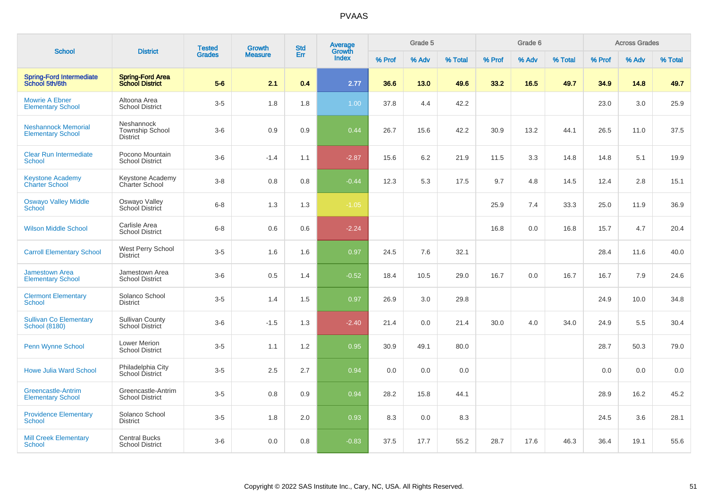|                                                        | <b>District</b>                                         | <b>Tested</b> | <b>Growth</b>  | <b>Std</b> | Average<br>Growth |        | Grade 5 |         |        | Grade 6 |         |        | <b>Across Grades</b> |         |
|--------------------------------------------------------|---------------------------------------------------------|---------------|----------------|------------|-------------------|--------|---------|---------|--------|---------|---------|--------|----------------------|---------|
| <b>School</b>                                          |                                                         | <b>Grades</b> | <b>Measure</b> | Err        | <b>Index</b>      | % Prof | % Adv   | % Total | % Prof | % Adv   | % Total | % Prof | % Adv                | % Total |
| <b>Spring-Ford Intermediate</b><br>School 5th/6th      | <b>Spring-Ford Area</b><br><b>School District</b>       | $5-6$         | 2.1            | 0.4        | 2.77              | 36.6   | 13.0    | 49.6    | 33.2   | 16.5    | 49.7    | 34.9   | 14.8                 | 49.7    |
| <b>Mowrie A Ebner</b><br><b>Elementary School</b>      | Altoona Area<br><b>School District</b>                  | $3-5$         | 1.8            | 1.8        | 1.00              | 37.8   | 4.4     | 42.2    |        |         |         | 23.0   | 3.0                  | 25.9    |
| <b>Neshannock Memorial</b><br><b>Elementary School</b> | Neshannock<br><b>Township School</b><br><b>District</b> | $3-6$         | 0.9            | 0.9        | 0.44              | 26.7   | 15.6    | 42.2    | 30.9   | 13.2    | 44.1    | 26.5   | 11.0                 | 37.5    |
| <b>Clear Run Intermediate</b><br>School                | Pocono Mountain<br><b>School District</b>               | $3-6$         | $-1.4$         | 1.1        | $-2.87$           | 15.6   | 6.2     | 21.9    | 11.5   | 3.3     | 14.8    | 14.8   | 5.1                  | 19.9    |
| <b>Keystone Academy</b><br><b>Charter School</b>       | Keystone Academy<br><b>Charter School</b>               | $3 - 8$       | 0.8            | 0.8        | $-0.44$           | 12.3   | 5.3     | 17.5    | 9.7    | 4.8     | 14.5    | 12.4   | 2.8                  | 15.1    |
| <b>Oswayo Valley Middle</b><br>School                  | Oswayo Valley<br>School District                        | $6 - 8$       | 1.3            | 1.3        | $-1.05$           |        |         |         | 25.9   | 7.4     | 33.3    | 25.0   | 11.9                 | 36.9    |
| <b>Wilson Middle School</b>                            | Carlisle Area<br><b>School District</b>                 | $6 - 8$       | 0.6            | 0.6        | $-2.24$           |        |         |         | 16.8   | 0.0     | 16.8    | 15.7   | 4.7                  | 20.4    |
| <b>Carroll Elementary School</b>                       | West Perry School<br><b>District</b>                    | $3-5$         | 1.6            | 1.6        | 0.97              | 24.5   | 7.6     | 32.1    |        |         |         | 28.4   | 11.6                 | 40.0    |
| <b>Jamestown Area</b><br><b>Elementary School</b>      | Jamestown Area<br><b>School District</b>                | $3-6$         | 0.5            | 1.4        | $-0.52$           | 18.4   | 10.5    | 29.0    | 16.7   | 0.0     | 16.7    | 16.7   | 7.9                  | 24.6    |
| <b>Clermont Elementary</b><br><b>School</b>            | Solanco School<br><b>District</b>                       | $3-5$         | 1.4            | 1.5        | 0.97              | 26.9   | 3.0     | 29.8    |        |         |         | 24.9   | 10.0                 | 34.8    |
| <b>Sullivan Co Elementary</b><br><b>School (8180)</b>  | <b>Sullivan County</b><br>School District               | $3-6$         | $-1.5$         | 1.3        | $-2.40$           | 21.4   | 0.0     | 21.4    | 30.0   | 4.0     | 34.0    | 24.9   | 5.5                  | 30.4    |
| Penn Wynne School                                      | <b>Lower Merion</b><br><b>School District</b>           | $3-5$         | 1.1            | 1.2        | 0.95              | 30.9   | 49.1    | 80.0    |        |         |         | 28.7   | 50.3                 | 79.0    |
| <b>Howe Julia Ward School</b>                          | Philadelphia City<br>School District                    | $3-5$         | 2.5            | 2.7        | 0.94              | 0.0    | 0.0     | 0.0     |        |         |         | 0.0    | 0.0                  | 0.0     |
| <b>Greencastle-Antrim</b><br><b>Elementary School</b>  | Greencastle-Antrim<br><b>School District</b>            | $3-5$         | 0.8            | 0.9        | 0.94              | 28.2   | 15.8    | 44.1    |        |         |         | 28.9   | 16.2                 | 45.2    |
| <b>Providence Elementary</b><br><b>School</b>          | Solanco School<br><b>District</b>                       | $3-5$         | 1.8            | $2.0\,$    | 0.93              | 8.3    | 0.0     | 8.3     |        |         |         | 24.5   | 3.6                  | 28.1    |
| <b>Mill Creek Elementary</b><br>School                 | <b>Central Bucks</b><br><b>School District</b>          | $3-6$         | 0.0            | 0.8        | $-0.83$           | 37.5   | 17.7    | 55.2    | 28.7   | 17.6    | 46.3    | 36.4   | 19.1                 | 55.6    |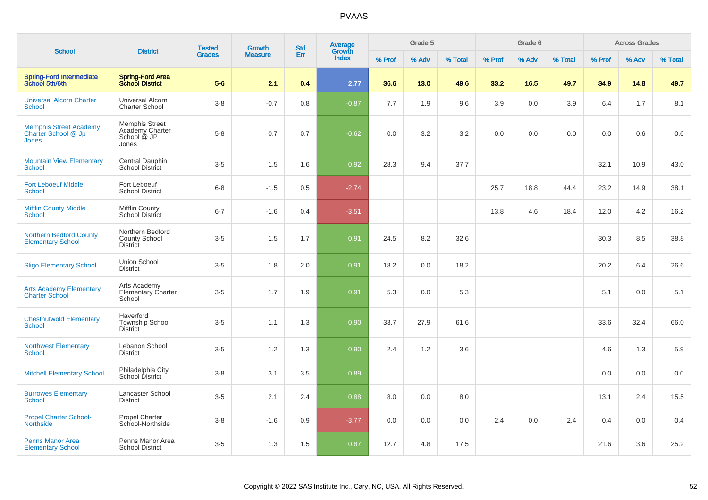|                                                                      |                                                                  | <b>Tested</b> | <b>Growth</b>  | <b>Std</b> | Average<br>Growth |        | Grade 5 |         |        | Grade 6 |         |        | <b>Across Grades</b> |         |
|----------------------------------------------------------------------|------------------------------------------------------------------|---------------|----------------|------------|-------------------|--------|---------|---------|--------|---------|---------|--------|----------------------|---------|
| <b>School</b>                                                        | <b>District</b>                                                  | <b>Grades</b> | <b>Measure</b> | Err        | Index             | % Prof | % Adv   | % Total | % Prof | % Adv   | % Total | % Prof | % Adv                | % Total |
| <b>Spring-Ford Intermediate</b><br>School 5th/6th                    | <b>Spring-Ford Area</b><br><b>School District</b>                | $5-6$         | 2.1            | 0.4        | 2.77              | 36.6   | 13.0    | 49.6    | 33.2   | 16.5    | 49.7    | 34.9   | 14.8                 | 49.7    |
| <b>Universal Alcorn Charter</b><br><b>School</b>                     | Universal Alcorn<br><b>Charter School</b>                        | $3 - 8$       | $-0.7$         | 0.8        | $-0.87$           | 7.7    | 1.9     | 9.6     | 3.9    | 0.0     | 3.9     | 6.4    | 1.7                  | 8.1     |
| <b>Memphis Street Academy</b><br>Charter School @ Jp<br><b>Jones</b> | <b>Memphis Street</b><br>Academy Charter<br>School @ JP<br>Jones | $5-8$         | 0.7            | 0.7        | $-0.62$           | 0.0    | 3.2     | 3.2     | 0.0    | 0.0     | 0.0     | 0.0    | 0.6                  | $0.6\,$ |
| <b>Mountain View Elementary</b><br><b>School</b>                     | Central Dauphin<br><b>School District</b>                        | $3-5$         | 1.5            | 1.6        | 0.92              | 28.3   | 9.4     | 37.7    |        |         |         | 32.1   | 10.9                 | 43.0    |
| <b>Fort Leboeuf Middle</b><br>School                                 | Fort Leboeuf<br><b>School District</b>                           | $6 - 8$       | $-1.5$         | 0.5        | $-2.74$           |        |         |         | 25.7   | 18.8    | 44.4    | 23.2   | 14.9                 | 38.1    |
| <b>Mifflin County Middle</b><br><b>School</b>                        | <b>Mifflin County</b><br>School District                         | $6 - 7$       | $-1.6$         | 0.4        | $-3.51$           |        |         |         | 13.8   | 4.6     | 18.4    | 12.0   | 4.2                  | 16.2    |
| <b>Northern Bedford County</b><br><b>Elementary School</b>           | Northern Bedford<br><b>County School</b><br><b>District</b>      | $3-5$         | 1.5            | 1.7        | 0.91              | 24.5   | 8.2     | 32.6    |        |         |         | 30.3   | 8.5                  | 38.8    |
| <b>Sligo Elementary School</b>                                       | Union School<br><b>District</b>                                  | $3-5$         | 1.8            | 2.0        | 0.91              | 18.2   | 0.0     | 18.2    |        |         |         | 20.2   | 6.4                  | 26.6    |
| <b>Arts Academy Elementary</b><br><b>Charter School</b>              | Arts Academy<br>Elementary Charter<br>School                     | $3-5$         | 1.7            | 1.9        | 0.91              | 5.3    | 0.0     | 5.3     |        |         |         | 5.1    | 0.0                  | 5.1     |
| <b>Chestnutwold Elementary</b><br><b>School</b>                      | Haverford<br><b>Township School</b><br><b>District</b>           | $3-5$         | 1.1            | 1.3        | 0.90              | 33.7   | 27.9    | 61.6    |        |         |         | 33.6   | 32.4                 | 66.0    |
| <b>Northwest Elementary</b><br><b>School</b>                         | Lebanon School<br><b>District</b>                                | $3-5$         | 1.2            | 1.3        | 0.90              | 2.4    | 1.2     | 3.6     |        |         |         | 4.6    | 1.3                  | 5.9     |
| <b>Mitchell Elementary School</b>                                    | Philadelphia City<br>School District                             | $3 - 8$       | 3.1            | 3.5        | 0.89              |        |         |         |        |         |         | 0.0    | 0.0                  | 0.0     |
| <b>Burrowes Elementary</b><br>School                                 | Lancaster School<br><b>District</b>                              | $3-5$         | 2.1            | 2.4        | 0.88              | 8.0    | 0.0     | 8.0     |        |         |         | 13.1   | 2.4                  | 15.5    |
| <b>Propel Charter School-</b><br><b>Northside</b>                    | <b>Propel Charter</b><br>School-Northside                        | $3-8$         | $-1.6$         | 0.9        | $-3.77$           | 0.0    | 0.0     | 0.0     | 2.4    | 0.0     | 2.4     | 0.4    | 0.0                  | 0.4     |
| <b>Penns Manor Area</b><br><b>Elementary School</b>                  | Penns Manor Area<br><b>School District</b>                       | $3-5$         | 1.3            | 1.5        | 0.87              | 12.7   | 4.8     | 17.5    |        |         |         | 21.6   | 3.6                  | 25.2    |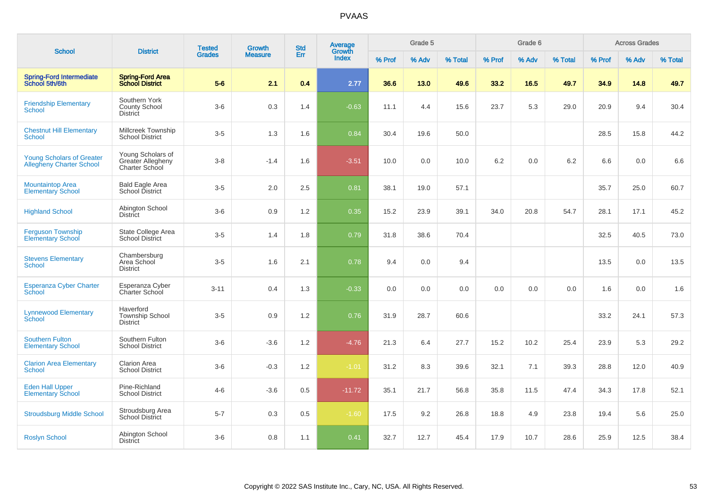| <b>School</b>                                                       | <b>District</b>                                          | <b>Tested</b> | <b>Growth</b>  | <b>Std</b> | Average<br>Growth |        | Grade 5 |         |        | Grade 6 |         |        | <b>Across Grades</b> |         |
|---------------------------------------------------------------------|----------------------------------------------------------|---------------|----------------|------------|-------------------|--------|---------|---------|--------|---------|---------|--------|----------------------|---------|
|                                                                     |                                                          | <b>Grades</b> | <b>Measure</b> | Err        | <b>Index</b>      | % Prof | % Adv   | % Total | % Prof | % Adv   | % Total | % Prof | % Adv                | % Total |
| <b>Spring-Ford Intermediate</b><br>School 5th/6th                   | <b>Spring-Ford Area</b><br><b>School District</b>        | $5-6$         | 2.1            | 0.4        | 2.77              | 36.6   | 13.0    | 49.6    | 33.2   | 16.5    | 49.7    | 34.9   | 14.8                 | 49.7    |
| <b>Friendship Elementary</b><br>School                              | Southern York<br><b>County School</b><br><b>District</b> | $3-6$         | $0.3\,$        | 1.4        | $-0.63$           | 11.1   | 4.4     | 15.6    | 23.7   | 5.3     | 29.0    | 20.9   | 9.4                  | 30.4    |
| <b>Chestnut Hill Elementary</b><br>School                           | Millcreek Township<br><b>School District</b>             | $3-5$         | 1.3            | 1.6        | 0.84              | 30.4   | 19.6    | 50.0    |        |         |         | 28.5   | 15.8                 | 44.2    |
| <b>Young Scholars of Greater</b><br><b>Allegheny Charter School</b> | Young Scholars of<br>Greater Allegheny<br>Charter School | $3 - 8$       | $-1.4$         | 1.6        | $-3.51$           | 10.0   | 0.0     | 10.0    | 6.2    | 0.0     | 6.2     | 6.6    | 0.0                  | 6.6     |
| <b>Mountaintop Area</b><br><b>Elementary School</b>                 | <b>Bald Eagle Area</b><br>School District                | $3-5$         | 2.0            | 2.5        | 0.81              | 38.1   | 19.0    | 57.1    |        |         |         | 35.7   | 25.0                 | 60.7    |
| <b>Highland School</b>                                              | Abington School<br><b>District</b>                       | $3-6$         | 0.9            | 1.2        | 0.35              | 15.2   | 23.9    | 39.1    | 34.0   | 20.8    | 54.7    | 28.1   | 17.1                 | 45.2    |
| <b>Ferguson Township</b><br><b>Elementary School</b>                | State College Area<br><b>School District</b>             | $3-5$         | 1.4            | 1.8        | 0.79              | 31.8   | 38.6    | 70.4    |        |         |         | 32.5   | 40.5                 | 73.0    |
| <b>Stevens Elementary</b><br><b>School</b>                          | Chambersburg<br>Area School<br><b>District</b>           | $3-5$         | 1.6            | 2.1        | 0.78              | 9.4    | 0.0     | 9.4     |        |         |         | 13.5   | 0.0                  | 13.5    |
| <b>Esperanza Cyber Charter</b><br>School                            | Esperanza Cyber<br>Charter School                        | $3 - 11$      | 0.4            | 1.3        | $-0.33$           | 0.0    | 0.0     | 0.0     | 0.0    | 0.0     | 0.0     | 1.6    | 0.0                  | 1.6     |
| <b>Lynnewood Elementary</b><br>School                               | Haverford<br><b>Township School</b><br><b>District</b>   | $3-5$         | 0.9            | 1.2        | 0.76              | 31.9   | 28.7    | 60.6    |        |         |         | 33.2   | 24.1                 | 57.3    |
| <b>Southern Fulton</b><br><b>Elementary School</b>                  | Southern Fulton<br><b>School District</b>                | $3-6$         | $-3.6$         | 1.2        | $-4.76$           | 21.3   | 6.4     | 27.7    | 15.2   | 10.2    | 25.4    | 23.9   | 5.3                  | 29.2    |
| <b>Clarion Area Elementary</b><br><b>School</b>                     | <b>Clarion Area</b><br><b>School District</b>            | $3-6$         | $-0.3$         | 1.2        | $-1.01$           | 31.2   | 8.3     | 39.6    | 32.1   | 7.1     | 39.3    | 28.8   | 12.0                 | 40.9    |
| <b>Eden Hall Upper</b><br><b>Elementary School</b>                  | Pine-Richland<br><b>School District</b>                  | $4 - 6$       | $-3.6$         | 0.5        | $-11.72$          | 35.1   | 21.7    | 56.8    | 35.8   | 11.5    | 47.4    | 34.3   | 17.8                 | 52.1    |
| <b>Stroudsburg Middle School</b>                                    | Stroudsburg Area<br><b>School District</b>               | $5 - 7$       | 0.3            | 0.5        | $-1.60$           | 17.5   | 9.2     | 26.8    | 18.8   | 4.9     | 23.8    | 19.4   | 5.6                  | 25.0    |
| <b>Roslyn School</b>                                                | Abington School<br><b>District</b>                       | $3-6$         | 0.8            | 1.1        | 0.41              | 32.7   | 12.7    | 45.4    | 17.9   | 10.7    | 28.6    | 25.9   | 12.5                 | 38.4    |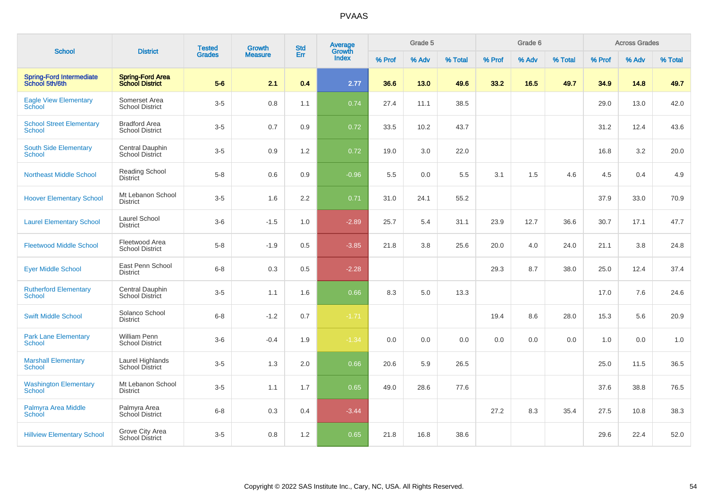|                                                   |                                                   | <b>Tested</b> | <b>Growth</b>  | <b>Std</b> | Average<br>Growth |        | Grade 5 |         |        | Grade 6 |         |        | <b>Across Grades</b> |         |
|---------------------------------------------------|---------------------------------------------------|---------------|----------------|------------|-------------------|--------|---------|---------|--------|---------|---------|--------|----------------------|---------|
| <b>School</b>                                     | <b>District</b>                                   | <b>Grades</b> | <b>Measure</b> | Err        | Index             | % Prof | % Adv   | % Total | % Prof | % Adv   | % Total | % Prof | % Adv                | % Total |
| <b>Spring-Ford Intermediate</b><br>School 5th/6th | <b>Spring-Ford Area</b><br><b>School District</b> | $5-6$         | 2.1            | 0.4        | 2.77              | 36.6   | 13.0    | 49.6    | 33.2   | 16.5    | 49.7    | 34.9   | 14.8                 | 49.7    |
| <b>Eagle View Elementary</b><br><b>School</b>     | Somerset Area<br><b>School District</b>           | $3-5$         | 0.8            | 1.1        | 0.74              | 27.4   | 11.1    | 38.5    |        |         |         | 29.0   | 13.0                 | 42.0    |
| <b>School Street Elementary</b><br><b>School</b>  | <b>Bradford Area</b><br><b>School District</b>    | $3-5$         | 0.7            | 0.9        | 0.72              | 33.5   | 10.2    | 43.7    |        |         |         | 31.2   | 12.4                 | 43.6    |
| <b>South Side Elementary</b><br>School            | Central Dauphin<br><b>School District</b>         | $3-5$         | 0.9            | 1.2        | 0.72              | 19.0   | 3.0     | 22.0    |        |         |         | 16.8   | 3.2                  | 20.0    |
| <b>Northeast Middle School</b>                    | <b>Reading School</b><br><b>District</b>          | $5-8$         | $0.6\,$        | 0.9        | $-0.96$           | 5.5    | 0.0     | 5.5     | 3.1    | 1.5     | 4.6     | 4.5    | 0.4                  | 4.9     |
| <b>Hoover Elementary School</b>                   | Mt Lebanon School<br><b>District</b>              | $3-5$         | 1.6            | 2.2        | 0.71              | 31.0   | 24.1    | 55.2    |        |         |         | 37.9   | 33.0                 | 70.9    |
| <b>Laurel Elementary School</b>                   | Laurel School<br><b>District</b>                  | $3-6$         | $-1.5$         | 1.0        | $-2.89$           | 25.7   | 5.4     | 31.1    | 23.9   | 12.7    | 36.6    | 30.7   | 17.1                 | 47.7    |
| <b>Fleetwood Middle School</b>                    | Fleetwood Area<br><b>School District</b>          | $5-8$         | $-1.9$         | 0.5        | $-3.85$           | 21.8   | 3.8     | 25.6    | 20.0   | 4.0     | 24.0    | 21.1   | 3.8                  | 24.8    |
| <b>Eyer Middle School</b>                         | East Penn School<br><b>District</b>               | $6 - 8$       | 0.3            | 0.5        | $-2.28$           |        |         |         | 29.3   | 8.7     | 38.0    | 25.0   | 12.4                 | 37.4    |
| <b>Rutherford Elementary</b><br><b>School</b>     | Central Dauphin<br>School District                | $3-5$         | 1.1            | 1.6        | 0.66              | 8.3    | 5.0     | 13.3    |        |         |         | 17.0   | 7.6                  | 24.6    |
| <b>Swift Middle School</b>                        | Solanco School<br><b>District</b>                 | $6 - 8$       | $-1.2$         | 0.7        | $-1.71$           |        |         |         | 19.4   | 8.6     | 28.0    | 15.3   | 5.6                  | 20.9    |
| <b>Park Lane Elementary</b><br>School             | <b>William Penn</b><br><b>School District</b>     | $3-6$         | $-0.4$         | 1.9        | $-1.34$           | 0.0    | 0.0     | 0.0     | 0.0    | 0.0     | 0.0     | 1.0    | 0.0                  | 1.0     |
| <b>Marshall Elementary</b><br><b>School</b>       | Laurel Highlands<br>School District               | $3-5$         | 1.3            | 2.0        | 0.66              | 20.6   | 5.9     | 26.5    |        |         |         | 25.0   | 11.5                 | 36.5    |
| <b>Washington Elementary</b><br><b>School</b>     | Mt Lebanon School<br><b>District</b>              | $3-5$         | 1.1            | 1.7        | 0.65              | 49.0   | 28.6    | 77.6    |        |         |         | 37.6   | 38.8                 | 76.5    |
| Palmyra Area Middle<br>School                     | Palmyra Area<br>School District                   | $6 - 8$       | 0.3            | 0.4        | $-3.44$           |        |         |         | 27.2   | 8.3     | 35.4    | 27.5   | 10.8                 | 38.3    |
| <b>Hillview Elementary School</b>                 | Grove City Area<br><b>School District</b>         | $3-5$         | 0.8            | 1.2        | 0.65              | 21.8   | 16.8    | 38.6    |        |         |         | 29.6   | 22.4                 | 52.0    |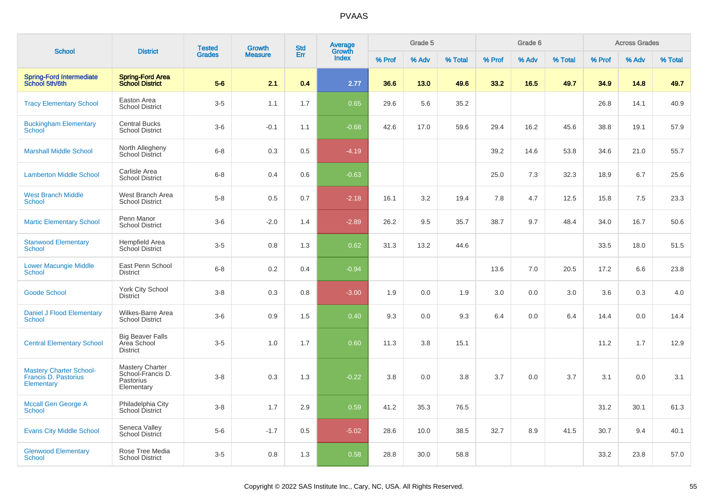|                                                                      |                                                                        | <b>Tested</b> | <b>Growth</b>  | <b>Std</b> | <b>Average</b><br>Growth |        | Grade 5 |         |        | Grade 6 |         |        | <b>Across Grades</b> |         |
|----------------------------------------------------------------------|------------------------------------------------------------------------|---------------|----------------|------------|--------------------------|--------|---------|---------|--------|---------|---------|--------|----------------------|---------|
| <b>School</b>                                                        | <b>District</b>                                                        | <b>Grades</b> | <b>Measure</b> | Err        | <b>Index</b>             | % Prof | % Adv   | % Total | % Prof | % Adv   | % Total | % Prof | % Adv                | % Total |
| <b>Spring-Ford Intermediate</b><br>School 5th/6th                    | <b>Spring-Ford Area</b><br><b>School District</b>                      | $5-6$         | 2.1            | 0.4        | 2.77                     | 36.6   | 13.0    | 49.6    | 33.2   | 16.5    | 49.7    | 34.9   | 14.8                 | 49.7    |
| <b>Tracy Elementary School</b>                                       | Easton Area<br><b>School District</b>                                  | $3-5$         | 1.1            | 1.7        | 0.65                     | 29.6   | 5.6     | 35.2    |        |         |         | 26.8   | 14.1                 | 40.9    |
| <b>Buckingham Elementary</b><br><b>School</b>                        | <b>Central Bucks</b><br><b>School District</b>                         | $3-6$         | $-0.1$         | 1.1        | $-0.68$                  | 42.6   | 17.0    | 59.6    | 29.4   | 16.2    | 45.6    | 38.8   | 19.1                 | 57.9    |
| <b>Marshall Middle School</b>                                        | North Allegheny<br><b>School District</b>                              | $6 - 8$       | 0.3            | 0.5        | $-4.19$                  |        |         |         | 39.2   | 14.6    | 53.8    | 34.6   | 21.0                 | 55.7    |
| <b>Lamberton Middle School</b>                                       | Carlisle Area<br><b>School District</b>                                | $6 - 8$       | 0.4            | 0.6        | $-0.63$                  |        |         |         | 25.0   | 7.3     | 32.3    | 18.9   | 6.7                  | 25.6    |
| <b>West Branch Middle</b><br><b>School</b>                           | West Branch Area<br><b>School District</b>                             | $5-8$         | 0.5            | 0.7        | $-2.18$                  | 16.1   | 3.2     | 19.4    | 7.8    | 4.7     | 12.5    | 15.8   | 7.5                  | 23.3    |
| <b>Martic Elementary School</b>                                      | Penn Manor<br><b>School District</b>                                   | $3-6$         | $-2.0$         | 1.4        | $-2.89$                  | 26.2   | 9.5     | 35.7    | 38.7   | 9.7     | 48.4    | 34.0   | 16.7                 | 50.6    |
| <b>Stanwood Elementary</b><br><b>School</b>                          | Hempfield Area<br><b>School District</b>                               | $3-5$         | 0.8            | 1.3        | 0.62                     | 31.3   | 13.2    | 44.6    |        |         |         | 33.5   | 18.0                 | 51.5    |
| <b>Lower Macungie Middle</b><br><b>School</b>                        | East Penn School<br><b>District</b>                                    | $6 - 8$       | 0.2            | 0.4        | $-0.94$                  |        |         |         | 13.6   | 7.0     | 20.5    | 17.2   | 6.6                  | 23.8    |
| <b>Goode School</b>                                                  | York City School<br><b>District</b>                                    | $3 - 8$       | 0.3            | 0.8        | $-3.00$                  | 1.9    | 0.0     | 1.9     | 3.0    | 0.0     | 3.0     | 3.6    | 0.3                  | 4.0     |
| <b>Daniel J Flood Elementary</b><br>School                           | Wilkes-Barre Area<br><b>School District</b>                            | $3-6$         | 0.9            | 1.5        | 0.40                     | 9.3    | 0.0     | 9.3     | 6.4    | 0.0     | 6.4     | 14.4   | 0.0                  | 14.4    |
| <b>Central Elementary School</b>                                     | <b>Big Beaver Falls</b><br>Area School<br><b>District</b>              | $3-5$         | 1.0            | 1.7        | 0.60                     | 11.3   | 3.8     | 15.1    |        |         |         | 11.2   | 1.7                  | 12.9    |
| <b>Mastery Charter School-</b><br>Francis D. Pastorius<br>Elementary | <b>Mastery Charter</b><br>School-Francis D.<br>Pastorius<br>Elementary | $3-8$         | 0.3            | 1.3        | $-0.22$                  | 3.8    | 0.0     | 3.8     | 3.7    | 0.0     | 3.7     | 3.1    | 0.0                  | 3.1     |
| <b>Mccall Gen George A</b><br><b>School</b>                          | Philadelphia City<br>School District                                   | $3-8$         | 1.7            | 2.9        | 0.59                     | 41.2   | 35.3    | 76.5    |        |         |         | 31.2   | 30.1                 | 61.3    |
| <b>Evans City Middle School</b>                                      | Seneca Valley<br>School District                                       | $5-6$         | $-1.7$         | 0.5        | $-5.02$                  | 28.6   | 10.0    | 38.5    | 32.7   | 8.9     | 41.5    | 30.7   | 9.4                  | 40.1    |
| <b>Glenwood Elementary</b><br>School                                 | Rose Tree Media<br><b>School District</b>                              | $3-5$         | 0.8            | 1.3        | 0.58                     | 28.8   | 30.0    | 58.8    |        |         |         | 33.2   | 23.8                 | 57.0    |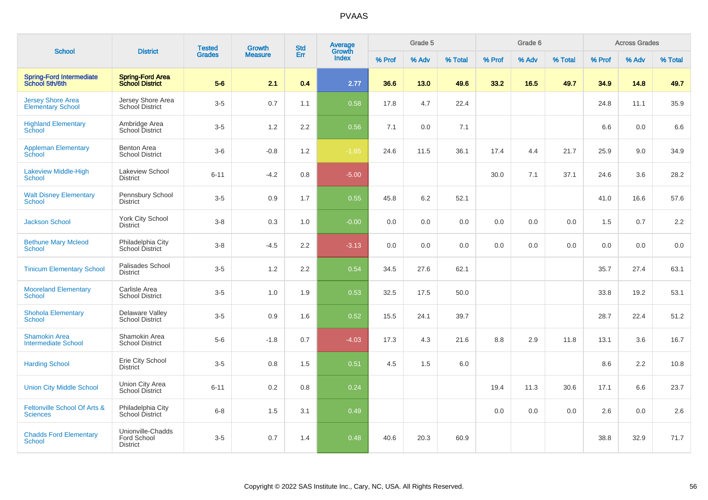|                                                      |                                                     | <b>Tested</b> | Growth         | <b>Std</b> | <b>Average</b>  |        | Grade 5 |         |        | Grade 6 |         |        | <b>Across Grades</b> |         |
|------------------------------------------------------|-----------------------------------------------------|---------------|----------------|------------|-----------------|--------|---------|---------|--------|---------|---------|--------|----------------------|---------|
| <b>School</b>                                        | <b>District</b>                                     | <b>Grades</b> | <b>Measure</b> | Err        | Growth<br>Index | % Prof | % Adv   | % Total | % Prof | % Adv   | % Total | % Prof | % Adv                | % Total |
| <b>Spring-Ford Intermediate</b><br>School 5th/6th    | <b>Spring-Ford Area</b><br><b>School District</b>   | $5-6$         | 2.1            | 0.4        | 2.77            | 36.6   | 13.0    | 49.6    | 33.2   | 16.5    | 49.7    | 34.9   | 14.8                 | 49.7    |
| <b>Jersey Shore Area</b><br><b>Elementary School</b> | Jersey Shore Area<br><b>School District</b>         | $3-5$         | 0.7            | 1.1        | 0.58            | 17.8   | 4.7     | 22.4    |        |         |         | 24.8   | 11.1                 | 35.9    |
| <b>Highland Elementary</b><br>School                 | Ambridge Area<br>School District                    | $3-5$         | 1.2            | 2.2        | 0.56            | 7.1    | 0.0     | 7.1     |        |         |         | 6.6    | 0.0                  | 6.6     |
| <b>Appleman Elementary</b><br>School                 | <b>Benton Area</b><br><b>School District</b>        | $3-6$         | $-0.8$         | 1.2        | $-1.65$         | 24.6   | 11.5    | 36.1    | 17.4   | 4.4     | 21.7    | 25.9   | 9.0                  | 34.9    |
| <b>Lakeview Middle-High</b><br><b>School</b>         | <b>Lakeview School</b><br>District                  | $6 - 11$      | $-4.2$         | 0.8        | $-5.00$         |        |         |         | 30.0   | 7.1     | 37.1    | 24.6   | 3.6                  | 28.2    |
| <b>Walt Disney Elementary</b><br>School              | Pennsbury School<br><b>District</b>                 | $3-5$         | 0.9            | 1.7        | 0.55            | 45.8   | 6.2     | 52.1    |        |         |         | 41.0   | 16.6                 | 57.6    |
| <b>Jackson School</b>                                | <b>York City School</b><br><b>District</b>          | $3 - 8$       | 0.3            | 1.0        | $-0.00$         | 0.0    | 0.0     | 0.0     | 0.0    | 0.0     | 0.0     | 1.5    | 0.7                  | 2.2     |
| <b>Bethune Mary Mcleod</b><br><b>School</b>          | Philadelphia City<br>School District                | $3 - 8$       | $-4.5$         | 2.2        | $-3.13$         | 0.0    | 0.0     | 0.0     | 0.0    | 0.0     | 0.0     | 0.0    | 0.0                  | 0.0     |
| <b>Tinicum Elementary School</b>                     | Palisades School<br><b>District</b>                 | $3-5$         | 1.2            | 2.2        | 0.54            | 34.5   | 27.6    | 62.1    |        |         |         | 35.7   | 27.4                 | 63.1    |
| <b>Mooreland Elementary</b><br>School                | Carlisle Area<br><b>School District</b>             | $3-5$         | 1.0            | 1.9        | 0.53            | 32.5   | 17.5    | 50.0    |        |         |         | 33.8   | 19.2                 | 53.1    |
| <b>Shohola Elementary</b><br><b>School</b>           | Delaware Valley<br><b>School District</b>           | $3-5$         | 0.9            | 1.6        | 0.52            | 15.5   | 24.1    | 39.7    |        |         |         | 28.7   | 22.4                 | 51.2    |
| <b>Shamokin Area</b><br><b>Intermediate School</b>   | Shamokin Area<br><b>School District</b>             | $5-6$         | $-1.8$         | 0.7        | $-4.03$         | 17.3   | 4.3     | 21.6    | 8.8    | 2.9     | 11.8    | 13.1   | 3.6                  | 16.7    |
| <b>Harding School</b>                                | Erie City School<br><b>District</b>                 | $3-5$         | 0.8            | 1.5        | 0.51            | 4.5    | 1.5     | 6.0     |        |         |         | 8.6    | 2.2                  | 10.8    |
| <b>Union City Middle School</b>                      | Union City Area<br>School District                  | $6 - 11$      | 0.2            | 0.8        | 0.24            |        |         |         | 19.4   | 11.3    | 30.6    | 17.1   | 6.6                  | 23.7    |
| Feltonville School Of Arts &<br><b>Sciences</b>      | Philadelphia City<br>School District                | $6 - 8$       | 1.5            | 3.1        | 0.49            |        |         |         | 0.0    | 0.0     | 0.0     | 2.6    | 0.0                  | 2.6     |
| <b>Chadds Ford Elementary</b><br>School              | Unionville-Chadds<br>Ford School<br><b>District</b> | $3-5$         | 0.7            | 1.4        | 0.48            | 40.6   | 20.3    | 60.9    |        |         |         | 38.8   | 32.9                 | 71.7    |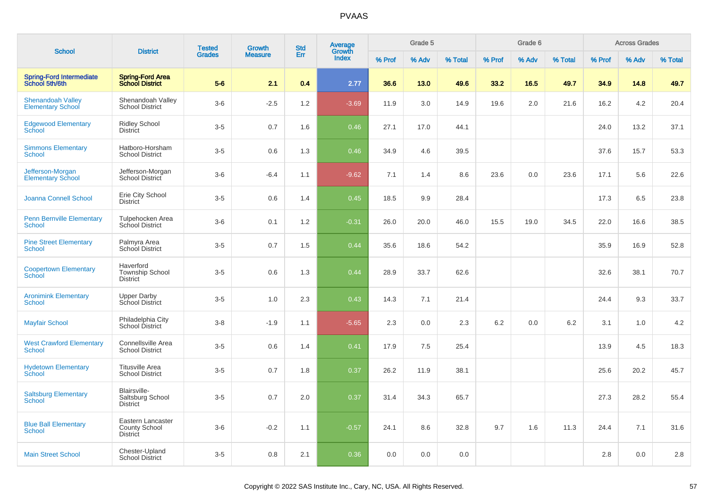| <b>School</b>                                        | <b>District</b>                                       | <b>Tested</b> | <b>Growth</b>  | <b>Std</b> | <b>Average</b><br>Growth |        | Grade 5 |         |        | Grade 6 |         |        | <b>Across Grades</b> |         |
|------------------------------------------------------|-------------------------------------------------------|---------------|----------------|------------|--------------------------|--------|---------|---------|--------|---------|---------|--------|----------------------|---------|
|                                                      |                                                       | <b>Grades</b> | <b>Measure</b> | <b>Err</b> | Index                    | % Prof | % Adv   | % Total | % Prof | % Adv   | % Total | % Prof | % Adv                | % Total |
| Spring-Ford Intermediate<br>School 5th/6th           | <b>Spring-Ford Area</b><br><b>School District</b>     | $5-6$         | 2.1            | 0.4        | 2.77                     | 36.6   | 13.0    | 49.6    | 33.2   | 16.5    | 49.7    | 34.9   | 14.8                 | 49.7    |
| <b>Shenandoah Valley</b><br><b>Elementary School</b> | Shenandoah Valley<br><b>School District</b>           | $3-6$         | $-2.5$         | 1.2        | $-3.69$                  | 11.9   | 3.0     | 14.9    | 19.6   | 2.0     | 21.6    | 16.2   | 4.2                  | 20.4    |
| <b>Edgewood Elementary</b><br>School                 | <b>Ridley School</b><br><b>District</b>               | $3-5$         | 0.7            | 1.6        | 0.46                     | 27.1   | 17.0    | 44.1    |        |         |         | 24.0   | 13.2                 | 37.1    |
| <b>Simmons Elementary</b><br><b>School</b>           | Hatboro-Horsham<br><b>School District</b>             | $3-5$         | 0.6            | 1.3        | 0.46                     | 34.9   | 4.6     | 39.5    |        |         |         | 37.6   | 15.7                 | 53.3    |
| Jefferson-Morgan<br><b>Elementary School</b>         | Jefferson-Morgan<br>School District                   | $3-6$         | $-6.4$         | 1.1        | $-9.62$                  | 7.1    | 1.4     | 8.6     | 23.6   | 0.0     | 23.6    | 17.1   | 5.6                  | 22.6    |
| Joanna Connell School                                | Erie City School<br><b>District</b>                   | $3-5$         | 0.6            | 1.4        | 0.45                     | 18.5   | 9.9     | 28.4    |        |         |         | 17.3   | 6.5                  | 23.8    |
| <b>Penn Bernville Elementary</b><br>School           | Tulpehocken Area<br>School District                   | $3-6$         | 0.1            | 1.2        | $-0.31$                  | 26.0   | 20.0    | 46.0    | 15.5   | 19.0    | 34.5    | 22.0   | 16.6                 | 38.5    |
| <b>Pine Street Elementary</b><br><b>School</b>       | Palmyra Area<br>School District                       | $3-5$         | 0.7            | 1.5        | 0.44                     | 35.6   | 18.6    | 54.2    |        |         |         | 35.9   | 16.9                 | 52.8    |
| <b>Coopertown Elementary</b><br>School               | Haverford<br>Township School<br><b>District</b>       | $3-5$         | 0.6            | 1.3        | 0.44                     | 28.9   | 33.7    | 62.6    |        |         |         | 32.6   | 38.1                 | 70.7    |
| <b>Aronimink Elementary</b><br><b>School</b>         | <b>Upper Darby</b><br>School District                 | $3-5$         | 1.0            | 2.3        | 0.43                     | 14.3   | 7.1     | 21.4    |        |         |         | 24.4   | 9.3                  | 33.7    |
| <b>Mayfair School</b>                                | Philadelphia City<br>School District                  | $3-8$         | $-1.9$         | 1.1        | $-5.65$                  | 2.3    | 0.0     | 2.3     | 6.2    | 0.0     | 6.2     | 3.1    | 1.0                  | 4.2     |
| <b>West Crawford Elementary</b><br>School            | Connellsville Area<br><b>School District</b>          | $3-5$         | 0.6            | 1.4        | 0.41                     | 17.9   | 7.5     | 25.4    |        |         |         | 13.9   | 4.5                  | 18.3    |
| <b>Hydetown Elementary</b><br>School                 | <b>Titusville Area</b><br><b>School District</b>      | $3-5$         | 0.7            | 1.8        | 0.37                     | 26.2   | 11.9    | 38.1    |        |         |         | 25.6   | 20.2                 | 45.7    |
| <b>Saltsburg Elementary</b><br>School                | Blairsville-<br>Saltsburg School<br><b>District</b>   | $3-5$         | 0.7            | 2.0        | 0.37                     | 31.4   | 34.3    | 65.7    |        |         |         | 27.3   | 28.2                 | 55.4    |
| <b>Blue Ball Elementary</b><br>School                | Eastern Lancaster<br>County School<br><b>District</b> | $3-6$         | $-0.2$         | 1.1        | $-0.57$                  | 24.1   | 8.6     | 32.8    | 9.7    | 1.6     | 11.3    | 24.4   | 7.1                  | 31.6    |
| <b>Main Street School</b>                            | Chester-Upland<br><b>School District</b>              | $3-5$         | 0.8            | 2.1        | 0.36                     | 0.0    | 0.0     | 0.0     |        |         |         | 2.8    | 0.0                  | 2.8     |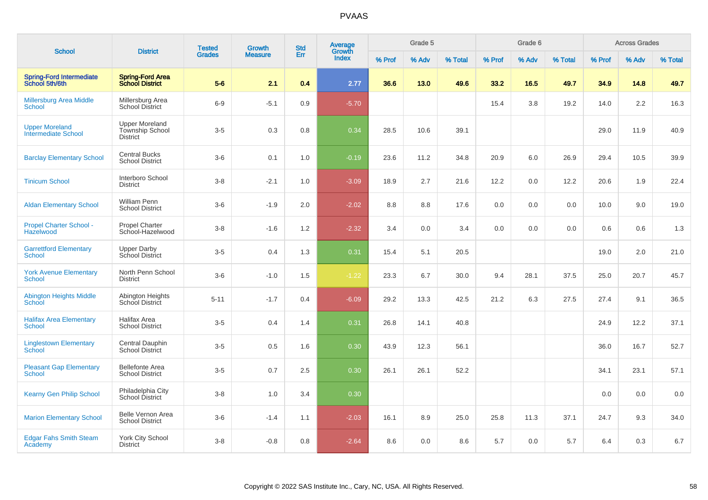| <b>School</b>                                       | <b>District</b>                                             | <b>Tested</b> | Growth         | <b>Std</b> | Average<br>Growth |        | Grade 5 |         |        | Grade 6 |         |        | <b>Across Grades</b> |         |
|-----------------------------------------------------|-------------------------------------------------------------|---------------|----------------|------------|-------------------|--------|---------|---------|--------|---------|---------|--------|----------------------|---------|
|                                                     |                                                             | <b>Grades</b> | <b>Measure</b> | Err        | <b>Index</b>      | % Prof | % Adv   | % Total | % Prof | % Adv   | % Total | % Prof | % Adv                | % Total |
| <b>Spring-Ford Intermediate</b><br>School 5th/6th   | <b>Spring-Ford Area</b><br><b>School District</b>           | $5-6$         | 2.1            | 0.4        | 2.77              | 36.6   | 13.0    | 49.6    | 33.2   | 16.5    | 49.7    | 34.9   | 14.8                 | 49.7    |
| <b>Millersburg Area Middle</b><br><b>School</b>     | Millersburg Area<br><b>School District</b>                  | $6-9$         | $-5.1$         | 0.9        | $-5.70$           |        |         |         | 15.4   | 3.8     | 19.2    | 14.0   | 2.2                  | 16.3    |
| <b>Upper Moreland</b><br><b>Intermediate School</b> | <b>Upper Moreland</b><br>Township School<br><b>District</b> | $3-5$         | 0.3            | 0.8        | 0.34              | 28.5   | 10.6    | 39.1    |        |         |         | 29.0   | 11.9                 | 40.9    |
| <b>Barclay Elementary School</b>                    | <b>Central Bucks</b><br><b>School District</b>              | $3-6$         | 0.1            | 1.0        | $-0.19$           | 23.6   | 11.2    | 34.8    | 20.9   | 6.0     | 26.9    | 29.4   | 10.5                 | 39.9    |
| <b>Tinicum School</b>                               | Interboro School<br><b>District</b>                         | $3 - 8$       | $-2.1$         | 1.0        | $-3.09$           | 18.9   | 2.7     | 21.6    | 12.2   | 0.0     | 12.2    | 20.6   | 1.9                  | 22.4    |
| <b>Aldan Elementary School</b>                      | William Penn<br><b>School District</b>                      | $3-6$         | $-1.9$         | 2.0        | $-2.02$           | 8.8    | 8.8     | 17.6    | 0.0    | 0.0     | 0.0     | 10.0   | 9.0                  | 19.0    |
| <b>Propel Charter School -</b><br><b>Hazelwood</b>  | <b>Propel Charter</b><br>School-Hazelwood                   | $3 - 8$       | $-1.6$         | 1.2        | $-2.32$           | 3.4    | 0.0     | 3.4     | 0.0    | 0.0     | 0.0     | 0.6    | 0.6                  | 1.3     |
| <b>Garrettford Elementary</b><br><b>School</b>      | <b>Upper Darby</b><br>School District                       | $3 - 5$       | 0.4            | 1.3        | 0.31              | 15.4   | 5.1     | 20.5    |        |         |         | 19.0   | 2.0                  | 21.0    |
| <b>York Avenue Elementary</b><br>School             | North Penn School<br><b>District</b>                        | $3-6$         | $-1.0$         | 1.5        | $-1.22$           | 23.3   | 6.7     | 30.0    | 9.4    | 28.1    | 37.5    | 25.0   | 20.7                 | 45.7    |
| <b>Abington Heights Middle</b><br><b>School</b>     | Abington Heights<br>School District                         | $5 - 11$      | $-1.7$         | 0.4        | $-6.09$           | 29.2   | 13.3    | 42.5    | 21.2   | 6.3     | 27.5    | 27.4   | 9.1                  | 36.5    |
| <b>Halifax Area Elementary</b><br><b>School</b>     | Halifax Area<br><b>School District</b>                      | $3-5$         | 0.4            | 1.4        | 0.31              | 26.8   | 14.1    | 40.8    |        |         |         | 24.9   | 12.2                 | 37.1    |
| <b>Linglestown Elementary</b><br><b>School</b>      | Central Dauphin<br><b>School District</b>                   | $3-5$         | 0.5            | 1.6        | 0.30              | 43.9   | 12.3    | 56.1    |        |         |         | 36.0   | 16.7                 | 52.7    |
| <b>Pleasant Gap Elementary</b><br><b>School</b>     | <b>Bellefonte Area</b><br><b>School District</b>            | $3-5$         | 0.7            | 2.5        | 0.30              | 26.1   | 26.1    | 52.2    |        |         |         | 34.1   | 23.1                 | 57.1    |
| <b>Kearny Gen Philip School</b>                     | Philadelphia City<br><b>School District</b>                 | $3 - 8$       | 1.0            | 3.4        | 0.30              |        |         |         |        |         |         | 0.0    | 0.0                  | 0.0     |
| <b>Marion Elementary School</b>                     | Belle Vernon Area<br><b>School District</b>                 | $3-6$         | $-1.4$         | 1.1        | $-2.03$           | 16.1   | 8.9     | 25.0    | 25.8   | 11.3    | 37.1    | 24.7   | 9.3                  | 34.0    |
| <b>Edgar Fahs Smith Steam</b><br>Academy            | <b>York City School</b><br><b>District</b>                  | $3 - 8$       | $-0.8$         | 0.8        | $-2.64$           | 8.6    | 0.0     | 8.6     | 5.7    | 0.0     | 5.7     | 6.4    | 0.3                  | 6.7     |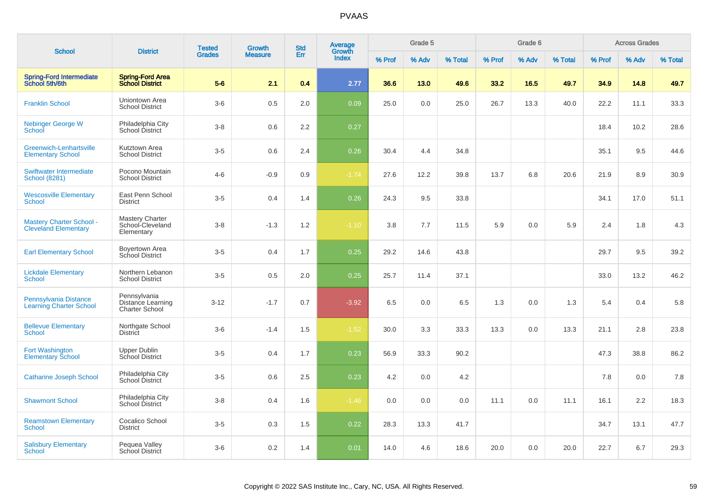|                                                                | <b>District</b>                                            | <b>Tested</b> | <b>Growth</b>  | <b>Std</b> | <b>Average</b><br>Growth |        | Grade 5 |         |        | Grade 6 |         |        | <b>Across Grades</b> |         |
|----------------------------------------------------------------|------------------------------------------------------------|---------------|----------------|------------|--------------------------|--------|---------|---------|--------|---------|---------|--------|----------------------|---------|
| <b>School</b>                                                  |                                                            | <b>Grades</b> | <b>Measure</b> | Err        | <b>Index</b>             | % Prof | % Adv   | % Total | % Prof | % Adv   | % Total | % Prof | % Adv                | % Total |
| <b>Spring-Ford Intermediate</b><br>School 5th/6th              | <b>Spring-Ford Area</b><br><b>School District</b>          | $5-6$         | 2.1            | 0.4        | 2.77                     | 36.6   | 13.0    | 49.6    | 33.2   | 16.5    | 49.7    | 34.9   | 14.8                 | 49.7    |
| <b>Franklin School</b>                                         | Uniontown Area<br><b>School District</b>                   | $3-6$         | 0.5            | 2.0        | 0.09                     | 25.0   | 0.0     | 25.0    | 26.7   | 13.3    | 40.0    | 22.2   | 11.1                 | 33.3    |
| <b>Nebinger George W</b><br>School                             | Philadelphia City<br>School District                       | $3 - 8$       | 0.6            | 2.2        | 0.27                     |        |         |         |        |         |         | 18.4   | 10.2                 | 28.6    |
| Greenwich-Lenhartsville<br><b>Elementary School</b>            | Kutztown Area<br><b>School District</b>                    | $3-5$         | 0.6            | 2.4        | 0.26                     | 30.4   | 4.4     | 34.8    |        |         |         | 35.1   | 9.5                  | 44.6    |
| Swiftwater Intermediate<br><b>School (8281)</b>                | Pocono Mountain<br><b>School District</b>                  | $4 - 6$       | $-0.9$         | 0.9        | $-1.74$                  | 27.6   | 12.2    | 39.8    | 13.7   | 6.8     | 20.6    | 21.9   | 8.9                  | 30.9    |
| <b>Wescosville Elementary</b><br>School                        | East Penn School<br><b>District</b>                        | $3-5$         | 0.4            | 1.4        | 0.26                     | 24.3   | 9.5     | 33.8    |        |         |         | 34.1   | 17.0                 | 51.1    |
| <b>Mastery Charter School -</b><br><b>Cleveland Elementary</b> | <b>Mastery Charter</b><br>School-Cleveland<br>Elementary   | $3-8$         | $-1.3$         | 1.2        | $-1.10$                  | 3.8    | 7.7     | 11.5    | 5.9    | 0.0     | 5.9     | 2.4    | 1.8                  | 4.3     |
| <b>Earl Elementary School</b>                                  | Boyertown Area<br><b>School District</b>                   | $3-5$         | 0.4            | 1.7        | 0.25                     | 29.2   | 14.6    | 43.8    |        |         |         | 29.7   | 9.5                  | 39.2    |
| <b>Lickdale Elementary</b><br>School                           | Northern Lebanon<br><b>School District</b>                 | $3-5$         | 0.5            | 2.0        | 0.25                     | 25.7   | 11.4    | 37.1    |        |         |         | 33.0   | 13.2                 | 46.2    |
| Pennsylvania Distance<br><b>Learning Charter School</b>        | Pennsylvania<br>Distance Learning<br><b>Charter School</b> | $3 - 12$      | $-1.7$         | 0.7        | $-3.92$                  | 6.5    | 0.0     | 6.5     | 1.3    | 0.0     | 1.3     | 5.4    | 0.4                  | 5.8     |
| <b>Bellevue Elementary</b><br><b>School</b>                    | Northgate School<br><b>District</b>                        | $3-6$         | $-1.4$         | 1.5        | $-1.52$                  | 30.0   | 3.3     | 33.3    | 13.3   | 0.0     | 13.3    | 21.1   | 2.8                  | 23.8    |
| Fort Washington<br><b>Elementary School</b>                    | <b>Upper Dublin</b><br>School District                     | $3-5$         | 0.4            | 1.7        | 0.23                     | 56.9   | 33.3    | 90.2    |        |         |         | 47.3   | 38.8                 | 86.2    |
| <b>Catharine Joseph School</b>                                 | Philadelphia City<br>School District                       | $3-5$         | 0.6            | 2.5        | 0.23                     | 4.2    | 0.0     | 4.2     |        |         |         | 7.8    | 0.0                  | 7.8     |
| <b>Shawmont School</b>                                         | Philadelphia City<br>School District                       | $3 - 8$       | 0.4            | 1.6        | $-1.46$                  | 0.0    | 0.0     | 0.0     | 11.1   | 0.0     | 11.1    | 16.1   | 2.2                  | 18.3    |
| <b>Reamstown Elementary</b><br>School                          | Cocalico School<br>District                                | $3-5$         | 0.3            | 1.5        | 0.22                     | 28.3   | 13.3    | 41.7    |        |         |         | 34.7   | 13.1                 | 47.7    |
| <b>Salisbury Elementary</b><br>School                          | Pequea Valley<br><b>School District</b>                    | $3-6$         | 0.2            | 1.4        | 0.01                     | 14.0   | 4.6     | 18.6    | 20.0   | 0.0     | 20.0    | 22.7   | 6.7                  | 29.3    |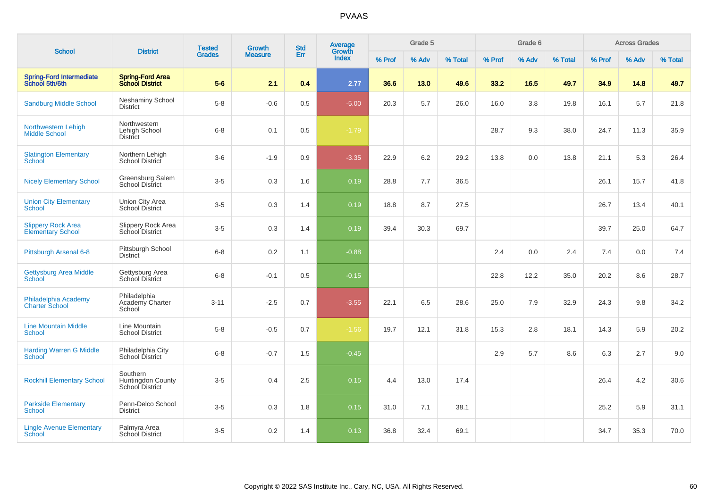| <b>School</b>                                         |                                                   | <b>Tested</b> | Growth         | <b>Std</b> | Average         |        | Grade 5 |         |        | Grade 6 |         |        | <b>Across Grades</b> |         |
|-------------------------------------------------------|---------------------------------------------------|---------------|----------------|------------|-----------------|--------|---------|---------|--------|---------|---------|--------|----------------------|---------|
|                                                       | <b>District</b>                                   | <b>Grades</b> | <b>Measure</b> | Err        | Growth<br>Index | % Prof | % Adv   | % Total | % Prof | % Adv   | % Total | % Prof | % Adv                | % Total |
| <b>Spring-Ford Intermediate</b><br>School 5th/6th     | <b>Spring-Ford Area</b><br><b>School District</b> | $5-6$         | 2.1            | 0.4        | 2.77            | 36.6   | 13.0    | 49.6    | 33.2   | 16.5    | 49.7    | 34.9   | 14.8                 | 49.7    |
| <b>Sandburg Middle School</b>                         | <b>Neshaminy School</b><br><b>District</b>        | $5 - 8$       | $-0.6$         | 0.5        | $-5.00$         | 20.3   | 5.7     | 26.0    | 16.0   | 3.8     | 19.8    | 16.1   | 5.7                  | 21.8    |
| Northwestern Lehigh<br><b>Middle School</b>           | Northwestern<br>Lehigh School<br><b>District</b>  | $6-8$         | 0.1            | 0.5        | $-1.79$         |        |         |         | 28.7   | 9.3     | 38.0    | 24.7   | 11.3                 | 35.9    |
| <b>Slatington Elementary</b><br>School                | Northern Lehigh<br>School District                | $3-6$         | $-1.9$         | 0.9        | $-3.35$         | 22.9   | 6.2     | 29.2    | 13.8   | 0.0     | 13.8    | 21.1   | 5.3                  | 26.4    |
| <b>Nicely Elementary School</b>                       | Greensburg Salem<br><b>School District</b>        | $3-5$         | 0.3            | 1.6        | 0.19            | 28.8   | 7.7     | 36.5    |        |         |         | 26.1   | 15.7                 | 41.8    |
| <b>Union City Elementary</b><br>School                | Union City Area<br>School District                | $3-5$         | 0.3            | 1.4        | 0.19            | 18.8   | 8.7     | 27.5    |        |         |         | 26.7   | 13.4                 | 40.1    |
| <b>Slippery Rock Area</b><br><b>Elementary School</b> | Slippery Rock Area<br>School District             | $3-5$         | 0.3            | 1.4        | 0.19            | 39.4   | 30.3    | 69.7    |        |         |         | 39.7   | 25.0                 | 64.7    |
| Pittsburgh Arsenal 6-8                                | Pittsburgh School<br><b>District</b>              | $6 - 8$       | 0.2            | 1.1        | $-0.88$         |        |         |         | 2.4    | 0.0     | 2.4     | 7.4    | 0.0                  | 7.4     |
| <b>Gettysburg Area Middle</b><br>School               | Gettysburg Area<br>School District                | $6 - 8$       | $-0.1$         | 0.5        | $-0.15$         |        |         |         | 22.8   | 12.2    | 35.0    | 20.2   | 8.6                  | 28.7    |
| Philadelphia Academy<br><b>Charter School</b>         | Philadelphia<br>Academy Charter<br>School         | $3 - 11$      | $-2.5$         | 0.7        | $-3.55$         | 22.1   | 6.5     | 28.6    | 25.0   | 7.9     | 32.9    | 24.3   | 9.8                  | 34.2    |
| <b>Line Mountain Middle</b><br><b>School</b>          | Line Mountain<br><b>School District</b>           | $5-8$         | $-0.5$         | 0.7        | $-1.56$         | 19.7   | 12.1    | 31.8    | 15.3   | 2.8     | 18.1    | 14.3   | 5.9                  | 20.2    |
| <b>Harding Warren G Middle</b><br><b>School</b>       | Philadelphia City<br>School District              | $6 - 8$       | $-0.7$         | 1.5        | $-0.45$         |        |         |         | 2.9    | 5.7     | 8.6     | 6.3    | 2.7                  | 9.0     |
| <b>Rockhill Elementary School</b>                     | Southern<br>Huntingdon County<br>School District  | $3-5$         | 0.4            | 2.5        | 0.15            | 4.4    | 13.0    | 17.4    |        |         |         | 26.4   | 4.2                  | 30.6    |
| <b>Parkside Elementary</b><br>School                  | Penn-Delco School<br><b>District</b>              | $3-5$         | 0.3            | 1.8        | 0.15            | 31.0   | 7.1     | 38.1    |        |         |         | 25.2   | 5.9                  | 31.1    |
| <b>Lingle Avenue Elementary</b><br><b>School</b>      | Palmyra Area<br><b>School District</b>            | $3-5$         | 0.2            | 1.4        | 0.13            | 36.8   | 32.4    | 69.1    |        |         |         | 34.7   | 35.3                 | 70.0    |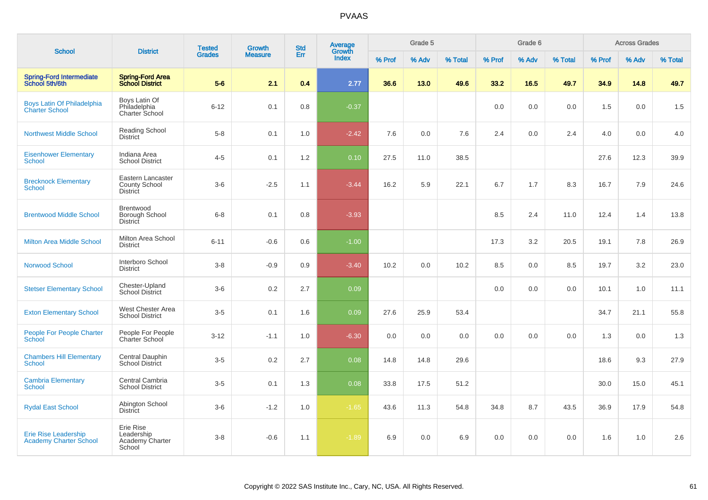| <b>School</b>                                                | <b>District</b>                                       | <b>Tested</b> | Growth         | <b>Std</b> | Average<br>Growth |        | Grade 5 |         |        | Grade 6 |         |        | <b>Across Grades</b> |         |
|--------------------------------------------------------------|-------------------------------------------------------|---------------|----------------|------------|-------------------|--------|---------|---------|--------|---------|---------|--------|----------------------|---------|
|                                                              |                                                       | <b>Grades</b> | <b>Measure</b> | Err        | <b>Index</b>      | % Prof | % Adv   | % Total | % Prof | % Adv   | % Total | % Prof | % Adv                | % Total |
| <b>Spring-Ford Intermediate</b><br>School 5th/6th            | <b>Spring-Ford Area</b><br><b>School District</b>     | $5-6$         | 2.1            | 0.4        | 2.77              | 36.6   | 13.0    | 49.6    | 33.2   | 16.5    | 49.7    | 34.9   | 14.8                 | 49.7    |
| Boys Latin Of Philadelphia<br><b>Charter School</b>          | Boys Latin Of<br>Philadelphia<br>Charter School       | $6 - 12$      | 0.1            | 0.8        | $-0.37$           |        |         |         | 0.0    | 0.0     | 0.0     | 1.5    | 0.0                  | 1.5     |
| <b>Northwest Middle School</b>                               | Reading School<br><b>District</b>                     | $5 - 8$       | 0.1            | 1.0        | $-2.42$           | 7.6    | 0.0     | 7.6     | 2.4    | 0.0     | 2.4     | 4.0    | 0.0                  | 4.0     |
| <b>Eisenhower Elementary</b><br><b>School</b>                | Indiana Area<br><b>School District</b>                | $4 - 5$       | 0.1            | 1.2        | 0.10              | 27.5   | 11.0    | 38.5    |        |         |         | 27.6   | 12.3                 | 39.9    |
| <b>Brecknock Elementary</b><br><b>School</b>                 | Eastern Lancaster<br>County School<br>District        | $3-6$         | $-2.5$         | 1.1        | $-3.44$           | 16.2   | 5.9     | 22.1    | 6.7    | 1.7     | 8.3     | 16.7   | 7.9                  | 24.6    |
| <b>Brentwood Middle School</b>                               | <b>Brentwood</b><br>Borough School<br><b>District</b> | $6 - 8$       | 0.1            | 0.8        | $-3.93$           |        |         |         | 8.5    | 2.4     | 11.0    | 12.4   | 1.4                  | 13.8    |
| <b>Milton Area Middle School</b>                             | Milton Area School<br><b>District</b>                 | $6 - 11$      | $-0.6$         | 0.6        | $-1.00$           |        |         |         | 17.3   | 3.2     | 20.5    | 19.1   | 7.8                  | 26.9    |
| <b>Norwood School</b>                                        | Interboro School<br><b>District</b>                   | $3-8$         | $-0.9$         | 0.9        | $-3.40$           | 10.2   | 0.0     | 10.2    | 8.5    | 0.0     | 8.5     | 19.7   | 3.2                  | 23.0    |
| <b>Stetser Elementary School</b>                             | Chester-Upland<br><b>School District</b>              | $3-6$         | 0.2            | 2.7        | 0.09              |        |         |         | 0.0    | 0.0     | 0.0     | 10.1   | 1.0                  | 11.1    |
| <b>Exton Elementary School</b>                               | West Chester Area<br><b>School District</b>           | $3-5$         | 0.1            | 1.6        | 0.09              | 27.6   | 25.9    | 53.4    |        |         |         | 34.7   | 21.1                 | 55.8    |
| <b>People For People Charter</b><br><b>School</b>            | People For People<br>Charter School                   | $3 - 12$      | $-1.1$         | 1.0        | $-6.30$           | 0.0    | 0.0     | 0.0     | 0.0    | 0.0     | 0.0     | 1.3    | 0.0                  | 1.3     |
| <b>Chambers Hill Elementary</b><br><b>School</b>             | Central Dauphin<br><b>School District</b>             | $3-5$         | 0.2            | 2.7        | 0.08              | 14.8   | 14.8    | 29.6    |        |         |         | 18.6   | 9.3                  | 27.9    |
| <b>Cambria Elementary</b><br><b>School</b>                   | Central Cambria<br><b>School District</b>             | $3-5$         | 0.1            | 1.3        | 0.08              | 33.8   | 17.5    | 51.2    |        |         |         | 30.0   | 15.0                 | 45.1    |
| <b>Rydal East School</b>                                     | Abington School<br><b>District</b>                    | $3-6$         | $-1.2$         | 1.0        | $-1.65$           | 43.6   | 11.3    | 54.8    | 34.8   | 8.7     | 43.5    | 36.9   | 17.9                 | 54.8    |
| <b>Erie Rise Leadership</b><br><b>Academy Charter School</b> | Erie Rise<br>Leadership<br>Academy Charter<br>School  | $3 - 8$       | $-0.6$         | 1.1        | $-1.89$           | 6.9    | 0.0     | 6.9     | 0.0    | 0.0     | 0.0     | 1.6    | 1.0                  | 2.6     |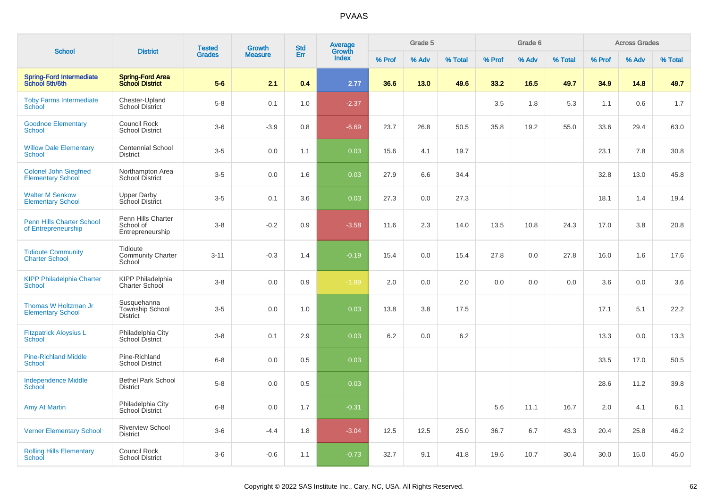|                                                           |                                                     | <b>Tested</b> | <b>Growth</b>  | <b>Std</b> | Average<br>Growth |        | Grade 5 |         |        | Grade 6 |         |        | <b>Across Grades</b> |         |
|-----------------------------------------------------------|-----------------------------------------------------|---------------|----------------|------------|-------------------|--------|---------|---------|--------|---------|---------|--------|----------------------|---------|
| <b>School</b>                                             | <b>District</b>                                     | <b>Grades</b> | <b>Measure</b> | Err        | Index             | % Prof | % Adv   | % Total | % Prof | % Adv   | % Total | % Prof | % Adv                | % Total |
| Spring-Ford Intermediate<br>School 5th/6th                | <b>Spring-Ford Area</b><br><b>School District</b>   | $5-6$         | 2.1            | 0.4        | 2.77              | 36.6   | 13.0    | 49.6    | 33.2   | 16.5    | 49.7    | 34.9   | 14.8                 | 49.7    |
| <b>Toby Farms Intermediate</b><br>School                  | Chester-Upland<br><b>School District</b>            | $5-8$         | 0.1            | 1.0        | $-2.37$           |        |         |         | 3.5    | 1.8     | 5.3     | 1.1    | 0.6                  | 1.7     |
| <b>Goodnoe Elementary</b><br><b>School</b>                | Council Rock<br><b>School District</b>              | $3-6$         | $-3.9$         | 0.8        | $-6.69$           | 23.7   | 26.8    | 50.5    | 35.8   | 19.2    | 55.0    | 33.6   | 29.4                 | 63.0    |
| <b>Willow Dale Elementary</b><br><b>School</b>            | <b>Centennial School</b><br>District                | $3-5$         | 0.0            | 1.1        | 0.03              | 15.6   | 4.1     | 19.7    |        |         |         | 23.1   | 7.8                  | 30.8    |
| <b>Colonel John Siegfried</b><br><b>Elementary School</b> | Northampton Area<br><b>School District</b>          | $3-5$         | 0.0            | 1.6        | 0.03              | 27.9   | 6.6     | 34.4    |        |         |         | 32.8   | 13.0                 | 45.8    |
| <b>Walter M Senkow</b><br><b>Elementary School</b>        | <b>Upper Darby</b><br>School District               | $3-5$         | 0.1            | 3.6        | 0.03              | 27.3   | 0.0     | 27.3    |        |         |         | 18.1   | 1.4                  | 19.4    |
| <b>Penn Hills Charter School</b><br>of Entrepreneurship   | Penn Hills Charter<br>School of<br>Entrepreneurship | $3-8$         | $-0.2$         | 0.9        | $-3.58$           | 11.6   | 2.3     | 14.0    | 13.5   | 10.8    | 24.3    | 17.0   | 3.8                  | 20.8    |
| <b>Tidioute Community</b><br><b>Charter School</b>        | Tidioute<br><b>Community Charter</b><br>School      | $3 - 11$      | $-0.3$         | 1.4        | $-0.19$           | 15.4   | 0.0     | 15.4    | 27.8   | 0.0     | 27.8    | 16.0   | 1.6                  | 17.6    |
| <b>KIPP Philadelphia Charter</b><br>School                | <b>KIPP Philadelphia</b><br>Charter School          | $3 - 8$       | 0.0            | 0.9        | $-1.89$           | 2.0    | 0.0     | 2.0     | 0.0    | 0.0     | 0.0     | 3.6    | 0.0                  | 3.6     |
| Thomas W Holtzman Jr<br><b>Elementary School</b>          | Susquehanna<br>Township School<br>District          | $3-5$         | 0.0            | 1.0        | 0.03              | 13.8   | 3.8     | 17.5    |        |         |         | 17.1   | 5.1                  | 22.2    |
| <b>Fitzpatrick Aloysius L</b><br>School                   | Philadelphia City<br>School District                | $3 - 8$       | 0.1            | 2.9        | 0.03              | 6.2    | 0.0     | 6.2     |        |         |         | 13.3   | 0.0                  | 13.3    |
| <b>Pine-Richland Middle</b><br>School                     | Pine-Richland<br><b>School District</b>             | $6 - 8$       | 0.0            | 0.5        | 0.03              |        |         |         |        |         |         | 33.5   | 17.0                 | 50.5    |
| <b>Independence Middle</b><br>School                      | <b>Bethel Park School</b><br><b>District</b>        | $5-8$         | 0.0            | 0.5        | 0.03              |        |         |         |        |         |         | 28.6   | 11.2                 | 39.8    |
| <b>Amy At Martin</b>                                      | Philadelphia City<br>School District                | $6 - 8$       | 0.0            | 1.7        | $-0.31$           |        |         |         | 5.6    | 11.1    | 16.7    | 2.0    | 4.1                  | 6.1     |
| <b>Verner Elementary School</b>                           | <b>Riverview School</b><br><b>District</b>          | $3-6$         | $-4.4$         | 1.8        | $-3.04$           | 12.5   | 12.5    | 25.0    | 36.7   | 6.7     | 43.3    | 20.4   | 25.8                 | 46.2    |
| <b>Rolling Hills Elementary</b><br>School                 | <b>Council Rock</b><br><b>School District</b>       | $3-6$         | $-0.6$         | 1.1        | $-0.73$           | 32.7   | 9.1     | 41.8    | 19.6   | 10.7    | 30.4    | 30.0   | 15.0                 | 45.0    |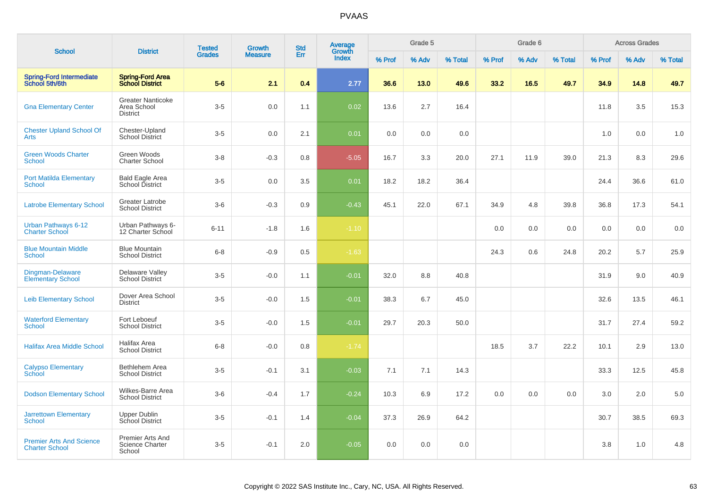| <b>School</b>                                            | <b>District</b>                                             | <b>Tested</b> | Growth         | <b>Std</b> | Average<br>Growth |        | Grade 5 |         |        | Grade 6 |         |        | <b>Across Grades</b> |         |
|----------------------------------------------------------|-------------------------------------------------------------|---------------|----------------|------------|-------------------|--------|---------|---------|--------|---------|---------|--------|----------------------|---------|
|                                                          |                                                             | <b>Grades</b> | <b>Measure</b> | Err        | <b>Index</b>      | % Prof | % Adv   | % Total | % Prof | % Adv   | % Total | % Prof | % Adv                | % Total |
| <b>Spring-Ford Intermediate</b><br>School 5th/6th        | <b>Spring-Ford Area</b><br><b>School District</b>           | $5-6$         | 2.1            | 0.4        | 2.77              | 36.6   | 13.0    | 49.6    | 33.2   | 16.5    | 49.7    | 34.9   | 14.8                 | 49.7    |
| <b>Gna Elementary Center</b>                             | <b>Greater Nanticoke</b><br>Area School<br><b>District</b>  | $3-5$         | 0.0            | 1.1        | 0.02              | 13.6   | 2.7     | 16.4    |        |         |         | 11.8   | 3.5                  | 15.3    |
| <b>Chester Upland School Of</b><br>Arts                  | Chester-Upland<br><b>School District</b>                    | $3-5$         | 0.0            | 2.1        | 0.01              | 0.0    | 0.0     | 0.0     |        |         |         | 1.0    | 0.0                  | 1.0     |
| <b>Green Woods Charter</b><br><b>School</b>              | Green Woods<br><b>Charter School</b>                        | $3-8$         | $-0.3$         | 0.8        | $-5.05$           | 16.7   | 3.3     | 20.0    | 27.1   | 11.9    | 39.0    | 21.3   | 8.3                  | 29.6    |
| <b>Port Matilda Elementary</b><br>School                 | <b>Bald Eagle Area</b><br>School District                   | $3-5$         | 0.0            | 3.5        | 0.01              | 18.2   | 18.2    | 36.4    |        |         |         | 24.4   | 36.6                 | 61.0    |
| <b>Latrobe Elementary School</b>                         | <b>Greater Latrobe</b><br><b>School District</b>            | $3-6$         | $-0.3$         | 0.9        | $-0.43$           | 45.1   | 22.0    | 67.1    | 34.9   | 4.8     | 39.8    | 36.8   | 17.3                 | 54.1    |
| Urban Pathways 6-12<br><b>Charter School</b>             | Urban Pathways 6-<br>12 Charter School                      | $6 - 11$      | $-1.8$         | 1.6        | $-1.10$           |        |         |         | 0.0    | 0.0     | 0.0     | 0.0    | 0.0                  | 0.0     |
| <b>Blue Mountain Middle</b><br><b>School</b>             | <b>Blue Mountain</b><br><b>School District</b>              | $6-8$         | $-0.9$         | 0.5        | $-1.63$           |        |         |         | 24.3   | 0.6     | 24.8    | 20.2   | 5.7                  | 25.9    |
| <b>Dingman-Delaware</b><br><b>Elementary School</b>      | Delaware Valley<br><b>School District</b>                   | $3-5$         | $-0.0$         | 1.1        | $-0.01$           | 32.0   | 8.8     | 40.8    |        |         |         | 31.9   | 9.0                  | 40.9    |
| <b>Leib Elementary School</b>                            | Dover Area School<br><b>District</b>                        | $3-5$         | $-0.0$         | 1.5        | $-0.01$           | 38.3   | 6.7     | 45.0    |        |         |         | 32.6   | 13.5                 | 46.1    |
| <b>Waterford Elementary</b><br><b>School</b>             | Fort Leboeuf<br><b>School District</b>                      | $3-5$         | $-0.0$         | 1.5        | $-0.01$           | 29.7   | 20.3    | 50.0    |        |         |         | 31.7   | 27.4                 | 59.2    |
| <b>Halifax Area Middle School</b>                        | <b>Halifax Area</b><br><b>School District</b>               | $6-8$         | $-0.0$         | 0.8        | $-1.74$           |        |         |         | 18.5   | 3.7     | 22.2    | 10.1   | 2.9                  | 13.0    |
| <b>Calypso Elementary</b><br><b>School</b>               | Bethlehem Area<br><b>School District</b>                    | $3-5$         | $-0.1$         | 3.1        | $-0.03$           | 7.1    | 7.1     | 14.3    |        |         |         | 33.3   | 12.5                 | 45.8    |
| <b>Dodson Elementary School</b>                          | Wilkes-Barre Area<br><b>School District</b>                 | $3-6$         | $-0.4$         | 1.7        | $-0.24$           | 10.3   | 6.9     | 17.2    | 0.0    | 0.0     | 0.0     | 3.0    | 2.0                  | 5.0     |
| <b>Jarrettown Elementary</b><br><b>School</b>            | <b>Upper Dublin</b><br><b>School District</b>               | $3-5$         | $-0.1$         | 1.4        | $-0.04$           | 37.3   | 26.9    | 64.2    |        |         |         | 30.7   | 38.5                 | 69.3    |
| <b>Premier Arts And Science</b><br><b>Charter School</b> | <b>Premier Arts And</b><br><b>Science Charter</b><br>School | $3-5$         | $-0.1$         | 2.0        | $-0.05$           | 0.0    | 0.0     | 0.0     |        |         |         | 3.8    | 1.0                  | 4.8     |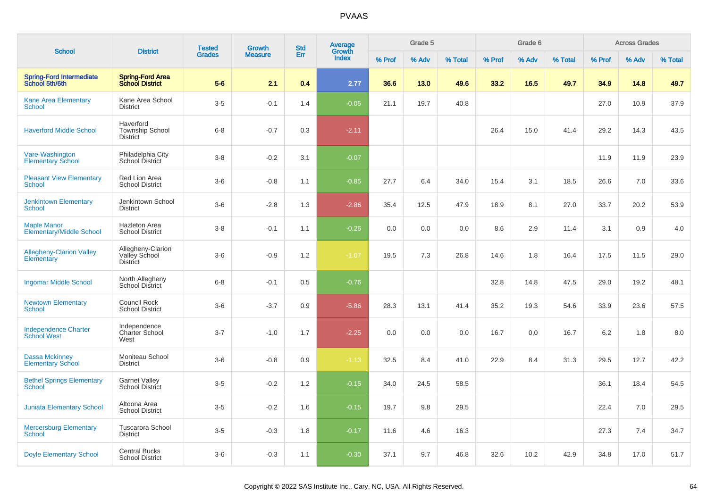|                                                       |                                                        | <b>Tested</b> | Growth         | <b>Std</b> | <b>Average</b>  |        | Grade 5 |         |        | Grade 6 |         |        | <b>Across Grades</b> |         |
|-------------------------------------------------------|--------------------------------------------------------|---------------|----------------|------------|-----------------|--------|---------|---------|--------|---------|---------|--------|----------------------|---------|
| <b>School</b>                                         | <b>District</b>                                        | <b>Grades</b> | <b>Measure</b> | Err        | Growth<br>Index | % Prof | % Adv   | % Total | % Prof | % Adv   | % Total | % Prof | % Adv                | % Total |
| Spring-Ford Intermediate<br>School 5th/6th            | <b>Spring-Ford Area</b><br><b>School District</b>      | $5-6$         | 2.1            | 0.4        | 2.77            | 36.6   | 13.0    | 49.6    | 33.2   | 16.5    | 49.7    | 34.9   | 14.8                 | 49.7    |
| <b>Kane Area Elementary</b><br><b>School</b>          | Kane Area School<br><b>District</b>                    | $3-5$         | $-0.1$         | 1.4        | $-0.05$         | 21.1   | 19.7    | 40.8    |        |         |         | 27.0   | 10.9                 | 37.9    |
| <b>Haverford Middle School</b>                        | Haverford<br><b>Township School</b><br><b>District</b> | $6 - 8$       | $-0.7$         | 0.3        | $-2.11$         |        |         |         | 26.4   | 15.0    | 41.4    | 29.2   | 14.3                 | 43.5    |
| Vare-Washington<br><b>Elementary School</b>           | Philadelphia City<br>School District                   | $3-8$         | $-0.2$         | 3.1        | $-0.07$         |        |         |         |        |         |         | 11.9   | 11.9                 | 23.9    |
| <b>Pleasant View Elementary</b><br><b>School</b>      | Red Lion Area<br><b>School District</b>                | $3-6$         | $-0.8$         | 1.1        | $-0.85$         | 27.7   | 6.4     | 34.0    | 15.4   | 3.1     | 18.5    | 26.6   | 7.0                  | 33.6    |
| <b>Jenkintown Elementary</b><br>School                | Jenkintown School<br><b>District</b>                   | $3-6$         | $-2.8$         | 1.3        | $-2.86$         | 35.4   | 12.5    | 47.9    | 18.9   | 8.1     | 27.0    | 33.7   | 20.2                 | 53.9    |
| <b>Maple Manor</b><br><b>Elementary/Middle School</b> | <b>Hazleton Area</b><br><b>School District</b>         | $3 - 8$       | $-0.1$         | 1.1        | $-0.26$         | 0.0    | 0.0     | 0.0     | 8.6    | 2.9     | 11.4    | 3.1    | 0.9                  | 4.0     |
| <b>Allegheny-Clarion Valley</b><br>Elementary         | Allegheny-Clarion<br>Valley School<br><b>District</b>  | $3-6$         | $-0.9$         | 1.2        | $-1.07$         | 19.5   | 7.3     | 26.8    | 14.6   | 1.8     | 16.4    | 17.5   | 11.5                 | 29.0    |
| <b>Ingomar Middle School</b>                          | North Allegheny<br>School District                     | $6 - 8$       | $-0.1$         | 0.5        | $-0.76$         |        |         |         | 32.8   | 14.8    | 47.5    | 29.0   | 19.2                 | 48.1    |
| <b>Newtown Elementary</b><br><b>School</b>            | <b>Council Rock</b><br><b>School District</b>          | $3-6$         | $-3.7$         | 0.9        | $-5.86$         | 28.3   | 13.1    | 41.4    | 35.2   | 19.3    | 54.6    | 33.9   | 23.6                 | 57.5    |
| <b>Independence Charter</b><br><b>School West</b>     | Independence<br><b>Charter School</b><br>West          | $3 - 7$       | $-1.0$         | 1.7        | $-2.25$         | 0.0    | 0.0     | 0.0     | 16.7   | 0.0     | 16.7    | 6.2    | 1.8                  | 8.0     |
| <b>Dassa Mckinney</b><br><b>Elementary School</b>     | Moniteau School<br><b>District</b>                     | $3-6$         | $-0.8$         | 0.9        | $-1.13$         | 32.5   | 8.4     | 41.0    | 22.9   | 8.4     | 31.3    | 29.5   | 12.7                 | 42.2    |
| <b>Bethel Springs Elementary</b><br><b>School</b>     | <b>Garnet Valley</b><br>School District                | $3-5$         | $-0.2$         | 1.2        | $-0.15$         | 34.0   | 24.5    | 58.5    |        |         |         | 36.1   | 18.4                 | 54.5    |
| <b>Juniata Elementary School</b>                      | Altoona Area<br><b>School District</b>                 | $3-5$         | $-0.2$         | 1.6        | $-0.15$         | 19.7   | 9.8     | 29.5    |        |         |         | 22.4   | 7.0                  | 29.5    |
| <b>Mercersburg Elementary</b><br><b>School</b>        | <b>Tuscarora School</b><br><b>District</b>             | $3-5$         | $-0.3$         | 1.8        | $-0.17$         | 11.6   | 4.6     | 16.3    |        |         |         | 27.3   | 7.4                  | 34.7    |
| <b>Doyle Elementary School</b>                        | <b>Central Bucks</b><br><b>School District</b>         | $3-6$         | $-0.3$         | 1.1        | $-0.30$         | 37.1   | 9.7     | 46.8    | 32.6   | 10.2    | 42.9    | 34.8   | 17.0                 | 51.7    |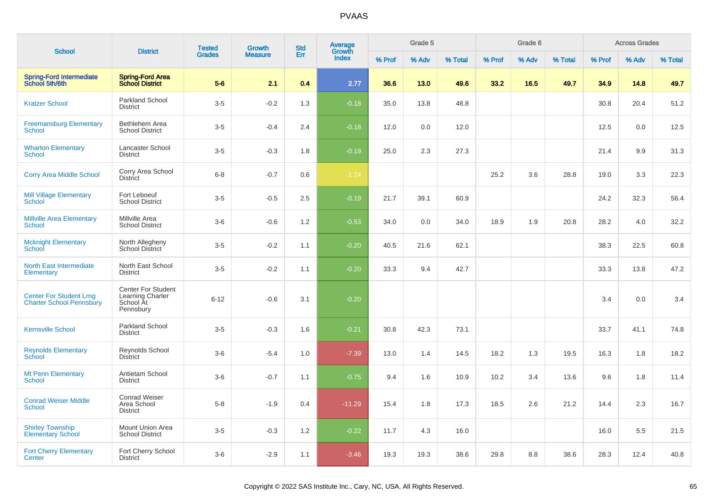|                                                                   |                                                                         | <b>Tested</b> | <b>Growth</b>  | <b>Std</b> | <b>Average</b><br>Growth |        | Grade 5 |         |        | Grade 6 |         |        | <b>Across Grades</b> |         |
|-------------------------------------------------------------------|-------------------------------------------------------------------------|---------------|----------------|------------|--------------------------|--------|---------|---------|--------|---------|---------|--------|----------------------|---------|
| <b>School</b>                                                     | <b>District</b>                                                         | <b>Grades</b> | <b>Measure</b> | Err        | <b>Index</b>             | % Prof | % Adv   | % Total | % Prof | % Adv   | % Total | % Prof | % Adv                | % Total |
| <b>Spring-Ford Intermediate</b><br>School 5th/6th                 | <b>Spring-Ford Area</b><br><b>School District</b>                       | $5-6$         | 2.1            | 0.4        | 2.77                     | 36.6   | 13.0    | 49.6    | 33.2   | 16.5    | 49.7    | 34.9   | 14.8                 | 49.7    |
| <b>Kratzer School</b>                                             | Parkland School<br><b>District</b>                                      | $3-5$         | $-0.2$         | 1.3        | $-0.18$                  | 35.0   | 13.8    | 48.8    |        |         |         | 30.8   | 20.4                 | 51.2    |
| <b>Freemansburg Elementary</b><br>School                          | Bethlehem Area<br><b>School District</b>                                | $3-5$         | $-0.4$         | 2.4        | $-0.18$                  | 12.0   | 0.0     | 12.0    |        |         |         | 12.5   | 0.0                  | 12.5    |
| <b>Wharton Elementary</b><br><b>School</b>                        | Lancaster School<br><b>District</b>                                     | $3-5$         | $-0.3$         | 1.8        | $-0.19$                  | 25.0   | 2.3     | 27.3    |        |         |         | 21.4   | 9.9                  | 31.3    |
| <b>Corry Area Middle School</b>                                   | Corry Area School<br><b>District</b>                                    | $6 - 8$       | $-0.7$         | 0.6        | $-1.24$                  |        |         |         | 25.2   | 3.6     | 28.8    | 19.0   | 3.3                  | 22.3    |
| <b>Mill Village Elementary</b><br>School                          | Fort Leboeuf<br><b>School District</b>                                  | $3-5$         | $-0.5$         | 2.5        | $-0.19$                  | 21.7   | 39.1    | 60.9    |        |         |         | 24.2   | 32.3                 | 56.4    |
| <b>Millville Area Elementary</b><br>School                        | Millville Area<br><b>School District</b>                                | $3-6$         | $-0.6$         | 1.2        | $-0.53$                  | 34.0   | 0.0     | 34.0    | 18.9   | 1.9     | 20.8    | 28.2   | 4.0                  | 32.2    |
| <b>Mcknight Elementary</b><br>School                              | North Allegheny<br>School District                                      | $3-5$         | $-0.2$         | 1.1        | $-0.20$                  | 40.5   | 21.6    | 62.1    |        |         |         | 38.3   | 22.5                 | 60.8    |
| <b>North East Intermediate</b><br>Elementary                      | North East School<br><b>District</b>                                    | $3-5$         | $-0.2$         | 1.1        | $-0.20$                  | 33.3   | 9.4     | 42.7    |        |         |         | 33.3   | 13.8                 | 47.2    |
| <b>Center For Student Lrng</b><br><b>Charter School Pennsbury</b> | <b>Center For Student</b><br>Learning Charter<br>School At<br>Pennsbury | $6 - 12$      | $-0.6$         | 3.1        | $-0.20$                  |        |         |         |        |         |         | 3.4    | 0.0                  | 3.4     |
| <b>Kernsville School</b>                                          | Parkland School<br><b>District</b>                                      | $3-5$         | $-0.3$         | 1.6        | $-0.21$                  | 30.8   | 42.3    | 73.1    |        |         |         | 33.7   | 41.1                 | 74.8    |
| <b>Reynolds Elementary</b><br>School                              | Reynolds School<br><b>District</b>                                      | $3-6$         | $-5.4$         | 1.0        | $-7.39$                  | 13.0   | 1.4     | 14.5    | 18.2   | 1.3     | 19.5    | 16.3   | 1.8                  | 18.2    |
| <b>Mt Penn Elementary</b><br><b>School</b>                        | Antietam School<br><b>District</b>                                      | $3-6$         | $-0.7$         | 1.1        | $-0.75$                  | 9.4    | 1.6     | 10.9    | 10.2   | 3.4     | 13.6    | 9.6    | 1.8                  | 11.4    |
| <b>Conrad Weiser Middle</b><br><b>School</b>                      | <b>Conrad Weiser</b><br>Area School<br><b>District</b>                  | $5-8$         | $-1.9$         | 0.4        | $-11.29$                 | 15.4   | 1.8     | 17.3    | 18.5   | 2.6     | 21.2    | 14.4   | 2.3                  | 16.7    |
| <b>Shirley Township</b><br><b>Elementary School</b>               | Mount Union Area<br><b>School District</b>                              | $3-5$         | $-0.3$         | 1.2        | $-0.22$                  | 11.7   | 4.3     | 16.0    |        |         |         | 16.0   | 5.5                  | 21.5    |
| <b>Fort Cherry Elementary</b><br>Center                           | Fort Cherry School<br><b>District</b>                                   | $3-6$         | $-2.9$         | 1.1        | $-3.46$                  | 19.3   | 19.3    | 38.6    | 29.8   | 8.8     | 38.6    | 28.3   | 12.4                 | 40.8    |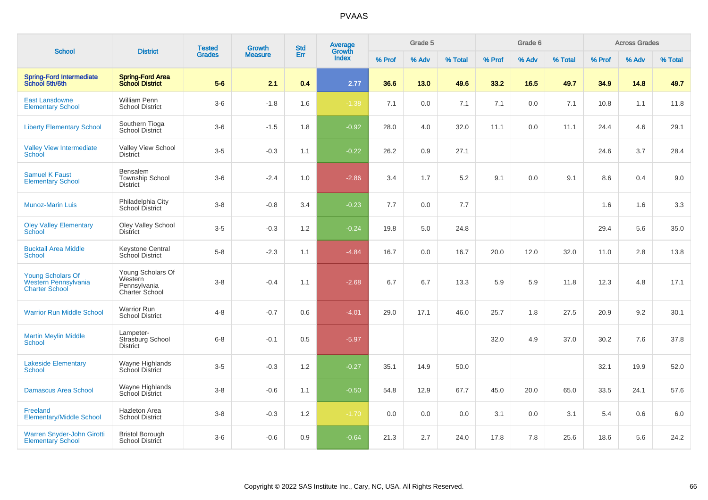| <b>School</b>                                                             |                                                                | <b>Tested</b> | <b>Growth</b>  | <b>Std</b> | Average<br>Growth |        | Grade 5 |         |        | Grade 6 |         |        | <b>Across Grades</b> |         |
|---------------------------------------------------------------------------|----------------------------------------------------------------|---------------|----------------|------------|-------------------|--------|---------|---------|--------|---------|---------|--------|----------------------|---------|
|                                                                           | <b>District</b>                                                | <b>Grades</b> | <b>Measure</b> | Err        | <b>Index</b>      | % Prof | % Adv   | % Total | % Prof | % Adv   | % Total | % Prof | % Adv                | % Total |
| <b>Spring-Ford Intermediate</b><br>School 5th/6th                         | <b>Spring-Ford Area</b><br><b>School District</b>              | $5-6$         | 2.1            | 0.4        | 2.77              | 36.6   | 13.0    | 49.6    | 33.2   | 16.5    | 49.7    | 34.9   | 14.8                 | 49.7    |
| <b>East Lansdowne</b><br><b>Elementary School</b>                         | <b>William Penn</b><br><b>School District</b>                  | $3-6$         | $-1.8$         | 1.6        | $-1.38$           | 7.1    | 0.0     | 7.1     | 7.1    | 0.0     | 7.1     | 10.8   | 1.1                  | 11.8    |
| <b>Liberty Elementary School</b>                                          | Southern Tioga<br>School District                              | $3-6$         | $-1.5$         | 1.8        | $-0.92$           | 28.0   | 4.0     | 32.0    | 11.1   | 0.0     | 11.1    | 24.4   | 4.6                  | 29.1    |
| <b>Valley View Intermediate</b><br>School                                 | Valley View School<br><b>District</b>                          | $3-5$         | $-0.3$         | 1.1        | $-0.22$           | 26.2   | 0.9     | 27.1    |        |         |         | 24.6   | 3.7                  | 28.4    |
| <b>Samuel K Faust</b><br><b>Elementary School</b>                         | Bensalem<br><b>Township School</b><br><b>District</b>          | $3-6$         | $-2.4$         | 1.0        | $-2.86$           | 3.4    | 1.7     | 5.2     | 9.1    | 0.0     | 9.1     | 8.6    | 0.4                  | 9.0     |
| <b>Munoz-Marin Luis</b>                                                   | Philadelphia City<br>School District                           | $3 - 8$       | $-0.8$         | 3.4        | $-0.23$           | 7.7    | 0.0     | 7.7     |        |         |         | 1.6    | 1.6                  | 3.3     |
| <b>Oley Valley Elementary</b><br>School                                   | <b>Oley Valley School</b><br><b>District</b>                   | $3-5$         | $-0.3$         | $1.2$      | $-0.24$           | 19.8   | 5.0     | 24.8    |        |         |         | 29.4   | 5.6                  | 35.0    |
| <b>Bucktail Area Middle</b><br><b>School</b>                              | <b>Keystone Central</b><br>School District                     | $5-8$         | $-2.3$         | 1.1        | $-4.84$           | 16.7   | 0.0     | 16.7    | 20.0   | 12.0    | 32.0    | 11.0   | 2.8                  | 13.8    |
| <b>Young Scholars Of</b><br>Western Pennsylvania<br><b>Charter School</b> | Young Scholars Of<br>Western<br>Pennsylvania<br>Charter School | $3-8$         | $-0.4$         | 1.1        | $-2.68$           | 6.7    | 6.7     | 13.3    | 5.9    | 5.9     | 11.8    | 12.3   | 4.8                  | 17.1    |
| <b>Warrior Run Middle School</b>                                          | <b>Warrior Run</b><br><b>School District</b>                   | $4 - 8$       | $-0.7$         | 0.6        | $-4.01$           | 29.0   | 17.1    | 46.0    | 25.7   | 1.8     | 27.5    | 20.9   | 9.2                  | 30.1    |
| <b>Martin Meylin Middle</b><br><b>School</b>                              | Lampeter-<br>Strasburg School<br><b>District</b>               | $6 - 8$       | $-0.1$         | 0.5        | $-5.97$           |        |         |         | 32.0   | 4.9     | 37.0    | 30.2   | 7.6                  | 37.8    |
| <b>Lakeside Elementary</b><br><b>School</b>                               | Wayne Highlands<br>School District                             | $3-5$         | $-0.3$         | 1.2        | $-0.27$           | 35.1   | 14.9    | 50.0    |        |         |         | 32.1   | 19.9                 | 52.0    |
| <b>Damascus Area School</b>                                               | Wayne Highlands<br>School District                             | $3 - 8$       | $-0.6$         | 1.1        | $-0.50$           | 54.8   | 12.9    | 67.7    | 45.0   | 20.0    | 65.0    | 33.5   | 24.1                 | 57.6    |
| Freeland<br><b>Elementary/Middle School</b>                               | <b>Hazleton Area</b><br><b>School District</b>                 | $3 - 8$       | $-0.3$         | 1.2        | $-1.70$           | 0.0    | 0.0     | 0.0     | 3.1    | 0.0     | 3.1     | 5.4    | 0.6                  | 6.0     |
| Warren Snyder-John Girotti<br><b>Elementary School</b>                    | <b>Bristol Borough</b><br><b>School District</b>               | $3-6$         | $-0.6$         | 0.9        | $-0.64$           | 21.3   | 2.7     | 24.0    | 17.8   | 7.8     | 25.6    | 18.6   | 5.6                  | 24.2    |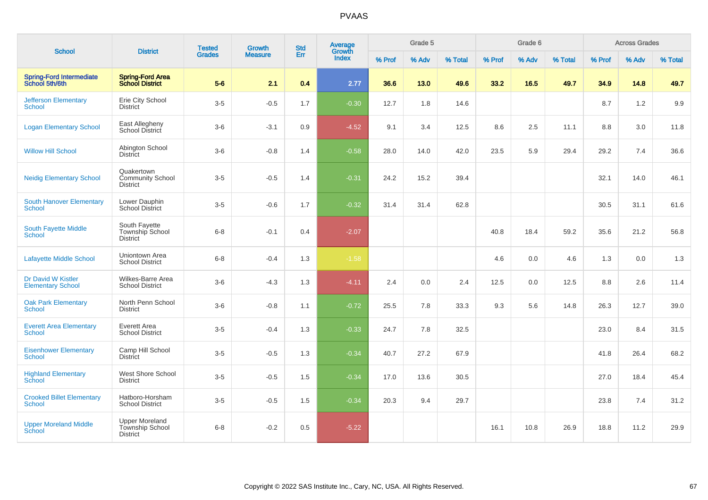| <b>School</b>                                     | <b>District</b>                                             | <b>Tested</b> | <b>Growth</b>  | <b>Std</b> | <b>Average</b>         |        | Grade 5 |         |        | Grade 6 |         |        | <b>Across Grades</b> |         |
|---------------------------------------------------|-------------------------------------------------------------|---------------|----------------|------------|------------------------|--------|---------|---------|--------|---------|---------|--------|----------------------|---------|
|                                                   |                                                             | <b>Grades</b> | <b>Measure</b> | Err        | Growth<br><b>Index</b> | % Prof | % Adv   | % Total | % Prof | % Adv   | % Total | % Prof | % Adv                | % Total |
| <b>Spring-Ford Intermediate</b><br>School 5th/6th | <b>Spring-Ford Area</b><br><b>School District</b>           | $5-6$         | 2.1            | 0.4        | 2.77                   | 36.6   | 13.0    | 49.6    | 33.2   | 16.5    | 49.7    | 34.9   | 14.8                 | 49.7    |
| <b>Jefferson Elementary</b><br><b>School</b>      | Erie City School<br><b>District</b>                         | $3-5$         | $-0.5$         | 1.7        | $-0.30$                | 12.7   | 1.8     | 14.6    |        |         |         | 8.7    | 1.2                  | 9.9     |
| <b>Logan Elementary School</b>                    | East Allegheny<br>School District                           | $3-6$         | $-3.1$         | 0.9        | $-4.52$                | 9.1    | 3.4     | 12.5    | 8.6    | 2.5     | 11.1    | 8.8    | 3.0                  | 11.8    |
| <b>Willow Hill School</b>                         | Abington School<br><b>District</b>                          | $3-6$         | $-0.8$         | 1.4        | $-0.58$                | 28.0   | 14.0    | 42.0    | 23.5   | 5.9     | 29.4    | 29.2   | 7.4                  | 36.6    |
| <b>Neidig Elementary School</b>                   | Quakertown<br><b>Community School</b><br><b>District</b>    | $3-5$         | $-0.5$         | 1.4        | $-0.31$                | 24.2   | 15.2    | 39.4    |        |         |         | 32.1   | 14.0                 | 46.1    |
| <b>South Hanover Elementary</b><br>School         | Lower Dauphin<br><b>School District</b>                     | $3-5$         | $-0.6$         | 1.7        | $-0.32$                | 31.4   | 31.4    | 62.8    |        |         |         | 30.5   | 31.1                 | 61.6    |
| South Fayette Middle<br>School                    | South Fayette<br>Township School<br><b>District</b>         | $6 - 8$       | $-0.1$         | 0.4        | $-2.07$                |        |         |         | 40.8   | 18.4    | 59.2    | 35.6   | 21.2                 | 56.8    |
| <b>Lafayette Middle School</b>                    | Uniontown Area<br><b>School District</b>                    | $6 - 8$       | $-0.4$         | 1.3        | $-1.58$                |        |         |         | 4.6    | 0.0     | 4.6     | 1.3    | 0.0                  | 1.3     |
| Dr David W Kistler<br><b>Elementary School</b>    | Wilkes-Barre Area<br><b>School District</b>                 | $3-6$         | $-4.3$         | 1.3        | $-4.11$                | 2.4    | 0.0     | 2.4     | 12.5   | 0.0     | 12.5    | 8.8    | 2.6                  | 11.4    |
| <b>Oak Park Elementary</b><br><b>School</b>       | North Penn School<br><b>District</b>                        | $3-6$         | $-0.8$         | 1.1        | $-0.72$                | 25.5   | 7.8     | 33.3    | 9.3    | 5.6     | 14.8    | 26.3   | 12.7                 | 39.0    |
| <b>Everett Area Elementary</b><br><b>School</b>   | Everett Area<br><b>School District</b>                      | $3-5$         | $-0.4$         | 1.3        | $-0.33$                | 24.7   | 7.8     | 32.5    |        |         |         | 23.0   | 8.4                  | 31.5    |
| <b>Eisenhower Elementary</b><br><b>School</b>     | Camp Hill School<br><b>District</b>                         | $3-5$         | $-0.5$         | 1.3        | $-0.34$                | 40.7   | 27.2    | 67.9    |        |         |         | 41.8   | 26.4                 | 68.2    |
| <b>Highland Elementary</b><br>School              | West Shore School<br><b>District</b>                        | $3-5$         | $-0.5$         | 1.5        | $-0.34$                | 17.0   | 13.6    | 30.5    |        |         |         | 27.0   | 18.4                 | 45.4    |
| <b>Crooked Billet Elementary</b><br><b>School</b> | Hatboro-Horsham<br><b>School District</b>                   | $3-5$         | $-0.5$         | 1.5        | $-0.34$                | 20.3   | 9.4     | 29.7    |        |         |         | 23.8   | 7.4                  | 31.2    |
| <b>Upper Moreland Middle</b><br>School            | <b>Upper Moreland</b><br>Township School<br><b>District</b> | $6 - 8$       | $-0.2$         | 0.5        | $-5.22$                |        |         |         | 16.1   | 10.8    | 26.9    | 18.8   | 11.2                 | 29.9    |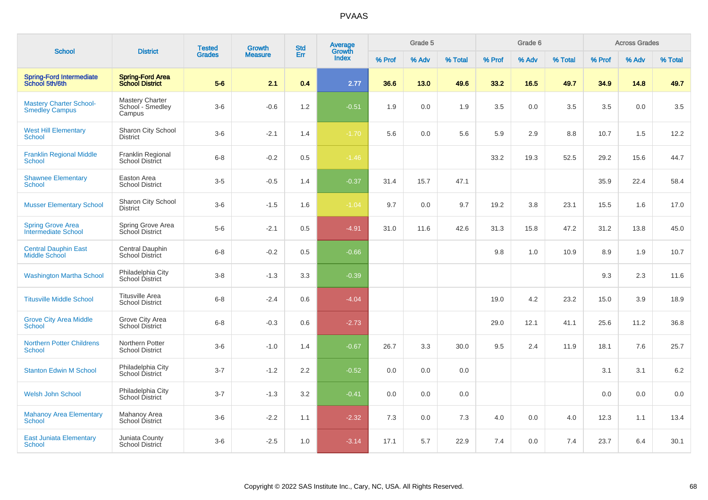| <b>School</b>                                           | <b>District</b>                                      | <b>Tested</b> | Growth         | <b>Std</b> | Average<br>Growth |        | Grade 5 |         |        | Grade 6 |         |        | <b>Across Grades</b> |         |
|---------------------------------------------------------|------------------------------------------------------|---------------|----------------|------------|-------------------|--------|---------|---------|--------|---------|---------|--------|----------------------|---------|
|                                                         |                                                      | <b>Grades</b> | <b>Measure</b> | Err        | Index             | % Prof | % Adv   | % Total | % Prof | % Adv   | % Total | % Prof | % Adv                | % Total |
| <b>Spring-Ford Intermediate</b><br>School 5th/6th       | <b>Spring-Ford Area</b><br><b>School District</b>    | $5-6$         | 2.1            | 0.4        | 2.77              | 36.6   | 13.0    | 49.6    | 33.2   | 16.5    | 49.7    | 34.9   | 14.8                 | 49.7    |
| <b>Mastery Charter School-</b><br><b>Smedley Campus</b> | <b>Mastery Charter</b><br>School - Smedley<br>Campus | $3-6$         | $-0.6$         | 1.2        | $-0.51$           | 1.9    | 0.0     | 1.9     | 3.5    | 0.0     | 3.5     | 3.5    | 0.0                  | 3.5     |
| <b>West Hill Elementary</b><br><b>School</b>            | Sharon City School<br><b>District</b>                | $3-6$         | $-2.1$         | 1.4        | $-1.70$           | 5.6    | 0.0     | 5.6     | 5.9    | 2.9     | 8.8     | 10.7   | 1.5                  | 12.2    |
| <b>Franklin Regional Middle</b><br><b>School</b>        | Franklin Regional<br><b>School District</b>          | $6 - 8$       | $-0.2$         | 0.5        | $-1.46$           |        |         |         | 33.2   | 19.3    | 52.5    | 29.2   | 15.6                 | 44.7    |
| <b>Shawnee Elementary</b><br><b>School</b>              | Easton Area<br><b>School District</b>                | $3-5$         | $-0.5$         | 1.4        | $-0.37$           | 31.4   | 15.7    | 47.1    |        |         |         | 35.9   | 22.4                 | 58.4    |
| <b>Musser Elementary School</b>                         | Sharon City School<br><b>District</b>                | $3-6$         | $-1.5$         | 1.6        | $-1.04$           | 9.7    | 0.0     | 9.7     | 19.2   | 3.8     | 23.1    | 15.5   | 1.6                  | 17.0    |
| <b>Spring Grove Area</b><br><b>Intermediate School</b>  | Spring Grove Area<br>School District                 | $5-6$         | $-2.1$         | 0.5        | $-4.91$           | 31.0   | 11.6    | 42.6    | 31.3   | 15.8    | 47.2    | 31.2   | 13.8                 | 45.0    |
| <b>Central Dauphin East</b><br><b>Middle School</b>     | Central Dauphin<br>School District                   | $6 - 8$       | $-0.2$         | 0.5        | $-0.66$           |        |         |         | 9.8    | 1.0     | 10.9    | 8.9    | 1.9                  | 10.7    |
| <b>Washington Martha School</b>                         | Philadelphia City<br>School District                 | $3-8$         | $-1.3$         | 3.3        | $-0.39$           |        |         |         |        |         |         | 9.3    | 2.3                  | 11.6    |
| <b>Titusville Middle School</b>                         | <b>Titusville Area</b><br><b>School District</b>     | $6 - 8$       | $-2.4$         | 0.6        | $-4.04$           |        |         |         | 19.0   | 4.2     | 23.2    | 15.0   | 3.9                  | 18.9    |
| <b>Grove City Area Middle</b><br><b>School</b>          | Grove City Area<br><b>School District</b>            | $6-8$         | $-0.3$         | 0.6        | $-2.73$           |        |         |         | 29.0   | 12.1    | 41.1    | 25.6   | 11.2                 | 36.8    |
| <b>Northern Potter Childrens</b><br>School              | Northern Potter<br><b>School District</b>            | $3-6$         | $-1.0$         | 1.4        | $-0.67$           | 26.7   | 3.3     | 30.0    | 9.5    | 2.4     | 11.9    | 18.1   | 7.6                  | 25.7    |
| <b>Stanton Edwin M School</b>                           | Philadelphia City<br>School District                 | $3 - 7$       | $-1.2$         | 2.2        | $-0.52$           | 0.0    | 0.0     | 0.0     |        |         |         | 3.1    | 3.1                  | $6.2\,$ |
| Welsh John School                                       | Philadelphia City<br><b>School District</b>          | $3 - 7$       | $-1.3$         | 3.2        | $-0.41$           | 0.0    | 0.0     | 0.0     |        |         |         | 0.0    | 0.0                  | 0.0     |
| <b>Mahanoy Area Elementary</b><br><b>School</b>         | Mahanoy Area<br><b>School District</b>               | $3-6$         | $-2.2$         | 1.1        | $-2.32$           | 7.3    | 0.0     | 7.3     | 4.0    | 0.0     | 4.0     | 12.3   | 1.1                  | 13.4    |
| <b>East Juniata Elementary</b><br>School                | Juniata County<br><b>School District</b>             | $3-6$         | $-2.5$         | 1.0        | $-3.14$           | 17.1   | 5.7     | 22.9    | 7.4    | 0.0     | 7.4     | 23.7   | 6.4                  | 30.1    |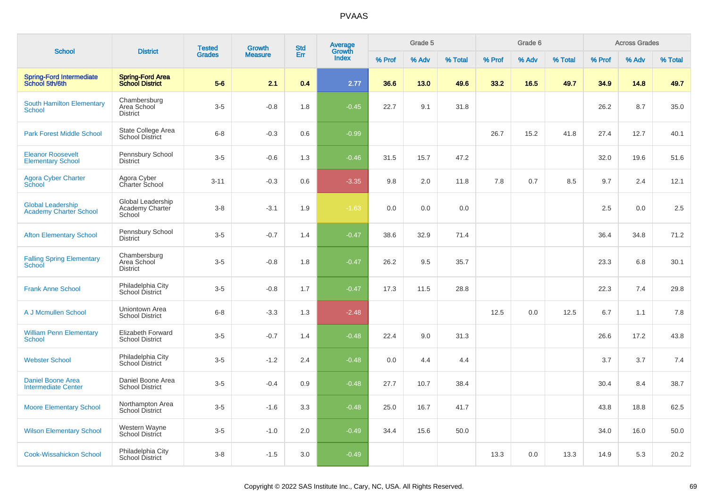|                                                           |                                                | <b>Tested</b> | Growth         | <b>Std</b> | Average         |        | Grade 5 |         |        | Grade 6 |         |        | <b>Across Grades</b> |         |
|-----------------------------------------------------------|------------------------------------------------|---------------|----------------|------------|-----------------|--------|---------|---------|--------|---------|---------|--------|----------------------|---------|
| <b>School</b>                                             | <b>District</b>                                | <b>Grades</b> | <b>Measure</b> | Err        | Growth<br>Index | % Prof | % Adv   | % Total | % Prof | % Adv   | % Total | % Prof | % Adv                | % Total |
| Spring-Ford Intermediate<br>School 5th/6th                | Spring-Ford Area<br>School District            | $5-6$         | 2.1            | 0.4        | 2.77            | 36.6   | 13.0    | 49.6    | 33.2   | 16.5    | 49.7    | 34.9   | 14.8                 | 49.7    |
| <b>South Hamilton Elementary</b><br>School                | Chambersburg<br>Area School<br><b>District</b> | $3-5$         | $-0.8$         | 1.8        | $-0.45$         | 22.7   | 9.1     | 31.8    |        |         |         | 26.2   | 8.7                  | 35.0    |
| <b>Park Forest Middle School</b>                          | State College Area<br><b>School District</b>   | $6 - 8$       | $-0.3$         | 0.6        | $-0.99$         |        |         |         | 26.7   | 15.2    | 41.8    | 27.4   | 12.7                 | 40.1    |
| <b>Eleanor Roosevelt</b><br><b>Elementary School</b>      | Pennsbury School<br><b>District</b>            | $3-5$         | $-0.6$         | 1.3        | $-0.46$         | 31.5   | 15.7    | 47.2    |        |         |         | 32.0   | 19.6                 | 51.6    |
| <b>Agora Cyber Charter</b><br>School                      | Agora Cyber<br>Charter School                  | $3 - 11$      | $-0.3$         | 0.6        | $-3.35$         | 9.8    | 2.0     | 11.8    | 7.8    | 0.7     | 8.5     | 9.7    | 2.4                  | 12.1    |
| <b>Global Leadership</b><br><b>Academy Charter School</b> | Global Leadership<br>Academy Charter<br>School | $3 - 8$       | $-3.1$         | 1.9        | $-1.63$         | 0.0    | 0.0     | 0.0     |        |         |         | 2.5    | 0.0                  | 2.5     |
| <b>Afton Elementary School</b>                            | Pennsbury School<br><b>District</b>            | $3-5$         | $-0.7$         | 1.4        | $-0.47$         | 38.6   | 32.9    | 71.4    |        |         |         | 36.4   | 34.8                 | 71.2    |
| <b>Falling Spring Elementary</b><br>School                | Chambersburg<br>Area School<br><b>District</b> | $3-5$         | $-0.8$         | 1.8        | $-0.47$         | 26.2   | 9.5     | 35.7    |        |         |         | 23.3   | 6.8                  | 30.1    |
| <b>Frank Anne School</b>                                  | Philadelphia City<br>School District           | $3-5$         | $-0.8$         | 1.7        | $-0.47$         | 17.3   | 11.5    | 28.8    |        |         |         | 22.3   | 7.4                  | 29.8    |
| A J Mcmullen School                                       | Uniontown Area<br><b>School District</b>       | $6 - 8$       | $-3.3$         | 1.3        | $-2.48$         |        |         |         | 12.5   | 0.0     | 12.5    | 6.7    | 1.1                  | 7.8     |
| <b>William Penn Elementary</b><br>School                  | Elizabeth Forward<br><b>School District</b>    | $3-5$         | $-0.7$         | 1.4        | $-0.48$         | 22.4   | 9.0     | 31.3    |        |         |         | 26.6   | 17.2                 | 43.8    |
| <b>Webster School</b>                                     | Philadelphia City<br>School District           | $3-5$         | $-1.2$         | 2.4        | $-0.48$         | 0.0    | 4.4     | 4.4     |        |         |         | 3.7    | 3.7                  | 7.4     |
| <b>Daniel Boone Area</b><br><b>Intermediate Center</b>    | Daniel Boone Area<br><b>School District</b>    | $3-5$         | $-0.4$         | 0.9        | $-0.48$         | 27.7   | 10.7    | 38.4    |        |         |         | 30.4   | 8.4                  | 38.7    |
| <b>Moore Elementary School</b>                            | Northampton Area<br>School District            | $3-5$         | $-1.6$         | 3.3        | $-0.48$         | 25.0   | 16.7    | 41.7    |        |         |         | 43.8   | 18.8                 | 62.5    |
| <b>Wilson Elementary School</b>                           | Western Wayne<br>School District               | $3-5$         | $-1.0$         | 2.0        | $-0.49$         | 34.4   | 15.6    | 50.0    |        |         |         | 34.0   | 16.0                 | 50.0    |
| <b>Cook-Wissahickon School</b>                            | Philadelphia City<br>School District           | $3 - 8$       | $-1.5$         | 3.0        | $-0.49$         |        |         |         | 13.3   | 0.0     | 13.3    | 14.9   | 5.3                  | 20.2    |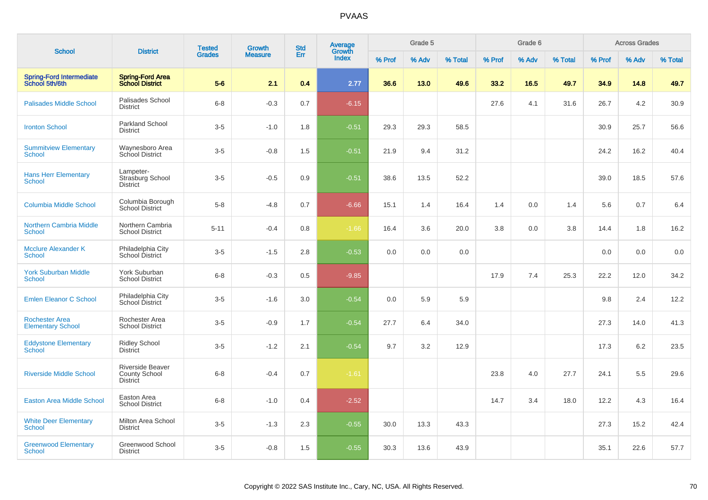|                                                   |                                                                    | <b>Tested</b> | <b>Growth</b>  | <b>Std</b> | Average<br>Growth |        | Grade 5 |         |        | Grade 6 |         |        | <b>Across Grades</b> |         |
|---------------------------------------------------|--------------------------------------------------------------------|---------------|----------------|------------|-------------------|--------|---------|---------|--------|---------|---------|--------|----------------------|---------|
| <b>School</b>                                     | <b>District</b>                                                    | <b>Grades</b> | <b>Measure</b> | Err        | <b>Index</b>      | % Prof | % Adv   | % Total | % Prof | % Adv   | % Total | % Prof | % Adv                | % Total |
| <b>Spring-Ford Intermediate</b><br>School 5th/6th | <b>Spring-Ford Area</b><br><b>School District</b>                  | $5-6$         | 2.1            | 0.4        | 2.77              | 36.6   | 13.0    | 49.6    | 33.2   | 16.5    | 49.7    | 34.9   | 14.8                 | 49.7    |
| <b>Palisades Middle School</b>                    | Palisades School<br><b>District</b>                                | $6 - 8$       | $-0.3$         | 0.7        | $-6.15$           |        |         |         | 27.6   | 4.1     | 31.6    | 26.7   | 4.2                  | 30.9    |
| <b>Ironton School</b>                             | <b>Parkland School</b><br><b>District</b>                          | $3-5$         | $-1.0$         | 1.8        | $-0.51$           | 29.3   | 29.3    | 58.5    |        |         |         | 30.9   | 25.7                 | 56.6    |
| <b>Summitview Elementary</b><br><b>School</b>     | Waynesboro Area<br>School District                                 | $3-5$         | $-0.8$         | 1.5        | $-0.51$           | 21.9   | 9.4     | 31.2    |        |         |         | 24.2   | 16.2                 | 40.4    |
| <b>Hans Herr Elementary</b><br><b>School</b>      | Lampeter-<br>Strasburg School<br><b>District</b>                   | $3-5$         | $-0.5$         | 0.9        | $-0.51$           | 38.6   | 13.5    | 52.2    |        |         |         | 39.0   | 18.5                 | 57.6    |
| <b>Columbia Middle School</b>                     | Columbia Borough<br><b>School District</b>                         | $5 - 8$       | $-4.8$         | 0.7        | $-6.66$           | 15.1   | 1.4     | 16.4    | 1.4    | 0.0     | 1.4     | 5.6    | 0.7                  | 6.4     |
| <b>Northern Cambria Middle</b><br><b>School</b>   | Northern Cambria<br><b>School District</b>                         | $5 - 11$      | $-0.4$         | 0.8        | $-1.66$           | 16.4   | 3.6     | 20.0    | 3.8    | 0.0     | 3.8     | 14.4   | 1.8                  | 16.2    |
| <b>Mcclure Alexander K</b><br><b>School</b>       | Philadelphia City<br>School District                               | $3-5$         | $-1.5$         | 2.8        | $-0.53$           | 0.0    | 0.0     | 0.0     |        |         |         | 0.0    | 0.0                  | 0.0     |
| <b>York Suburban Middle</b><br><b>School</b>      | York Suburban<br><b>School District</b>                            | $6 - 8$       | $-0.3$         | 0.5        | $-9.85$           |        |         |         | 17.9   | 7.4     | 25.3    | 22.2   | 12.0                 | 34.2    |
| <b>Emlen Eleanor C School</b>                     | Philadelphia City<br>School District                               | $3-5$         | $-1.6$         | 3.0        | $-0.54$           | 0.0    | 5.9     | 5.9     |        |         |         | 9.8    | 2.4                  | 12.2    |
| <b>Rochester Area</b><br><b>Elementary School</b> | Rochester Area<br><b>School District</b>                           | $3-5$         | $-0.9$         | 1.7        | $-0.54$           | 27.7   | 6.4     | 34.0    |        |         |         | 27.3   | 14.0                 | 41.3    |
| <b>Eddystone Elementary</b><br><b>School</b>      | <b>Ridley School</b><br><b>District</b>                            | $3-5$         | $-1.2$         | 2.1        | $-0.54$           | 9.7    | 3.2     | 12.9    |        |         |         | 17.3   | 6.2                  | 23.5    |
| <b>Riverside Middle School</b>                    | <b>Riverside Beaver</b><br><b>County School</b><br><b>District</b> | $6 - 8$       | $-0.4$         | 0.7        | $-1.61$           |        |         |         | 23.8   | 4.0     | 27.7    | 24.1   | 5.5                  | 29.6    |
| <b>Easton Area Middle School</b>                  | Easton Area<br><b>School District</b>                              | $6 - 8$       | $-1.0$         | 0.4        | $-2.52$           |        |         |         | 14.7   | 3.4     | 18.0    | 12.2   | 4.3                  | 16.4    |
| <b>White Deer Elementary</b><br><b>School</b>     | Milton Area School<br><b>District</b>                              | $3-5$         | $-1.3$         | 2.3        | $-0.55$           | 30.0   | 13.3    | 43.3    |        |         |         | 27.3   | 15.2                 | 42.4    |
| <b>Greenwood Elementary</b><br>School             | Greenwood School<br><b>District</b>                                | $3-5$         | $-0.8$         | 1.5        | $-0.55$           | 30.3   | 13.6    | 43.9    |        |         |         | 35.1   | 22.6                 | 57.7    |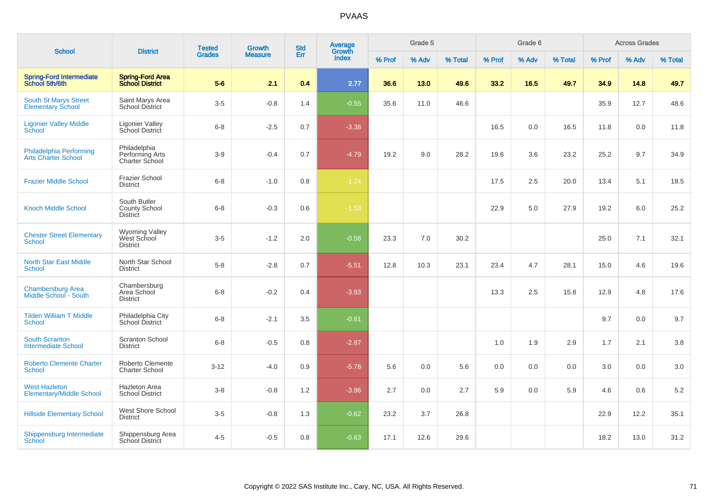| <b>School</b>                                            | <b>District</b>                                         | <b>Tested</b> | Growth         | <b>Std</b> | <b>Average</b><br>Growth |        | Grade 5 |         |        | Grade 6 |         |        | <b>Across Grades</b> |         |
|----------------------------------------------------------|---------------------------------------------------------|---------------|----------------|------------|--------------------------|--------|---------|---------|--------|---------|---------|--------|----------------------|---------|
|                                                          |                                                         | <b>Grades</b> | <b>Measure</b> | Err        | Index                    | % Prof | % Adv   | % Total | % Prof | % Adv   | % Total | % Prof | % Adv                | % Total |
| <b>Spring-Ford Intermediate</b><br>School 5th/6th        | <b>Spring-Ford Area</b><br><b>School District</b>       | $5-6$         | 2.1            | 0.4        | 2.77                     | 36.6   | 13.0    | 49.6    | 33.2   | 16.5    | 49.7    | 34.9   | 14.8                 | 49.7    |
| <b>South St Marys Street</b><br><b>Elementary School</b> | Saint Marys Area<br><b>School District</b>              | $3-5$         | $-0.8$         | 1.4        | $-0.55$                  | 35.6   | 11.0    | 46.6    |        |         |         | 35.9   | 12.7                 | 48.6    |
| <b>Ligonier Valley Middle</b><br>School                  | <b>Ligonier Valley</b><br>School District               | $6 - 8$       | $-2.5$         | 0.7        | $-3.38$                  |        |         |         | 16.5   | 0.0     | 16.5    | 11.8   | 0.0                  | 11.8    |
| Philadelphia Performing<br><b>Arts Charter School</b>    | Philadelphia<br>Performing Arts<br>Charter School       | $3-9$         | $-0.4$         | 0.7        | $-4.79$                  | 19.2   | 9.0     | 28.2    | 19.6   | 3.6     | 23.2    | 25.2   | 9.7                  | 34.9    |
| <b>Frazier Middle School</b>                             | <b>Frazier School</b><br><b>District</b>                | $6 - 8$       | $-1.0$         | 0.8        | $-1.24$                  |        |         |         | 17.5   | 2.5     | 20.0    | 13.4   | 5.1                  | 18.5    |
| <b>Knoch Middle School</b>                               | South Butler<br><b>County School</b><br><b>District</b> | $6 - 8$       | $-0.3$         | 0.6        | $-1.53$                  |        |         |         | 22.9   | 5.0     | 27.9    | 19.2   | 6.0                  | 25.2    |
| <b>Chester Street Elementary</b><br><b>School</b>        | Wyoming Valley<br>West School<br><b>District</b>        | $3-5$         | $-1.2$         | 2.0        | $-0.58$                  | 23.3   | 7.0     | 30.2    |        |         |         | 25.0   | 7.1                  | 32.1    |
| <b>North Star East Middle</b><br>School                  | North Star School<br><b>District</b>                    | $5 - 8$       | $-2.8$         | 0.7        | $-5.51$                  | 12.8   | 10.3    | 23.1    | 23.4   | 4.7     | 28.1    | 15.0   | 4.6                  | 19.6    |
| <b>Chambersburg Area</b><br>Middle School - South        | Chambersburg<br>Area School<br><b>District</b>          | $6 - 8$       | $-0.2$         | 0.4        | $-3.93$                  |        |         |         | 13.3   | 2.5     | 15.8    | 12.9   | 4.8                  | 17.6    |
| <b>Tilden William T Middle</b><br><b>School</b>          | Philadelphia City<br><b>School District</b>             | $6 - 8$       | $-2.1$         | 3.5        | $-0.61$                  |        |         |         |        |         |         | 9.7    | 0.0                  | 9.7     |
| <b>South Scranton</b><br><b>Intermediate School</b>      | <b>Scranton School</b><br><b>District</b>               | $6 - 8$       | $-0.5$         | 0.8        | $-2.87$                  |        |         |         | 1.0    | 1.9     | 2.9     | 1.7    | 2.1                  | 3.8     |
| <b>Roberto Clemente Charter</b><br><b>School</b>         | Roberto Clemente<br><b>Charter School</b>               | $3 - 12$      | $-4.0$         | 0.9        | $-5.78$                  | 5.6    | 0.0     | 5.6     | 0.0    | 0.0     | 0.0     | 3.0    | 0.0                  | 3.0     |
| <b>West Hazleton</b><br><b>Elementary/Middle School</b>  | <b>Hazleton Area</b><br><b>School District</b>          | $3 - 8$       | $-0.8$         | 1.2        | $-3.96$                  | 2.7    | 0.0     | 2.7     | 5.9    | 0.0     | 5.9     | 4.6    | 0.6                  | 5.2     |
| <b>Hillside Elementary School</b>                        | West Shore School<br><b>District</b>                    | $3-5$         | $-0.8$         | 1.3        | $-0.62$                  | 23.2   | 3.7     | 26.8    |        |         |         | 22.9   | 12.2                 | 35.1    |
| Shippensburg Intermediate<br>School                      | Shippensburg Area<br><b>School District</b>             | $4 - 5$       | $-0.5$         | 0.8        | $-0.63$                  | 17.1   | 12.6    | 29.6    |        |         |         | 18.2   | 13.0                 | 31.2    |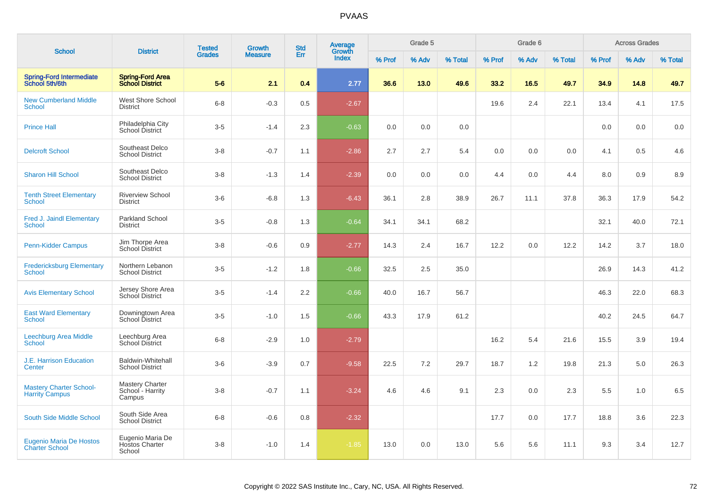| <b>School</b>                                           | <b>District</b>                                      | <b>Tested</b> | Growth         | <b>Std</b> | <b>Average</b><br>Growth |        | Grade 5 |         |        | Grade 6 |         |        | <b>Across Grades</b> |         |
|---------------------------------------------------------|------------------------------------------------------|---------------|----------------|------------|--------------------------|--------|---------|---------|--------|---------|---------|--------|----------------------|---------|
|                                                         |                                                      | <b>Grades</b> | <b>Measure</b> | Err        | Index                    | % Prof | % Adv   | % Total | % Prof | % Adv   | % Total | % Prof | % Adv                | % Total |
| <b>Spring-Ford Intermediate</b><br>School 5th/6th       | <b>Spring-Ford Area</b><br><b>School District</b>    | $5-6$         | 2.1            | 0.4        | 2.77                     | 36.6   | 13.0    | 49.6    | 33.2   | 16.5    | 49.7    | 34.9   | 14.8                 | 49.7    |
| <b>New Cumberland Middle</b><br><b>School</b>           | West Shore School<br><b>District</b>                 | $6 - 8$       | $-0.3$         | 0.5        | $-2.67$                  |        |         |         | 19.6   | 2.4     | 22.1    | 13.4   | 4.1                  | 17.5    |
| <b>Prince Hall</b>                                      | Philadelphia City<br>School District                 | $3-5$         | $-1.4$         | 2.3        | $-0.63$                  | 0.0    | 0.0     | 0.0     |        |         |         | 0.0    | 0.0                  | 0.0     |
| <b>Delcroft School</b>                                  | Southeast Delco<br><b>School District</b>            | $3 - 8$       | $-0.7$         | 1.1        | $-2.86$                  | 2.7    | 2.7     | 5.4     | 0.0    | 0.0     | 0.0     | 4.1    | 0.5                  | 4.6     |
| <b>Sharon Hill School</b>                               | Southeast Delco<br><b>School District</b>            | $3 - 8$       | $-1.3$         | 1.4        | $-2.39$                  | 0.0    | 0.0     | 0.0     | 4.4    | 0.0     | 4.4     | 8.0    | 0.9                  | $8.9\,$ |
| <b>Tenth Street Elementary</b><br>School                | <b>Riverview School</b><br><b>District</b>           | $3-6$         | $-6.8$         | 1.3        | $-6.43$                  | 36.1   | 2.8     | 38.9    | 26.7   | 11.1    | 37.8    | 36.3   | 17.9                 | 54.2    |
| <b>Fred J. Jaindl Elementary</b><br>School              | <b>Parkland School</b><br><b>District</b>            | $3-5$         | $-0.8$         | 1.3        | $-0.64$                  | 34.1   | 34.1    | 68.2    |        |         |         | 32.1   | 40.0                 | 72.1    |
| <b>Penn-Kidder Campus</b>                               | Jim Thorpe Area<br>School District                   | $3 - 8$       | $-0.6$         | 0.9        | $-2.77$                  | 14.3   | 2.4     | 16.7    | 12.2   | 0.0     | 12.2    | 14.2   | 3.7                  | 18.0    |
| <b>Fredericksburg Elementary</b><br>School              | Northern Lebanon<br><b>School District</b>           | $3-5$         | $-1.2$         | 1.8        | $-0.66$                  | 32.5   | 2.5     | 35.0    |        |         |         | 26.9   | 14.3                 | 41.2    |
| <b>Avis Elementary School</b>                           | Jersey Shore Area<br>School District                 | $3-5$         | $-1.4$         | 2.2        | $-0.66$                  | 40.0   | 16.7    | 56.7    |        |         |         | 46.3   | 22.0                 | 68.3    |
| <b>East Ward Elementary</b><br>School                   | Downingtown Area<br>School District                  | $3-5$         | $-1.0$         | 1.5        | $-0.66$                  | 43.3   | 17.9    | 61.2    |        |         |         | 40.2   | 24.5                 | 64.7    |
| Leechburg Area Middle<br><b>School</b>                  | Leechburg Area<br>School District                    | $6 - 8$       | $-2.9$         | 1.0        | $-2.79$                  |        |         |         | 16.2   | 5.4     | 21.6    | 15.5   | 3.9                  | 19.4    |
| <b>J.E. Harrison Education</b><br>Center                | <b>Baldwin-Whitehall</b><br><b>School District</b>   | $3-6$         | $-3.9$         | 0.7        | $-9.58$                  | 22.5   | 7.2     | 29.7    | 18.7   | 1.2     | 19.8    | 21.3   | 5.0                  | 26.3    |
| <b>Mastery Charter School-</b><br><b>Harrity Campus</b> | <b>Mastery Charter</b><br>School - Harrity<br>Campus | $3 - 8$       | $-0.7$         | 1.1        | $-3.24$                  | 4.6    | 4.6     | 9.1     | 2.3    | 0.0     | 2.3     | 5.5    | 1.0                  | 6.5     |
| South Side Middle School                                | South Side Area<br><b>School District</b>            | $6 - 8$       | $-0.6$         | 0.8        | $-2.32$                  |        |         |         | 17.7   | 0.0     | 17.7    | 18.8   | 3.6                  | 22.3    |
| <b>Eugenio Maria De Hostos</b><br><b>Charter School</b> | Eugenio Maria De<br><b>Hostos Charter</b><br>School  | $3-8$         | $-1.0$         | 1.4        | $-1.85$                  | 13.0   | 0.0     | 13.0    | 5.6    | 5.6     | 11.1    | 9.3    | 3.4                  | 12.7    |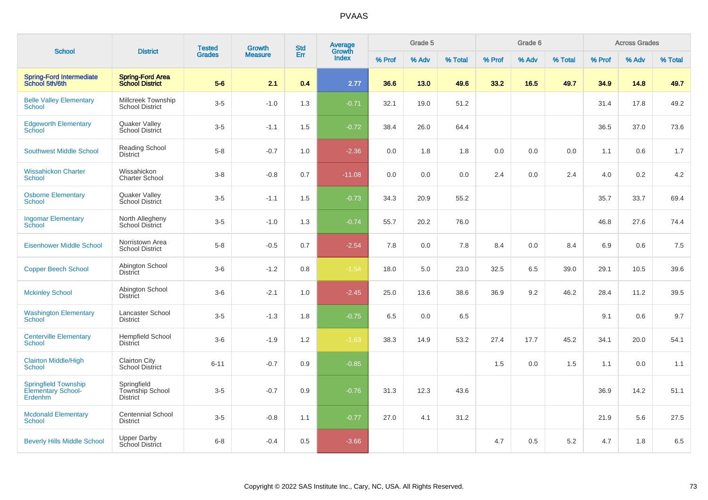|                                                              | <b>District</b>                                   | <b>Tested</b> | <b>Growth</b>  | <b>Std</b> | Average<br>Growth |        | Grade 5 |         |        | Grade 6 |         |        | <b>Across Grades</b> |         |
|--------------------------------------------------------------|---------------------------------------------------|---------------|----------------|------------|-------------------|--------|---------|---------|--------|---------|---------|--------|----------------------|---------|
| <b>School</b>                                                |                                                   | <b>Grades</b> | <b>Measure</b> | Err        | <b>Index</b>      | % Prof | % Adv   | % Total | % Prof | % Adv   | % Total | % Prof | % Adv                | % Total |
| <b>Spring-Ford Intermediate</b><br>School 5th/6th            | <b>Spring-Ford Area</b><br><b>School District</b> | $5-6$         | 2.1            | 0.4        | 2.77              | 36.6   | 13.0    | 49.6    | 33.2   | 16.5    | 49.7    | 34.9   | 14.8                 | 49.7    |
| <b>Belle Valley Elementary</b><br><b>School</b>              | Millcreek Township<br><b>School District</b>      | $3-5$         | $-1.0$         | 1.3        | $-0.71$           | 32.1   | 19.0    | 51.2    |        |         |         | 31.4   | 17.8                 | 49.2    |
| <b>Edgeworth Elementary</b><br><b>School</b>                 | Quaker Valley<br>School District                  | $3-5$         | $-1.1$         | 1.5        | $-0.72$           | 38.4   | 26.0    | 64.4    |        |         |         | 36.5   | 37.0                 | 73.6    |
| <b>Southwest Middle School</b>                               | Reading School<br><b>District</b>                 | $5-8$         | $-0.7$         | 1.0        | $-2.36$           | 0.0    | 1.8     | 1.8     | 0.0    | 0.0     | 0.0     | 1.1    | 0.6                  | 1.7     |
| <b>Wissahickon Charter</b><br>School                         | Wissahickon<br><b>Charter School</b>              | $3 - 8$       | $-0.8$         | 0.7        | $-11.08$          | 0.0    | 0.0     | 0.0     | 2.4    | 0.0     | 2.4     | 4.0    | 0.2                  | 4.2     |
| <b>Osborne Elementary</b><br><b>School</b>                   | Quaker Valley<br>School District                  | $3-5$         | $-1.1$         | 1.5        | $-0.73$           | 34.3   | 20.9    | 55.2    |        |         |         | 35.7   | 33.7                 | 69.4    |
| <b>Ingomar Elementary</b><br>School                          | North Allegheny<br><b>School District</b>         | $3-5$         | $-1.0$         | 1.3        | $-0.74$           | 55.7   | 20.2    | 76.0    |        |         |         | 46.8   | 27.6                 | 74.4    |
| <b>Eisenhower Middle School</b>                              | Norristown Area<br><b>School District</b>         | $5-8$         | $-0.5$         | 0.7        | $-2.54$           | 7.8    | 0.0     | 7.8     | 8.4    | 0.0     | 8.4     | 6.9    | 0.6                  | $7.5\,$ |
| <b>Copper Beech School</b>                                   | Abington School<br>District                       | $3-6$         | $-1.2$         | 0.8        | $-1.54$           | 18.0   | 5.0     | 23.0    | 32.5   | 6.5     | 39.0    | 29.1   | 10.5                 | 39.6    |
| <b>Mckinley School</b>                                       | Abington School<br><b>District</b>                | $3-6$         | $-2.1$         | 1.0        | $-2.45$           | 25.0   | 13.6    | 38.6    | 36.9   | 9.2     | 46.2    | 28.4   | 11.2                 | 39.5    |
| <b>Washington Elementary</b><br><b>School</b>                | Lancaster School<br><b>District</b>               | $3-5$         | $-1.3$         | 1.8        | $-0.75$           | 6.5    | 0.0     | 6.5     |        |         |         | 9.1    | 0.6                  | 9.7     |
| <b>Centerville Elementary</b><br><b>School</b>               | <b>Hempfield School</b><br><b>District</b>        | $3-6$         | $-1.9$         | 1.2        | $-1.63$           | 38.3   | 14.9    | 53.2    | 27.4   | 17.7    | 45.2    | 34.1   | 20.0                 | 54.1    |
| <b>Clairton Middle/High</b><br><b>School</b>                 | <b>Clairton City</b><br><b>School District</b>    | $6 - 11$      | $-0.7$         | 0.9        | $-0.85$           |        |         |         | 1.5    | 0.0     | 1.5     | 1.1    | 0.0                  | 1.1     |
| <b>Springfield Township</b><br>Elementary School-<br>Erdenhm | Springfield<br>Township School<br><b>District</b> | $3-5$         | $-0.7$         | 0.9        | $-0.76$           | 31.3   | 12.3    | 43.6    |        |         |         | 36.9   | 14.2                 | 51.1    |
| <b>Mcdonald Elementary</b><br><b>School</b>                  | <b>Centennial School</b><br><b>District</b>       | $3-5$         | $-0.8$         | 1.1        | $-0.77$           | 27.0   | 4.1     | 31.2    |        |         |         | 21.9   | 5.6                  | 27.5    |
| <b>Beverly Hills Middle School</b>                           | <b>Upper Darby</b><br><b>School District</b>      | $6 - 8$       | $-0.4$         | 0.5        | $-3.66$           |        |         |         | 4.7    | 0.5     | 5.2     | 4.7    | 1.8                  | $6.5\,$ |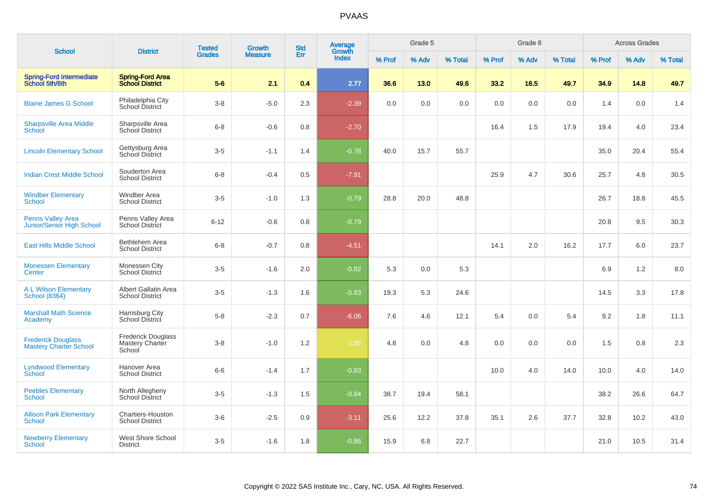| <b>School</b>                                                |                                                        | <b>Tested</b> | <b>Growth</b>  | <b>Std</b> | Average<br>Growth |        | Grade 5 |         |        | Grade 6 |         |        | <b>Across Grades</b> |         |
|--------------------------------------------------------------|--------------------------------------------------------|---------------|----------------|------------|-------------------|--------|---------|---------|--------|---------|---------|--------|----------------------|---------|
|                                                              | <b>District</b>                                        | <b>Grades</b> | <b>Measure</b> | Err        | <b>Index</b>      | % Prof | % Adv   | % Total | % Prof | % Adv   | % Total | % Prof | % Adv                | % Total |
| <b>Spring-Ford Intermediate</b><br>School 5th/6th            | <b>Spring-Ford Area</b><br><b>School District</b>      | $5-6$         | 2.1            | 0.4        | 2.77              | 36.6   | 13.0    | 49.6    | 33.2   | 16.5    | 49.7    | 34.9   | 14.8                 | 49.7    |
| <b>Blaine James G School</b>                                 | Philadelphia City<br><b>School District</b>            | $3-8$         | $-5.0$         | 2.3        | $-2.39$           | 0.0    | 0.0     | 0.0     | 0.0    | 0.0     | 0.0     | 1.4    | 0.0                  | 1.4     |
| <b>Sharpsville Area Middle</b><br><b>School</b>              | Sharpsville Area<br>School District                    | $6 - 8$       | $-0.6$         | 0.8        | $-2.70$           |        |         |         | 16.4   | 1.5     | 17.9    | 19.4   | 4.0                  | 23.4    |
| <b>Lincoln Elementary School</b>                             | Gettysburg Area<br>School District                     | $3-5$         | $-1.1$         | 1.4        | $-0.78$           | 40.0   | 15.7    | 55.7    |        |         |         | 35.0   | 20.4                 | 55.4    |
| <b>Indian Crest Middle School</b>                            | Souderton Area<br><b>School District</b>               | $6-8$         | $-0.4$         | 0.5        | $-7.91$           |        |         |         | 25.9   | 4.7     | 30.6    | 25.7   | 4.8                  | 30.5    |
| <b>Windber Elementary</b><br><b>School</b>                   | Windber Area<br><b>School District</b>                 | $3-5$         | $-1.0$         | 1.3        | $-0.79$           | 28.8   | 20.0    | 48.8    |        |         |         | 26.7   | 18.8                 | 45.5    |
| <b>Penns Valley Area</b><br><b>Junior/Senior High School</b> | Penns Valley Area<br><b>School District</b>            | $6 - 12$      | $-0.6$         | 0.8        | $-0.79$           |        |         |         |        |         |         | 20.8   | 9.5                  | 30.3    |
| <b>East Hills Middle School</b>                              | Bethlehem Area<br><b>School District</b>               | $6 - 8$       | $-0.7$         | 0.8        | $-4.51$           |        |         |         | 14.1   | 2.0     | 16.2    | 17.7   | 6.0                  | 23.7    |
| <b>Monessen Elementary</b><br>Center                         | Monessen City<br>School District                       | $3-5$         | $-1.6$         | 2.0        | $-0.82$           | 5.3    | 0.0     | 5.3     |        |         |         | 6.9    | 1.2                  | 8.0     |
| <b>A L Wilson Elementary</b><br><b>School (8364)</b>         | Albert Gallatin Area<br><b>School District</b>         | $3-5$         | $-1.3$         | 1.6        | $-0.83$           | 19.3   | 5.3     | 24.6    |        |         |         | 14.5   | 3.3                  | 17.8    |
| <b>Marshall Math Science</b><br>Academy                      | Harrisburg City<br>School District                     | $5-8$         | $-2.3$         | 0.7        | $-6.06$           | 7.6    | 4.6     | 12.1    | 5.4    | 0.0     | 5.4     | 9.2    | 1.8                  | 11.1    |
| <b>Frederick Douglass</b><br><b>Mastery Charter School</b>   | <b>Frederick Douglass</b><br>Mastery Charter<br>School | $3 - 8$       | $-1.0$         | 1.2        | $-1.85$           | 4.8    | 0.0     | 4.8     | 0.0    | 0.0     | 0.0     | 1.5    | 0.8                  | 2.3     |
| <b>Lyndwood Elementary</b><br>School                         | Hanover Area<br><b>School District</b>                 | $6-6$         | $-1.4$         | 1.7        | $-0.83$           |        |         |         | 10.0   | 4.0     | 14.0    | 10.0   | 4.0                  | 14.0    |
| <b>Peebles Elementary</b><br>School                          | North Allegheny<br><b>School District</b>              | $3-5$         | $-1.3$         | 1.5        | $-0.84$           | 38.7   | 19.4    | 58.1    |        |         |         | 38.2   | 26.6                 | 64.7    |
| <b>Allison Park Elementary</b><br><b>School</b>              | Chartiers-Houston<br><b>School District</b>            | $3-6$         | $-2.5$         | 0.9        | $-3.11$           | 25.6   | 12.2    | 37.8    | 35.1   | 2.6     | 37.7    | 32.8   | 10.2                 | 43.0    |
| <b>Newberry Elementary</b><br>School                         | <b>West Shore School</b><br><b>District</b>            | $3-5$         | $-1.6$         | 1.8        | $-0.86$           | 15.9   | 6.8     | 22.7    |        |         |         | 21.0   | 10.5                 | 31.4    |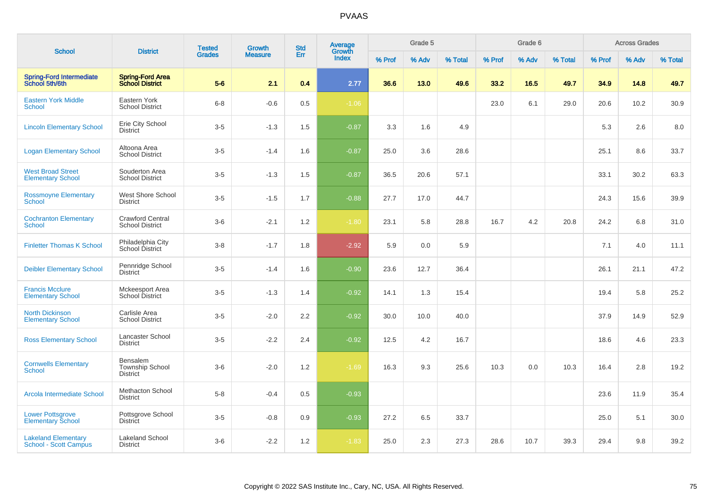| <b>School</b>                                              | <b>District</b>                                   | <b>Tested</b> | <b>Growth</b>  | <b>Std</b> | Average<br>Growth |        | Grade 5 |         |        | Grade 6 |         |        | <b>Across Grades</b> |         |
|------------------------------------------------------------|---------------------------------------------------|---------------|----------------|------------|-------------------|--------|---------|---------|--------|---------|---------|--------|----------------------|---------|
|                                                            |                                                   | <b>Grades</b> | <b>Measure</b> | Err        | Index             | % Prof | % Adv   | % Total | % Prof | % Adv   | % Total | % Prof | % Adv                | % Total |
| <b>Spring-Ford Intermediate</b><br>School 5th/6th          | <b>Spring-Ford Area</b><br><b>School District</b> | $5-6$         | 2.1            | 0.4        | 2.77              | 36.6   | 13.0    | 49.6    | 33.2   | 16.5    | 49.7    | 34.9   | 14.8                 | 49.7    |
| <b>Eastern York Middle</b><br>School                       | Eastern York<br><b>School District</b>            | $6-8$         | $-0.6$         | 0.5        | $-1.06$           |        |         |         | 23.0   | 6.1     | 29.0    | 20.6   | 10.2                 | 30.9    |
| <b>Lincoln Elementary School</b>                           | Erie City School<br><b>District</b>               | $3-5$         | $-1.3$         | 1.5        | $-0.87$           | 3.3    | 1.6     | 4.9     |        |         |         | 5.3    | 2.6                  | 8.0     |
| <b>Logan Elementary School</b>                             | Altoona Area<br><b>School District</b>            | $3-5$         | $-1.4$         | 1.6        | $-0.87$           | 25.0   | 3.6     | 28.6    |        |         |         | 25.1   | 8.6                  | 33.7    |
| <b>West Broad Street</b><br><b>Elementary School</b>       | Souderton Area<br><b>School District</b>          | $3-5$         | $-1.3$         | 1.5        | $-0.87$           | 36.5   | 20.6    | 57.1    |        |         |         | 33.1   | 30.2                 | 63.3    |
| <b>Rossmoyne Elementary</b><br><b>School</b>               | West Shore School<br><b>District</b>              | $3-5$         | $-1.5$         | 1.7        | $-0.88$           | 27.7   | 17.0    | 44.7    |        |         |         | 24.3   | 15.6                 | 39.9    |
| <b>Cochranton Elementary</b><br><b>School</b>              | <b>Crawford Central</b><br><b>School District</b> | $3-6$         | $-2.1$         | 1.2        | $-1.80$           | 23.1   | 5.8     | 28.8    | 16.7   | 4.2     | 20.8    | 24.2   | 6.8                  | 31.0    |
| <b>Finletter Thomas K School</b>                           | Philadelphia City<br>School District              | $3-8$         | $-1.7$         | 1.8        | $-2.92$           | 5.9    | 0.0     | 5.9     |        |         |         | 7.1    | 4.0                  | 11.1    |
| <b>Deibler Elementary School</b>                           | Pennridge School<br><b>District</b>               | $3-5$         | $-1.4$         | 1.6        | $-0.90$           | 23.6   | 12.7    | 36.4    |        |         |         | 26.1   | 21.1                 | 47.2    |
| <b>Francis Mcclure</b><br><b>Elementary School</b>         | Mckeesport Area<br><b>School District</b>         | $3-5$         | $-1.3$         | 1.4        | $-0.92$           | 14.1   | 1.3     | 15.4    |        |         |         | 19.4   | 5.8                  | 25.2    |
| <b>North Dickinson</b><br><b>Elementary School</b>         | Carlisle Area<br><b>School District</b>           | $3-5$         | $-2.0$         | 2.2        | $-0.92$           | 30.0   | 10.0    | 40.0    |        |         |         | 37.9   | 14.9                 | 52.9    |
| <b>Ross Elementary School</b>                              | Lancaster School<br><b>District</b>               | $3-5$         | $-2.2$         | 2.4        | $-0.92$           | 12.5   | 4.2     | 16.7    |        |         |         | 18.6   | 4.6                  | 23.3    |
| <b>Cornwells Elementary</b><br><b>School</b>               | Bensalem<br>Township School<br><b>District</b>    | $3-6$         | $-2.0$         | 1.2        | $-1.69$           | 16.3   | 9.3     | 25.6    | 10.3   | 0.0     | 10.3    | 16.4   | 2.8                  | 19.2    |
| Arcola Intermediate School                                 | <b>Methacton School</b><br><b>District</b>        | $5-8$         | $-0.4$         | 0.5        | $-0.93$           |        |         |         |        |         |         | 23.6   | 11.9                 | 35.4    |
| <b>Lower Pottsgrove</b><br><b>Elementary School</b>        | Pottsgrove School<br><b>District</b>              | $3-5$         | $-0.8$         | 0.9        | $-0.93$           | 27.2   | 6.5     | 33.7    |        |         |         | 25.0   | 5.1                  | 30.0    |
| <b>Lakeland Elementary</b><br><b>School - Scott Campus</b> | <b>Lakeland School</b><br><b>District</b>         | $3-6$         | $-2.2$         | 1.2        | $-1.83$           | 25.0   | 2.3     | 27.3    | 28.6   | 10.7    | 39.3    | 29.4   | 9.8                  | 39.2    |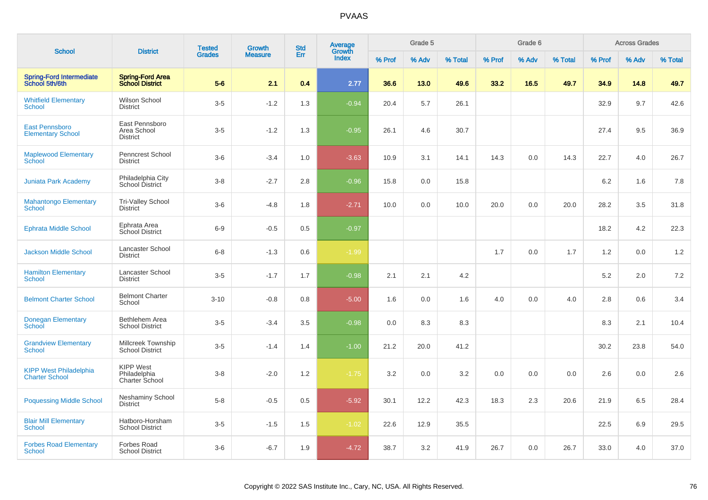|                                                        |                                                    | <b>Tested</b> | <b>Growth</b>  | <b>Std</b> | <b>Average</b><br>Growth |        | Grade 5 |         |        | Grade 6 |         |        | <b>Across Grades</b> |         |
|--------------------------------------------------------|----------------------------------------------------|---------------|----------------|------------|--------------------------|--------|---------|---------|--------|---------|---------|--------|----------------------|---------|
| <b>School</b>                                          | <b>District</b>                                    | <b>Grades</b> | <b>Measure</b> | Err        | <b>Index</b>             | % Prof | % Adv   | % Total | % Prof | % Adv   | % Total | % Prof | % Adv                | % Total |
| <b>Spring-Ford Intermediate</b><br>School 5th/6th      | <b>Spring-Ford Area</b><br><b>School District</b>  | $5-6$         | 2.1            | 0.4        | 2.77                     | 36.6   | 13.0    | 49.6    | 33.2   | 16.5    | 49.7    | 34.9   | 14.8                 | 49.7    |
| <b>Whitfield Elementary</b><br><b>School</b>           | Wilson School<br><b>District</b>                   | $3-5$         | $-1.2$         | 1.3        | $-0.94$                  | 20.4   | 5.7     | 26.1    |        |         |         | 32.9   | 9.7                  | 42.6    |
| East Pennsboro<br><b>Elementary School</b>             | East Pennsboro<br>Area School<br><b>District</b>   | $3-5$         | $-1.2$         | 1.3        | $-0.95$                  | 26.1   | 4.6     | 30.7    |        |         |         | 27.4   | 9.5                  | 36.9    |
| <b>Maplewood Elementary</b><br>School                  | <b>Penncrest School</b><br><b>District</b>         | $3-6$         | $-3.4$         | 1.0        | $-3.63$                  | 10.9   | 3.1     | 14.1    | 14.3   | 0.0     | 14.3    | 22.7   | 4.0                  | 26.7    |
| <b>Juniata Park Academy</b>                            | Philadelphia City<br>School District               | $3-8$         | $-2.7$         | 2.8        | $-0.96$                  | 15.8   | 0.0     | 15.8    |        |         |         | 6.2    | 1.6                  | 7.8     |
| <b>Mahantongo Elementary</b><br><b>School</b>          | <b>Tri-Valley School</b><br><b>District</b>        | $3-6$         | $-4.8$         | 1.8        | $-2.71$                  | 10.0   | 0.0     | 10.0    | 20.0   | 0.0     | 20.0    | 28.2   | 3.5                  | 31.8    |
| <b>Ephrata Middle School</b>                           | Ephrata Area<br>School District                    | $6-9$         | $-0.5$         | 0.5        | $-0.97$                  |        |         |         |        |         |         | 18.2   | 4.2                  | 22.3    |
| <b>Jackson Middle School</b>                           | Lancaster School<br><b>District</b>                | $6 - 8$       | $-1.3$         | 0.6        | $-1.99$                  |        |         |         | 1.7    | 0.0     | 1.7     | 1.2    | 0.0                  | 1.2     |
| <b>Hamilton Elementary</b><br><b>School</b>            | Lancaster School<br><b>District</b>                | $3-5$         | $-1.7$         | 1.7        | $-0.98$                  | 2.1    | 2.1     | 4.2     |        |         |         | 5.2    | 2.0                  | 7.2     |
| <b>Belmont Charter School</b>                          | <b>Belmont Charter</b><br>School                   | $3 - 10$      | $-0.8$         | 0.8        | $-5.00$                  | 1.6    | 0.0     | 1.6     | 4.0    | 0.0     | 4.0     | 2.8    | 0.6                  | 3.4     |
| <b>Donegan Elementary</b><br>School                    | Bethlehem Area<br><b>School District</b>           | $3-5$         | $-3.4$         | 3.5        | $-0.98$                  | 0.0    | 8.3     | 8.3     |        |         |         | 8.3    | 2.1                  | 10.4    |
| <b>Grandview Elementary</b><br><b>School</b>           | Millcreek Township<br><b>School District</b>       | $3-5$         | $-1.4$         | 1.4        | $-1.00$                  | 21.2   | 20.0    | 41.2    |        |         |         | 30.2   | 23.8                 | 54.0    |
| <b>KIPP West Philadelphia</b><br><b>Charter School</b> | <b>KIPP West</b><br>Philadelphia<br>Charter School | $3-8$         | $-2.0$         | 1.2        | $-1.75$                  | 3.2    | 0.0     | 3.2     | 0.0    | 0.0     | 0.0     | 2.6    | 0.0                  | 2.6     |
| <b>Poquessing Middle School</b>                        | Neshaminy School<br><b>District</b>                | $5-8$         | $-0.5$         | 0.5        | $-5.92$                  | 30.1   | 12.2    | 42.3    | 18.3   | 2.3     | 20.6    | 21.9   | 6.5                  | 28.4    |
| <b>Blair Mill Elementary</b><br><b>School</b>          | Hatboro-Horsham<br><b>School District</b>          | $3-5$         | $-1.5$         | 1.5        | $-1.02$                  | 22.6   | 12.9    | 35.5    |        |         |         | 22.5   | 6.9                  | 29.5    |
| <b>Forbes Road Elementary</b><br>School                | Forbes Road<br><b>School District</b>              | $3-6$         | $-6.7$         | 1.9        | $-4.72$                  | 38.7   | 3.2     | 41.9    | 26.7   | 0.0     | 26.7    | 33.0   | 4.0                  | 37.0    |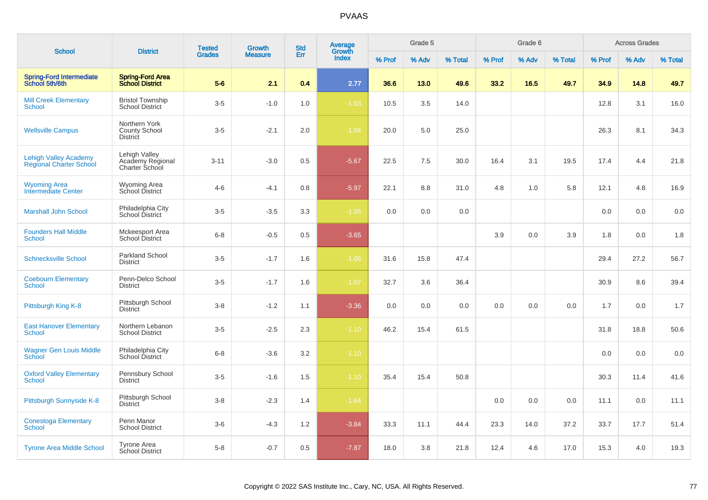|                                                                | <b>District</b>                                     | <b>Tested</b> | <b>Growth</b>  | <b>Std</b> | <b>Average</b><br>Growth |        | Grade 5 |         |        | Grade 6 |         |        | <b>Across Grades</b> |         |
|----------------------------------------------------------------|-----------------------------------------------------|---------------|----------------|------------|--------------------------|--------|---------|---------|--------|---------|---------|--------|----------------------|---------|
| <b>School</b>                                                  |                                                     | <b>Grades</b> | <b>Measure</b> | Err        | <b>Index</b>             | % Prof | % Adv   | % Total | % Prof | % Adv   | % Total | % Prof | % Adv                | % Total |
| <b>Spring-Ford Intermediate</b><br>School 5th/6th              | <b>Spring-Ford Area</b><br><b>School District</b>   | $5-6$         | 2.1            | 0.4        | 2.77                     | 36.6   | 13.0    | 49.6    | 33.2   | 16.5    | 49.7    | 34.9   | 14.8                 | 49.7    |
| <b>Mill Creek Elementary</b><br><b>School</b>                  | <b>Bristol Township</b><br><b>School District</b>   | $3-5$         | $-1.0$         | 1.0        | $-1.03$                  | 10.5   | 3.5     | 14.0    |        |         |         | 12.8   | 3.1                  | 16.0    |
| <b>Wellsville Campus</b>                                       | Northern York<br>County School<br><b>District</b>   | $3-5$         | $-2.1$         | 2.0        | $-1.04$                  | 20.0   | 5.0     | 25.0    |        |         |         | 26.3   | 8.1                  | 34.3    |
| <b>Lehigh Valley Academy</b><br><b>Regional Charter School</b> | Lehigh Valley<br>Academy Regional<br>Charter School | $3 - 11$      | $-3.0$         | 0.5        | $-5.67$                  | 22.5   | 7.5     | 30.0    | 16.4   | 3.1     | 19.5    | 17.4   | 4.4                  | 21.8    |
| <b>Wyoming Area</b><br>Intermediate Center                     | <b>Wyoming Area</b><br>School District              | $4 - 6$       | $-4.1$         | 0.8        | $-5.97$                  | 22.1   | 8.8     | 31.0    | 4.8    | 1.0     | 5.8     | 12.1   | 4.8                  | 16.9    |
| <b>Marshall John School</b>                                    | Philadelphia City<br>School District                | $3-5$         | $-3.5$         | 3.3        | $-1.05$                  | 0.0    | 0.0     | 0.0     |        |         |         | 0.0    | 0.0                  | 0.0     |
| <b>Founders Hall Middle</b><br>School                          | Mckeesport Area<br><b>School District</b>           | $6 - 8$       | $-0.5$         | 0.5        | $-3.65$                  |        |         |         | 3.9    | 0.0     | 3.9     | 1.8    | 0.0                  | 1.8     |
| <b>Schnecksville School</b>                                    | <b>Parkland School</b><br><b>District</b>           | $3-5$         | $-1.7$         | 1.6        | $-1.06$                  | 31.6   | 15.8    | 47.4    |        |         |         | 29.4   | 27.2                 | 56.7    |
| <b>Coebourn Elementary</b><br>School                           | Penn-Delco School<br><b>District</b>                | $3-5$         | $-1.7$         | 1.6        | $-1.07$                  | 32.7   | 3.6     | 36.4    |        |         |         | 30.9   | 8.6                  | 39.4    |
| Pittsburgh King K-8                                            | Pittsburgh School<br><b>District</b>                | $3-8$         | $-1.2$         | 1.1        | $-3.36$                  | 0.0    | 0.0     | 0.0     | 0.0    | 0.0     | 0.0     | 1.7    | 0.0                  | 1.7     |
| <b>East Hanover Elementary</b><br>School                       | Northern Lebanon<br><b>School District</b>          | $3-5$         | $-2.5$         | 2.3        | $-1.10$                  | 46.2   | 15.4    | 61.5    |        |         |         | 31.8   | 18.8                 | 50.6    |
| <b>Wagner Gen Louis Middle</b><br><b>School</b>                | Philadelphia City<br>School District                | $6-8$         | $-3.6$         | 3.2        | $-1.10$                  |        |         |         |        |         |         | 0.0    | 0.0                  | 0.0     |
| <b>Oxford Valley Elementary</b><br>School                      | Pennsbury School<br><b>District</b>                 | $3-5$         | $-1.6$         | 1.5        | $-1.10$                  | 35.4   | 15.4    | 50.8    |        |         |         | 30.3   | 11.4                 | 41.6    |
| Pittsburgh Sunnyside K-8                                       | Pittsburgh School<br><b>District</b>                | $3 - 8$       | $-2.3$         | 1.4        | $-1.64$                  |        |         |         | 0.0    | 0.0     | 0.0     | 11.1   | 0.0                  | 11.1    |
| <b>Conestoga Elementary</b><br>School                          | Penn Manor<br><b>School District</b>                | $3-6$         | $-4.3$         | 1.2        | $-3.84$                  | 33.3   | 11.1    | 44.4    | 23.3   | 14.0    | 37.2    | 33.7   | 17.7                 | 51.4    |
| <b>Tyrone Area Middle School</b>                               | <b>Tyrone Area</b><br>School District               | $5-8$         | $-0.7$         | 0.5        | $-7.87$                  | 18.0   | 3.8     | 21.8    | 12.4   | 4.6     | 17.0    | 15.3   | 4.0                  | 19.3    |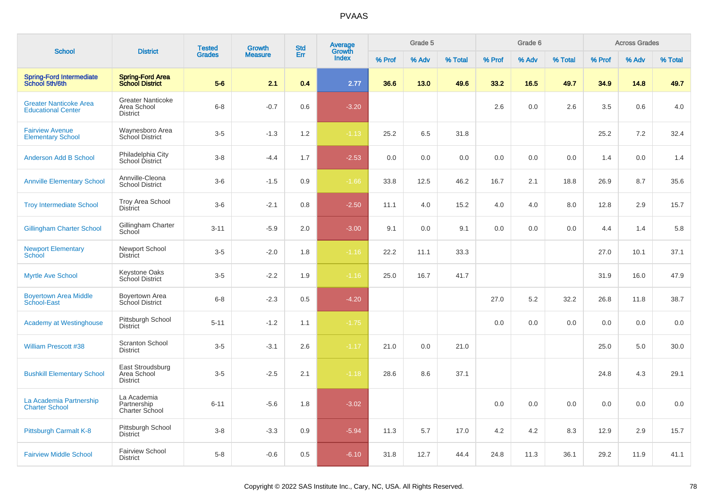| <b>School</b>                                              | <b>District</b>                                            | <b>Tested</b> | <b>Growth</b>  | <b>Std</b> | Average         |        | Grade 5 |         |        | Grade 6 |         |        | <b>Across Grades</b> |         |
|------------------------------------------------------------|------------------------------------------------------------|---------------|----------------|------------|-----------------|--------|---------|---------|--------|---------|---------|--------|----------------------|---------|
|                                                            |                                                            | <b>Grades</b> | <b>Measure</b> | Err        | Growth<br>Index | % Prof | % Adv   | % Total | % Prof | % Adv   | % Total | % Prof | % Adv                | % Total |
| <b>Spring-Ford Intermediate</b><br>School 5th/6th          | <b>Spring-Ford Area</b><br><b>School District</b>          | $5-6$         | 2.1            | 0.4        | 2.77            | 36.6   | 13.0    | 49.6    | 33.2   | 16.5    | 49.7    | 34.9   | 14.8                 | 49.7    |
| <b>Greater Nanticoke Area</b><br><b>Educational Center</b> | <b>Greater Nanticoke</b><br>Area School<br><b>District</b> | $6 - 8$       | $-0.7$         | 0.6        | $-3.20$         |        |         |         | 2.6    | 0.0     | $2.6\,$ | 3.5    | 0.6                  | 4.0     |
| <b>Fairview Avenue</b><br><b>Elementary School</b>         | Waynesboro Area<br>School District                         | $3-5$         | $-1.3$         | 1.2        | $-1.13$         | 25.2   | 6.5     | 31.8    |        |         |         | 25.2   | 7.2                  | 32.4    |
| <b>Anderson Add B School</b>                               | Philadelphia City<br>School District                       | $3 - 8$       | $-4.4$         | 1.7        | $-2.53$         | 0.0    | 0.0     | 0.0     | 0.0    | 0.0     | 0.0     | 1.4    | 0.0                  | 1.4     |
| <b>Annville Elementary School</b>                          | Annville-Cleona<br><b>School District</b>                  | $3-6$         | $-1.5$         | 0.9        | $-1.66$         | 33.8   | 12.5    | 46.2    | 16.7   | 2.1     | 18.8    | 26.9   | 8.7                  | 35.6    |
| <b>Troy Intermediate School</b>                            | <b>Troy Area School</b><br><b>District</b>                 | $3-6$         | $-2.1$         | 0.8        | $-2.50$         | 11.1   | 4.0     | 15.2    | 4.0    | 4.0     | 8.0     | 12.8   | 2.9                  | 15.7    |
| <b>Gillingham Charter School</b>                           | Gillingham Charter<br>School                               | $3 - 11$      | $-5.9$         | 2.0        | $-3.00$         | 9.1    | 0.0     | 9.1     | 0.0    | 0.0     | 0.0     | 4.4    | 1.4                  | 5.8     |
| <b>Newport Elementary</b><br>School                        | Newport School<br><b>District</b>                          | $3-5$         | $-2.0$         | 1.8        | $-1.16$         | 22.2   | 11.1    | 33.3    |        |         |         | 27.0   | 10.1                 | 37.1    |
| <b>Myrtle Ave School</b>                                   | <b>Keystone Oaks</b><br>School District                    | $3-5$         | $-2.2$         | 1.9        | $-1.16$         | 25.0   | 16.7    | 41.7    |        |         |         | 31.9   | 16.0                 | 47.9    |
| <b>Boyertown Area Middle</b><br>School-East                | Boyertown Area<br>School District                          | $6 - 8$       | $-2.3$         | 0.5        | $-4.20$         |        |         |         | 27.0   | 5.2     | 32.2    | 26.8   | 11.8                 | 38.7    |
| <b>Academy at Westinghouse</b>                             | Pittsburgh School<br><b>District</b>                       | $5 - 11$      | $-1.2$         | 1.1        | $-1.75$         |        |         |         | 0.0    | 0.0     | 0.0     | 0.0    | 0.0                  | $0.0\,$ |
| <b>William Prescott #38</b>                                | Scranton School<br><b>District</b>                         | $3-5$         | $-3.1$         | 2.6        | $-1.17$         | 21.0   | 0.0     | 21.0    |        |         |         | 25.0   | 5.0                  | 30.0    |
| <b>Bushkill Elementary School</b>                          | East Stroudsburg<br>Area School<br><b>District</b>         | $3-5$         | $-2.5$         | 2.1        | $-1.18$         | 28.6   | 8.6     | 37.1    |        |         |         | 24.8   | 4.3                  | 29.1    |
| La Academia Partnership<br><b>Charter School</b>           | La Academia<br>Partnership<br>Charter School               | $6 - 11$      | $-5.6$         | 1.8        | $-3.02$         |        |         |         | 0.0    | 0.0     | 0.0     | 0.0    | 0.0                  | $0.0\,$ |
| Pittsburgh Carmalt K-8                                     | Pittsburgh School<br><b>District</b>                       | $3-8$         | $-3.3$         | 0.9        | $-5.94$         | 11.3   | 5.7     | 17.0    | 4.2    | 4.2     | 8.3     | 12.9   | 2.9                  | 15.7    |
| <b>Fairview Middle School</b>                              | <b>Fairview School</b><br><b>District</b>                  | $5 - 8$       | $-0.6$         | 0.5        | $-6.10$         | 31.8   | 12.7    | 44.4    | 24.8   | 11.3    | 36.1    | 29.2   | 11.9                 | 41.1    |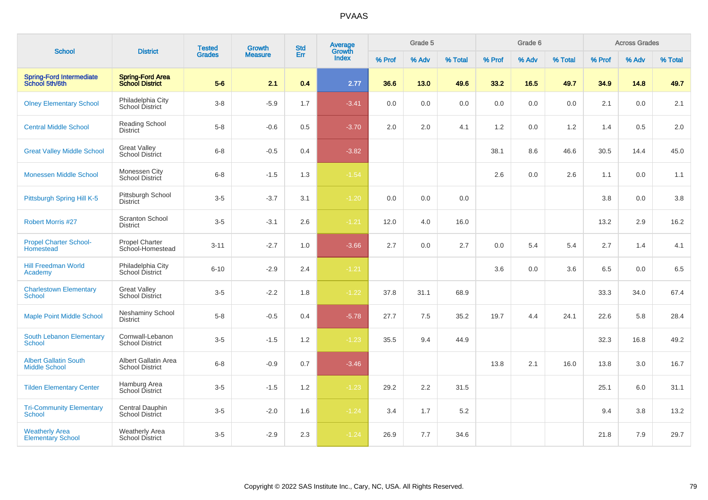| <b>School</b>                                        | <b>District</b>                                   | <b>Tested</b> | <b>Growth</b>  | <b>Std</b> | Average<br>Growth |        | Grade 5 |         |        | Grade 6 |         |        | <b>Across Grades</b> |         |
|------------------------------------------------------|---------------------------------------------------|---------------|----------------|------------|-------------------|--------|---------|---------|--------|---------|---------|--------|----------------------|---------|
|                                                      |                                                   | <b>Grades</b> | <b>Measure</b> | Err        | <b>Index</b>      | % Prof | % Adv   | % Total | % Prof | % Adv   | % Total | % Prof | % Adv                | % Total |
| <b>Spring-Ford Intermediate</b><br>School 5th/6th    | <b>Spring-Ford Area</b><br><b>School District</b> | $5-6$         | 2.1            | 0.4        | 2.77              | 36.6   | 13.0    | 49.6    | 33.2   | 16.5    | 49.7    | 34.9   | 14.8                 | 49.7    |
| <b>Olney Elementary School</b>                       | Philadelphia City<br>School District              | $3-8$         | $-5.9$         | 1.7        | $-3.41$           | 0.0    | 0.0     | 0.0     | 0.0    | 0.0     | 0.0     | 2.1    | 0.0                  | 2.1     |
| <b>Central Middle School</b>                         | Reading School<br><b>District</b>                 | $5-8$         | $-0.6$         | 0.5        | $-3.70$           | 2.0    | 2.0     | 4.1     | 1.2    | 0.0     | 1.2     | 1.4    | 0.5                  | 2.0     |
| <b>Great Valley Middle School</b>                    | <b>Great Valley</b><br><b>School District</b>     | $6 - 8$       | $-0.5$         | 0.4        | $-3.82$           |        |         |         | 38.1   | 8.6     | 46.6    | 30.5   | 14.4                 | 45.0    |
| <b>Monessen Middle School</b>                        | Monessen City<br>School District                  | $6 - 8$       | $-1.5$         | 1.3        | $-1.54$           |        |         |         | 2.6    | 0.0     | 2.6     | 1.1    | 0.0                  | 1.1     |
| Pittsburgh Spring Hill K-5                           | Pittsburgh School<br><b>District</b>              | $3-5$         | $-3.7$         | 3.1        | $-1.20$           | 0.0    | 0.0     | 0.0     |        |         |         | 3.8    | 0.0                  | 3.8     |
| <b>Robert Morris #27</b>                             | <b>Scranton School</b><br><b>District</b>         | $3-5$         | $-3.1$         | 2.6        | $-1.21$           | 12.0   | 4.0     | 16.0    |        |         |         | 13.2   | 2.9                  | 16.2    |
| <b>Propel Charter School-</b><br>Homestead           | Propel Charter<br>School-Homestead                | $3 - 11$      | $-2.7$         | 1.0        | $-3.66$           | 2.7    | 0.0     | 2.7     | 0.0    | 5.4     | 5.4     | 2.7    | 1.4                  | 4.1     |
| <b>Hill Freedman World</b><br>Academy                | Philadelphia City<br>School District              | $6 - 10$      | $-2.9$         | 2.4        | $-1.21$           |        |         |         | 3.6    | 0.0     | 3.6     | 6.5    | 0.0                  | 6.5     |
| <b>Charlestown Elementary</b><br><b>School</b>       | <b>Great Valley</b><br>School District            | $3 - 5$       | $-2.2$         | 1.8        | $-1.22$           | 37.8   | 31.1    | 68.9    |        |         |         | 33.3   | 34.0                 | 67.4    |
| <b>Maple Point Middle School</b>                     | <b>Neshaminy School</b><br><b>District</b>        | $5 - 8$       | $-0.5$         | 0.4        | $-5.78$           | 27.7   | 7.5     | 35.2    | 19.7   | 4.4     | 24.1    | 22.6   | 5.8                  | 28.4    |
| South Lebanon Elementary<br>School                   | Cornwall-Lebanon<br><b>School District</b>        | $3-5$         | $-1.5$         | 1.2        | $-1.23$           | 35.5   | 9.4     | 44.9    |        |         |         | 32.3   | 16.8                 | 49.2    |
| <b>Albert Gallatin South</b><br><b>Middle School</b> | Albert Gallatin Area<br><b>School District</b>    | $6 - 8$       | $-0.9$         | 0.7        | $-3.46$           |        |         |         | 13.8   | 2.1     | 16.0    | 13.8   | 3.0                  | 16.7    |
| <b>Tilden Elementary Center</b>                      | Hamburg Area<br>School District                   | $3-5$         | $-1.5$         | 1.2        | $-1.23$           | 29.2   | 2.2     | 31.5    |        |         |         | 25.1   | 6.0                  | 31.1    |
| <b>Tri-Community Elementary</b><br><b>School</b>     | Central Dauphin<br>School District                | $3-5$         | $-2.0$         | 1.6        | $-1.24$           | 3.4    | 1.7     | 5.2     |        |         |         | 9.4    | 3.8                  | 13.2    |
| <b>Weatherly Area</b><br><b>Elementary School</b>    | <b>Weatherly Area</b><br><b>School District</b>   | $3 - 5$       | $-2.9$         | 2.3        | $-1.24$           | 26.9   | 7.7     | 34.6    |        |         |         | 21.8   | 7.9                  | 29.7    |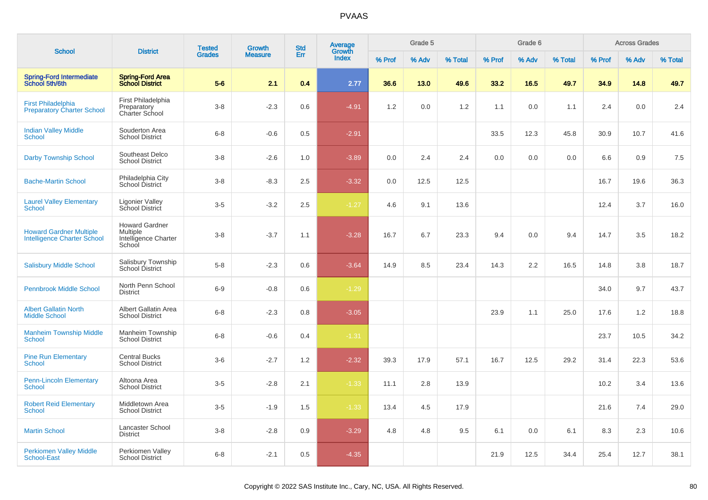| <b>School</b>                                                        | <b>District</b>                                                     | <b>Tested</b> | Growth         | <b>Std</b> | <b>Average</b>  |        | Grade 5 |         |        | Grade 6 |         |        | <b>Across Grades</b> |         |
|----------------------------------------------------------------------|---------------------------------------------------------------------|---------------|----------------|------------|-----------------|--------|---------|---------|--------|---------|---------|--------|----------------------|---------|
|                                                                      |                                                                     | <b>Grades</b> | <b>Measure</b> | Err        | Growth<br>Index | % Prof | % Adv   | % Total | % Prof | % Adv   | % Total | % Prof | % Adv                | % Total |
| <b>Spring-Ford Intermediate</b><br>School 5th/6th                    | <b>Spring-Ford Area</b><br><b>School District</b>                   | $5-6$         | 2.1            | 0.4        | 2.77            | 36.6   | 13.0    | 49.6    | 33.2   | 16.5    | 49.7    | 34.9   | 14.8                 | 49.7    |
| <b>First Philadelphia</b><br><b>Preparatory Charter School</b>       | First Philadelphia<br>Preparatory<br>Charter School                 | $3-8$         | $-2.3$         | 0.6        | $-4.91$         | 1.2    | 0.0     | 1.2     | 1.1    | 0.0     | 1.1     | 2.4    | 0.0                  | 2.4     |
| <b>Indian Valley Middle</b><br>School                                | Souderton Area<br><b>School District</b>                            | $6 - 8$       | $-0.6$         | 0.5        | $-2.91$         |        |         |         | 33.5   | 12.3    | 45.8    | 30.9   | 10.7                 | 41.6    |
| <b>Darby Township School</b>                                         | Southeast Delco<br><b>School District</b>                           | $3 - 8$       | $-2.6$         | 1.0        | $-3.89$         | 0.0    | 2.4     | 2.4     | 0.0    | 0.0     | 0.0     | 6.6    | 0.9                  | 7.5     |
| <b>Bache-Martin School</b>                                           | Philadelphia City<br>School District                                | $3 - 8$       | $-8.3$         | 2.5        | $-3.32$         | 0.0    | 12.5    | 12.5    |        |         |         | 16.7   | 19.6                 | 36.3    |
| <b>Laurel Valley Elementary</b><br>School                            | <b>Ligonier Valley</b><br>School District                           | $3-5$         | $-3.2$         | 2.5        | $-1.27$         | 4.6    | 9.1     | 13.6    |        |         |         | 12.4   | 3.7                  | 16.0    |
| <b>Howard Gardner Multiple</b><br><b>Intelligence Charter School</b> | <b>Howard Gardner</b><br>Multiple<br>Intelligence Charter<br>School | $3 - 8$       | $-3.7$         | 1.1        | $-3.28$         | 16.7   | 6.7     | 23.3    | 9.4    | 0.0     | 9.4     | 14.7   | 3.5                  | 18.2    |
| <b>Salisbury Middle School</b>                                       | Salisbury Township<br>School District                               | $5-8$         | $-2.3$         | 0.6        | $-3.64$         | 14.9   | 8.5     | 23.4    | 14.3   | 2.2     | 16.5    | 14.8   | 3.8                  | 18.7    |
| <b>Pennbrook Middle School</b>                                       | North Penn School<br><b>District</b>                                | $6-9$         | $-0.8$         | 0.6        | $-1.29$         |        |         |         |        |         |         | 34.0   | 9.7                  | 43.7    |
| <b>Albert Gallatin North</b><br><b>Middle School</b>                 | Albert Gallatin Area<br><b>School District</b>                      | $6 - 8$       | $-2.3$         | 0.8        | $-3.05$         |        |         |         | 23.9   | 1.1     | 25.0    | 17.6   | 1.2                  | 18.8    |
| <b>Manheim Township Middle</b><br>School                             | Manheim Township<br><b>School District</b>                          | $6-8$         | $-0.6$         | 0.4        | $-1.31$         |        |         |         |        |         |         | 23.7   | 10.5                 | 34.2    |
| <b>Pine Run Elementary</b><br>School                                 | <b>Central Bucks</b><br><b>School District</b>                      | $3-6$         | $-2.7$         | 1.2        | $-2.32$         | 39.3   | 17.9    | 57.1    | 16.7   | 12.5    | 29.2    | 31.4   | 22.3                 | 53.6    |
| <b>Penn-Lincoln Elementary</b><br><b>School</b>                      | Altoona Area<br><b>School District</b>                              | $3-5$         | $-2.8$         | 2.1        | $-1.33$         | 11.1   | 2.8     | 13.9    |        |         |         | 10.2   | 3.4                  | 13.6    |
| <b>Robert Reid Elementary</b><br><b>School</b>                       | Middletown Area<br><b>School District</b>                           | $3-5$         | $-1.9$         | 1.5        | $-1.33$         | 13.4   | 4.5     | 17.9    |        |         |         | 21.6   | 7.4                  | 29.0    |
| <b>Martin School</b>                                                 | Lancaster School<br><b>District</b>                                 | $3-8$         | $-2.8$         | 0.9        | $-3.29$         | 4.8    | 4.8     | 9.5     | 6.1    | 0.0     | 6.1     | 8.3    | 2.3                  | 10.6    |
| <b>Perkiomen Valley Middle</b><br><b>School-East</b>                 | Perkiomen Valley<br><b>School District</b>                          | $6 - 8$       | $-2.1$         | 0.5        | $-4.35$         |        |         |         | 21.9   | 12.5    | 34.4    | 25.4   | 12.7                 | 38.1    |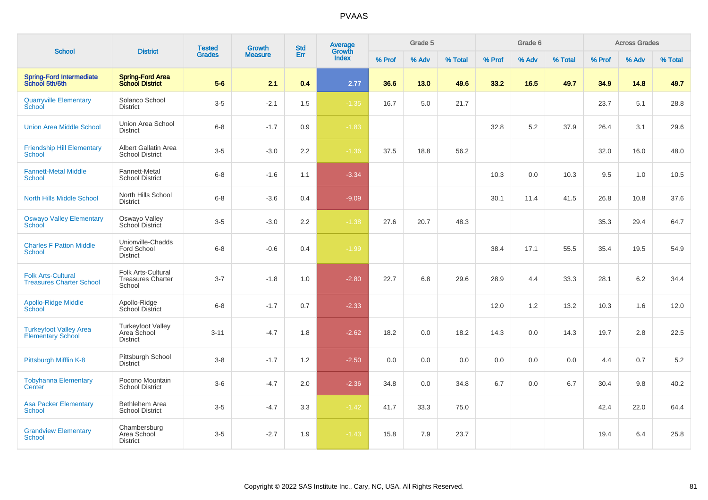|                                                              |                                                            | <b>Tested</b> | Growth         | <b>Std</b> | <b>Average</b><br>Growth |        | Grade 5 |         |        | Grade 6 |         |        | <b>Across Grades</b> |         |
|--------------------------------------------------------------|------------------------------------------------------------|---------------|----------------|------------|--------------------------|--------|---------|---------|--------|---------|---------|--------|----------------------|---------|
| <b>School</b>                                                | <b>District</b>                                            | <b>Grades</b> | <b>Measure</b> | Err        | Index                    | % Prof | % Adv   | % Total | % Prof | % Adv   | % Total | % Prof | % Adv                | % Total |
| <b>Spring-Ford Intermediate</b><br>School 5th/6th            | <b>Spring-Ford Area</b><br><b>School District</b>          | $5-6$         | 2.1            | 0.4        | 2.77                     | 36.6   | 13.0    | 49.6    | 33.2   | 16.5    | 49.7    | 34.9   | 14.8                 | 49.7    |
| <b>Quarryville Elementary</b><br>School                      | Solanco School<br><b>District</b>                          | $3-5$         | $-2.1$         | 1.5        | $-1.35$                  | 16.7   | 5.0     | 21.7    |        |         |         | 23.7   | 5.1                  | 28.8    |
| <b>Union Area Middle School</b>                              | Union Area School<br><b>District</b>                       | $6 - 8$       | $-1.7$         | 0.9        | $-1.83$                  |        |         |         | 32.8   | 5.2     | 37.9    | 26.4   | 3.1                  | 29.6    |
| <b>Friendship Hill Elementary</b><br><b>School</b>           | Albert Gallatin Area<br><b>School District</b>             | $3-5$         | $-3.0$         | 2.2        | $-1.36$                  | 37.5   | 18.8    | 56.2    |        |         |         | 32.0   | 16.0                 | 48.0    |
| <b>Fannett-Metal Middle</b><br><b>School</b>                 | Fannett-Metal<br><b>School District</b>                    | $6-8$         | $-1.6$         | 1.1        | $-3.34$                  |        |         |         | 10.3   | 0.0     | 10.3    | 9.5    | 1.0                  | 10.5    |
| <b>North Hills Middle School</b>                             | North Hills School<br><b>District</b>                      | $6 - 8$       | $-3.6$         | 0.4        | $-9.09$                  |        |         |         | 30.1   | 11.4    | 41.5    | 26.8   | 10.8                 | 37.6    |
| <b>Oswayo Valley Elementary</b><br>School                    | Oswayo Valley<br>School District                           | $3-5$         | $-3.0$         | 2.2        | $-1.38$                  | 27.6   | 20.7    | 48.3    |        |         |         | 35.3   | 29.4                 | 64.7    |
| <b>Charles F Patton Middle</b><br><b>School</b>              | Unionville-Chadds<br>Ford School<br><b>District</b>        | $6 - 8$       | $-0.6$         | 0.4        | $-1.99$                  |        |         |         | 38.4   | 17.1    | 55.5    | 35.4   | 19.5                 | 54.9    |
| <b>Folk Arts-Cultural</b><br><b>Treasures Charter School</b> | Folk Arts-Cultural<br><b>Treasures Charter</b><br>School   | $3 - 7$       | $-1.8$         | 1.0        | $-2.80$                  | 22.7   | 6.8     | 29.6    | 28.9   | 4.4     | 33.3    | 28.1   | 6.2                  | 34.4    |
| Apollo-Ridge Middle<br>School                                | Apollo-Ridge<br>School District                            | $6 - 8$       | $-1.7$         | 0.7        | $-2.33$                  |        |         |         | 12.0   | 1.2     | 13.2    | 10.3   | 1.6                  | 12.0    |
| <b>Turkeyfoot Valley Area</b><br><b>Elementary School</b>    | <b>Turkeyfoot Valley</b><br>Area School<br><b>District</b> | $3 - 11$      | $-4.7$         | 1.8        | $-2.62$                  | 18.2   | 0.0     | 18.2    | 14.3   | 0.0     | 14.3    | 19.7   | 2.8                  | 22.5    |
| Pittsburgh Mifflin K-8                                       | Pittsburgh School<br><b>District</b>                       | $3 - 8$       | $-1.7$         | 1.2        | $-2.50$                  | 0.0    | 0.0     | 0.0     | 0.0    | 0.0     | 0.0     | 4.4    | 0.7                  | $5.2\,$ |
| <b>Tobyhanna Elementary</b><br>Center                        | Pocono Mountain<br><b>School District</b>                  | $3-6$         | $-4.7$         | 2.0        | $-2.36$                  | 34.8   | 0.0     | 34.8    | 6.7    | 0.0     | 6.7     | 30.4   | 9.8                  | 40.2    |
| <b>Asa Packer Elementary</b><br><b>School</b>                | Bethlehem Area<br><b>School District</b>                   | $3-5$         | $-4.7$         | 3.3        | $-1.42$                  | 41.7   | 33.3    | 75.0    |        |         |         | 42.4   | 22.0                 | 64.4    |
| <b>Grandview Elementary</b><br><b>School</b>                 | Chambersburg<br>Area School<br><b>District</b>             | $3-5$         | $-2.7$         | 1.9        | $-1.43$                  | 15.8   | 7.9     | 23.7    |        |         |         | 19.4   | 6.4                  | 25.8    |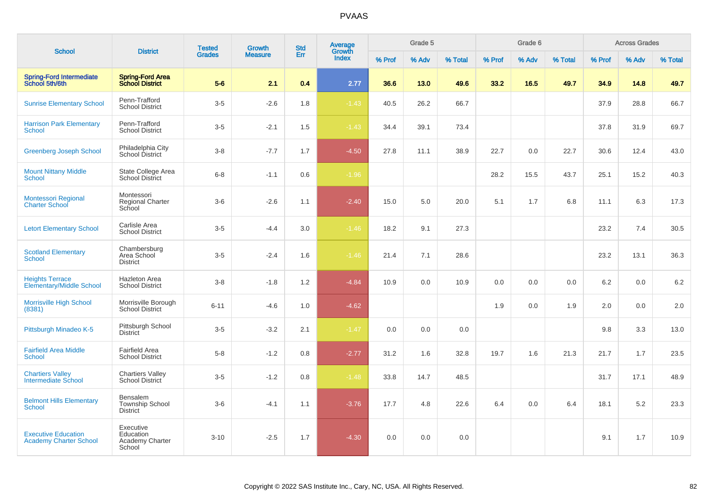|                                                             |                                                       | <b>Tested</b> | <b>Growth</b>  | <b>Std</b> | <b>Average</b>  |        | Grade 5 |         |        | Grade 6 |         |        | <b>Across Grades</b> |         |
|-------------------------------------------------------------|-------------------------------------------------------|---------------|----------------|------------|-----------------|--------|---------|---------|--------|---------|---------|--------|----------------------|---------|
| <b>School</b>                                               | <b>District</b>                                       | <b>Grades</b> | <b>Measure</b> | Err        | Growth<br>Index | % Prof | % Adv   | % Total | % Prof | % Adv   | % Total | % Prof | % Adv                | % Total |
| <b>Spring-Ford Intermediate</b><br>School 5th/6th           | <b>Spring-Ford Area</b><br><b>School District</b>     | $5-6$         | 2.1            | 0.4        | 2.77            | 36.6   | 13.0    | 49.6    | 33.2   | 16.5    | 49.7    | 34.9   | 14.8                 | 49.7    |
| <b>Sunrise Elementary School</b>                            | Penn-Trafford<br><b>School District</b>               | $3-5$         | $-2.6$         | 1.8        | $-1.43$         | 40.5   | 26.2    | 66.7    |        |         |         | 37.9   | 28.8                 | 66.7    |
| <b>Harrison Park Elementary</b><br>School                   | Penn-Trafford<br><b>School District</b>               | $3-5$         | $-2.1$         | 1.5        | $-1.43$         | 34.4   | 39.1    | 73.4    |        |         |         | 37.8   | 31.9                 | 69.7    |
| <b>Greenberg Joseph School</b>                              | Philadelphia City<br>School District                  | $3-8$         | $-7.7$         | 1.7        | $-4.50$         | 27.8   | 11.1    | 38.9    | 22.7   | 0.0     | 22.7    | 30.6   | 12.4                 | 43.0    |
| <b>Mount Nittany Middle</b><br><b>School</b>                | State College Area<br><b>School District</b>          | $6 - 8$       | $-1.1$         | 0.6        | $-1.96$         |        |         |         | 28.2   | 15.5    | 43.7    | 25.1   | 15.2                 | 40.3    |
| <b>Montessori Regional</b><br>Charter School                | Montessori<br><b>Regional Charter</b><br>School       | $3-6$         | $-2.6$         | 1.1        | $-2.40$         | 15.0   | 5.0     | 20.0    | 5.1    | 1.7     | 6.8     | 11.1   | 6.3                  | 17.3    |
| <b>Letort Elementary School</b>                             | Carlisle Area<br><b>School District</b>               | $3-5$         | $-4.4$         | 3.0        | $-1.46$         | 18.2   | 9.1     | 27.3    |        |         |         | 23.2   | 7.4                  | 30.5    |
| <b>Scotland Elementary</b><br><b>School</b>                 | Chambersburg<br>Area School<br><b>District</b>        | $3-5$         | $-2.4$         | 1.6        | $-1.46$         | 21.4   | 7.1     | 28.6    |        |         |         | 23.2   | 13.1                 | 36.3    |
| <b>Heights Terrace</b><br><b>Elementary/Middle School</b>   | Hazleton Area<br><b>School District</b>               | $3 - 8$       | $-1.8$         | 1.2        | $-4.84$         | 10.9   | 0.0     | 10.9    | 0.0    | 0.0     | 0.0     | 6.2    | 0.0                  | 6.2     |
| <b>Morrisville High School</b><br>(8381)                    | Morrisville Borough<br><b>School District</b>         | $6 - 11$      | $-4.6$         | 1.0        | $-4.62$         |        |         |         | 1.9    | 0.0     | 1.9     | 2.0    | 0.0                  | 2.0     |
| Pittsburgh Minadeo K-5                                      | Pittsburgh School<br><b>District</b>                  | $3-5$         | $-3.2$         | 2.1        | $-1.47$         | 0.0    | 0.0     | 0.0     |        |         |         | 9.8    | 3.3                  | 13.0    |
| <b>Fairfield Area Middle</b><br><b>School</b>               | <b>Fairfield Area</b><br><b>School District</b>       | $5-8$         | $-1.2$         | 0.8        | $-2.77$         | 31.2   | 1.6     | 32.8    | 19.7   | 1.6     | 21.3    | 21.7   | 1.7                  | 23.5    |
| <b>Chartiers Valley</b><br><b>Intermediate School</b>       | <b>Chartiers Valley</b><br><b>School District</b>     | $3-5$         | $-1.2$         | 0.8        | $-1.48$         | 33.8   | 14.7    | 48.5    |        |         |         | 31.7   | 17.1                 | 48.9    |
| <b>Belmont Hills Elementary</b><br><b>School</b>            | Bensalem<br><b>Township School</b><br><b>District</b> | $3-6$         | $-4.1$         | 1.1        | $-3.76$         | 17.7   | 4.8     | 22.6    | 6.4    | 0.0     | 6.4     | 18.1   | 5.2                  | 23.3    |
| <b>Executive Education</b><br><b>Academy Charter School</b> | Executive<br>Education<br>Academy Charter<br>School   | $3 - 10$      | $-2.5$         | 1.7        | $-4.30$         | 0.0    | 0.0     | 0.0     |        |         |         | 9.1    | 1.7                  | 10.9    |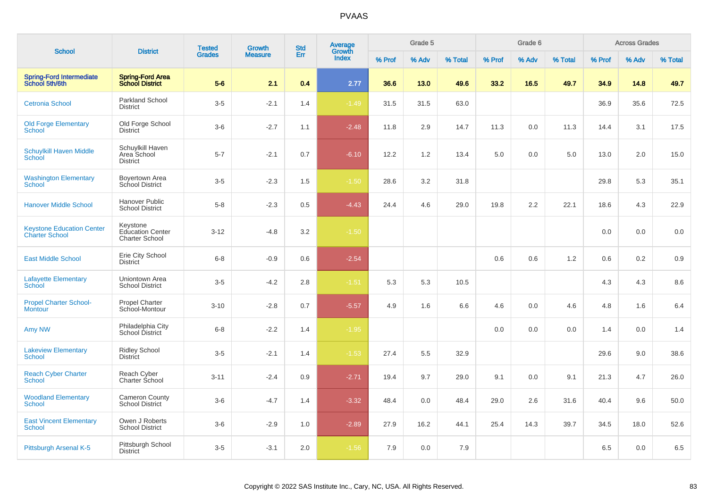| <b>School</b>                                             | <b>District</b>                                              | <b>Tested</b> | <b>Growth</b>  | <b>Std</b> | <b>Average</b><br>Growth |        | Grade 5 |         |        | Grade 6 |         |        | <b>Across Grades</b> |         |
|-----------------------------------------------------------|--------------------------------------------------------------|---------------|----------------|------------|--------------------------|--------|---------|---------|--------|---------|---------|--------|----------------------|---------|
|                                                           |                                                              | <b>Grades</b> | <b>Measure</b> | Err        | <b>Index</b>             | % Prof | % Adv   | % Total | % Prof | % Adv   | % Total | % Prof | % Adv                | % Total |
| <b>Spring-Ford Intermediate</b><br>School 5th/6th         | <b>Spring-Ford Area</b><br><b>School District</b>            | $5-6$         | 2.1            | 0.4        | 2.77                     | 36.6   | 13.0    | 49.6    | 33.2   | 16.5    | 49.7    | 34.9   | 14.8                 | 49.7    |
| <b>Cetronia School</b>                                    | Parkland School<br><b>District</b>                           | $3-5$         | $-2.1$         | 1.4        | $-1.49$                  | 31.5   | 31.5    | 63.0    |        |         |         | 36.9   | 35.6                 | 72.5    |
| <b>Old Forge Elementary</b><br><b>School</b>              | Old Forge School<br><b>District</b>                          | $3-6$         | $-2.7$         | 1.1        | $-2.48$                  | 11.8   | 2.9     | 14.7    | 11.3   | 0.0     | 11.3    | 14.4   | 3.1                  | 17.5    |
| <b>Schuylkill Haven Middle</b><br><b>School</b>           | Schuylkill Haven<br>Area School<br><b>District</b>           | $5 - 7$       | $-2.1$         | 0.7        | $-6.10$                  | 12.2   | 1.2     | 13.4    | 5.0    | 0.0     | 5.0     | 13.0   | 2.0                  | 15.0    |
| <b>Washington Elementary</b><br><b>School</b>             | Boyertown Area<br>School District                            | $3-5$         | $-2.3$         | 1.5        | $-1.50$                  | 28.6   | 3.2     | 31.8    |        |         |         | 29.8   | 5.3                  | 35.1    |
| <b>Hanover Middle School</b>                              | Hanover Public<br><b>School District</b>                     | $5-8$         | $-2.3$         | 0.5        | $-4.43$                  | 24.4   | 4.6     | 29.0    | 19.8   | 2.2     | 22.1    | 18.6   | 4.3                  | 22.9    |
| <b>Keystone Education Center</b><br><b>Charter School</b> | Keystone<br><b>Education Center</b><br><b>Charter School</b> | $3 - 12$      | $-4.8$         | 3.2        | $-1.50$                  |        |         |         |        |         |         | 0.0    | 0.0                  | 0.0     |
| <b>East Middle School</b>                                 | Erie City School<br><b>District</b>                          | $6 - 8$       | $-0.9$         | 0.6        | $-2.54$                  |        |         |         | 0.6    | 0.6     | 1.2     | 0.6    | 0.2                  | 0.9     |
| <b>Lafayette Elementary</b><br><b>School</b>              | Uniontown Area<br><b>School District</b>                     | $3-5$         | $-4.2$         | 2.8        | $-1.51$                  | 5.3    | 5.3     | 10.5    |        |         |         | 4.3    | 4.3                  | 8.6     |
| <b>Propel Charter School-</b><br><b>Montour</b>           | Propel Charter<br>School-Montour                             | $3 - 10$      | $-2.8$         | 0.7        | $-5.57$                  | 4.9    | 1.6     | 6.6     | 4.6    | 0.0     | 4.6     | 4.8    | 1.6                  | 6.4     |
| Amy NW                                                    | Philadelphia City<br>School District                         | $6 - 8$       | $-2.2$         | 1.4        | $-1.95$                  |        |         |         | 0.0    | 0.0     | 0.0     | 1.4    | 0.0                  | 1.4     |
| <b>Lakeview Elementary</b><br><b>School</b>               | <b>Ridley School</b><br><b>District</b>                      | $3-5$         | $-2.1$         | 1.4        | $-1.53$                  | 27.4   | 5.5     | 32.9    |        |         |         | 29.6   | 9.0                  | 38.6    |
| <b>Reach Cyber Charter</b><br><b>School</b>               | Reach Cyber<br>Charter School                                | $3 - 11$      | $-2.4$         | 0.9        | $-2.71$                  | 19.4   | 9.7     | 29.0    | 9.1    | 0.0     | 9.1     | 21.3   | 4.7                  | 26.0    |
| <b>Woodland Elementary</b><br><b>School</b>               | Cameron County<br><b>School District</b>                     | $3-6$         | $-4.7$         | 1.4        | $-3.32$                  | 48.4   | 0.0     | 48.4    | 29.0   | 2.6     | 31.6    | 40.4   | 9.6                  | 50.0    |
| <b>East Vincent Elementary</b><br><b>School</b>           | Owen J Roberts<br><b>School District</b>                     | $3-6$         | $-2.9$         | 1.0        | $-2.89$                  | 27.9   | 16.2    | 44.1    | 25.4   | 14.3    | 39.7    | 34.5   | 18.0                 | 52.6    |
| Pittsburgh Arsenal K-5                                    | Pittsburgh School<br><b>District</b>                         | $3-5$         | $-3.1$         | 2.0        | $-1.56$                  | 7.9    | 0.0     | 7.9     |        |         |         | 6.5    | 0.0                  | 6.5     |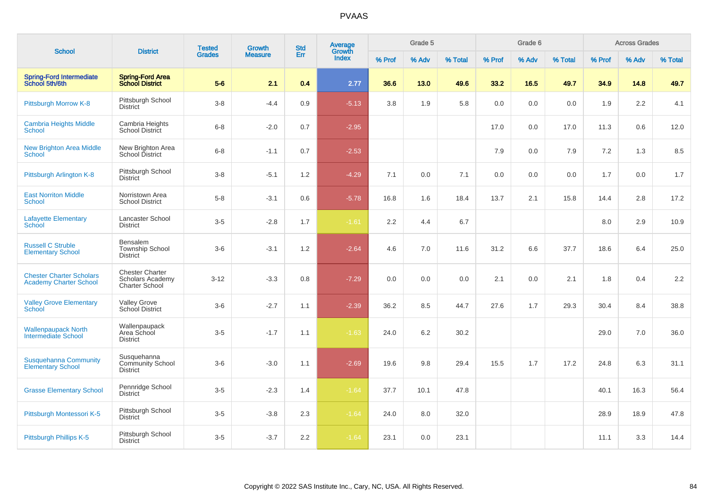| <b>School</b>                                                    |                                                                     | <b>Tested</b> | Growth         | <b>Std</b> | <b>Average</b><br>Growth |        | Grade 5 |         |        | Grade 6 |         |        | <b>Across Grades</b> |         |
|------------------------------------------------------------------|---------------------------------------------------------------------|---------------|----------------|------------|--------------------------|--------|---------|---------|--------|---------|---------|--------|----------------------|---------|
|                                                                  | <b>District</b>                                                     | <b>Grades</b> | <b>Measure</b> | Err        | <b>Index</b>             | % Prof | % Adv   | % Total | % Prof | % Adv   | % Total | % Prof | % Adv                | % Total |
| <b>Spring-Ford Intermediate</b><br>School 5th/6th                | <b>Spring-Ford Area</b><br><b>School District</b>                   | $5-6$         | 2.1            | 0.4        | 2.77                     | 36.6   | 13.0    | 49.6    | 33.2   | 16.5    | 49.7    | 34.9   | 14.8                 | 49.7    |
| Pittsburgh Morrow K-8                                            | Pittsburgh School<br>District                                       | $3-8$         | $-4.4$         | 0.9        | $-5.13$                  | 3.8    | 1.9     | 5.8     | 0.0    | 0.0     | 0.0     | 1.9    | 2.2                  | 4.1     |
| <b>Cambria Heights Middle</b><br><b>School</b>                   | Cambria Heights<br><b>School District</b>                           | $6 - 8$       | $-2.0$         | 0.7        | $-2.95$                  |        |         |         | 17.0   | 0.0     | 17.0    | 11.3   | 0.6                  | 12.0    |
| <b>New Brighton Area Middle</b><br><b>School</b>                 | New Brighton Area<br>School District                                | $6 - 8$       | $-1.1$         | 0.7        | $-2.53$                  |        |         |         | 7.9    | 0.0     | 7.9     | 7.2    | 1.3                  | 8.5     |
| Pittsburgh Arlington K-8                                         | Pittsburgh School<br><b>District</b>                                | $3 - 8$       | $-5.1$         | 1.2        | $-4.29$                  | 7.1    | 0.0     | 7.1     | 0.0    | 0.0     | 0.0     | 1.7    | 0.0                  | 1.7     |
| <b>East Norriton Middle</b><br><b>School</b>                     | Norristown Area<br><b>School District</b>                           | $5-8$         | $-3.1$         | 0.6        | $-5.78$                  | 16.8   | 1.6     | 18.4    | 13.7   | 2.1     | 15.8    | 14.4   | 2.8                  | 17.2    |
| <b>Lafayette Elementary</b><br><b>School</b>                     | Lancaster School<br><b>District</b>                                 | $3-5$         | $-2.8$         | 1.7        | $-1.61$                  | 2.2    | 4.4     | 6.7     |        |         |         | 8.0    | 2.9                  | 10.9    |
| <b>Russell C Struble</b><br><b>Elementary School</b>             | Bensalem<br><b>Township School</b><br><b>District</b>               | $3-6$         | $-3.1$         | 1.2        | $-2.64$                  | 4.6    | 7.0     | 11.6    | 31.2   | 6.6     | 37.7    | 18.6   | 6.4                  | 25.0    |
| <b>Chester Charter Scholars</b><br><b>Academy Charter School</b> | <b>Chester Charter</b><br>Scholars Academy<br><b>Charter School</b> | $3 - 12$      | $-3.3$         | 0.8        | $-7.29$                  | 0.0    | 0.0     | 0.0     | 2.1    | 0.0     | 2.1     | 1.8    | 0.4                  | 2.2     |
| <b>Valley Grove Elementary</b><br>School                         | <b>Valley Grove</b><br>School District                              | $3-6$         | $-2.7$         | 1.1        | $-2.39$                  | 36.2   | 8.5     | 44.7    | 27.6   | 1.7     | 29.3    | 30.4   | 8.4                  | 38.8    |
| <b>Wallenpaupack North</b><br>Intermediate School                | Wallenpaupack<br>Area School<br><b>District</b>                     | $3 - 5$       | $-1.7$         | 1.1        | $-1.63$                  | 24.0   | $6.2\,$ | 30.2    |        |         |         | 29.0   | 7.0                  | 36.0    |
| <b>Susquehanna Community</b><br><b>Elementary School</b>         | Susquehanna<br><b>Community School</b><br><b>District</b>           | $3-6$         | $-3.0$         | 1.1        | $-2.69$                  | 19.6   | 9.8     | 29.4    | 15.5   | 1.7     | 17.2    | 24.8   | 6.3                  | 31.1    |
| <b>Grasse Elementary School</b>                                  | Pennridge School<br><b>District</b>                                 | $3-5$         | $-2.3$         | 1.4        | $-1.64$                  | 37.7   | 10.1    | 47.8    |        |         |         | 40.1   | 16.3                 | 56.4    |
| Pittsburgh Montessori K-5                                        | Pittsburgh School<br><b>District</b>                                | $3-5$         | $-3.8$         | 2.3        | $-1.64$                  | 24.0   | 8.0     | 32.0    |        |         |         | 28.9   | 18.9                 | 47.8    |
| Pittsburgh Phillips K-5                                          | Pittsburgh School<br><b>District</b>                                | $3-5$         | $-3.7$         | 2.2        | $-1.64$                  | 23.1   | 0.0     | 23.1    |        |         |         | 11.1   | 3.3                  | 14.4    |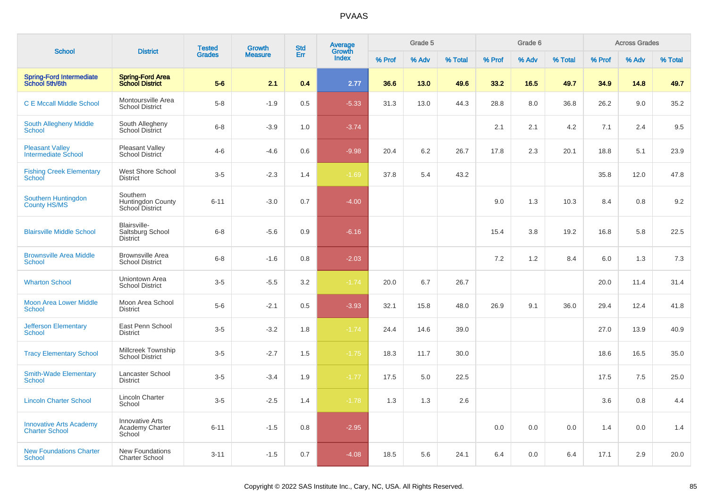|                                                         |                                                     | <b>Tested</b> | <b>Growth</b>  | <b>Std</b> | <b>Average</b>  |        | Grade 5 |         |        | Grade 6 |         |        | <b>Across Grades</b> |         |
|---------------------------------------------------------|-----------------------------------------------------|---------------|----------------|------------|-----------------|--------|---------|---------|--------|---------|---------|--------|----------------------|---------|
| <b>School</b>                                           | <b>District</b>                                     | <b>Grades</b> | <b>Measure</b> | Err        | Growth<br>Index | % Prof | % Adv   | % Total | % Prof | % Adv   | % Total | % Prof | % Adv                | % Total |
| Spring-Ford Intermediate<br>School 5th/6th              | <b>Spring-Ford Area</b><br><b>School District</b>   | $5-6$         | 2.1            | 0.4        | 2.77            | 36.6   | 13.0    | 49.6    | 33.2   | 16.5    | 49.7    | 34.9   | 14.8                 | 49.7    |
| <b>C E Mccall Middle School</b>                         | Montoursville Area<br><b>School District</b>        | $5-8$         | $-1.9$         | 0.5        | $-5.33$         | 31.3   | 13.0    | 44.3    | 28.8   | 8.0     | 36.8    | 26.2   | 9.0                  | 35.2    |
| South Allegheny Middle<br><b>School</b>                 | South Allegheny<br>School District                  | $6 - 8$       | $-3.9$         | 1.0        | $-3.74$         |        |         |         | 2.1    | 2.1     | 4.2     | 7.1    | 2.4                  | 9.5     |
| <b>Pleasant Valley</b><br><b>Intermediate School</b>    | <b>Pleasant Valley</b><br>School District           | $4-6$         | $-4.6$         | 0.6        | $-9.98$         | 20.4   | 6.2     | 26.7    | 17.8   | 2.3     | 20.1    | 18.8   | 5.1                  | 23.9    |
| <b>Fishing Creek Elementary</b><br>School               | <b>West Shore School</b><br><b>District</b>         | $3-5$         | $-2.3$         | 1.4        | $-1.69$         | 37.8   | 5.4     | 43.2    |        |         |         | 35.8   | 12.0                 | 47.8    |
| Southern Huntingdon<br><b>County HS/MS</b>              | Southern<br>Huntingdon County<br>School District    | $6 - 11$      | $-3.0$         | 0.7        | $-4.00$         |        |         |         | 9.0    | 1.3     | 10.3    | 8.4    | 0.8                  | 9.2     |
| <b>Blairsville Middle School</b>                        | Blairsville-<br>Saltsburg School<br>District        | $6 - 8$       | $-5.6$         | 0.9        | $-6.16$         |        |         |         | 15.4   | 3.8     | 19.2    | 16.8   | 5.8                  | 22.5    |
| <b>Brownsville Area Middle</b><br>School                | <b>Brownsville Area</b><br><b>School District</b>   | $6 - 8$       | $-1.6$         | 0.8        | $-2.03$         |        |         |         | 7.2    | 1.2     | 8.4     | 6.0    | 1.3                  | 7.3     |
| <b>Wharton School</b>                                   | Uniontown Area<br><b>School District</b>            | $3-5$         | $-5.5$         | 3.2        | $-1.74$         | 20.0   | 6.7     | 26.7    |        |         |         | 20.0   | 11.4                 | 31.4    |
| <b>Moon Area Lower Middle</b><br><b>School</b>          | Moon Area School<br><b>District</b>                 | $5-6$         | $-2.1$         | 0.5        | $-3.93$         | 32.1   | 15.8    | 48.0    | 26.9   | 9.1     | 36.0    | 29.4   | 12.4                 | 41.8    |
| <b>Jefferson Elementary</b><br><b>School</b>            | East Penn School<br><b>District</b>                 | $3-5$         | $-3.2$         | 1.8        | $-1.74$         | 24.4   | 14.6    | 39.0    |        |         |         | 27.0   | 13.9                 | 40.9    |
| <b>Tracy Elementary School</b>                          | Millcreek Township<br><b>School District</b>        | $3-5$         | $-2.7$         | 1.5        | $-1.75$         | 18.3   | 11.7    | 30.0    |        |         |         | 18.6   | 16.5                 | 35.0    |
| <b>Smith-Wade Elementary</b><br>School                  | Lancaster School<br><b>District</b>                 | $3-5$         | $-3.4$         | 1.9        | $-1.77$         | 17.5   | 5.0     | 22.5    |        |         |         | 17.5   | 7.5                  | 25.0    |
| <b>Lincoln Charter School</b>                           | <b>Lincoln Charter</b><br>School                    | $3-5$         | $-2.5$         | 1.4        | $-1.78$         | 1.3    | 1.3     | 2.6     |        |         |         | 3.6    | 0.8                  | 4.4     |
| <b>Innovative Arts Academy</b><br><b>Charter School</b> | <b>Innovative Arts</b><br>Academy Charter<br>School | $6 - 11$      | $-1.5$         | 0.8        | $-2.95$         |        |         |         | 0.0    | 0.0     | 0.0     | 1.4    | 0.0                  | 1.4     |
| <b>New Foundations Charter</b><br>School                | <b>New Foundations</b><br><b>Charter School</b>     | $3 - 11$      | $-1.5$         | 0.7        | $-4.08$         | 18.5   | 5.6     | 24.1    | 6.4    | 0.0     | 6.4     | 17.1   | 2.9                  | 20.0    |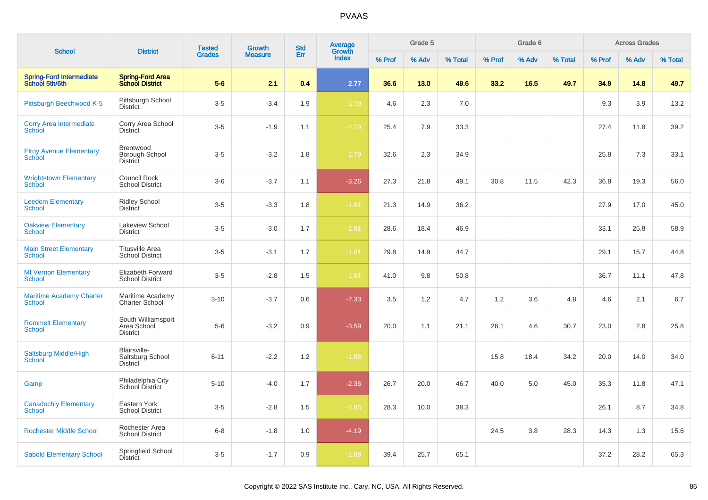|                                                  |                                                      | <b>Tested</b> | <b>Growth</b>  | <b>Std</b> | <b>Average</b><br>Growth |        | Grade 5 |         |        | Grade 6 |         |        | <b>Across Grades</b> |         |
|--------------------------------------------------|------------------------------------------------------|---------------|----------------|------------|--------------------------|--------|---------|---------|--------|---------|---------|--------|----------------------|---------|
| <b>School</b>                                    | <b>District</b>                                      | <b>Grades</b> | <b>Measure</b> | Err        | <b>Index</b>             | % Prof | % Adv   | % Total | % Prof | % Adv   | % Total | % Prof | % Adv                | % Total |
| Spring-Ford Intermediate<br>School 5th/6th       | <b>Spring-Ford Area</b><br><b>School District</b>    | $5-6$         | 2.1            | 0.4        | 2.77                     | 36.6   | 13.0    | 49.6    | 33.2   | 16.5    | 49.7    | 34.9   | 14.8                 | 49.7    |
| Pittsburgh Beechwood K-5                         | Pittsburgh School<br><b>District</b>                 | $3-5$         | $-3.4$         | 1.9        | $-1.79$                  | 4.6    | 2.3     | 7.0     |        |         |         | 9.3    | 3.9                  | 13.2    |
| <b>Corry Area Intermediate</b><br><b>School</b>  | Corry Area School<br><b>District</b>                 | $3-5$         | $-1.9$         | 1.1        | $-1.79$                  | 25.4   | 7.9     | 33.3    |        |         |         | 27.4   | 11.8                 | 39.2    |
| <b>Elroy Avenue Elementary</b><br><b>School</b>  | Brentwood<br>Borough School<br><b>District</b>       | $3-5$         | $-3.2$         | 1.8        | $-1.79$                  | 32.6   | 2.3     | 34.9    |        |         |         | 25.8   | 7.3                  | 33.1    |
| <b>Wrightstown Elementary</b><br>School          | Council Rock<br><b>School District</b>               | $3-6$         | $-3.7$         | 1.1        | $-3.26$                  | 27.3   | 21.8    | 49.1    | 30.8   | 11.5    | 42.3    | 36.8   | 19.3                 | 56.0    |
| <b>Leedom Elementary</b><br>School               | <b>Ridley School</b><br><b>District</b>              | $3-5$         | $-3.3$         | 1.8        | $-1.81$                  | 21.3   | 14.9    | 36.2    |        |         |         | 27.9   | 17.0                 | 45.0    |
| <b>Oakview Elementary</b><br><b>School</b>       | Lakeview School<br><b>District</b>                   | $3-5$         | $-3.0$         | 1.7        | $-1.81$                  | 28.6   | 18.4    | 46.9    |        |         |         | 33.1   | 25.8                 | 58.9    |
| <b>Main Street Elementary</b><br><b>School</b>   | <b>Titusville Area</b><br><b>School District</b>     | $3-5$         | $-3.1$         | 1.7        | $-1.81$                  | 29.8   | 14.9    | 44.7    |        |         |         | 29.1   | 15.7                 | 44.8    |
| <b>Mt Vernon Elementary</b><br><b>School</b>     | Elizabeth Forward<br><b>School District</b>          | $3-5$         | $-2.8$         | 1.5        | $-1.81$                  | 41.0   | 9.8     | 50.8    |        |         |         | 36.7   | 11.1                 | 47.8    |
| <b>Maritime Academy Charter</b><br><b>School</b> | Maritime Academy<br>Charter School                   | $3 - 10$      | $-3.7$         | 0.6        | $-7.33$                  | 3.5    | 1.2     | 4.7     | 1.2    | 3.6     | 4.8     | 4.6    | 2.1                  | 6.7     |
| <b>Rommelt Elementary</b><br><b>School</b>       | South Williamsport<br>Area School<br><b>District</b> | $5-6$         | $-3.2$         | 0.9        | $-3.59$                  | 20.0   | 1.1     | 21.1    | 26.1   | 4.6     | 30.7    | 23.0   | 2.8                  | 25.8    |
| Saltsburg Middle/High<br><b>School</b>           | Blairsville-<br>Saltsburg School<br><b>District</b>  | $6 - 11$      | $-2.2$         | 1.2        | $-1.88$                  |        |         |         | 15.8   | 18.4    | 34.2    | 20.0   | 14.0                 | 34.0    |
| Gamp                                             | Philadelphia City<br>School District                 | $5 - 10$      | $-4.0$         | 1.7        | $-2.36$                  | 26.7   | 20.0    | 46.7    | 40.0   | 5.0     | 45.0    | 35.3   | 11.8                 | 47.1    |
| <b>Canadochly Elementary</b><br><b>School</b>    | Eastern York<br><b>School District</b>               | $3-5$         | $-2.8$         | 1.5        | $-1.85$                  | 28.3   | 10.0    | 38.3    |        |         |         | 26.1   | 8.7                  | 34.8    |
| <b>Rochester Middle School</b>                   | Rochester Area<br><b>School District</b>             | $6 - 8$       | $-1.8$         | 1.0        | $-4.19$                  |        |         |         | 24.5   | 3.8     | 28.3    | 14.3   | 1.3                  | 15.6    |
| <b>Sabold Elementary School</b>                  | Springfield School<br><b>District</b>                | $3-5$         | $-1.7$         | 0.9        | $-1.88$                  | 39.4   | 25.7    | 65.1    |        |         |         | 37.2   | 28.2                 | 65.3    |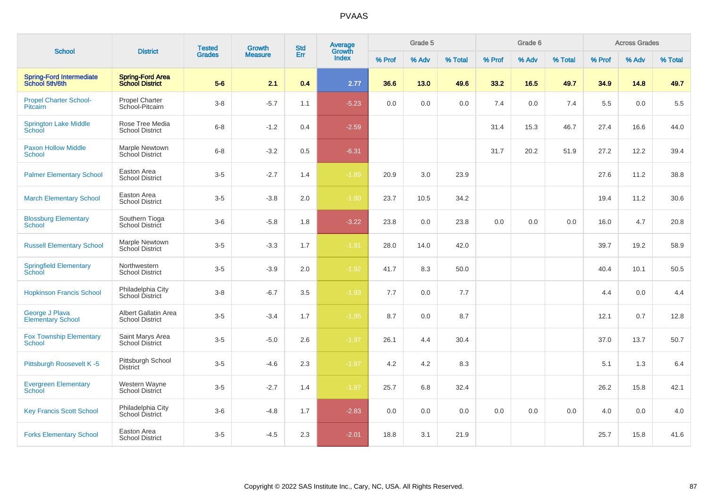|                                                   |                                                   | <b>Tested</b> | <b>Growth</b>  | <b>Std</b> | Average<br>Growth |        | Grade 5 |         |        | Grade 6 |         |        | <b>Across Grades</b> |         |
|---------------------------------------------------|---------------------------------------------------|---------------|----------------|------------|-------------------|--------|---------|---------|--------|---------|---------|--------|----------------------|---------|
| <b>School</b>                                     | <b>District</b>                                   | <b>Grades</b> | <b>Measure</b> | Err        | Index             | % Prof | % Adv   | % Total | % Prof | % Adv   | % Total | % Prof | % Adv                | % Total |
| <b>Spring-Ford Intermediate</b><br>School 5th/6th | <b>Spring-Ford Area</b><br><b>School District</b> | $5-6$         | 2.1            | 0.4        | 2.77              | 36.6   | 13.0    | 49.6    | 33.2   | 16.5    | 49.7    | 34.9   | 14.8                 | 49.7    |
| <b>Propel Charter School-</b><br>Pitcairn         | Propel Charter<br>School-Pitcairn                 | $3-8$         | $-5.7$         | 1.1        | $-5.23$           | 0.0    | 0.0     | 0.0     | 7.4    | 0.0     | 7.4     | 5.5    | 0.0                  | 5.5     |
| <b>Springton Lake Middle</b><br>School            | Rose Tree Media<br><b>School District</b>         | $6 - 8$       | $-1.2$         | 0.4        | $-2.59$           |        |         |         | 31.4   | 15.3    | 46.7    | 27.4   | 16.6                 | 44.0    |
| <b>Paxon Hollow Middle</b><br><b>School</b>       | Marple Newtown<br><b>School District</b>          | $6 - 8$       | $-3.2$         | 0.5        | $-6.31$           |        |         |         | 31.7   | 20.2    | 51.9    | 27.2   | 12.2                 | 39.4    |
| <b>Palmer Elementary School</b>                   | Easton Area<br><b>School District</b>             | $3-5$         | $-2.7$         | 1.4        | $-1.89$           | 20.9   | 3.0     | 23.9    |        |         |         | 27.6   | 11.2                 | 38.8    |
| <b>March Elementary School</b>                    | Easton Area<br><b>School District</b>             | $3-5$         | $-3.8$         | 2.0        | $-1.90$           | 23.7   | 10.5    | 34.2    |        |         |         | 19.4   | 11.2                 | 30.6    |
| <b>Blossburg Elementary</b><br>School             | Southern Tioga<br>School District                 | $3-6$         | $-5.8$         | 1.8        | $-3.22$           | 23.8   | 0.0     | 23.8    | 0.0    | 0.0     | 0.0     | 16.0   | 4.7                  | 20.8    |
| <b>Russell Elementary School</b>                  | Marple Newtown<br>School District                 | $3-5$         | $-3.3$         | 1.7        | $-1.91$           | 28.0   | 14.0    | 42.0    |        |         |         | 39.7   | 19.2                 | 58.9    |
| <b>Springfield Elementary</b><br>School           | Northwestern<br><b>School District</b>            | $3-5$         | $-3.9$         | 2.0        | $-1.92$           | 41.7   | 8.3     | 50.0    |        |         |         | 40.4   | 10.1                 | 50.5    |
| <b>Hopkinson Francis School</b>                   | Philadelphia City<br>School District              | $3-8$         | $-6.7$         | 3.5        | $-1.93$           | 7.7    | 0.0     | 7.7     |        |         |         | 4.4    | 0.0                  | 4.4     |
| George J Plava<br><b>Elementary School</b>        | Albert Gallatin Area<br><b>School District</b>    | $3-5$         | $-3.4$         | 1.7        | $-1.95$           | 8.7    | 0.0     | 8.7     |        |         |         | 12.1   | 0.7                  | 12.8    |
| <b>Fox Township Elementary</b><br><b>School</b>   | Saint Marys Area<br><b>School District</b>        | $3-5$         | $-5.0$         | 2.6        | $-1.97$           | 26.1   | 4.4     | 30.4    |        |         |         | 37.0   | 13.7                 | 50.7    |
| Pittsburgh Roosevelt K-5                          | Pittsburgh School<br><b>District</b>              | $3-5$         | $-4.6$         | 2.3        | $-1.97$           | 4.2    | 4.2     | 8.3     |        |         |         | 5.1    | 1.3                  | 6.4     |
| <b>Evergreen Elementary</b><br>School             | Western Wayne<br>School District                  | $3-5$         | $-2.7$         | 1.4        | $-1.97$           | 25.7   | 6.8     | 32.4    |        |         |         | 26.2   | 15.8                 | 42.1    |
| <b>Key Francis Scott School</b>                   | Philadelphia City<br>School District              | $3-6$         | $-4.8$         | 1.7        | $-2.83$           | 0.0    | 0.0     | 0.0     | 0.0    | 0.0     | 0.0     | 4.0    | 0.0                  | 4.0     |
| <b>Forks Elementary School</b>                    | Easton Area<br><b>School District</b>             | $3-5$         | $-4.5$         | 2.3        | $-2.01$           | 18.8   | 3.1     | 21.9    |        |         |         | 25.7   | 15.8                 | 41.6    |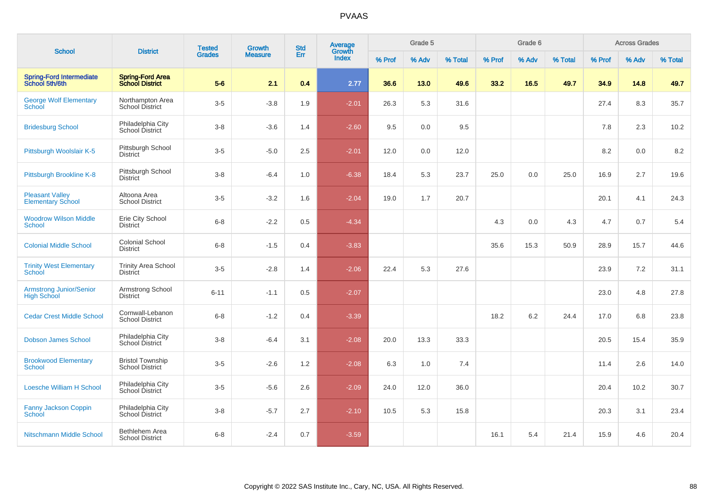|                                                      |                                                   | <b>Tested</b> | Growth         | <b>Std</b> | Average<br>Growth |        | Grade 5 |         |        | Grade 6 |         |        | <b>Across Grades</b> |         |
|------------------------------------------------------|---------------------------------------------------|---------------|----------------|------------|-------------------|--------|---------|---------|--------|---------|---------|--------|----------------------|---------|
| <b>School</b>                                        | <b>District</b>                                   | <b>Grades</b> | <b>Measure</b> | Err        | <b>Index</b>      | % Prof | % Adv   | % Total | % Prof | % Adv   | % Total | % Prof | % Adv                | % Total |
| <b>Spring-Ford Intermediate</b><br>School 5th/6th    | <b>Spring-Ford Area</b><br><b>School District</b> | $5-6$         | 2.1            | 0.4        | 2.77              | 36.6   | 13.0    | 49.6    | 33.2   | 16.5    | 49.7    | 34.9   | 14.8                 | 49.7    |
| <b>George Wolf Elementary</b><br>School              | Northampton Area<br><b>School District</b>        | $3-5$         | $-3.8$         | 1.9        | $-2.01$           | 26.3   | 5.3     | 31.6    |        |         |         | 27.4   | 8.3                  | 35.7    |
| <b>Bridesburg School</b>                             | Philadelphia City<br>School District              | $3 - 8$       | $-3.6$         | 1.4        | $-2.60$           | 9.5    | 0.0     | 9.5     |        |         |         | 7.8    | 2.3                  | 10.2    |
| Pittsburgh Woolslair K-5                             | Pittsburgh School<br><b>District</b>              | $3-5$         | $-5.0$         | 2.5        | $-2.01$           | 12.0   | 0.0     | 12.0    |        |         |         | 8.2    | 0.0                  | 8.2     |
| Pittsburgh Brookline K-8                             | Pittsburgh School<br><b>District</b>              | $3 - 8$       | $-6.4$         | 1.0        | $-6.38$           | 18.4   | 5.3     | 23.7    | 25.0   | 0.0     | 25.0    | 16.9   | 2.7                  | 19.6    |
| <b>Pleasant Valley</b><br><b>Elementary School</b>   | Altoona Area<br><b>School District</b>            | $3-5$         | $-3.2$         | 1.6        | $-2.04$           | 19.0   | 1.7     | 20.7    |        |         |         | 20.1   | 4.1                  | 24.3    |
| <b>Woodrow Wilson Middle</b><br><b>School</b>        | Erie City School<br><b>District</b>               | $6 - 8$       | $-2.2$         | 0.5        | $-4.34$           |        |         |         | 4.3    | 0.0     | 4.3     | 4.7    | 0.7                  | 5.4     |
| <b>Colonial Middle School</b>                        | <b>Colonial School</b><br><b>District</b>         | $6 - 8$       | $-1.5$         | 0.4        | $-3.83$           |        |         |         | 35.6   | 15.3    | 50.9    | 28.9   | 15.7                 | 44.6    |
| <b>Trinity West Elementary</b><br>School             | <b>Trinity Area School</b><br><b>District</b>     | $3-5$         | $-2.8$         | 1.4        | $-2.06$           | 22.4   | 5.3     | 27.6    |        |         |         | 23.9   | 7.2                  | 31.1    |
| <b>Armstrong Junior/Senior</b><br><b>High School</b> | Armstrong School<br><b>District</b>               | $6 - 11$      | $-1.1$         | 0.5        | $-2.07$           |        |         |         |        |         |         | 23.0   | 4.8                  | 27.8    |
| <b>Cedar Crest Middle School</b>                     | Cornwall-Lebanon<br><b>School District</b>        | $6 - 8$       | $-1.2$         | 0.4        | $-3.39$           |        |         |         | 18.2   | 6.2     | 24.4    | 17.0   | 6.8                  | 23.8    |
| <b>Dobson James School</b>                           | Philadelphia City<br><b>School District</b>       | $3 - 8$       | $-6.4$         | 3.1        | $-2.08$           | 20.0   | 13.3    | 33.3    |        |         |         | 20.5   | 15.4                 | 35.9    |
| <b>Brookwood Elementary</b><br><b>School</b>         | <b>Bristol Township</b><br><b>School District</b> | $3-5$         | $-2.6$         | 1.2        | $-2.08$           | 6.3    | 1.0     | 7.4     |        |         |         | 11.4   | 2.6                  | 14.0    |
| <b>Loesche William H School</b>                      | Philadelphia City<br>School District              | $3-5$         | $-5.6$         | 2.6        | $-2.09$           | 24.0   | 12.0    | 36.0    |        |         |         | 20.4   | 10.2                 | 30.7    |
| <b>Fanny Jackson Coppin</b><br>School                | Philadelphia City<br>School District              | $3 - 8$       | $-5.7$         | 2.7        | $-2.10$           | 10.5   | 5.3     | 15.8    |        |         |         | 20.3   | 3.1                  | 23.4    |
| Nitschmann Middle School                             | <b>Bethlehem Area</b><br><b>School District</b>   | $6 - 8$       | $-2.4$         | 0.7        | $-3.59$           |        |         |         | 16.1   | 5.4     | 21.4    | 15.9   | 4.6                  | 20.4    |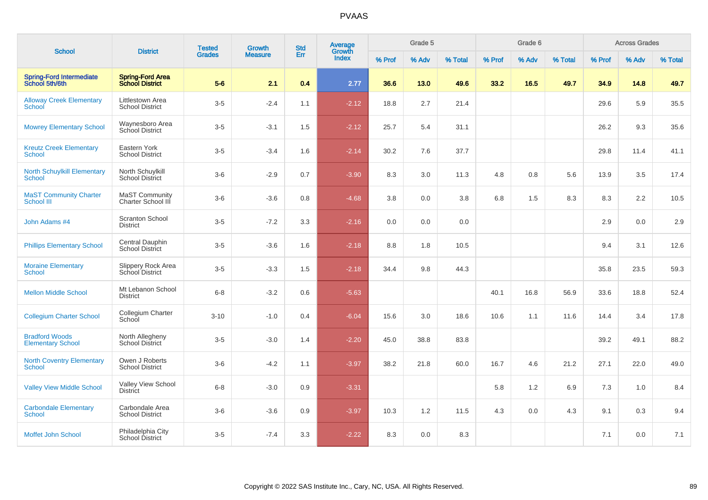|                                                     |                                                   | <b>Tested</b> | <b>Growth</b>  | <b>Std</b> | Average<br>Growth |        | Grade 5 |         |        | Grade 6 |         |        | <b>Across Grades</b> |         |
|-----------------------------------------------------|---------------------------------------------------|---------------|----------------|------------|-------------------|--------|---------|---------|--------|---------|---------|--------|----------------------|---------|
| <b>School</b>                                       | <b>District</b>                                   | <b>Grades</b> | <b>Measure</b> | Err        | <b>Index</b>      | % Prof | % Adv   | % Total | % Prof | % Adv   | % Total | % Prof | % Adv                | % Total |
| <b>Spring-Ford Intermediate</b><br>School 5th/6th   | <b>Spring-Ford Area</b><br><b>School District</b> | $5-6$         | 2.1            | 0.4        | 2.77              | 36.6   | 13.0    | 49.6    | 33.2   | 16.5    | 49.7    | 34.9   | 14.8                 | 49.7    |
| <b>Alloway Creek Elementary</b><br>School           | Littlestown Area<br><b>School District</b>        | $3-5$         | $-2.4$         | 1.1        | $-2.12$           | 18.8   | 2.7     | 21.4    |        |         |         | 29.6   | 5.9                  | 35.5    |
| <b>Mowrey Elementary School</b>                     | Waynesboro Area<br>School District                | $3-5$         | $-3.1$         | 1.5        | $-2.12$           | 25.7   | 5.4     | 31.1    |        |         |         | 26.2   | 9.3                  | 35.6    |
| <b>Kreutz Creek Elementary</b><br><b>School</b>     | Eastern York<br><b>School District</b>            | $3-5$         | $-3.4$         | 1.6        | $-2.14$           | 30.2   | 7.6     | 37.7    |        |         |         | 29.8   | 11.4                 | 41.1    |
| <b>North Schuylkill Elementary</b><br><b>School</b> | North Schuylkill<br>School District               | $3-6$         | $-2.9$         | 0.7        | $-3.90$           | 8.3    | $3.0\,$ | 11.3    | 4.8    | 0.8     | 5.6     | 13.9   | 3.5                  | 17.4    |
| <b>MaST Community Charter</b><br>School III         | <b>MaST Community</b><br>Charter School III       | $3-6$         | $-3.6$         | 0.8        | $-4.68$           | 3.8    | 0.0     | 3.8     | 6.8    | 1.5     | 8.3     | 8.3    | 2.2                  | 10.5    |
| John Adams #4                                       | <b>Scranton School</b><br><b>District</b>         | $3-5$         | $-7.2$         | 3.3        | $-2.16$           | 0.0    | 0.0     | 0.0     |        |         |         | 2.9    | 0.0                  | 2.9     |
| <b>Phillips Elementary School</b>                   | Central Dauphin<br>School District                | $3-5$         | $-3.6$         | 1.6        | $-2.18$           | 8.8    | 1.8     | 10.5    |        |         |         | 9.4    | 3.1                  | 12.6    |
| <b>Moraine Elementary</b><br>School                 | Slippery Rock Area<br>School District             | $3-5$         | $-3.3$         | 1.5        | $-2.18$           | 34.4   | 9.8     | 44.3    |        |         |         | 35.8   | 23.5                 | 59.3    |
| <b>Mellon Middle School</b>                         | Mt Lebanon School<br><b>District</b>              | $6 - 8$       | $-3.2$         | 0.6        | $-5.63$           |        |         |         | 40.1   | 16.8    | 56.9    | 33.6   | 18.8                 | 52.4    |
| <b>Collegium Charter School</b>                     | Collegium Charter<br>School                       | $3 - 10$      | $-1.0$         | 0.4        | $-6.04$           | 15.6   | 3.0     | 18.6    | 10.6   | 1.1     | 11.6    | 14.4   | 3.4                  | 17.8    |
| <b>Bradford Woods</b><br><b>Elementary School</b>   | North Allegheny<br><b>School District</b>         | $3-5$         | $-3.0$         | 1.4        | $-2.20$           | 45.0   | 38.8    | 83.8    |        |         |         | 39.2   | 49.1                 | 88.2    |
| <b>North Coventry Elementary</b><br><b>School</b>   | Owen J Roberts<br><b>School District</b>          | $3-6$         | $-4.2$         | 1.1        | $-3.97$           | 38.2   | 21.8    | 60.0    | 16.7   | 4.6     | 21.2    | 27.1   | 22.0                 | 49.0    |
| <b>Valley View Middle School</b>                    | Valley View School<br><b>District</b>             | $6-8$         | $-3.0$         | 0.9        | $-3.31$           |        |         |         | 5.8    | 1.2     | 6.9     | 7.3    | 1.0                  | 8.4     |
| <b>Carbondale Elementary</b><br><b>School</b>       | Carbondale Area<br><b>School District</b>         | $3-6$         | $-3.6$         | 0.9        | $-3.97$           | 10.3   | 1.2     | 11.5    | 4.3    | 0.0     | 4.3     | 9.1    | 0.3                  | 9.4     |
| Moffet John School                                  | Philadelphia City<br>School District              | $3-5$         | $-7.4$         | 3.3        | $-2.22$           | 8.3    | 0.0     | 8.3     |        |         |         | 7.1    | 0.0                  | 7.1     |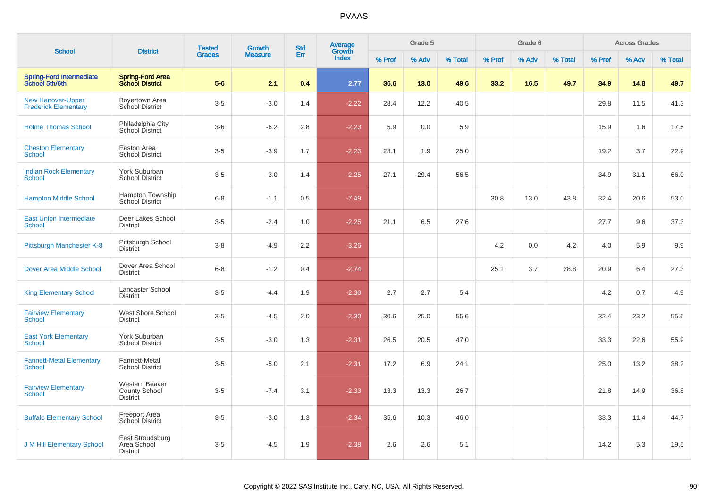|                                                         | <b>District</b>                                    | <b>Tested</b> | <b>Growth</b>  | <b>Std</b> | <b>Average</b><br>Growth |        | Grade 5 |         |        | Grade 6 |         |        | <b>Across Grades</b> |         |
|---------------------------------------------------------|----------------------------------------------------|---------------|----------------|------------|--------------------------|--------|---------|---------|--------|---------|---------|--------|----------------------|---------|
| <b>School</b>                                           |                                                    | <b>Grades</b> | <b>Measure</b> | Err        | <b>Index</b>             | % Prof | % Adv   | % Total | % Prof | % Adv   | % Total | % Prof | % Adv                | % Total |
| <b>Spring-Ford Intermediate</b><br>School 5th/6th       | <b>Spring-Ford Area</b><br><b>School District</b>  | $5-6$         | 2.1            | 0.4        | 2.77                     | 36.6   | 13.0    | 49.6    | 33.2   | 16.5    | 49.7    | 34.9   | 14.8                 | 49.7    |
| <b>New Hanover-Upper</b><br><b>Frederick Elementary</b> | Boyertown Area<br>School District                  | $3-5$         | $-3.0$         | 1.4        | $-2.22$                  | 28.4   | 12.2    | 40.5    |        |         |         | 29.8   | 11.5                 | 41.3    |
| <b>Holme Thomas School</b>                              | Philadelphia City<br>School District               | $3-6$         | $-6.2$         | 2.8        | $-2.23$                  | 5.9    | 0.0     | 5.9     |        |         |         | 15.9   | 1.6                  | 17.5    |
| <b>Cheston Elementary</b><br><b>School</b>              | Easton Area<br><b>School District</b>              | $3-5$         | $-3.9$         | 1.7        | $-2.23$                  | 23.1   | 1.9     | 25.0    |        |         |         | 19.2   | 3.7                  | 22.9    |
| <b>Indian Rock Elementary</b><br>School                 | York Suburban<br><b>School District</b>            | $3-5$         | $-3.0$         | 1.4        | $-2.25$                  | 27.1   | 29.4    | 56.5    |        |         |         | 34.9   | 31.1                 | 66.0    |
| <b>Hampton Middle School</b>                            | Hampton Township<br>School District                | $6-8$         | $-1.1$         | 0.5        | $-7.49$                  |        |         |         | 30.8   | 13.0    | 43.8    | 32.4   | 20.6                 | 53.0    |
| <b>East Union Intermediate</b><br><b>School</b>         | Deer Lakes School<br><b>District</b>               | $3-5$         | $-2.4$         | 1.0        | $-2.25$                  | 21.1   | 6.5     | 27.6    |        |         |         | 27.7   | 9.6                  | 37.3    |
| Pittsburgh Manchester K-8                               | Pittsburgh School<br><b>District</b>               | $3-8$         | $-4.9$         | 2.2        | $-3.26$                  |        |         |         | 4.2    | 0.0     | 4.2     | 4.0    | 5.9                  | 9.9     |
| <b>Dover Area Middle School</b>                         | Dover Area School<br><b>District</b>               | $6-8$         | $-1.2$         | 0.4        | $-2.74$                  |        |         |         | 25.1   | 3.7     | 28.8    | 20.9   | 6.4                  | 27.3    |
| <b>King Elementary School</b>                           | Lancaster School<br><b>District</b>                | $3-5$         | $-4.4$         | 1.9        | $-2.30$                  | 2.7    | 2.7     | 5.4     |        |         |         | 4.2    | 0.7                  | 4.9     |
| <b>Fairview Elementary</b><br>School                    | <b>West Shore School</b><br><b>District</b>        | $3-5$         | $-4.5$         | 2.0        | $-2.30$                  | 30.6   | 25.0    | 55.6    |        |         |         | 32.4   | 23.2                 | 55.6    |
| <b>East York Elementary</b><br><b>School</b>            | York Suburban<br><b>School District</b>            | $3-5$         | $-3.0$         | 1.3        | $-2.31$                  | 26.5   | 20.5    | 47.0    |        |         |         | 33.3   | 22.6                 | 55.9    |
| <b>Fannett-Metal Elementary</b><br>School               | Fannett-Metal<br><b>School District</b>            | $3-5$         | $-5.0$         | 2.1        | $-2.31$                  | 17.2   | 6.9     | 24.1    |        |         |         | 25.0   | 13.2                 | 38.2    |
| <b>Fairview Elementary</b><br><b>School</b>             | Western Beaver<br>County School<br><b>District</b> | $3-5$         | $-7.4$         | 3.1        | $-2.33$                  | 13.3   | 13.3    | 26.7    |        |         |         | 21.8   | 14.9                 | 36.8    |
| <b>Buffalo Elementary School</b>                        | <b>Freeport Area</b><br><b>School District</b>     | $3-5$         | $-3.0$         | 1.3        | $-2.34$                  | 35.6   | 10.3    | 46.0    |        |         |         | 33.3   | 11.4                 | 44.7    |
| <b>J M Hill Elementary School</b>                       | East Stroudsburg<br>Area School<br><b>District</b> | $3-5$         | $-4.5$         | 1.9        | $-2.38$                  | 2.6    | 2.6     | 5.1     |        |         |         | 14.2   | 5.3                  | 19.5    |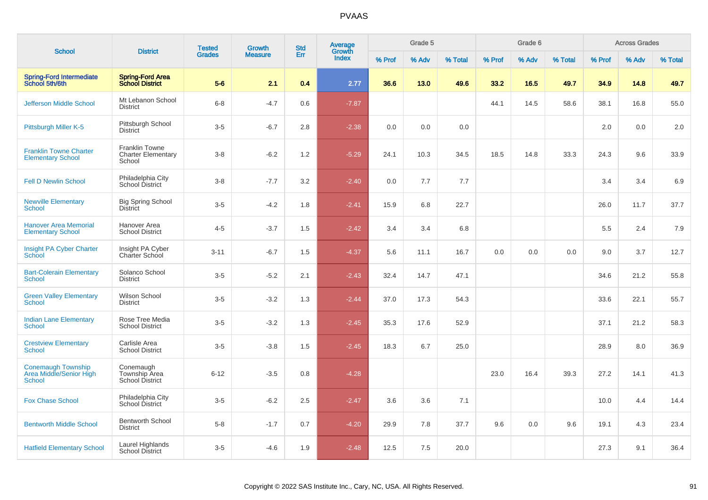| <b>School</b>                                                         | <b>District</b>                                       | <b>Tested</b> | <b>Growth</b>  | <b>Std</b> | Average<br>Growth |        | Grade 5 |         |        | Grade 6 |         |        | <b>Across Grades</b> |         |
|-----------------------------------------------------------------------|-------------------------------------------------------|---------------|----------------|------------|-------------------|--------|---------|---------|--------|---------|---------|--------|----------------------|---------|
|                                                                       |                                                       | <b>Grades</b> | <b>Measure</b> | Err        | Index             | % Prof | % Adv   | % Total | % Prof | % Adv   | % Total | % Prof | % Adv                | % Total |
| <b>Spring-Ford Intermediate</b><br>School 5th/6th                     | <b>Spring-Ford Area</b><br><b>School District</b>     | $5-6$         | 2.1            | 0.4        | 2.77              | 36.6   | 13.0    | 49.6    | 33.2   | 16.5    | 49.7    | 34.9   | 14.8                 | 49.7    |
| <b>Jefferson Middle School</b>                                        | Mt Lebanon School<br><b>District</b>                  | $6 - 8$       | $-4.7$         | 0.6        | $-7.87$           |        |         |         | 44.1   | 14.5    | 58.6    | 38.1   | 16.8                 | 55.0    |
| Pittsburgh Miller K-5                                                 | Pittsburgh School<br><b>District</b>                  | $3-5$         | $-6.7$         | 2.8        | $-2.38$           | 0.0    | 0.0     | 0.0     |        |         |         | 2.0    | 0.0                  | 2.0     |
| <b>Franklin Towne Charter</b><br><b>Elementary School</b>             | Franklin Towne<br><b>Charter Elementary</b><br>School | $3 - 8$       | $-6.2$         | 1.2        | $-5.29$           | 24.1   | 10.3    | 34.5    | 18.5   | 14.8    | 33.3    | 24.3   | 9.6                  | 33.9    |
| <b>Fell D Newlin School</b>                                           | Philadelphia City<br>School District                  | $3-8$         | $-7.7$         | 3.2        | $-2.40$           | 0.0    | 7.7     | 7.7     |        |         |         | 3.4    | 3.4                  | 6.9     |
| <b>Newville Elementary</b><br>School                                  | <b>Big Spring School</b><br><b>District</b>           | $3-5$         | $-4.2$         | 1.8        | $-2.41$           | 15.9   | 6.8     | 22.7    |        |         |         | 26.0   | 11.7                 | 37.7    |
| <b>Hanover Area Memorial</b><br><b>Elementary School</b>              | Hanover Area<br><b>School District</b>                | $4 - 5$       | $-3.7$         | 1.5        | $-2.42$           | 3.4    | 3.4     | 6.8     |        |         |         | 5.5    | 2.4                  | 7.9     |
| Insight PA Cyber Charter<br><b>School</b>                             | Insight PA Cyber<br>Charter School                    | $3 - 11$      | $-6.7$         | 1.5        | $-4.37$           | 5.6    | 11.1    | 16.7    | 0.0    | 0.0     | 0.0     | 9.0    | 3.7                  | 12.7    |
| <b>Bart-Colerain Elementary</b><br><b>School</b>                      | Solanco School<br><b>District</b>                     | $3-5$         | $-5.2$         | 2.1        | $-2.43$           | 32.4   | 14.7    | 47.1    |        |         |         | 34.6   | 21.2                 | 55.8    |
| <b>Green Valley Elementary</b><br><b>School</b>                       | Wilson School<br><b>District</b>                      | $3 - 5$       | $-3.2$         | 1.3        | $-2.44$           | 37.0   | 17.3    | 54.3    |        |         |         | 33.6   | 22.1                 | 55.7    |
| <b>Indian Lane Elementary</b><br><b>School</b>                        | Rose Tree Media<br><b>School District</b>             | $3-5$         | $-3.2$         | 1.3        | $-2.45$           | 35.3   | 17.6    | 52.9    |        |         |         | 37.1   | 21.2                 | 58.3    |
| <b>Crestview Elementary</b><br><b>School</b>                          | Carlisle Area<br><b>School District</b>               | $3-5$         | $-3.8$         | 1.5        | $-2.45$           | 18.3   | 6.7     | 25.0    |        |         |         | 28.9   | 8.0                  | 36.9    |
| <b>Conemaugh Township</b><br>Area Middle/Senior High<br><b>School</b> | Conemaugh<br>Township Area<br>School District         | $6 - 12$      | $-3.5$         | 0.8        | $-4.28$           |        |         |         | 23.0   | 16.4    | 39.3    | 27.2   | 14.1                 | 41.3    |
| <b>Fox Chase School</b>                                               | Philadelphia City<br>School District                  | $3-5$         | $-6.2$         | 2.5        | $-2.47$           | 3.6    | 3.6     | 7.1     |        |         |         | 10.0   | 4.4                  | 14.4    |
| <b>Bentworth Middle School</b>                                        | <b>Bentworth School</b><br><b>District</b>            | $5 - 8$       | $-1.7$         | 0.7        | $-4.20$           | 29.9   | 7.8     | 37.7    | 9.6    | 0.0     | 9.6     | 19.1   | 4.3                  | 23.4    |
| <b>Hatfield Elementary School</b>                                     | Laurel Highlands<br>School District                   | $3-5$         | $-4.6$         | 1.9        | $-2.48$           | 12.5   | 7.5     | 20.0    |        |         |         | 27.3   | 9.1                  | 36.4    |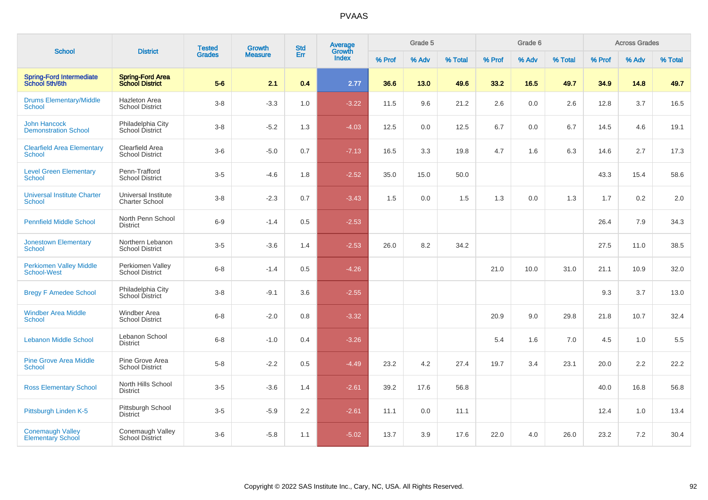| <b>School</b>                                        | <b>District</b>                                   | <b>Tested</b> | <b>Growth</b>  | <b>Std</b> | Average<br>Growth |        | Grade 5 |         |        | Grade 6 |         |        | <b>Across Grades</b> |         |
|------------------------------------------------------|---------------------------------------------------|---------------|----------------|------------|-------------------|--------|---------|---------|--------|---------|---------|--------|----------------------|---------|
|                                                      |                                                   | <b>Grades</b> | <b>Measure</b> | Err        | <b>Index</b>      | % Prof | % Adv   | % Total | % Prof | % Adv   | % Total | % Prof | % Adv                | % Total |
| <b>Spring-Ford Intermediate</b><br>School 5th/6th    | <b>Spring-Ford Area</b><br><b>School District</b> | $5-6$         | 2.1            | 0.4        | 2.77              | 36.6   | 13.0    | 49.6    | 33.2   | 16.5    | 49.7    | 34.9   | 14.8                 | 49.7    |
| <b>Drums Elementary/Middle</b><br>School             | <b>Hazleton Area</b><br><b>School District</b>    | $3-8$         | $-3.3$         | 1.0        | $-3.22$           | 11.5   | 9.6     | 21.2    | 2.6    | 0.0     | 2.6     | 12.8   | 3.7                  | 16.5    |
| <b>John Hancock</b><br><b>Demonstration School</b>   | Philadelphia City<br>School District              | $3-8$         | $-5.2$         | 1.3        | $-4.03$           | 12.5   | 0.0     | 12.5    | 6.7    | 0.0     | 6.7     | 14.5   | 4.6                  | 19.1    |
| <b>Clearfield Area Elementary</b><br>School          | Clearfield Area<br><b>School District</b>         | $3-6$         | $-5.0$         | 0.7        | $-7.13$           | 16.5   | 3.3     | 19.8    | 4.7    | 1.6     | 6.3     | 14.6   | 2.7                  | 17.3    |
| <b>Level Green Elementary</b><br>School              | Penn-Trafford<br><b>School District</b>           | $3-5$         | $-4.6$         | 1.8        | $-2.52$           | 35.0   | 15.0    | 50.0    |        |         |         | 43.3   | 15.4                 | 58.6    |
| <b>Universal Institute Charter</b><br><b>School</b>  | Universal Institute<br><b>Charter School</b>      | $3-8$         | $-2.3$         | 0.7        | $-3.43$           | 1.5    | 0.0     | 1.5     | 1.3    | 0.0     | 1.3     | 1.7    | 0.2                  | 2.0     |
| <b>Pennfield Middle School</b>                       | North Penn School<br><b>District</b>              | $6 - 9$       | $-1.4$         | 0.5        | $-2.53$           |        |         |         |        |         |         | 26.4   | 7.9                  | 34.3    |
| <b>Jonestown Elementary</b><br>School                | Northern Lebanon<br><b>School District</b>        | $3-5$         | $-3.6$         | 1.4        | $-2.53$           | 26.0   | 8.2     | 34.2    |        |         |         | 27.5   | 11.0                 | 38.5    |
| <b>Perkiomen Valley Middle</b><br><b>School-West</b> | Perkiomen Valley<br><b>School District</b>        | $6 - 8$       | $-1.4$         | 0.5        | $-4.26$           |        |         |         | 21.0   | 10.0    | 31.0    | 21.1   | 10.9                 | 32.0    |
| <b>Bregy F Amedee School</b>                         | Philadelphia City<br>School District              | $3-8$         | $-9.1$         | 3.6        | $-2.55$           |        |         |         |        |         |         | 9.3    | 3.7                  | 13.0    |
| <b>Windber Area Middle</b><br><b>School</b>          | <b>Windber Area</b><br><b>School District</b>     | $6-8$         | $-2.0$         | 0.8        | $-3.32$           |        |         |         | 20.9   | 9.0     | 29.8    | 21.8   | 10.7                 | 32.4    |
| <b>Lebanon Middle School</b>                         | Lebanon School<br><b>District</b>                 | $6 - 8$       | $-1.0$         | 0.4        | $-3.26$           |        |         |         | 5.4    | 1.6     | 7.0     | 4.5    | 1.0                  | 5.5     |
| <b>Pine Grove Area Middle</b><br><b>School</b>       | Pine Grove Area<br><b>School District</b>         | $5-8$         | $-2.2$         | 0.5        | $-4.49$           | 23.2   | 4.2     | 27.4    | 19.7   | 3.4     | 23.1    | 20.0   | 2.2                  | 22.2    |
| <b>Ross Elementary School</b>                        | North Hills School<br><b>District</b>             | $3-5$         | $-3.6$         | 1.4        | $-2.61$           | 39.2   | 17.6    | 56.8    |        |         |         | 40.0   | 16.8                 | 56.8    |
| Pittsburgh Linden K-5                                | Pittsburgh School<br><b>District</b>              | $3-5$         | $-5.9$         | 2.2        | $-2.61$           | 11.1   | 0.0     | 11.1    |        |         |         | 12.4   | 1.0                  | 13.4    |
| <b>Conemaugh Valley</b><br><b>Elementary School</b>  | Conemaugh Valley<br><b>School District</b>        | $3-6$         | $-5.8$         | 1.1        | $-5.02$           | 13.7   | 3.9     | 17.6    | 22.0   | 4.0     | 26.0    | 23.2   | $7.2\,$              | 30.4    |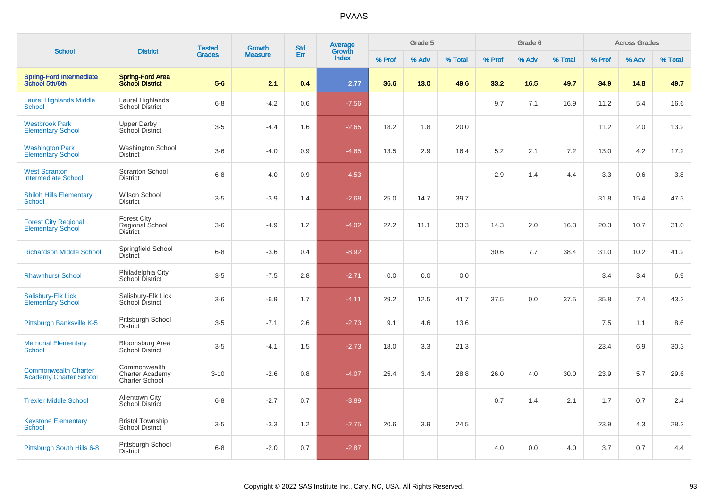| <b>School</b>                                                | <b>District</b>                                                 | <b>Tested</b> | <b>Growth</b>  | <b>Std</b> | <b>Average</b><br>Growth |        | Grade 5 |         |        | Grade 6 |         |        | <b>Across Grades</b> |         |
|--------------------------------------------------------------|-----------------------------------------------------------------|---------------|----------------|------------|--------------------------|--------|---------|---------|--------|---------|---------|--------|----------------------|---------|
|                                                              |                                                                 | <b>Grades</b> | <b>Measure</b> | Err        | <b>Index</b>             | % Prof | % Adv   | % Total | % Prof | % Adv   | % Total | % Prof | % Adv                | % Total |
| <b>Spring-Ford Intermediate</b><br>School 5th/6th            | <b>Spring-Ford Area</b><br><b>School District</b>               | $5-6$         | 2.1            | 0.4        | 2.77                     | 36.6   | 13.0    | 49.6    | 33.2   | 16.5    | 49.7    | 34.9   | 14.8                 | 49.7    |
| <b>Laurel Highlands Middle</b><br><b>School</b>              | Laurel Highlands<br><b>School District</b>                      | $6 - 8$       | $-4.2$         | 0.6        | $-7.56$                  |        |         |         | 9.7    | 7.1     | 16.9    | 11.2   | 5.4                  | 16.6    |
| <b>Westbrook Park</b><br><b>Elementary School</b>            | <b>Upper Darby</b><br>School District                           | $3-5$         | $-4.4$         | 1.6        | $-2.65$                  | 18.2   | 1.8     | 20.0    |        |         |         | 11.2   | 2.0                  | 13.2    |
| <b>Washington Park</b><br><b>Elementary School</b>           | Washington School<br><b>District</b>                            | $3-6$         | $-4.0$         | 0.9        | $-4.65$                  | 13.5   | 2.9     | 16.4    | 5.2    | 2.1     | 7.2     | 13.0   | 4.2                  | 17.2    |
| <b>West Scranton</b><br><b>Intermediate School</b>           | <b>Scranton School</b><br><b>District</b>                       | $6 - 8$       | $-4.0$         | 0.9        | $-4.53$                  |        |         |         | 2.9    | 1.4     | 4.4     | 3.3    | 0.6                  | 3.8     |
| <b>Shiloh Hills Elementary</b><br><b>School</b>              | Wilson School<br><b>District</b>                                | $3-5$         | $-3.9$         | 1.4        | $-2.68$                  | 25.0   | 14.7    | 39.7    |        |         |         | 31.8   | 15.4                 | 47.3    |
| <b>Forest City Regional</b><br><b>Elementary School</b>      | <b>Forest City</b><br>Regional School<br><b>District</b>        | $3-6$         | $-4.9$         | 1.2        | $-4.02$                  | 22.2   | 11.1    | 33.3    | 14.3   | 2.0     | 16.3    | 20.3   | 10.7                 | 31.0    |
| <b>Richardson Middle School</b>                              | Springfield School<br><b>District</b>                           | $6 - 8$       | $-3.6$         | 0.4        | $-8.92$                  |        |         |         | 30.6   | 7.7     | 38.4    | 31.0   | 10.2                 | 41.2    |
| <b>Rhawnhurst School</b>                                     | Philadelphia City<br>School District                            | $3-5$         | $-7.5$         | 2.8        | $-2.71$                  | 0.0    | 0.0     | 0.0     |        |         |         | 3.4    | 3.4                  | 6.9     |
| Salisbury-Elk Lick<br><b>Elementary School</b>               | Salisbury-Elk Lick<br>School District                           | $3-6$         | $-6.9$         | 1.7        | $-4.11$                  | 29.2   | 12.5    | 41.7    | 37.5   | 0.0     | 37.5    | 35.8   | 7.4                  | 43.2    |
| Pittsburgh Banksville K-5                                    | Pittsburgh School<br><b>District</b>                            | $3-5$         | $-7.1$         | 2.6        | $-2.73$                  | 9.1    | 4.6     | 13.6    |        |         |         | 7.5    | 1.1                  | 8.6     |
| <b>Memorial Elementary</b><br><b>School</b>                  | Bloomsburg Area<br><b>School District</b>                       | $3-5$         | $-4.1$         | 1.5        | $-2.73$                  | 18.0   | 3.3     | 21.3    |        |         |         | 23.4   | 6.9                  | 30.3    |
| <b>Commonwealth Charter</b><br><b>Academy Charter School</b> | Commonwealth<br><b>Charter Academy</b><br><b>Charter School</b> | $3 - 10$      | $-2.6$         | 0.8        | $-4.07$                  | 25.4   | 3.4     | 28.8    | 26.0   | 4.0     | 30.0    | 23.9   | 5.7                  | 29.6    |
| <b>Trexler Middle School</b>                                 | <b>Allentown City</b><br>School District                        | $6 - 8$       | $-2.7$         | 0.7        | $-3.89$                  |        |         |         | 0.7    | 1.4     | 2.1     | 1.7    | 0.7                  | 2.4     |
| <b>Keystone Elementary</b><br>School                         | <b>Bristol Township</b><br><b>School District</b>               | $3-5$         | $-3.3$         | 1.2        | $-2.75$                  | 20.6   | 3.9     | 24.5    |        |         |         | 23.9   | 4.3                  | 28.2    |
| Pittsburgh South Hills 6-8                                   | Pittsburgh School<br><b>District</b>                            | $6 - 8$       | $-2.0$         | 0.7        | $-2.87$                  |        |         |         | 4.0    | 0.0     | 4.0     | 3.7    | 0.7                  | 4.4     |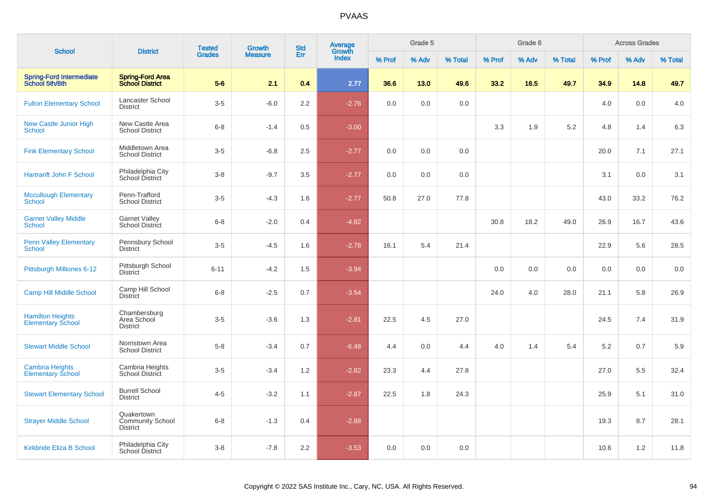|                                                     |                                                          | <b>Tested</b> | Growth         | <b>Std</b> | <b>Average</b><br>Growth |        | Grade 5 |         |        | Grade 6 |         |        | <b>Across Grades</b> |         |
|-----------------------------------------------------|----------------------------------------------------------|---------------|----------------|------------|--------------------------|--------|---------|---------|--------|---------|---------|--------|----------------------|---------|
| <b>School</b>                                       | <b>District</b>                                          | <b>Grades</b> | <b>Measure</b> | Err        | Index                    | % Prof | % Adv   | % Total | % Prof | % Adv   | % Total | % Prof | % Adv                | % Total |
| <b>Spring-Ford Intermediate</b><br>School 5th/6th   | <b>Spring-Ford Area</b><br><b>School District</b>        | $5-6$         | 2.1            | 0.4        | 2.77                     | 36.6   | 13.0    | 49.6    | 33.2   | 16.5    | 49.7    | 34.9   | 14.8                 | 49.7    |
| <b>Fulton Elementary School</b>                     | Lancaster School<br><b>District</b>                      | $3-5$         | $-6.0$         | 2.2        | $-2.76$                  | 0.0    | 0.0     | 0.0     |        |         |         | 4.0    | 0.0                  | 4.0     |
| New Castle Junior High<br><b>School</b>             | New Castle Area<br><b>School District</b>                | $6 - 8$       | $-1.4$         | 0.5        | $-3.00$                  |        |         |         | 3.3    | 1.9     | 5.2     | 4.8    | 1.4                  | 6.3     |
| <b>Fink Elementary School</b>                       | Middletown Area<br><b>School District</b>                | $3-5$         | $-6.8$         | 2.5        | $-2.77$                  | 0.0    | 0.0     | 0.0     |        |         |         | 20.0   | 7.1                  | 27.1    |
| <b>Hartranft John F School</b>                      | Philadelphia City<br>School District                     | $3-8$         | $-9.7$         | 3.5        | $-2.77$                  | 0.0    | 0.0     | 0.0     |        |         |         | 3.1    | 0.0                  | 3.1     |
| <b>Mccullough Elementary</b><br><b>School</b>       | Penn-Trafford<br><b>School District</b>                  | $3-5$         | $-4.3$         | 1.6        | $-2.77$                  | 50.8   | 27.0    | 77.8    |        |         |         | 43.0   | 33.2                 | 76.2    |
| <b>Garnet Valley Middle</b><br><b>School</b>        | <b>Garnet Valley</b><br>School District                  | $6 - 8$       | $-2.0$         | 0.4        | $-4.82$                  |        |         |         | 30.8   | 18.2    | 49.0    | 26.9   | 16.7                 | 43.6    |
| <b>Penn Valley Elementary</b><br><b>School</b>      | Pennsbury School<br><b>District</b>                      | $3-5$         | $-4.5$         | 1.6        | $-2.78$                  | 16.1   | 5.4     | 21.4    |        |         |         | 22.9   | 5.6                  | 28.5    |
| Pittsburgh Milliones 6-12                           | Pittsburgh School<br><b>District</b>                     | $6 - 11$      | $-4.2$         | 1.5        | $-3.94$                  |        |         |         | 0.0    | 0.0     | 0.0     | 0.0    | 0.0                  | 0.0     |
| Camp Hill Middle School                             | Camp Hill School<br>District                             | $6 - 8$       | $-2.5$         | 0.7        | $-3.54$                  |        |         |         | 24.0   | 4.0     | 28.0    | 21.1   | 5.8                  | 26.9    |
| <b>Hamilton Heights</b><br><b>Elementary School</b> | Chambersburg<br>Area School<br><b>District</b>           | $3-5$         | $-3.6$         | 1.3        | $-2.81$                  | 22.5   | 4.5     | 27.0    |        |         |         | 24.5   | 7.4                  | 31.9    |
| <b>Stewart Middle School</b>                        | Norristown Area<br><b>School District</b>                | $5-8$         | $-3.4$         | 0.7        | $-6.48$                  | 4.4    | 0.0     | 4.4     | 4.0    | 1.4     | 5.4     | 5.2    | 0.7                  | 5.9     |
| <b>Cambria Heights</b><br><b>Elementary School</b>  | Cambria Heights<br>School District                       | $3-5$         | $-3.4$         | 1.2        | $-2.82$                  | 23.3   | 4.4     | 27.8    |        |         |         | 27.0   | 5.5                  | 32.4    |
| <b>Stewart Elementary School</b>                    | <b>Burrell School</b><br><b>District</b>                 | $4 - 5$       | $-3.2$         | 1.1        | $-2.87$                  | 22.5   | 1.8     | 24.3    |        |         |         | 25.9   | 5.1                  | 31.0    |
| <b>Strayer Middle School</b>                        | Quakertown<br><b>Community School</b><br><b>District</b> | $6 - 8$       | $-1.3$         | 0.4        | $-2.88$                  |        |         |         |        |         |         | 19.3   | 8.7                  | 28.1    |
| Kirkbride Eliza B School                            | Philadelphia City<br>School District                     | $3-8$         | $-7.8$         | 2.2        | $-3.53$                  | 0.0    | 0.0     | 0.0     |        |         |         | 10.6   | 1.2                  | 11.8    |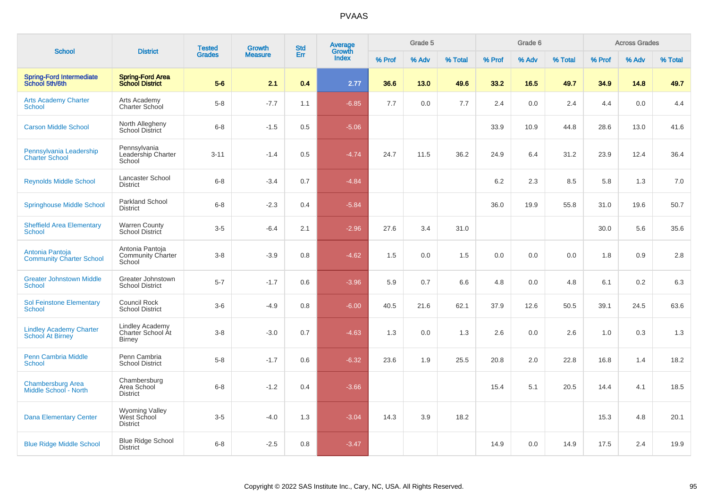| <b>School</b>                                             | <b>District</b>                                       | <b>Tested</b> | Growth         | <b>Std</b> | Average<br>Growth |        | Grade 5 |         |        | Grade 6 |         |        | <b>Across Grades</b> |         |
|-----------------------------------------------------------|-------------------------------------------------------|---------------|----------------|------------|-------------------|--------|---------|---------|--------|---------|---------|--------|----------------------|---------|
|                                                           |                                                       | <b>Grades</b> | <b>Measure</b> | Err        | <b>Index</b>      | % Prof | % Adv   | % Total | % Prof | % Adv   | % Total | % Prof | % Adv                | % Total |
| <b>Spring-Ford Intermediate</b><br>School 5th/6th         | <b>Spring-Ford Area</b><br><b>School District</b>     | $5-6$         | 2.1            | 0.4        | 2.77              | 36.6   | 13.0    | 49.6    | 33.2   | 16.5    | 49.7    | 34.9   | 14.8                 | 49.7    |
| <b>Arts Academy Charter</b><br>School                     | Arts Academy<br>Charter School                        | $5 - 8$       | $-7.7$         | 1.1        | $-6.85$           | 7.7    | 0.0     | 7.7     | 2.4    | 0.0     | 2.4     | 4.4    | 0.0                  | 4.4     |
| <b>Carson Middle School</b>                               | North Allegheny<br>School District                    | $6 - 8$       | $-1.5$         | 0.5        | $-5.06$           |        |         |         | 33.9   | 10.9    | 44.8    | 28.6   | 13.0                 | 41.6    |
| Pennsylvania Leadership<br><b>Charter School</b>          | Pennsylvania<br>Leadership Charter<br>School          | $3 - 11$      | $-1.4$         | 0.5        | $-4.74$           | 24.7   | 11.5    | 36.2    | 24.9   | 6.4     | 31.2    | 23.9   | 12.4                 | 36.4    |
| <b>Reynolds Middle School</b>                             | Lancaster School<br><b>District</b>                   | $6 - 8$       | $-3.4$         | 0.7        | $-4.84$           |        |         |         | 6.2    | 2.3     | 8.5     | 5.8    | 1.3                  | 7.0     |
| <b>Springhouse Middle School</b>                          | Parkland School<br><b>District</b>                    | $6 - 8$       | $-2.3$         | 0.4        | $-5.84$           |        |         |         | 36.0   | 19.9    | 55.8    | 31.0   | 19.6                 | 50.7    |
| <b>Sheffield Area Elementary</b><br>School                | <b>Warren County</b><br>School District               | $3-5$         | $-6.4$         | 2.1        | $-2.96$           | 27.6   | 3.4     | 31.0    |        |         |         | 30.0   | 5.6                  | 35.6    |
| Antonia Pantoja<br><b>Community Charter School</b>        | Antonia Pantoja<br><b>Community Charter</b><br>School | $3 - 8$       | $-3.9$         | 0.8        | $-4.62$           | 1.5    | 0.0     | 1.5     | 0.0    | 0.0     | 0.0     | 1.8    | 0.9                  | 2.8     |
| <b>Greater Johnstown Middle</b><br><b>School</b>          | Greater Johnstown<br><b>School District</b>           | $5 - 7$       | $-1.7$         | 0.6        | $-3.96$           | 5.9    | 0.7     | 6.6     | 4.8    | 0.0     | 4.8     | 6.1    | 0.2                  | 6.3     |
| <b>Sol Feinstone Elementary</b><br><b>School</b>          | Council Rock<br><b>School District</b>                | $3-6$         | $-4.9$         | 0.8        | $-6.00$           | 40.5   | 21.6    | 62.1    | 37.9   | 12.6    | 50.5    | 39.1   | 24.5                 | 63.6    |
| <b>Lindley Academy Charter</b><br><b>School At Birney</b> | Lindley Academy<br>Charter School At<br><b>Birney</b> | $3 - 8$       | $-3.0$         | 0.7        | $-4.63$           | 1.3    | 0.0     | 1.3     | 2.6    | 0.0     | 2.6     | 1.0    | 0.3                  | 1.3     |
| <b>Penn Cambria Middle</b><br><b>School</b>               | Penn Cambria<br><b>School District</b>                | $5 - 8$       | $-1.7$         | 0.6        | $-6.32$           | 23.6   | 1.9     | 25.5    | 20.8   | 2.0     | 22.8    | 16.8   | 1.4                  | 18.2    |
| <b>Chambersburg Area</b><br>Middle School - North         | Chambersburg<br>Area School<br><b>District</b>        | $6 - 8$       | $-1.2$         | 0.4        | $-3.66$           |        |         |         | 15.4   | 5.1     | 20.5    | 14.4   | 4.1                  | 18.5    |
| <b>Dana Elementary Center</b>                             | Wyoming Valley<br>West School<br><b>District</b>      | $3-5$         | $-4.0$         | 1.3        | $-3.04$           | 14.3   | 3.9     | 18.2    |        |         |         | 15.3   | 4.8                  | 20.1    |
| <b>Blue Ridge Middle School</b>                           | <b>Blue Ridge School</b><br><b>District</b>           | $6 - 8$       | $-2.5$         | 0.8        | $-3.47$           |        |         |         | 14.9   | 0.0     | 14.9    | 17.5   | 2.4                  | 19.9    |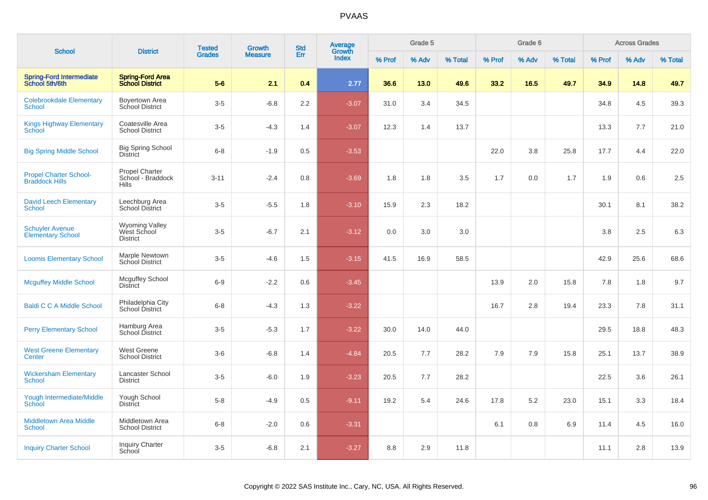| <b>School</b>                                          | <b>District</b>                                            | <b>Tested</b> | <b>Growth</b>  | <b>Std</b> | <b>Average</b><br>Growth |        | Grade 5 |         |        | Grade 6 |         |        | <b>Across Grades</b> |         |
|--------------------------------------------------------|------------------------------------------------------------|---------------|----------------|------------|--------------------------|--------|---------|---------|--------|---------|---------|--------|----------------------|---------|
|                                                        |                                                            | <b>Grades</b> | <b>Measure</b> | Err        | <b>Index</b>             | % Prof | % Adv   | % Total | % Prof | % Adv   | % Total | % Prof | % Adv                | % Total |
| <b>Spring-Ford Intermediate</b><br>School 5th/6th      | <b>Spring-Ford Area</b><br><b>School District</b>          | $5-6$         | 2.1            | 0.4        | 2.77                     | 36.6   | 13.0    | 49.6    | 33.2   | 16.5    | 49.7    | 34.9   | 14.8                 | 49.7    |
| <b>Colebrookdale Elementary</b><br><b>School</b>       | Boyertown Area<br>School District                          | $3-5$         | $-6.8$         | 2.2        | $-3.07$                  | 31.0   | 3.4     | 34.5    |        |         |         | 34.8   | 4.5                  | 39.3    |
| <b>Kings Highway Elementary</b><br>School              | Coatesville Area<br><b>School District</b>                 | $3-5$         | $-4.3$         | 1.4        | $-3.07$                  | 12.3   | 1.4     | 13.7    |        |         |         | 13.3   | 7.7                  | 21.0    |
| <b>Big Spring Middle School</b>                        | <b>Big Spring School</b><br><b>District</b>                | $6 - 8$       | $-1.9$         | 0.5        | $-3.53$                  |        |         |         | 22.0   | 3.8     | 25.8    | 17.7   | 4.4                  | 22.0    |
| <b>Propel Charter School-</b><br><b>Braddock Hills</b> | <b>Propel Charter</b><br>School - Braddock<br><b>Hills</b> | $3 - 11$      | $-2.4$         | 0.8        | $-3.69$                  | 1.8    | 1.8     | 3.5     | 1.7    | 0.0     | 1.7     | 1.9    | 0.6                  | 2.5     |
| <b>David Leech Elementary</b><br><b>School</b>         | Leechburg Area<br>School District                          | $3-5$         | $-5.5$         | 1.8        | $-3.10$                  | 15.9   | 2.3     | 18.2    |        |         |         | 30.1   | 8.1                  | 38.2    |
| <b>Schuyler Avenue</b><br><b>Elementary School</b>     | <b>Wyoming Valley</b><br>West School<br><b>District</b>    | $3-5$         | $-6.7$         | 2.1        | $-3.12$                  | 0.0    | 3.0     | 3.0     |        |         |         | 3.8    | 2.5                  | 6.3     |
| <b>Loomis Elementary School</b>                        | Marple Newtown<br>School District                          | $3-5$         | $-4.6$         | 1.5        | $-3.15$                  | 41.5   | 16.9    | 58.5    |        |         |         | 42.9   | 25.6                 | 68.6    |
| <b>Mcguffey Middle School</b>                          | <b>Mcguffey School</b><br><b>District</b>                  | $6-9$         | $-2.2$         | 0.6        | $-3.45$                  |        |         |         | 13.9   | 2.0     | 15.8    | 7.8    | 1.8                  | 9.7     |
| <b>Baldi C C A Middle School</b>                       | Philadelphia City<br>School District                       | $6 - 8$       | $-4.3$         | 1.3        | $-3.22$                  |        |         |         | 16.7   | 2.8     | 19.4    | 23.3   | 7.8                  | 31.1    |
| <b>Perry Elementary School</b>                         | Hamburg Area<br>School District                            | $3-5$         | $-5.3$         | 1.7        | $-3.22$                  | 30.0   | 14.0    | 44.0    |        |         |         | 29.5   | 18.8                 | 48.3    |
| <b>West Greene Elementary</b><br>Center                | West Greene<br><b>School District</b>                      | $3-6$         | $-6.8$         | 1.4        | $-4.84$                  | 20.5   | 7.7     | 28.2    | 7.9    | 7.9     | 15.8    | 25.1   | 13.7                 | 38.9    |
| <b>Wickersham Elementary</b><br>School                 | Lancaster School<br><b>District</b>                        | $3-5$         | $-6.0$         | 1.9        | $-3.23$                  | 20.5   | 7.7     | 28.2    |        |         |         | 22.5   | 3.6                  | 26.1    |
| Yough Intermediate/Middle<br>School                    | Yough School<br><b>District</b>                            | $5-8$         | $-4.9$         | 0.5        | $-9.11$                  | 19.2   | 5.4     | 24.6    | 17.8   | 5.2     | 23.0    | 15.1   | 3.3                  | 18.4    |
| <b>Middletown Area Middle</b><br><b>School</b>         | Middletown Area<br><b>School District</b>                  | $6 - 8$       | $-2.0$         | 0.6        | $-3.31$                  |        |         |         | 6.1    | 0.8     | 6.9     | 11.4   | 4.5                  | 16.0    |
| <b>Inquiry Charter School</b>                          | <b>Inquiry Charter</b><br>School                           | $3-5$         | $-6.8$         | 2.1        | $-3.27$                  | 8.8    | 2.9     | 11.8    |        |         |         | 11.1   | 2.8                  | 13.9    |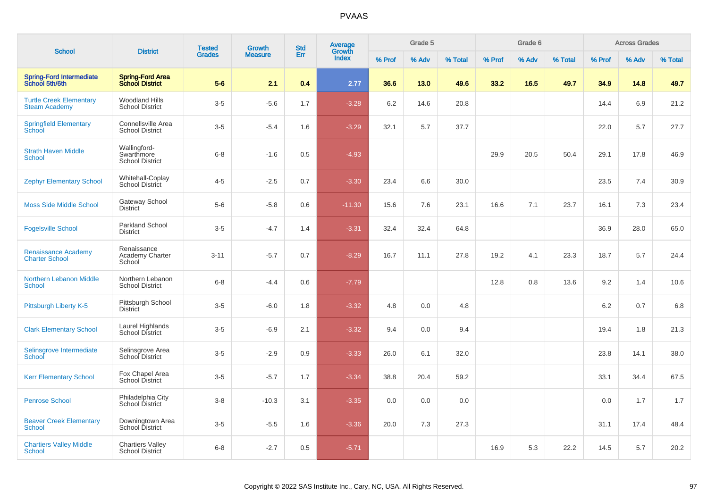|                                                        |                                                      | <b>Tested</b> | <b>Growth</b>  | <b>Std</b> | <b>Average</b><br>Growth |        | Grade 5 |         |        | Grade 6 |         |        | <b>Across Grades</b> |         |
|--------------------------------------------------------|------------------------------------------------------|---------------|----------------|------------|--------------------------|--------|---------|---------|--------|---------|---------|--------|----------------------|---------|
| <b>School</b>                                          | <b>District</b>                                      | <b>Grades</b> | <b>Measure</b> | Err        | <b>Index</b>             | % Prof | % Adv   | % Total | % Prof | % Adv   | % Total | % Prof | % Adv                | % Total |
| <b>Spring-Ford Intermediate</b><br>School 5th/6th      | <b>Spring-Ford Area</b><br><b>School District</b>    | $5-6$         | 2.1            | 0.4        | 2.77                     | 36.6   | 13.0    | 49.6    | 33.2   | 16.5    | 49.7    | 34.9   | 14.8                 | 49.7    |
| <b>Turtle Creek Elementary</b><br><b>Steam Academy</b> | <b>Woodland Hills</b><br><b>School District</b>      | $3-5$         | $-5.6$         | 1.7        | $-3.28$                  | 6.2    | 14.6    | 20.8    |        |         |         | 14.4   | 6.9                  | 21.2    |
| <b>Springfield Elementary</b><br>School                | Connellsville Area<br><b>School District</b>         | $3-5$         | $-5.4$         | 1.6        | $-3.29$                  | 32.1   | 5.7     | 37.7    |        |         |         | 22.0   | 5.7                  | 27.7    |
| <b>Strath Haven Middle</b><br>School                   | Wallingford-<br>Swarthmore<br><b>School District</b> | $6 - 8$       | $-1.6$         | 0.5        | $-4.93$                  |        |         |         | 29.9   | 20.5    | 50.4    | 29.1   | 17.8                 | 46.9    |
| <b>Zephyr Elementary School</b>                        | Whitehall-Coplay<br>School District                  | $4 - 5$       | $-2.5$         | 0.7        | $-3.30$                  | 23.4   | 6.6     | 30.0    |        |         |         | 23.5   | 7.4                  | 30.9    |
| <b>Moss Side Middle School</b>                         | Gateway School<br>District                           | $5-6$         | $-5.8$         | 0.6        | $-11.30$                 | 15.6   | 7.6     | 23.1    | 16.6   | 7.1     | 23.7    | 16.1   | 7.3                  | 23.4    |
| <b>Fogelsville School</b>                              | <b>Parkland School</b><br><b>District</b>            | $3-5$         | $-4.7$         | 1.4        | $-3.31$                  | 32.4   | 32.4    | 64.8    |        |         |         | 36.9   | 28.0                 | 65.0    |
| <b>Renaissance Academy</b><br><b>Charter School</b>    | Renaissance<br>Academy Charter<br>School             | $3 - 11$      | $-5.7$         | 0.7        | $-8.29$                  | 16.7   | 11.1    | 27.8    | 19.2   | 4.1     | 23.3    | 18.7   | 5.7                  | 24.4    |
| <b>Northern Lebanon Middle</b><br>School               | Northern Lebanon<br><b>School District</b>           | $6 - 8$       | $-4.4$         | 0.6        | $-7.79$                  |        |         |         | 12.8   | 0.8     | 13.6    | 9.2    | 1.4                  | 10.6    |
| Pittsburgh Liberty K-5                                 | Pittsburgh School<br>District                        | $3-5$         | $-6.0$         | 1.8        | $-3.32$                  | 4.8    | 0.0     | 4.8     |        |         |         | 6.2    | 0.7                  | 6.8     |
| <b>Clark Elementary School</b>                         | Laurel Highlands<br>School District                  | $3-5$         | $-6.9$         | 2.1        | $-3.32$                  | 9.4    | 0.0     | 9.4     |        |         |         | 19.4   | 1.8                  | 21.3    |
| Selinsgrove Intermediate<br>School                     | Selinsgrove Area<br>School District                  | $3-5$         | $-2.9$         | 0.9        | $-3.33$                  | 26.0   | 6.1     | 32.0    |        |         |         | 23.8   | 14.1                 | 38.0    |
| <b>Kerr Elementary School</b>                          | Fox Chapel Area<br><b>School District</b>            | $3-5$         | $-5.7$         | 1.7        | $-3.34$                  | 38.8   | 20.4    | 59.2    |        |         |         | 33.1   | 34.4                 | 67.5    |
| <b>Penrose School</b>                                  | Philadelphia City<br>School District                 | $3 - 8$       | $-10.3$        | 3.1        | $-3.35$                  | 0.0    | 0.0     | 0.0     |        |         |         | 0.0    | 1.7                  | 1.7     |
| <b>Beaver Creek Elementary</b><br>School               | Downingtown Area<br>School District                  | $3-5$         | $-5.5$         | 1.6        | $-3.36$                  | 20.0   | 7.3     | 27.3    |        |         |         | 31.1   | 17.4                 | 48.4    |
| <b>Chartiers Valley Middle</b><br><b>School</b>        | <b>Chartiers Valley</b><br><b>School District</b>    | $6 - 8$       | $-2.7$         | 0.5        | $-5.71$                  |        |         |         | 16.9   | 5.3     | 22.2    | 14.5   | 5.7                  | 20.2    |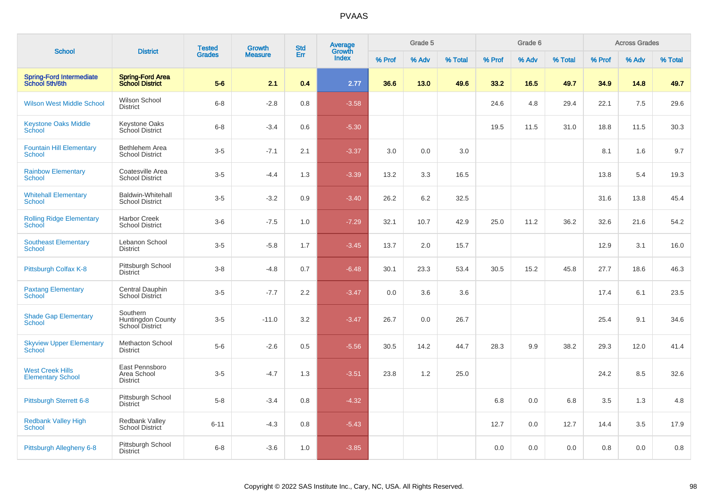| <b>School</b>                                       | <b>District</b>                                         | <b>Tested</b> | <b>Growth</b>  | <b>Std</b> | <b>Average</b><br>Growth |        | Grade 5 |         |        | Grade 6 |         |         | <b>Across Grades</b> |         |
|-----------------------------------------------------|---------------------------------------------------------|---------------|----------------|------------|--------------------------|--------|---------|---------|--------|---------|---------|---------|----------------------|---------|
|                                                     |                                                         | <b>Grades</b> | <b>Measure</b> | Err        | <b>Index</b>             | % Prof | % Adv   | % Total | % Prof | % Adv   | % Total | % Prof  | % Adv                | % Total |
| <b>Spring-Ford Intermediate</b><br>School 5th/6th   | <b>Spring-Ford Area</b><br><b>School District</b>       | $5-6$         | 2.1            | 0.4        | 2.77                     | 36.6   | 13.0    | 49.6    | 33.2   | 16.5    | 49.7    | 34.9    | 14.8                 | 49.7    |
| <b>Wilson West Middle School</b>                    | Wilson School<br><b>District</b>                        | $6 - 8$       | $-2.8$         | 0.8        | $-3.58$                  |        |         |         | 24.6   | 4.8     | 29.4    | 22.1    | 7.5                  | 29.6    |
| <b>Keystone Oaks Middle</b><br>School               | <b>Keystone Oaks</b><br>School District                 | $6 - 8$       | $-3.4$         | 0.6        | $-5.30$                  |        |         |         | 19.5   | 11.5    | 31.0    | 18.8    | 11.5                 | 30.3    |
| <b>Fountain Hill Elementary</b><br>School           | Bethlehem Area<br><b>School District</b>                | $3-5$         | $-7.1$         | 2.1        | $-3.37$                  | 3.0    | 0.0     | 3.0     |        |         |         | 8.1     | 1.6                  | 9.7     |
| <b>Rainbow Elementary</b><br><b>School</b>          | Coatesville Area<br><b>School District</b>              | $3-5$         | $-4.4$         | 1.3        | $-3.39$                  | 13.2   | 3.3     | 16.5    |        |         |         | 13.8    | 5.4                  | 19.3    |
| <b>Whitehall Elementary</b><br><b>School</b>        | Baldwin-Whitehall<br><b>School District</b>             | $3-5$         | $-3.2$         | 0.9        | $-3.40$                  | 26.2   | 6.2     | 32.5    |        |         |         | 31.6    | 13.8                 | 45.4    |
| <b>Rolling Ridge Elementary</b><br>School           | <b>Harbor Creek</b><br><b>School District</b>           | $3-6$         | $-7.5$         | 1.0        | $-7.29$                  | 32.1   | 10.7    | 42.9    | 25.0   | 11.2    | 36.2    | 32.6    | 21.6                 | 54.2    |
| <b>Southeast Elementary</b><br><b>School</b>        | Lebanon School<br><b>District</b>                       | $3-5$         | $-5.8$         | 1.7        | $-3.45$                  | 13.7   | 2.0     | 15.7    |        |         |         | 12.9    | 3.1                  | 16.0    |
| Pittsburgh Colfax K-8                               | Pittsburgh School<br><b>District</b>                    | $3 - 8$       | $-4.8$         | 0.7        | $-6.48$                  | 30.1   | 23.3    | 53.4    | 30.5   | 15.2    | 45.8    | 27.7    | 18.6                 | 46.3    |
| <b>Paxtang Elementary</b><br>School                 | Central Dauphin<br>School District                      | $3-5$         | $-7.7$         | 2.2        | $-3.47$                  | 0.0    | 3.6     | 3.6     |        |         |         | 17.4    | 6.1                  | 23.5    |
| <b>Shade Gap Elementary</b><br>School               | Southern<br><b>Huntingdon County</b><br>School District | $3-5$         | $-11.0$        | 3.2        | $-3.47$                  | 26.7   | 0.0     | 26.7    |        |         |         | 25.4    | 9.1                  | 34.6    |
| <b>Skyview Upper Elementary</b><br>School           | <b>Methacton School</b><br><b>District</b>              | $5-6$         | $-2.6$         | 0.5        | $-5.56$                  | 30.5   | 14.2    | 44.7    | 28.3   | 9.9     | 38.2    | 29.3    | 12.0                 | 41.4    |
| <b>West Creek Hills</b><br><b>Elementary School</b> | East Pennsboro<br>Area School<br><b>District</b>        | $3-5$         | $-4.7$         | 1.3        | $-3.51$                  | 23.8   | 1.2     | 25.0    |        |         |         | 24.2    | 8.5                  | 32.6    |
| <b>Pittsburgh Sterrett 6-8</b>                      | Pittsburgh School<br><b>District</b>                    | $5-8$         | $-3.4$         | 0.8        | $-4.32$                  |        |         |         | 6.8    | 0.0     | 6.8     | 3.5     | 1.3                  | 4.8     |
| Redbank Valley High<br><b>School</b>                | Redbank Valley<br>School District                       | $6 - 11$      | $-4.3$         | 0.8        | $-5.43$                  |        |         |         | 12.7   | 0.0     | 12.7    | 14.4    | 3.5                  | 17.9    |
| Pittsburgh Allegheny 6-8                            | Pittsburgh School<br><b>District</b>                    | $6 - 8$       | $-3.6$         | 1.0        | $-3.85$                  |        |         |         | 0.0    | 0.0     | 0.0     | $0.8\,$ | 0.0                  | 0.8     |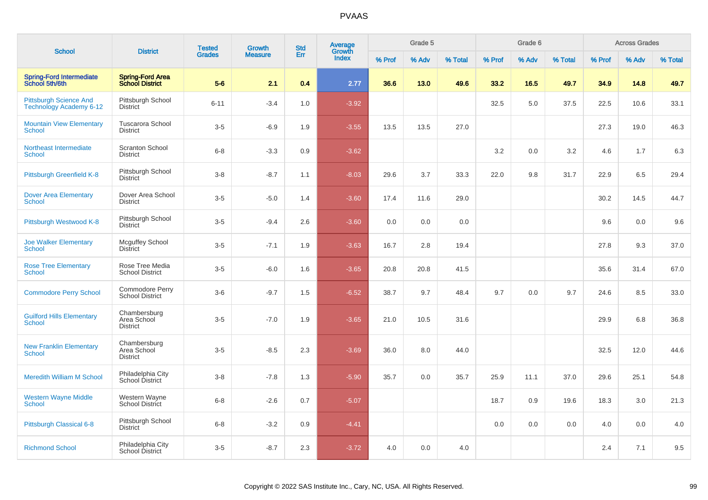| <b>School</b>                                                   | <b>District</b>                                   | <b>Tested</b> | <b>Growth</b>  | <b>Std</b> | <b>Average</b><br>Growth |        | Grade 5 |         |        | Grade 6 |         |        | <b>Across Grades</b> |         |
|-----------------------------------------------------------------|---------------------------------------------------|---------------|----------------|------------|--------------------------|--------|---------|---------|--------|---------|---------|--------|----------------------|---------|
|                                                                 |                                                   | <b>Grades</b> | <b>Measure</b> | Err        | <b>Index</b>             | % Prof | % Adv   | % Total | % Prof | % Adv   | % Total | % Prof | % Adv                | % Total |
| <b>Spring-Ford Intermediate</b><br>School 5th/6th               | <b>Spring-Ford Area</b><br><b>School District</b> | $5-6$         | 2.1            | 0.4        | 2.77                     | 36.6   | 13.0    | 49.6    | 33.2   | 16.5    | 49.7    | 34.9   | 14.8                 | 49.7    |
| <b>Pittsburgh Science And</b><br><b>Technology Academy 6-12</b> | Pittsburgh School<br><b>District</b>              | $6 - 11$      | $-3.4$         | 1.0        | $-3.92$                  |        |         |         | 32.5   | 5.0     | 37.5    | 22.5   | 10.6                 | 33.1    |
| <b>Mountain View Elementary</b><br><b>School</b>                | <b>Tuscarora School</b><br><b>District</b>        | $3-5$         | $-6.9$         | 1.9        | $-3.55$                  | 13.5   | 13.5    | 27.0    |        |         |         | 27.3   | 19.0                 | 46.3    |
| Northeast Intermediate<br>School                                | Scranton School<br><b>District</b>                | $6 - 8$       | $-3.3$         | 0.9        | $-3.62$                  |        |         |         | 3.2    | 0.0     | 3.2     | 4.6    | 1.7                  | 6.3     |
| Pittsburgh Greenfield K-8                                       | Pittsburgh School<br><b>District</b>              | $3 - 8$       | $-8.7$         | 1.1        | $-8.03$                  | 29.6   | 3.7     | 33.3    | 22.0   | 9.8     | 31.7    | 22.9   | 6.5                  | 29.4    |
| <b>Dover Area Elementary</b><br><b>School</b>                   | Dover Area School<br><b>District</b>              | $3-5$         | $-5.0$         | 1.4        | $-3.60$                  | 17.4   | 11.6    | 29.0    |        |         |         | 30.2   | 14.5                 | 44.7    |
| Pittsburgh Westwood K-8                                         | Pittsburgh School<br><b>District</b>              | $3-5$         | $-9.4$         | 2.6        | $-3.60$                  | 0.0    | 0.0     | 0.0     |        |         |         | 9.6    | 0.0                  | 9.6     |
| <b>Joe Walker Elementary</b><br>School                          | <b>Mcguffey School</b><br><b>District</b>         | $3-5$         | $-7.1$         | 1.9        | $-3.63$                  | 16.7   | 2.8     | 19.4    |        |         |         | 27.8   | 9.3                  | 37.0    |
| <b>Rose Tree Elementary</b><br><b>School</b>                    | Rose Tree Media<br><b>School District</b>         | $3-5$         | $-6.0$         | 1.6        | $-3.65$                  | 20.8   | 20.8    | 41.5    |        |         |         | 35.6   | 31.4                 | 67.0    |
| <b>Commodore Perry School</b>                                   | Commodore Perry<br><b>School District</b>         | $3-6$         | $-9.7$         | 1.5        | $-6.52$                  | 38.7   | 9.7     | 48.4    | 9.7    | 0.0     | 9.7     | 24.6   | 8.5                  | 33.0    |
| <b>Guilford Hills Elementary</b><br>School                      | Chambersburg<br>Area School<br><b>District</b>    | $3-5$         | $-7.0$         | 1.9        | $-3.65$                  | 21.0   | 10.5    | 31.6    |        |         |         | 29.9   | 6.8                  | 36.8    |
| <b>New Franklin Elementary</b><br>School                        | Chambersburg<br>Area School<br><b>District</b>    | $3-5$         | $-8.5$         | 2.3        | $-3.69$                  | 36.0   | 8.0     | 44.0    |        |         |         | 32.5   | 12.0                 | 44.6    |
| <b>Meredith William M School</b>                                | Philadelphia City<br>School District              | $3 - 8$       | $-7.8$         | 1.3        | $-5.90$                  | 35.7   | 0.0     | 35.7    | 25.9   | 11.1    | 37.0    | 29.6   | 25.1                 | 54.8    |
| <b>Western Wayne Middle</b><br>School                           | Western Wayne<br>School District                  | $6 - 8$       | $-2.6$         | 0.7        | $-5.07$                  |        |         |         | 18.7   | 0.9     | 19.6    | 18.3   | 3.0                  | 21.3    |
| Pittsburgh Classical 6-8                                        | Pittsburgh School<br><b>District</b>              | $6 - 8$       | $-3.2$         | 0.9        | $-4.41$                  |        |         |         | 0.0    | 0.0     | 0.0     | 4.0    | 0.0                  | 4.0     |
| <b>Richmond School</b>                                          | Philadelphia City<br><b>School District</b>       | $3-5$         | $-8.7$         | 2.3        | $-3.72$                  | 4.0    | 0.0     | 4.0     |        |         |         | 2.4    | 7.1                  | 9.5     |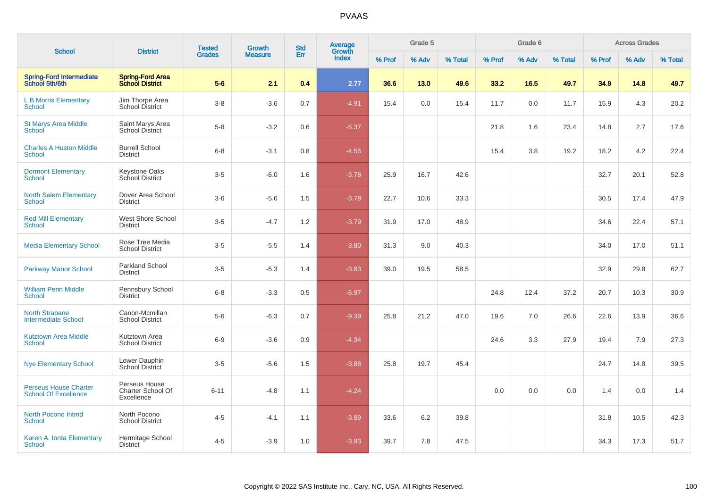| <b>School</b>                                               | <b>District</b>                                   | <b>Tested</b> | Growth         | <b>Std</b> | <b>Average</b><br>Growth |        | Grade 5 |         |        | Grade 6 |         |        | <b>Across Grades</b> |         |
|-------------------------------------------------------------|---------------------------------------------------|---------------|----------------|------------|--------------------------|--------|---------|---------|--------|---------|---------|--------|----------------------|---------|
|                                                             |                                                   | <b>Grades</b> | <b>Measure</b> | Err        | Index                    | % Prof | % Adv   | % Total | % Prof | % Adv   | % Total | % Prof | % Adv                | % Total |
| <b>Spring-Ford Intermediate</b><br>School 5th/6th           | <b>Spring-Ford Area</b><br><b>School District</b> | $5-6$         | 2.1            | 0.4        | 2.77                     | 36.6   | 13.0    | 49.6    | 33.2   | 16.5    | 49.7    | 34.9   | 14.8                 | 49.7    |
| <b>L B Morris Elementary</b><br><b>School</b>               | Jim Thorpe Area<br><b>School District</b>         | $3-8$         | $-3.6$         | 0.7        | $-4.91$                  | 15.4   | 0.0     | 15.4    | 11.7   | 0.0     | 11.7    | 15.9   | 4.3                  | 20.2    |
| <b>St Marys Area Middle</b><br>School                       | Saint Marys Area<br><b>School District</b>        | $5 - 8$       | $-3.2$         | 0.6        | $-5.37$                  |        |         |         | 21.8   | 1.6     | 23.4    | 14.8   | 2.7                  | 17.6    |
| <b>Charles A Huston Middle</b><br>School                    | <b>Burrell School</b><br><b>District</b>          | $6 - 8$       | $-3.1$         | 0.8        | $-4.55$                  |        |         |         | 15.4   | 3.8     | 19.2    | 18.2   | 4.2                  | 22.4    |
| <b>Dormont Elementary</b><br><b>School</b>                  | Keystone Oaks<br>School District                  | $3-5$         | $-6.0$         | 1.6        | $-3.78$                  | 25.9   | 16.7    | 42.6    |        |         |         | 32.7   | 20.1                 | 52.8    |
| <b>North Salem Elementary</b><br><b>School</b>              | Dover Area School<br><b>District</b>              | $3-6$         | $-5.6$         | 1.5        | $-3.78$                  | 22.7   | 10.6    | 33.3    |        |         |         | 30.5   | 17.4                 | 47.9    |
| <b>Red Mill Elementary</b><br>School                        | <b>West Shore School</b><br><b>District</b>       | $3-5$         | $-4.7$         | 1.2        | $-3.79$                  | 31.9   | 17.0    | 48.9    |        |         |         | 34.6   | 22.4                 | 57.1    |
| <b>Media Elementary School</b>                              | Rose Tree Media<br><b>School District</b>         | $3-5$         | $-5.5$         | 1.4        | $-3.80$                  | 31.3   | 9.0     | 40.3    |        |         |         | 34.0   | 17.0                 | 51.1    |
| <b>Parkway Manor School</b>                                 | Parkland School<br><b>District</b>                | $3-5$         | $-5.3$         | 1.4        | $-3.83$                  | 39.0   | 19.5    | 58.5    |        |         |         | 32.9   | 29.8                 | 62.7    |
| <b>William Penn Middle</b><br><b>School</b>                 | Pennsbury School<br><b>District</b>               | $6 - 8$       | $-3.3$         | 0.5        | $-6.97$                  |        |         |         | 24.8   | 12.4    | 37.2    | 20.7   | 10.3                 | 30.9    |
| <b>North Strabane</b><br><b>Intermediate School</b>         | Canon-Mcmillan<br><b>School District</b>          | $5-6$         | $-6.3$         | 0.7        | $-9.39$                  | 25.8   | 21.2    | 47.0    | 19.6   | 7.0     | 26.6    | 22.6   | 13.9                 | 36.6    |
| <b>Kutztown Area Middle</b><br>School                       | Kutztown Area<br><b>School District</b>           | $6-9$         | $-3.6$         | 0.9        | $-4.34$                  |        |         |         | 24.6   | 3.3     | 27.9    | 19.4   | 7.9                  | 27.3    |
| <b>Nye Elementary School</b>                                | Lower Dauphin<br><b>School District</b>           | $3-5$         | $-5.6$         | 1.5        | $-3.88$                  | 25.8   | 19.7    | 45.4    |        |         |         | 24.7   | 14.8                 | 39.5    |
| <b>Perseus House Charter</b><br><b>School Of Excellence</b> | Perseus House<br>Charter School Of<br>Excellence  | $6 - 11$      | $-4.8$         | 1.1        | $-4.24$                  |        |         |         | 0.0    | 0.0     | 0.0     | 1.4    | 0.0                  | 1.4     |
| <b>North Pocono Intmd</b><br><b>School</b>                  | North Pocono<br><b>School District</b>            | $4 - 5$       | $-4.1$         | 1.1        | $-3.89$                  | 33.6   | 6.2     | 39.8    |        |         |         | 31.8   | 10.5                 | 42.3    |
| Karen A. Ionta Elementary<br>School                         | Hermitage School<br><b>District</b>               | $4 - 5$       | $-3.9$         | 1.0        | $-3.93$                  | 39.7   | 7.8     | 47.5    |        |         |         | 34.3   | 17.3                 | 51.7    |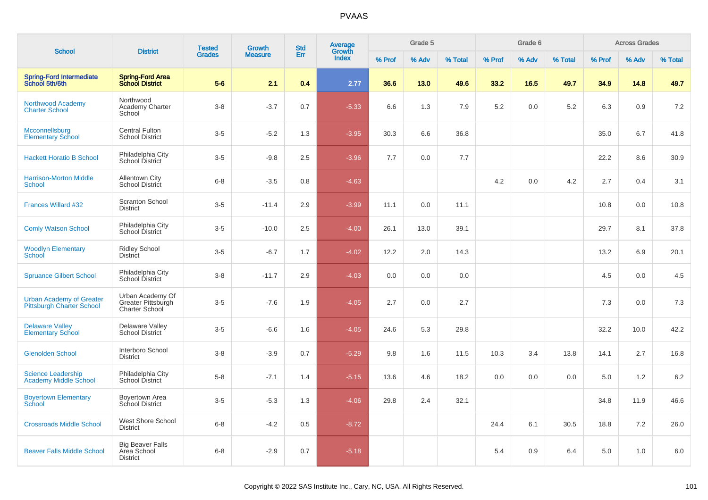| <b>School</b>                                                       | <b>District</b>                                           | <b>Tested</b> | Growth         | <b>Std</b> | <b>Average</b><br>Growth |        | Grade 5 |         |        | Grade 6 |         |        | <b>Across Grades</b> |         |
|---------------------------------------------------------------------|-----------------------------------------------------------|---------------|----------------|------------|--------------------------|--------|---------|---------|--------|---------|---------|--------|----------------------|---------|
|                                                                     |                                                           | <b>Grades</b> | <b>Measure</b> | Err        | Index                    | % Prof | % Adv   | % Total | % Prof | % Adv   | % Total | % Prof | % Adv                | % Total |
| Spring-Ford Intermediate<br>School 5th/6th                          | <b>Spring-Ford Area</b><br><b>School District</b>         | $5-6$         | 2.1            | 0.4        | 2.77                     | 36.6   | 13.0    | 49.6    | 33.2   | 16.5    | 49.7    | 34.9   | 14.8                 | 49.7    |
| Northwood Academy<br><b>Charter School</b>                          | Northwood<br><b>Academy Charter</b><br>School             | $3-8$         | $-3.7$         | 0.7        | $-5.33$                  | 6.6    | 1.3     | 7.9     | 5.2    | 0.0     | 5.2     | 6.3    | 0.9                  | 7.2     |
| Mcconnellsburg<br><b>Elementary School</b>                          | <b>Central Fulton</b><br><b>School District</b>           | $3-5$         | $-5.2$         | 1.3        | $-3.95$                  | 30.3   | 6.6     | 36.8    |        |         |         | 35.0   | 6.7                  | 41.8    |
| <b>Hackett Horatio B School</b>                                     | Philadelphia City<br>School District                      | $3-5$         | $-9.8$         | 2.5        | $-3.96$                  | 7.7    | 0.0     | 7.7     |        |         |         | 22.2   | 8.6                  | 30.9    |
| <b>Harrison-Morton Middle</b><br>School                             | Allentown City<br><b>School District</b>                  | $6 - 8$       | $-3.5$         | 0.8        | $-4.63$                  |        |         |         | 4.2    | 0.0     | 4.2     | 2.7    | 0.4                  | 3.1     |
| Frances Willard #32                                                 | <b>Scranton School</b><br><b>District</b>                 | $3-5$         | $-11.4$        | 2.9        | $-3.99$                  | 11.1   | 0.0     | 11.1    |        |         |         | 10.8   | 0.0                  | 10.8    |
| <b>Comly Watson School</b>                                          | Philadelphia City<br>School District                      | $3-5$         | $-10.0$        | 2.5        | $-4.00$                  | 26.1   | 13.0    | 39.1    |        |         |         | 29.7   | 8.1                  | 37.8    |
| <b>Woodlyn Elementary</b><br>School                                 | <b>Ridley School</b><br><b>District</b>                   | $3-5$         | $-6.7$         | 1.7        | $-4.02$                  | 12.2   | 2.0     | 14.3    |        |         |         | 13.2   | 6.9                  | 20.1    |
| <b>Spruance Gilbert School</b>                                      | Philadelphia City<br>School District                      | $3 - 8$       | $-11.7$        | 2.9        | $-4.03$                  | 0.0    | 0.0     | 0.0     |        |         |         | 4.5    | 0.0                  | 4.5     |
| <b>Urban Academy of Greater</b><br><b>Pittsburgh Charter School</b> | Urban Academy Of<br>Greater Pittsburgh<br>Charter School  | $3-5$         | $-7.6$         | 1.9        | $-4.05$                  | 2.7    | 0.0     | 2.7     |        |         |         | 7.3    | 0.0                  | 7.3     |
| <b>Delaware Valley</b><br><b>Elementary School</b>                  | Delaware Valley<br><b>School District</b>                 | $3-5$         | $-6.6$         | 1.6        | $-4.05$                  | 24.6   | 5.3     | 29.8    |        |         |         | 32.2   | 10.0                 | 42.2    |
| <b>Glenolden School</b>                                             | Interboro School<br><b>District</b>                       | $3 - 8$       | $-3.9$         | 0.7        | $-5.29$                  | 9.8    | 1.6     | 11.5    | 10.3   | 3.4     | 13.8    | 14.1   | 2.7                  | 16.8    |
| <b>Science Leadership</b><br><b>Academy Middle School</b>           | Philadelphia City<br>School District                      | $5-8$         | $-7.1$         | 1.4        | $-5.15$                  | 13.6   | 4.6     | 18.2    | 0.0    | 0.0     | 0.0     | 5.0    | 1.2                  | 6.2     |
| <b>Boyertown Elementary</b><br>School                               | Boyertown Area<br>School District                         | $3-5$         | $-5.3$         | 1.3        | $-4.06$                  | 29.8   | 2.4     | 32.1    |        |         |         | 34.8   | 11.9                 | 46.6    |
| <b>Crossroads Middle School</b>                                     | West Shore School<br><b>District</b>                      | $6 - 8$       | $-4.2$         | 0.5        | $-8.72$                  |        |         |         | 24.4   | 6.1     | 30.5    | 18.8   | 7.2                  | 26.0    |
| <b>Beaver Falls Middle School</b>                                   | <b>Big Beaver Falls</b><br>Area School<br><b>District</b> | $6 - 8$       | $-2.9$         | 0.7        | $-5.18$                  |        |         |         | 5.4    | 0.9     | 6.4     | 5.0    | 1.0                  | 6.0     |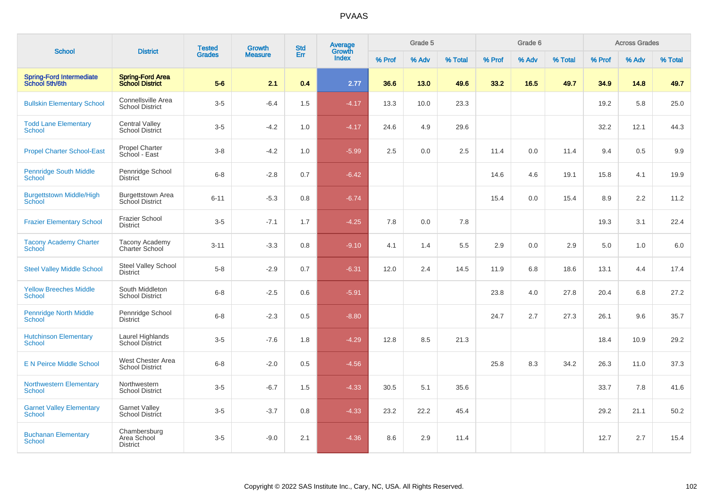| <b>School</b>                                     | <b>District</b>                                    | <b>Tested</b> | <b>Growth</b>  | <b>Std</b> | Average<br>Growth |        | Grade 5 |         |        | Grade 6 |         |        | <b>Across Grades</b> |         |
|---------------------------------------------------|----------------------------------------------------|---------------|----------------|------------|-------------------|--------|---------|---------|--------|---------|---------|--------|----------------------|---------|
|                                                   |                                                    | <b>Grades</b> | <b>Measure</b> | Err        | <b>Index</b>      | % Prof | % Adv   | % Total | % Prof | % Adv   | % Total | % Prof | % Adv                | % Total |
| <b>Spring-Ford Intermediate</b><br>School 5th/6th | <b>Spring-Ford Area</b><br><b>School District</b>  | $5-6$         | 2.1            | 0.4        | 2.77              | 36.6   | 13.0    | 49.6    | 33.2   | 16.5    | 49.7    | 34.9   | 14.8                 | 49.7    |
| <b>Bullskin Elementary School</b>                 | Connellsville Area<br><b>School District</b>       | $3-5$         | $-6.4$         | 1.5        | $-4.17$           | 13.3   | 10.0    | 23.3    |        |         |         | 19.2   | 5.8                  | 25.0    |
| <b>Todd Lane Elementary</b><br><b>School</b>      | <b>Central Valley</b><br>School District           | $3-5$         | $-4.2$         | 1.0        | $-4.17$           | 24.6   | 4.9     | 29.6    |        |         |         | 32.2   | 12.1                 | 44.3    |
| <b>Propel Charter School-East</b>                 | Propel Charter<br>School - East                    | $3-8$         | $-4.2$         | 1.0        | $-5.99$           | 2.5    | 0.0     | 2.5     | 11.4   | 0.0     | 11.4    | 9.4    | 0.5                  | 9.9     |
| <b>Pennridge South Middle</b><br><b>School</b>    | Pennridge School<br><b>District</b>                | $6-8$         | $-2.8$         | 0.7        | $-6.42$           |        |         |         | 14.6   | 4.6     | 19.1    | 15.8   | 4.1                  | 19.9    |
| <b>Burgettstown Middle/High</b><br>School         | <b>Burgettstown Area</b><br><b>School District</b> | $6 - 11$      | $-5.3$         | 0.8        | $-6.74$           |        |         |         | 15.4   | 0.0     | 15.4    | 8.9    | 2.2                  | 11.2    |
| <b>Frazier Elementary School</b>                  | <b>Frazier School</b><br><b>District</b>           | $3-5$         | $-7.1$         | 1.7        | $-4.25$           | 7.8    | 0.0     | 7.8     |        |         |         | 19.3   | 3.1                  | 22.4    |
| <b>Tacony Academy Charter</b><br>School           | <b>Tacony Academy</b><br>Charter School            | $3 - 11$      | $-3.3$         | 0.8        | $-9.10$           | 4.1    | 1.4     | 5.5     | 2.9    | 0.0     | 2.9     | 5.0    | 1.0                  | $6.0\,$ |
| <b>Steel Valley Middle School</b>                 | Steel Valley School<br><b>District</b>             | $5-8$         | $-2.9$         | 0.7        | $-6.31$           | 12.0   | 2.4     | 14.5    | 11.9   | 6.8     | 18.6    | 13.1   | 4.4                  | 17.4    |
| <b>Yellow Breeches Middle</b><br>School           | South Middleton<br><b>School District</b>          | $6-8$         | $-2.5$         | 0.6        | $-5.91$           |        |         |         | 23.8   | 4.0     | 27.8    | 20.4   | 6.8                  | 27.2    |
| <b>Pennridge North Middle</b><br><b>School</b>    | Pennridge School<br><b>District</b>                | $6-8$         | $-2.3$         | 0.5        | $-8.80$           |        |         |         | 24.7   | 2.7     | 27.3    | 26.1   | 9.6                  | 35.7    |
| <b>Hutchinson Elementary</b><br>School            | Laurel Highlands<br>School District                | $3-5$         | $-7.6$         | 1.8        | $-4.29$           | 12.8   | 8.5     | 21.3    |        |         |         | 18.4   | 10.9                 | 29.2    |
| <b>E N Peirce Middle School</b>                   | West Chester Area<br><b>School District</b>        | $6-8$         | $-2.0$         | 0.5        | $-4.56$           |        |         |         | 25.8   | 8.3     | 34.2    | 26.3   | 11.0                 | 37.3    |
| <b>Northwestern Elementary</b><br><b>School</b>   | Northwestern<br><b>School District</b>             | $3-5$         | $-6.7$         | 1.5        | $-4.33$           | 30.5   | 5.1     | 35.6    |        |         |         | 33.7   | 7.8                  | 41.6    |
| <b>Garnet Valley Elementary</b><br><b>School</b>  | <b>Garnet Valley</b><br><b>School District</b>     | $3-5$         | $-3.7$         | 0.8        | $-4.33$           | 23.2   | 22.2    | 45.4    |        |         |         | 29.2   | 21.1                 | 50.2    |
| <b>Buchanan Elementary</b><br>School              | Chambersburg<br>Area School<br><b>District</b>     | $3-5$         | $-9.0$         | 2.1        | $-4.36$           | 8.6    | 2.9     | 11.4    |        |         |         | 12.7   | 2.7                  | 15.4    |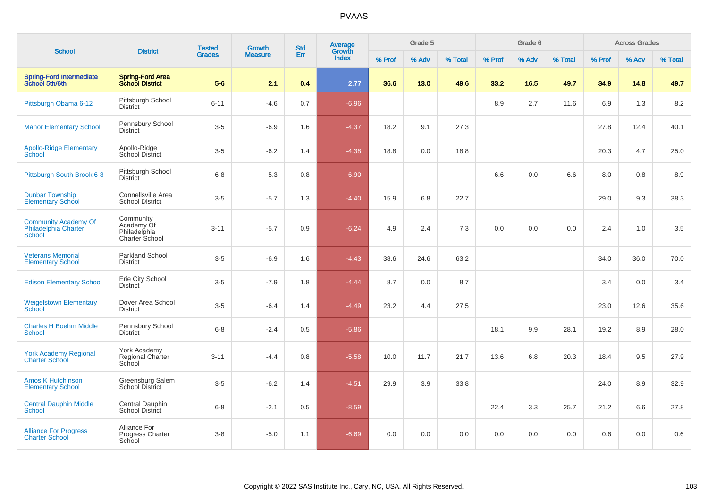| <b>School</b>                                                        |                                                           | <b>Tested</b> | Growth         | <b>Std</b> | Average<br>Growth |        | Grade 5 |         |        | Grade 6 |         |        | <b>Across Grades</b> |         |
|----------------------------------------------------------------------|-----------------------------------------------------------|---------------|----------------|------------|-------------------|--------|---------|---------|--------|---------|---------|--------|----------------------|---------|
|                                                                      | <b>District</b>                                           | <b>Grades</b> | <b>Measure</b> | Err        | <b>Index</b>      | % Prof | % Adv   | % Total | % Prof | % Adv   | % Total | % Prof | % Adv                | % Total |
| <b>Spring-Ford Intermediate</b><br>School 5th/6th                    | <b>Spring-Ford Area</b><br><b>School District</b>         | $5-6$         | 2.1            | 0.4        | 2.77              | 36.6   | 13.0    | 49.6    | 33.2   | 16.5    | 49.7    | 34.9   | 14.8                 | 49.7    |
| Pittsburgh Obama 6-12                                                | Pittsburgh School<br><b>District</b>                      | $6 - 11$      | $-4.6$         | 0.7        | $-6.96$           |        |         |         | 8.9    | 2.7     | 11.6    | 6.9    | 1.3                  | 8.2     |
| <b>Manor Elementary School</b>                                       | Pennsbury School<br><b>District</b>                       | $3-5$         | $-6.9$         | 1.6        | $-4.37$           | 18.2   | 9.1     | 27.3    |        |         |         | 27.8   | 12.4                 | 40.1    |
| <b>Apollo-Ridge Elementary</b><br>School                             | Apollo-Ridge<br>School District                           | $3-5$         | $-6.2$         | 1.4        | $-4.38$           | 18.8   | 0.0     | 18.8    |        |         |         | 20.3   | 4.7                  | 25.0    |
| Pittsburgh South Brook 6-8                                           | Pittsburgh School<br><b>District</b>                      | $6 - 8$       | $-5.3$         | 0.8        | $-6.90$           |        |         |         | 6.6    | 0.0     | 6.6     | 8.0    | 0.8                  | 8.9     |
| <b>Dunbar Township</b><br><b>Elementary School</b>                   | Connellsville Area<br><b>School District</b>              | $3-5$         | $-5.7$         | 1.3        | $-4.40$           | 15.9   | 6.8     | 22.7    |        |         |         | 29.0   | 9.3                  | 38.3    |
| <b>Community Academy Of</b><br>Philadelphia Charter<br><b>School</b> | Community<br>Academy Of<br>Philadelphia<br>Charter School | $3 - 11$      | $-5.7$         | 0.9        | $-6.24$           | 4.9    | 2.4     | 7.3     | 0.0    | 0.0     | 0.0     | 2.4    | 1.0                  | 3.5     |
| <b>Veterans Memorial</b><br><b>Elementary School</b>                 | Parkland School<br><b>District</b>                        | $3-5$         | $-6.9$         | 1.6        | $-4.43$           | 38.6   | 24.6    | 63.2    |        |         |         | 34.0   | 36.0                 | 70.0    |
| <b>Edison Elementary School</b>                                      | Erie City School<br><b>District</b>                       | $3 - 5$       | $-7.9$         | 1.8        | $-4.44$           | 8.7    | 0.0     | 8.7     |        |         |         | 3.4    | 0.0                  | 3.4     |
| <b>Weigelstown Elementary</b><br><b>School</b>                       | Dover Area School<br><b>District</b>                      | $3-5$         | $-6.4$         | 1.4        | $-4.49$           | 23.2   | 4.4     | 27.5    |        |         |         | 23.0   | 12.6                 | 35.6    |
| <b>Charles H Boehm Middle</b><br><b>School</b>                       | Pennsbury School<br><b>District</b>                       | $6 - 8$       | $-2.4$         | 0.5        | $-5.86$           |        |         |         | 18.1   | 9.9     | 28.1    | 19.2   | 8.9                  | 28.0    |
| <b>York Academy Regional</b><br><b>Charter School</b>                | York Academy<br><b>Regional Charter</b><br>School         | $3 - 11$      | $-4.4$         | 0.8        | $-5.58$           | 10.0   | 11.7    | 21.7    | 13.6   | 6.8     | 20.3    | 18.4   | 9.5                  | 27.9    |
| <b>Amos K Hutchinson</b><br><b>Elementary School</b>                 | Greensburg Salem<br>School District                       | $3-5$         | $-6.2$         | 1.4        | $-4.51$           | 29.9   | 3.9     | 33.8    |        |         |         | 24.0   | 8.9                  | 32.9    |
| <b>Central Dauphin Middle</b><br><b>School</b>                       | Central Dauphin<br><b>School District</b>                 | $6 - 8$       | $-2.1$         | 0.5        | $-8.59$           |        |         |         | 22.4   | 3.3     | 25.7    | 21.2   | 6.6                  | 27.8    |
| <b>Alliance For Progress</b><br><b>Charter School</b>                | Alliance For<br>Progress Charter<br>School                | $3 - 8$       | $-5.0$         | 1.1        | $-6.69$           | 0.0    | 0.0     | 0.0     | 0.0    | 0.0     | 0.0     | 0.6    | 0.0                  | 0.6     |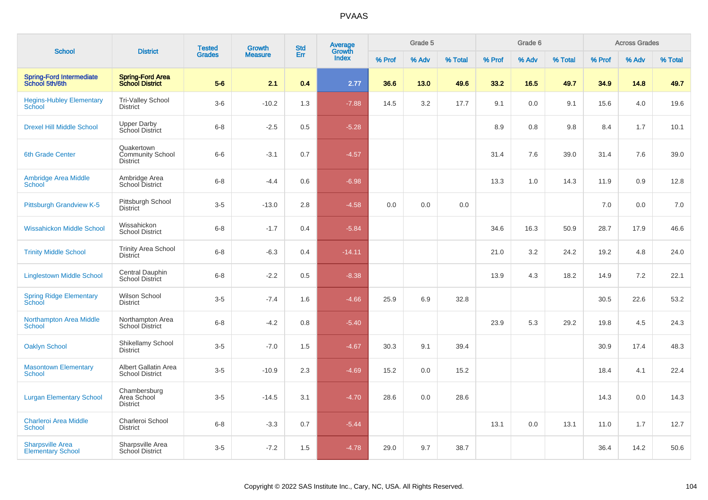| <b>School</b>                                       | <b>District</b>                                          | <b>Tested</b> | <b>Growth</b>  | <b>Std</b> | Average<br>Growth |        | Grade 5 |         |        | Grade 6 |         |        | <b>Across Grades</b> |         |
|-----------------------------------------------------|----------------------------------------------------------|---------------|----------------|------------|-------------------|--------|---------|---------|--------|---------|---------|--------|----------------------|---------|
|                                                     |                                                          | <b>Grades</b> | <b>Measure</b> | Err        | <b>Index</b>      | % Prof | % Adv   | % Total | % Prof | % Adv   | % Total | % Prof | % Adv                | % Total |
| <b>Spring-Ford Intermediate</b><br>School 5th/6th   | <b>Spring-Ford Area</b><br><b>School District</b>        | $5-6$         | 2.1            | 0.4        | 2.77              | 36.6   | 13.0    | 49.6    | 33.2   | 16.5    | 49.7    | 34.9   | 14.8                 | 49.7    |
| <b>Hegins-Hubley Elementary</b><br>School           | <b>Tri-Valley School</b><br><b>District</b>              | $3-6$         | $-10.2$        | 1.3        | $-7.88$           | 14.5   | 3.2     | 17.7    | 9.1    | 0.0     | 9.1     | 15.6   | 4.0                  | 19.6    |
| <b>Drexel Hill Middle School</b>                    | <b>Upper Darby</b><br>School District                    | $6 - 8$       | $-2.5$         | 0.5        | $-5.28$           |        |         |         | 8.9    | 0.8     | 9.8     | 8.4    | 1.7                  | 10.1    |
| 6th Grade Center                                    | Quakertown<br><b>Community School</b><br><b>District</b> | $6-6$         | $-3.1$         | 0.7        | $-4.57$           |        |         |         | 31.4   | 7.6     | 39.0    | 31.4   | 7.6                  | 39.0    |
| <b>Ambridge Area Middle</b><br>School               | Ambridge Area<br><b>School District</b>                  | $6 - 8$       | $-4.4$         | 0.6        | $-6.98$           |        |         |         | 13.3   | 1.0     | 14.3    | 11.9   | 0.9                  | 12.8    |
| Pittsburgh Grandview K-5                            | Pittsburgh School<br><b>District</b>                     | $3-5$         | $-13.0$        | 2.8        | $-4.58$           | 0.0    | 0.0     | 0.0     |        |         |         | 7.0    | 0.0                  | 7.0     |
| <b>Wissahickon Middle School</b>                    | Wissahickon<br><b>School District</b>                    | $6 - 8$       | $-1.7$         | 0.4        | $-5.84$           |        |         |         | 34.6   | 16.3    | 50.9    | 28.7   | 17.9                 | 46.6    |
| <b>Trinity Middle School</b>                        | <b>Trinity Area School</b><br><b>District</b>            | $6 - 8$       | $-6.3$         | 0.4        | $-14.11$          |        |         |         | 21.0   | 3.2     | 24.2    | 19.2   | 4.8                  | 24.0    |
| <b>Linglestown Middle School</b>                    | Central Dauphin<br><b>School District</b>                | $6 - 8$       | $-2.2$         | 0.5        | $-8.38$           |        |         |         | 13.9   | 4.3     | 18.2    | 14.9   | 7.2                  | 22.1    |
| <b>Spring Ridge Elementary</b><br>School            | Wilson School<br><b>District</b>                         | $3 - 5$       | $-7.4$         | 1.6        | $-4.66$           | 25.9   | 6.9     | 32.8    |        |         |         | 30.5   | 22.6                 | 53.2    |
| <b>Northampton Area Middle</b><br><b>School</b>     | Northampton Area<br><b>School District</b>               | $6 - 8$       | $-4.2$         | 0.8        | $-5.40$           |        |         |         | 23.9   | 5.3     | 29.2    | 19.8   | 4.5                  | 24.3    |
| <b>Oaklyn School</b>                                | Shikellamy School<br>District                            | $3-5$         | $-7.0$         | 1.5        | $-4.67$           | 30.3   | 9.1     | 39.4    |        |         |         | 30.9   | 17.4                 | 48.3    |
| <b>Masontown Elementary</b><br><b>School</b>        | Albert Gallatin Area<br><b>School District</b>           | $3-5$         | $-10.9$        | 2.3        | $-4.69$           | 15.2   | 0.0     | 15.2    |        |         |         | 18.4   | 4.1                  | 22.4    |
| <b>Lurgan Elementary School</b>                     | Chambersburg<br>Area School<br><b>District</b>           | $3-5$         | $-14.5$        | 3.1        | $-4.70$           | 28.6   | 0.0     | 28.6    |        |         |         | 14.3   | 0.0                  | 14.3    |
| <b>Charleroi Area Middle</b><br><b>School</b>       | Charleroi School<br><b>District</b>                      | $6 - 8$       | $-3.3$         | 0.7        | $-5.44$           |        |         |         | 13.1   | 0.0     | 13.1    | 11.0   | 1.7                  | 12.7    |
| <b>Sharpsville Area</b><br><b>Elementary School</b> | Sharpsville Area<br>School District                      | $3-5$         | $-7.2$         | 1.5        | $-4.78$           | 29.0   | 9.7     | 38.7    |        |         |         | 36.4   | 14.2                 | 50.6    |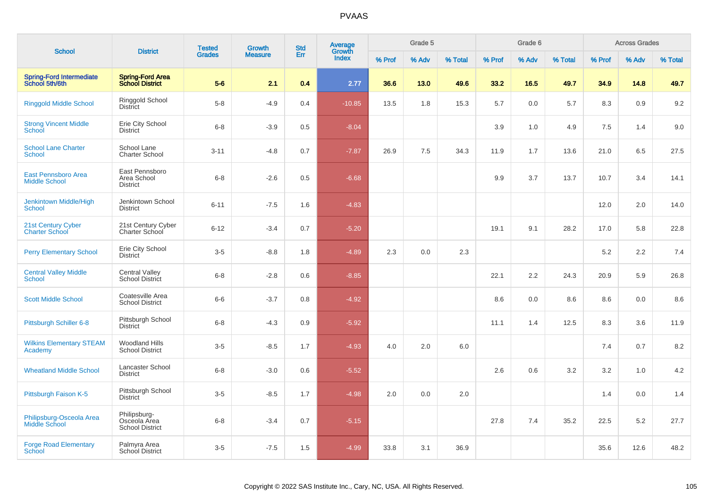|                                                    |                                                        | <b>Tested</b> | Growth         | <b>Std</b> | <b>Average</b><br>Growth |        | Grade 5 |         |        | Grade 6 |         |        | <b>Across Grades</b> |         |
|----------------------------------------------------|--------------------------------------------------------|---------------|----------------|------------|--------------------------|--------|---------|---------|--------|---------|---------|--------|----------------------|---------|
| <b>School</b>                                      | <b>District</b>                                        | <b>Grades</b> | <b>Measure</b> | Err        | <b>Index</b>             | % Prof | % Adv   | % Total | % Prof | % Adv   | % Total | % Prof | % Adv                | % Total |
| <b>Spring-Ford Intermediate</b><br>School 5th/6th  | <b>Spring-Ford Area</b><br><b>School District</b>      | $5-6$         | 2.1            | 0.4        | 2.77                     | 36.6   | 13.0    | 49.6    | 33.2   | 16.5    | 49.7    | 34.9   | 14.8                 | 49.7    |
| <b>Ringgold Middle School</b>                      | Ringgold School<br><b>District</b>                     | $5 - 8$       | $-4.9$         | 0.4        | $-10.85$                 | 13.5   | 1.8     | 15.3    | 5.7    | 0.0     | 5.7     | 8.3    | 0.9                  | 9.2     |
| <b>Strong Vincent Middle</b><br><b>School</b>      | Erie City School<br><b>District</b>                    | $6 - 8$       | $-3.9$         | 0.5        | $-8.04$                  |        |         |         | 3.9    | 1.0     | 4.9     | 7.5    | 1.4                  | 9.0     |
| <b>School Lane Charter</b><br><b>School</b>        | School Lane<br><b>Charter School</b>                   | $3 - 11$      | $-4.8$         | 0.7        | $-7.87$                  | 26.9   | 7.5     | 34.3    | 11.9   | 1.7     | 13.6    | 21.0   | 6.5                  | 27.5    |
| <b>East Pennsboro Area</b><br><b>Middle School</b> | East Pennsboro<br>Area School<br><b>District</b>       | $6 - 8$       | $-2.6$         | 0.5        | $-6.68$                  |        |         |         | 9.9    | 3.7     | 13.7    | 10.7   | 3.4                  | 14.1    |
| Jenkintown Middle/High<br><b>School</b>            | Jenkintown School<br><b>District</b>                   | $6 - 11$      | $-7.5$         | 1.6        | $-4.83$                  |        |         |         |        |         |         | 12.0   | 2.0                  | 14.0    |
| 21st Century Cyber<br><b>Charter School</b>        | 21st Century Cyber<br>Charter School                   | $6 - 12$      | $-3.4$         | 0.7        | $-5.20$                  |        |         |         | 19.1   | 9.1     | 28.2    | 17.0   | 5.8                  | 22.8    |
| <b>Perry Elementary School</b>                     | Erie City School<br><b>District</b>                    | $3-5$         | $-8.8$         | 1.8        | $-4.89$                  | 2.3    | 0.0     | 2.3     |        |         |         | 5.2    | 2.2                  | 7.4     |
| <b>Central Valley Middle</b><br><b>School</b>      | <b>Central Valley</b><br><b>School District</b>        | $6 - 8$       | $-2.8$         | 0.6        | $-8.85$                  |        |         |         | 22.1   | 2.2     | 24.3    | 20.9   | 5.9                  | 26.8    |
| <b>Scott Middle School</b>                         | Coatesville Area<br><b>School District</b>             | $6-6$         | $-3.7$         | 0.8        | $-4.92$                  |        |         |         | 8.6    | 0.0     | 8.6     | 8.6    | 0.0                  | 8.6     |
| Pittsburgh Schiller 6-8                            | Pittsburgh School<br><b>District</b>                   | $6 - 8$       | $-4.3$         | 0.9        | $-5.92$                  |        |         |         | 11.1   | 1.4     | 12.5    | 8.3    | 3.6                  | 11.9    |
| <b>Wilkins Elementary STEAM</b><br>Academy         | <b>Woodland Hills</b><br><b>School District</b>        | $3 - 5$       | $-8.5$         | 1.7        | $-4.93$                  | 4.0    | 2.0     | 6.0     |        |         |         | 7.4    | 0.7                  | 8.2     |
| <b>Wheatland Middle School</b>                     | Lancaster School<br><b>District</b>                    | $6 - 8$       | $-3.0$         | 0.6        | $-5.52$                  |        |         |         | 2.6    | 0.6     | 3.2     | 3.2    | 1.0                  | 4.2     |
| Pittsburgh Faison K-5                              | Pittsburgh School<br><b>District</b>                   | $3-5$         | $-8.5$         | 1.7        | $-4.98$                  | 2.0    | 0.0     | 2.0     |        |         |         | 1.4    | 0.0                  | 1.4     |
| Philipsburg-Osceola Area<br>Middle School          | Philipsburg-<br>Osceola Area<br><b>School District</b> | $6 - 8$       | $-3.4$         | 0.7        | $-5.15$                  |        |         |         | 27.8   | 7.4     | 35.2    | 22.5   | 5.2                  | 27.7    |
| <b>Forge Road Elementary</b><br>School             | Palmyra Area<br>School District                        | $3-5$         | $-7.5$         | 1.5        | $-4.99$                  | 33.8   | 3.1     | 36.9    |        |         |         | 35.6   | 12.6                 | 48.2    |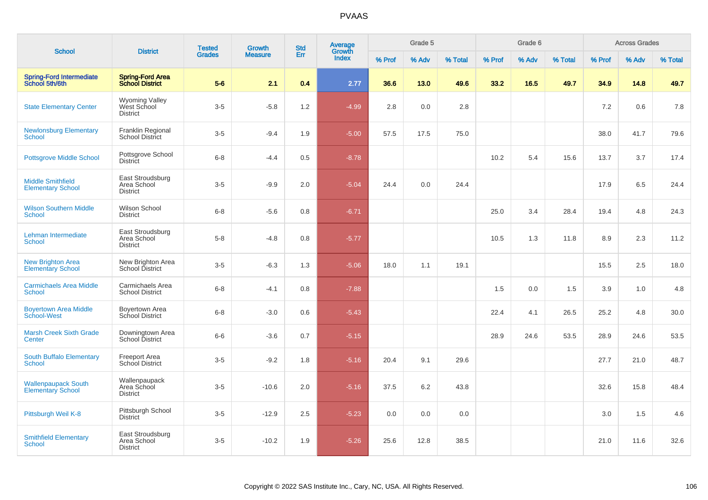| <b>School</b>                                          | <b>District</b>                                         | <b>Tested</b> | Growth         | <b>Std</b> | <b>Average</b><br>Growth |        | Grade 5 |         |        | Grade 6 |         |        | <b>Across Grades</b> |         |
|--------------------------------------------------------|---------------------------------------------------------|---------------|----------------|------------|--------------------------|--------|---------|---------|--------|---------|---------|--------|----------------------|---------|
|                                                        |                                                         | <b>Grades</b> | <b>Measure</b> | Err        | <b>Index</b>             | % Prof | % Adv   | % Total | % Prof | % Adv   | % Total | % Prof | % Adv                | % Total |
| <b>Spring-Ford Intermediate</b><br>School 5th/6th      | <b>Spring-Ford Area</b><br><b>School District</b>       | $5-6$         | 2.1            | 0.4        | 2.77                     | 36.6   | 13.0    | 49.6    | 33.2   | 16.5    | 49.7    | 34.9   | 14.8                 | 49.7    |
| <b>State Elementary Center</b>                         | <b>Wyoming Valley</b><br>West School<br><b>District</b> | $3-5$         | $-5.8$         | 1.2        | $-4.99$                  | 2.8    | 0.0     | 2.8     |        |         |         | 7.2    | 0.6                  | 7.8     |
| <b>Newlonsburg Elementary</b><br>School                | Franklin Regional<br>School District                    | $3-5$         | $-9.4$         | 1.9        | $-5.00$                  | 57.5   | 17.5    | 75.0    |        |         |         | 38.0   | 41.7                 | 79.6    |
| <b>Pottsgrove Middle School</b>                        | Pottsgrove School<br><b>District</b>                    | $6 - 8$       | $-4.4$         | 0.5        | $-8.78$                  |        |         |         | 10.2   | 5.4     | 15.6    | 13.7   | 3.7                  | 17.4    |
| <b>Middle Smithfield</b><br><b>Elementary School</b>   | East Stroudsburg<br>Area School<br><b>District</b>      | $3-5$         | $-9.9$         | 2.0        | $-5.04$                  | 24.4   | 0.0     | 24.4    |        |         |         | 17.9   | 6.5                  | 24.4    |
| <b>Wilson Southern Middle</b><br><b>School</b>         | Wilson School<br><b>District</b>                        | $6 - 8$       | $-5.6$         | 0.8        | $-6.71$                  |        |         |         | 25.0   | 3.4     | 28.4    | 19.4   | 4.8                  | 24.3    |
| Lehman Intermediate<br><b>School</b>                   | East Stroudsburg<br>Area School<br><b>District</b>      | $5 - 8$       | $-4.8$         | 0.8        | $-5.77$                  |        |         |         | 10.5   | 1.3     | 11.8    | 8.9    | 2.3                  | 11.2    |
| <b>New Brighton Area</b><br><b>Elementary School</b>   | New Brighton Area<br>School District                    | $3-5$         | $-6.3$         | 1.3        | $-5.06$                  | 18.0   | 1.1     | 19.1    |        |         |         | 15.5   | 2.5                  | 18.0    |
| <b>Carmichaels Area Middle</b><br>School               | Carmichaels Area<br><b>School District</b>              | $6 - 8$       | $-4.1$         | 0.8        | $-7.88$                  |        |         |         | 1.5    | 0.0     | 1.5     | 3.9    | 1.0                  | 4.8     |
| <b>Boyertown Area Middle</b><br>School-West            | Boyertown Area<br>School District                       | $6 - 8$       | $-3.0$         | 0.6        | $-5.43$                  |        |         |         | 22.4   | 4.1     | 26.5    | 25.2   | 4.8                  | 30.0    |
| <b>Marsh Creek Sixth Grade</b><br>Center               | Downingtown Area<br>School District                     | $6-6$         | $-3.6$         | 0.7        | $-5.15$                  |        |         |         | 28.9   | 24.6    | 53.5    | 28.9   | 24.6                 | 53.5    |
| South Buffalo Elementary<br><b>School</b>              | <b>Freeport Area</b><br>School District                 | $3-5$         | $-9.2$         | 1.8        | $-5.16$                  | 20.4   | 9.1     | 29.6    |        |         |         | 27.7   | 21.0                 | 48.7    |
| <b>Wallenpaupack South</b><br><b>Elementary School</b> | Wallenpaupack<br>Area School<br><b>District</b>         | $3-5$         | $-10.6$        | 2.0        | $-5.16$                  | 37.5   | 6.2     | 43.8    |        |         |         | 32.6   | 15.8                 | 48.4    |
| Pittsburgh Weil K-8                                    | Pittsburgh School<br><b>District</b>                    | $3-5$         | $-12.9$        | 2.5        | $-5.23$                  | 0.0    | 0.0     | 0.0     |        |         |         | 3.0    | 1.5                  | 4.6     |
| <b>Smithfield Elementary</b><br>School                 | East Stroudsburg<br>Area School<br><b>District</b>      | $3-5$         | $-10.2$        | 1.9        | $-5.26$                  | 25.6   | 12.8    | 38.5    |        |         |         | 21.0   | 11.6                 | 32.6    |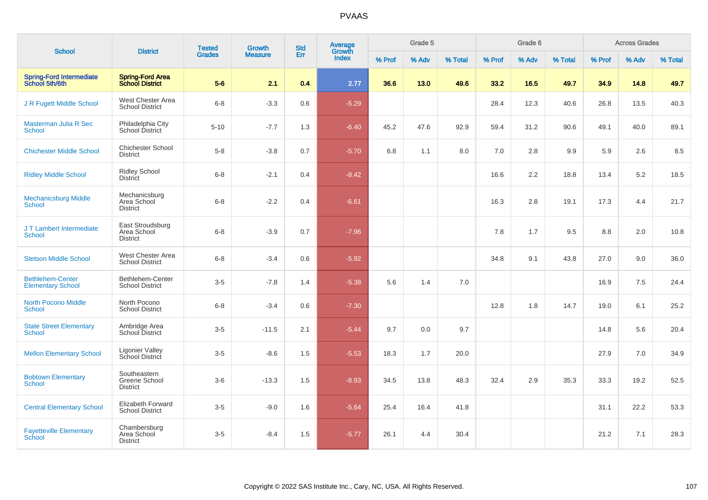| <b>School</b>                                       |                                                    | <b>Tested</b> | Growth         | <b>Std</b> | Average<br>Growth |        | Grade 5 |         |        | Grade 6 |         |        | <b>Across Grades</b> |         |
|-----------------------------------------------------|----------------------------------------------------|---------------|----------------|------------|-------------------|--------|---------|---------|--------|---------|---------|--------|----------------------|---------|
|                                                     | <b>District</b>                                    | <b>Grades</b> | <b>Measure</b> | Err        | <b>Index</b>      | % Prof | % Adv   | % Total | % Prof | % Adv   | % Total | % Prof | % Adv                | % Total |
| <b>Spring-Ford Intermediate</b><br>School 5th/6th   | <b>Spring-Ford Area</b><br><b>School District</b>  | $5-6$         | 2.1            | 0.4        | 2.77              | 36.6   | 13.0    | 49.6    | 33.2   | 16.5    | 49.7    | 34.9   | 14.8                 | 49.7    |
| J R Fugett Middle School                            | West Chester Area<br><b>School District</b>        | $6-8$         | $-3.3$         | 0.6        | $-5.29$           |        |         |         | 28.4   | 12.3    | 40.6    | 26.8   | 13.5                 | 40.3    |
| Masterman Julia R Sec<br><b>School</b>              | Philadelphia City<br>School District               | $5 - 10$      | $-7.7$         | 1.3        | $-6.40$           | 45.2   | 47.6    | 92.9    | 59.4   | 31.2    | 90.6    | 49.1   | 40.0                 | 89.1    |
| <b>Chichester Middle School</b>                     | <b>Chichester School</b><br><b>District</b>        | $5-8$         | $-3.8$         | 0.7        | $-5.70$           | 6.8    | 1.1     | 8.0     | 7.0    | 2.8     | 9.9     | 5.9    | 2.6                  | 8.5     |
| <b>Ridley Middle School</b>                         | <b>Ridley School</b><br><b>District</b>            | $6 - 8$       | $-2.1$         | 0.4        | $-8.42$           |        |         |         | 16.6   | 2.2     | 18.8    | 13.4   | 5.2                  | 18.5    |
| <b>Mechanicsburg Middle</b><br><b>School</b>        | Mechanicsburg<br>Area School<br><b>District</b>    | $6 - 8$       | $-2.2$         | 0.4        | $-6.61$           |        |         |         | 16.3   | 2.8     | 19.1    | 17.3   | 4.4                  | 21.7    |
| J T Lambert Intermediate<br>School                  | East Stroudsburg<br>Area School<br><b>District</b> | $6 - 8$       | $-3.9$         | 0.7        | $-7.96$           |        |         |         | 7.8    | 1.7     | 9.5     | 8.8    | 2.0                  | 10.8    |
| <b>Stetson Middle School</b>                        | West Chester Area<br><b>School District</b>        | $6 - 8$       | $-3.4$         | 0.6        | $-5.92$           |        |         |         | 34.8   | 9.1     | 43.8    | 27.0   | 9.0                  | 36.0    |
| <b>Bethlehem-Center</b><br><b>Elementary School</b> | Bethlehem-Center<br><b>School District</b>         | $3-5$         | $-7.8$         | 1.4        | $-5.38$           | 5.6    | 1.4     | 7.0     |        |         |         | 16.9   | 7.5                  | 24.4    |
| <b>North Pocono Middle</b><br><b>School</b>         | North Pocono<br><b>School District</b>             | $6 - 8$       | $-3.4$         | 0.6        | $-7.30$           |        |         |         | 12.8   | 1.8     | 14.7    | 19.0   | 6.1                  | 25.2    |
| <b>State Street Elementary</b><br><b>School</b>     | Ambridge Area<br><b>School District</b>            | $3-5$         | $-11.5$        | 2.1        | $-5.44$           | 9.7    | 0.0     | 9.7     |        |         |         | 14.8   | 5.6                  | 20.4    |
| <b>Mellon Elementary School</b>                     | Ligonier Valley<br>School District                 | $3-5$         | $-8.6$         | 1.5        | $-5.53$           | 18.3   | 1.7     | 20.0    |        |         |         | 27.9   | 7.0                  | 34.9    |
| <b>Bobtown Elementary</b><br><b>School</b>          | Southeastern<br>Greene School<br><b>District</b>   | $3-6$         | $-13.3$        | 1.5        | $-8.93$           | 34.5   | 13.8    | 48.3    | 32.4   | 2.9     | 35.3    | 33.3   | 19.2                 | 52.5    |
| <b>Central Elementary School</b>                    | <b>Elizabeth Forward</b><br><b>School District</b> | $3-5$         | $-9.0$         | 1.6        | $-5.64$           | 25.4   | 16.4    | 41.8    |        |         |         | 31.1   | 22.2                 | 53.3    |
| <b>Fayetteville Elementary</b><br>School            | Chambersburg<br>Area School<br><b>District</b>     | $3-5$         | $-8.4$         | 1.5        | $-5.77$           | 26.1   | 4.4     | 30.4    |        |         |         | 21.2   | 7.1                  | 28.3    |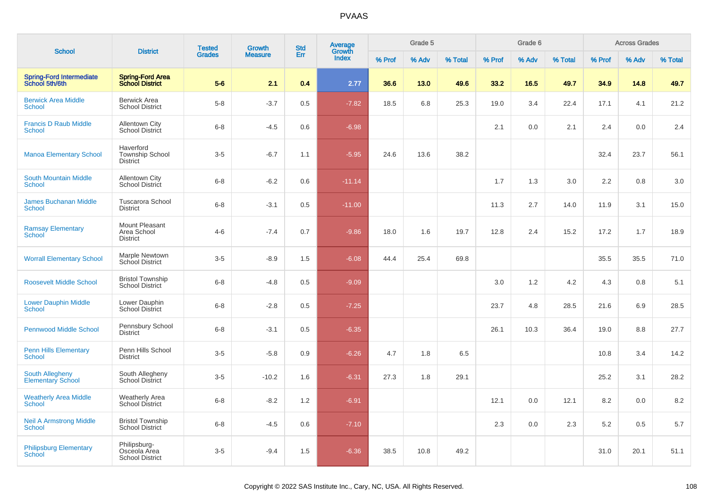|                                                    |                                                        | <b>Tested</b> | <b>Growth</b>  | <b>Std</b> | <b>Average</b><br>Growth |        | Grade 5 |         |        | Grade 6 |         |        | <b>Across Grades</b> |         |
|----------------------------------------------------|--------------------------------------------------------|---------------|----------------|------------|--------------------------|--------|---------|---------|--------|---------|---------|--------|----------------------|---------|
| <b>School</b>                                      | <b>District</b>                                        | <b>Grades</b> | <b>Measure</b> | Err        | Index                    | % Prof | % Adv   | % Total | % Prof | % Adv   | % Total | % Prof | % Adv                | % Total |
| <b>Spring-Ford Intermediate</b><br>School 5th/6th  | <b>Spring-Ford Area</b><br><b>School District</b>      | $5-6$         | 2.1            | 0.4        | 2.77                     | 36.6   | 13.0    | 49.6    | 33.2   | 16.5    | 49.7    | 34.9   | 14.8                 | 49.7    |
| <b>Berwick Area Middle</b><br><b>School</b>        | <b>Berwick Area</b><br><b>School District</b>          | $5-8$         | $-3.7$         | 0.5        | $-7.82$                  | 18.5   | 6.8     | 25.3    | 19.0   | 3.4     | 22.4    | 17.1   | 4.1                  | 21.2    |
| <b>Francis D Raub Middle</b><br><b>School</b>      | <b>Allentown City</b><br>School District               | $6 - 8$       | $-4.5$         | 0.6        | $-6.98$                  |        |         |         | 2.1    | 0.0     | 2.1     | 2.4    | 0.0                  | 2.4     |
| <b>Manoa Elementary School</b>                     | Haverford<br>Township School<br><b>District</b>        | $3-5$         | $-6.7$         | 1.1        | $-5.95$                  | 24.6   | 13.6    | 38.2    |        |         |         | 32.4   | 23.7                 | 56.1    |
| <b>South Mountain Middle</b><br><b>School</b>      | Allentown City<br>School District                      | $6 - 8$       | $-6.2$         | 0.6        | $-11.14$                 |        |         |         | 1.7    | 1.3     | 3.0     | 2.2    | 0.8                  | 3.0     |
| <b>James Buchanan Middle</b><br><b>School</b>      | <b>Tuscarora School</b><br><b>District</b>             | $6 - 8$       | $-3.1$         | 0.5        | $-11.00$                 |        |         |         | 11.3   | 2.7     | 14.0    | 11.9   | 3.1                  | 15.0    |
| <b>Ramsay Elementary</b><br><b>School</b>          | Mount Pleasant<br>Area School<br><b>District</b>       | $4 - 6$       | $-7.4$         | 0.7        | $-9.86$                  | 18.0   | 1.6     | 19.7    | 12.8   | 2.4     | 15.2    | 17.2   | 1.7                  | 18.9    |
| <b>Worrall Elementary School</b>                   | Marple Newtown<br>School District                      | $3-5$         | $-8.9$         | 1.5        | $-6.08$                  | 44.4   | 25.4    | 69.8    |        |         |         | 35.5   | 35.5                 | 71.0    |
| <b>Roosevelt Middle School</b>                     | <b>Bristol Township</b><br><b>School District</b>      | $6 - 8$       | $-4.8$         | 0.5        | $-9.09$                  |        |         |         | 3.0    | 1.2     | 4.2     | 4.3    | 0.8                  | 5.1     |
| <b>Lower Dauphin Middle</b><br>School              | Lower Dauphin<br><b>School District</b>                | $6 - 8$       | $-2.8$         | 0.5        | $-7.25$                  |        |         |         | 23.7   | 4.8     | 28.5    | 21.6   | 6.9                  | 28.5    |
| <b>Pennwood Middle School</b>                      | Pennsbury School<br><b>District</b>                    | $6 - 8$       | $-3.1$         | 0.5        | $-6.35$                  |        |         |         | 26.1   | 10.3    | 36.4    | 19.0   | 8.8                  | 27.7    |
| <b>Penn Hills Elementary</b><br>School             | Penn Hills School<br><b>District</b>                   | $3-5$         | $-5.8$         | 0.9        | $-6.26$                  | 4.7    | 1.8     | 6.5     |        |         |         | 10.8   | 3.4                  | 14.2    |
| <b>South Allegheny</b><br><b>Elementary School</b> | South Allegheny<br><b>School District</b>              | $3-5$         | $-10.2$        | 1.6        | $-6.31$                  | 27.3   | 1.8     | 29.1    |        |         |         | 25.2   | 3.1                  | 28.2    |
| <b>Weatherly Area Middle</b><br><b>School</b>      | Weatherly Area<br>School District                      | $6 - 8$       | $-8.2$         | 1.2        | $-6.91$                  |        |         |         | 12.1   | 0.0     | 12.1    | 8.2    | 0.0                  | 8.2     |
| <b>Neil A Armstrong Middle</b><br><b>School</b>    | <b>Bristol Township</b><br><b>School District</b>      | $6 - 8$       | $-4.5$         | 0.6        | $-7.10$                  |        |         |         | 2.3    | 0.0     | 2.3     | 5.2    | 0.5                  | 5.7     |
| <b>Philipsburg Elementary</b><br>School            | Philipsburg-<br>Osceola Area<br><b>School District</b> | $3-5$         | $-9.4$         | 1.5        | $-6.36$                  | 38.5   | 10.8    | 49.2    |        |         |         | 31.0   | 20.1                 | 51.1    |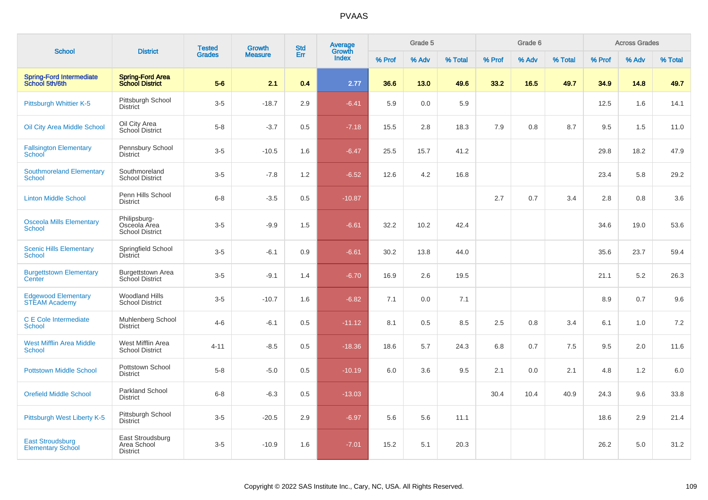| <b>School</b>                                       | <b>District</b>                                        | <b>Tested</b> | <b>Growth</b>  | <b>Std</b> | Average<br>Growth |        | Grade 5<br>Grade 6 |         |        |       | <b>Across Grades</b> |        |       |         |
|-----------------------------------------------------|--------------------------------------------------------|---------------|----------------|------------|-------------------|--------|--------------------|---------|--------|-------|----------------------|--------|-------|---------|
|                                                     |                                                        | <b>Grades</b> | <b>Measure</b> | Err        | <b>Index</b>      | % Prof | % Adv              | % Total | % Prof | % Adv | % Total              | % Prof | % Adv | % Total |
| <b>Spring-Ford Intermediate</b><br>School 5th/6th   | <b>Spring-Ford Area</b><br><b>School District</b>      | $5-6$         | 2.1            | 0.4        | 2.77              | 36.6   | 13.0               | 49.6    | 33.2   | 16.5  | 49.7                 | 34.9   | 14.8  | 49.7    |
| Pittsburgh Whittier K-5                             | Pittsburgh School<br><b>District</b>                   | $3-5$         | $-18.7$        | 2.9        | $-6.41$           | 5.9    | 0.0                | 5.9     |        |       |                      | 12.5   | 1.6   | 14.1    |
| Oil City Area Middle School                         | Oil City Area<br>School District                       | $5 - 8$       | $-3.7$         | 0.5        | $-7.18$           | 15.5   | 2.8                | 18.3    | 7.9    | 0.8   | 8.7                  | 9.5    | 1.5   | 11.0    |
| <b>Fallsington Elementary</b><br>School             | Pennsbury School<br><b>District</b>                    | $3-5$         | $-10.5$        | 1.6        | $-6.47$           | 25.5   | 15.7               | 41.2    |        |       |                      | 29.8   | 18.2  | 47.9    |
| <b>Southmoreland Elementary</b><br>School           | Southmoreland<br><b>School District</b>                | $3-5$         | $-7.8$         | 1.2        | $-6.52$           | 12.6   | 4.2                | 16.8    |        |       |                      | 23.4   | 5.8   | 29.2    |
| <b>Linton Middle School</b>                         | Penn Hills School<br><b>District</b>                   | $6 - 8$       | $-3.5$         | 0.5        | $-10.87$          |        |                    |         | 2.7    | 0.7   | 3.4                  | 2.8    | 0.8   | 3.6     |
| <b>Osceola Mills Elementary</b><br><b>School</b>    | Philipsburg-<br>Osceola Area<br><b>School District</b> | $3-5$         | $-9.9$         | 1.5        | $-6.61$           | 32.2   | 10.2               | 42.4    |        |       |                      | 34.6   | 19.0  | 53.6    |
| <b>Scenic Hills Elementary</b><br><b>School</b>     | Springfield School<br><b>District</b>                  | $3-5$         | $-6.1$         | 0.9        | $-6.61$           | 30.2   | 13.8               | 44.0    |        |       |                      | 35.6   | 23.7  | 59.4    |
| <b>Burgettstown Elementary</b><br>Center            | <b>Burgettstown Area</b><br>School District            | $3-5$         | $-9.1$         | 1.4        | $-6.70$           | 16.9   | 2.6                | 19.5    |        |       |                      | 21.1   | 5.2   | 26.3    |
| <b>Edgewood Elementary</b><br><b>STEAM Academy</b>  | <b>Woodland Hills</b><br><b>School District</b>        | $3-5$         | $-10.7$        | 1.6        | $-6.82$           | 7.1    | 0.0                | 7.1     |        |       |                      | 8.9    | 0.7   | 9.6     |
| C E Cole Intermediate<br><b>School</b>              | Muhlenberg School<br><b>District</b>                   | $4 - 6$       | $-6.1$         | 0.5        | $-11.12$          | 8.1    | 0.5                | 8.5     | 2.5    | 0.8   | 3.4                  | 6.1    | 1.0   | 7.2     |
| <b>West Mifflin Area Middle</b><br><b>School</b>    | West Mifflin Area<br><b>School District</b>            | $4 - 11$      | $-8.5$         | 0.5        | $-18.36$          | 18.6   | 5.7                | 24.3    | 6.8    | 0.7   | 7.5                  | 9.5    | 2.0   | 11.6    |
| <b>Pottstown Middle School</b>                      | Pottstown School<br><b>District</b>                    | $5-8$         | $-5.0$         | 0.5        | $-10.19$          | 6.0    | 3.6                | 9.5     | 2.1    | 0.0   | 2.1                  | 4.8    | 1.2   | 6.0     |
| <b>Orefield Middle School</b>                       | Parkland School<br><b>District</b>                     | $6 - 8$       | $-6.3$         | 0.5        | $-13.03$          |        |                    |         | 30.4   | 10.4  | 40.9                 | 24.3   | 9.6   | 33.8    |
| Pittsburgh West Liberty K-5                         | Pittsburgh School<br><b>District</b>                   | $3-5$         | $-20.5$        | 2.9        | $-6.97$           | 5.6    | 5.6                | 11.1    |        |       |                      | 18.6   | 2.9   | 21.4    |
| <b>East Stroudsburg</b><br><b>Elementary School</b> | East Stroudsburg<br>Area School<br><b>District</b>     | $3-5$         | $-10.9$        | 1.6        | $-7.01$           | 15.2   | 5.1                | 20.3    |        |       |                      | 26.2   | 5.0   | 31.2    |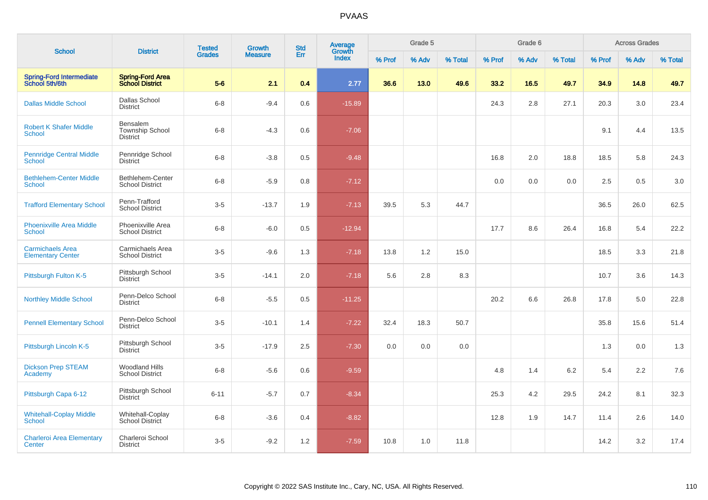| <b>School</b>                                       | <b>District</b>                                              | <b>Tested</b> | Growth         | <b>Std</b> | Average<br>Growth |        | Grade 5 |         |        | Grade 6 |         |        | <b>Across Grades</b> |         |  |
|-----------------------------------------------------|--------------------------------------------------------------|---------------|----------------|------------|-------------------|--------|---------|---------|--------|---------|---------|--------|----------------------|---------|--|
|                                                     |                                                              | <b>Grades</b> | <b>Measure</b> | Err        | <b>Index</b>      | % Prof | % Adv   | % Total | % Prof | % Adv   | % Total | % Prof | % Adv                | % Total |  |
| <b>Spring-Ford Intermediate</b><br>School 5th/6th   | <b>Spring-Ford Area</b><br><b>School District</b>            | $5-6$         | 2.1            | 0.4        | 2.77              | 36.6   | 13.0    | 49.6    | 33.2   | 16.5    | 49.7    | 34.9   | 14.8                 | 49.7    |  |
| <b>Dallas Middle School</b>                         | Dallas School<br><b>District</b>                             | $6 - 8$       | $-9.4$         | 0.6        | $-15.89$          |        |         |         | 24.3   | 2.8     | 27.1    | 20.3   | 3.0                  | 23.4    |  |
| <b>Robert K Shafer Middle</b><br>School             | <b>Bensalem</b><br><b>Township School</b><br><b>District</b> | $6 - 8$       | $-4.3$         | 0.6        | $-7.06$           |        |         |         |        |         |         | 9.1    | 4.4                  | 13.5    |  |
| <b>Pennridge Central Middle</b><br><b>School</b>    | Pennridge School<br><b>District</b>                          | $6 - 8$       | $-3.8$         | 0.5        | $-9.48$           |        |         |         | 16.8   | 2.0     | 18.8    | 18.5   | 5.8                  | 24.3    |  |
| <b>Bethlehem-Center Middle</b><br>School            | Bethlehem-Center<br><b>School District</b>                   | $6 - 8$       | $-5.9$         | 0.8        | $-7.12$           |        |         |         | 0.0    | 0.0     | 0.0     | 2.5    | 0.5                  | 3.0     |  |
| <b>Trafford Elementary School</b>                   | Penn-Trafford<br><b>School District</b>                      | $3-5$         | $-13.7$        | 1.9        | $-7.13$           | 39.5   | 5.3     | 44.7    |        |         |         | 36.5   | 26.0                 | 62.5    |  |
| <b>Phoenixville Area Middle</b><br><b>School</b>    | Phoenixville Area<br><b>School District</b>                  | $6 - 8$       | $-6.0$         | 0.5        | $-12.94$          |        |         |         | 17.7   | 8.6     | 26.4    | 16.8   | 5.4                  | 22.2    |  |
| <b>Carmichaels Area</b><br><b>Elementary Center</b> | Carmichaels Area<br><b>School District</b>                   | $3-5$         | $-9.6$         | 1.3        | $-7.18$           | 13.8   | 1.2     | 15.0    |        |         |         | 18.5   | 3.3                  | 21.8    |  |
| Pittsburgh Fulton K-5                               | Pittsburgh School<br><b>District</b>                         | $3-5$         | $-14.1$        | 2.0        | $-7.18$           | 5.6    | 2.8     | 8.3     |        |         |         | 10.7   | 3.6                  | 14.3    |  |
| <b>Northley Middle School</b>                       | Penn-Delco School<br><b>District</b>                         | $6 - 8$       | $-5.5$         | 0.5        | $-11.25$          |        |         |         | 20.2   | 6.6     | 26.8    | 17.8   | 5.0                  | 22.8    |  |
| <b>Pennell Elementary School</b>                    | Penn-Delco School<br><b>District</b>                         | $3-5$         | $-10.1$        | 1.4        | $-7.22$           | 32.4   | 18.3    | 50.7    |        |         |         | 35.8   | 15.6                 | 51.4    |  |
| Pittsburgh Lincoln K-5                              | Pittsburgh School<br><b>District</b>                         | $3-5$         | $-17.9$        | 2.5        | $-7.30$           | 0.0    | 0.0     | 0.0     |        |         |         | 1.3    | 0.0                  | 1.3     |  |
| <b>Dickson Prep STEAM</b><br>Academy                | <b>Woodland Hills</b><br><b>School District</b>              | $6 - 8$       | $-5.6$         | 0.6        | $-9.59$           |        |         |         | 4.8    | 1.4     | 6.2     | 5.4    | 2.2                  | 7.6     |  |
| Pittsburgh Capa 6-12                                | Pittsburgh School<br><b>District</b>                         | $6 - 11$      | $-5.7$         | 0.7        | $-8.34$           |        |         |         | 25.3   | 4.2     | 29.5    | 24.2   | 8.1                  | 32.3    |  |
| <b>Whitehall-Coplay Middle</b><br><b>School</b>     | Whitehall-Coplay<br><b>School District</b>                   | $6 - 8$       | $-3.6$         | 0.4        | $-8.82$           |        |         |         | 12.8   | 1.9     | 14.7    | 11.4   | 2.6                  | 14.0    |  |
| <b>Charleroi Area Elementary</b><br>Center          | Charleroi School<br><b>District</b>                          | $3-5$         | $-9.2$         | 1.2        | $-7.59$           | 10.8   | 1.0     | 11.8    |        |         |         | 14.2   | $3.2\,$              | 17.4    |  |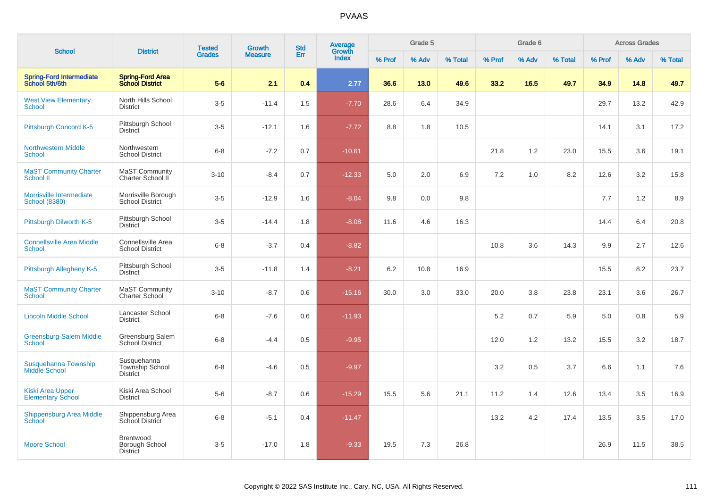| <b>School</b>                                       | <b>District</b>                                          | <b>Tested</b> | <b>Growth</b>  | <b>Std</b> | <b>Average</b><br>Growth |        | Grade 5 |         |        | Grade 6 |         | <b>Across Grades</b> |       |         |  |
|-----------------------------------------------------|----------------------------------------------------------|---------------|----------------|------------|--------------------------|--------|---------|---------|--------|---------|---------|----------------------|-------|---------|--|
|                                                     |                                                          | <b>Grades</b> | <b>Measure</b> | Err        | <b>Index</b>             | % Prof | % Adv   | % Total | % Prof | % Adv   | % Total | % Prof               | % Adv | % Total |  |
| <b>Spring-Ford Intermediate</b><br>School 5th/6th   | <b>Spring-Ford Area</b><br><b>School District</b>        | $5-6$         | 2.1            | 0.4        | 2.77                     | 36.6   | 13.0    | 49.6    | 33.2   | 16.5    | 49.7    | 34.9                 | 14.8  | 49.7    |  |
| <b>West View Elementary</b><br><b>School</b>        | North Hills School<br><b>District</b>                    | $3-5$         | $-11.4$        | 1.5        | $-7.70$                  | 28.6   | 6.4     | 34.9    |        |         |         | 29.7                 | 13.2  | 42.9    |  |
| Pittsburgh Concord K-5                              | Pittsburgh School<br><b>District</b>                     | $3-5$         | $-12.1$        | 1.6        | $-7.72$                  | 8.8    | 1.8     | 10.5    |        |         |         | 14.1                 | 3.1   | 17.2    |  |
| <b>Northwestern Middle</b><br><b>School</b>         | Northwestern<br><b>School District</b>                   | $6 - 8$       | $-7.2$         | 0.7        | $-10.61$                 |        |         |         | 21.8   | 1.2     | 23.0    | 15.5                 | 3.6   | 19.1    |  |
| <b>MaST Community Charter</b><br><b>School II</b>   | <b>MaST Community</b><br>Charter School II               | $3 - 10$      | $-8.4$         | 0.7        | $-12.33$                 | 5.0    | 2.0     | 6.9     | 7.2    | 1.0     | 8.2     | 12.6                 | 3.2   | 15.8    |  |
| Morrisville Intermediate<br><b>School (8380)</b>    | Morrisville Borough<br><b>School District</b>            | $3-5$         | $-12.9$        | 1.6        | $-8.04$                  | 9.8    | 0.0     | 9.8     |        |         |         | 7.7                  | 1.2   | 8.9     |  |
| Pittsburgh Dilworth K-5                             | Pittsburgh School<br><b>District</b>                     | $3-5$         | $-14.4$        | 1.8        | $-8.08$                  | 11.6   | 4.6     | 16.3    |        |         |         | 14.4                 | 6.4   | 20.8    |  |
| <b>Connellsville Area Middle</b><br>School          | Connellsville Area<br><b>School District</b>             | $6 - 8$       | $-3.7$         | 0.4        | $-8.82$                  |        |         |         | 10.8   | 3.6     | 14.3    | 9.9                  | 2.7   | 12.6    |  |
| Pittsburgh Allegheny K-5                            | Pittsburgh School<br><b>District</b>                     | $3-5$         | $-11.8$        | 1.4        | $-8.21$                  | 6.2    | 10.8    | 16.9    |        |         |         | 15.5                 | 8.2   | 23.7    |  |
| <b>MaST Community Charter</b><br><b>School</b>      | <b>MaST Community</b><br><b>Charter School</b>           | $3 - 10$      | $-8.7$         | 0.6        | $-15.16$                 | 30.0   | 3.0     | 33.0    | 20.0   | 3.8     | 23.8    | 23.1                 | 3.6   | 26.7    |  |
| <b>Lincoln Middle School</b>                        | Lancaster School<br><b>District</b>                      | $6 - 8$       | $-7.6$         | 0.6        | $-11.93$                 |        |         |         | 5.2    | 0.7     | 5.9     | 5.0                  | 0.8   | 5.9     |  |
| <b>Greensburg-Salem Middle</b><br><b>School</b>     | Greensburg Salem<br><b>School District</b>               | $6 - 8$       | $-4.4$         | 0.5        | $-9.95$                  |        |         |         | 12.0   | 1.2     | 13.2    | 15.5                 | 3.2   | 18.7    |  |
| Susquehanna Township<br><b>Middle School</b>        | Susquehanna<br><b>Township School</b><br><b>District</b> | $6 - 8$       | $-4.6$         | 0.5        | $-9.97$                  |        |         |         | 3.2    | 0.5     | 3.7     | 6.6                  | 1.1   | 7.6     |  |
| <b>Kiski Area Upper</b><br><b>Elementary School</b> | Kiski Area School<br><b>District</b>                     | $5-6$         | $-8.7$         | 0.6        | $-15.29$                 | 15.5   | 5.6     | 21.1    | 11.2   | 1.4     | 12.6    | 13.4                 | 3.5   | 16.9    |  |
| <b>Shippensburg Area Middle</b><br><b>School</b>    | Shippensburg Area<br><b>School District</b>              | $6 - 8$       | $-5.1$         | 0.4        | $-11.47$                 |        |         |         | 13.2   | 4.2     | 17.4    | 13.5                 | 3.5   | 17.0    |  |
| <b>Moore School</b>                                 | Brentwood<br>Borough School<br><b>District</b>           | $3-5$         | $-17.0$        | 1.8        | $-9.33$                  | 19.5   | 7.3     | 26.8    |        |         |         | 26.9                 | 11.5  | 38.5    |  |